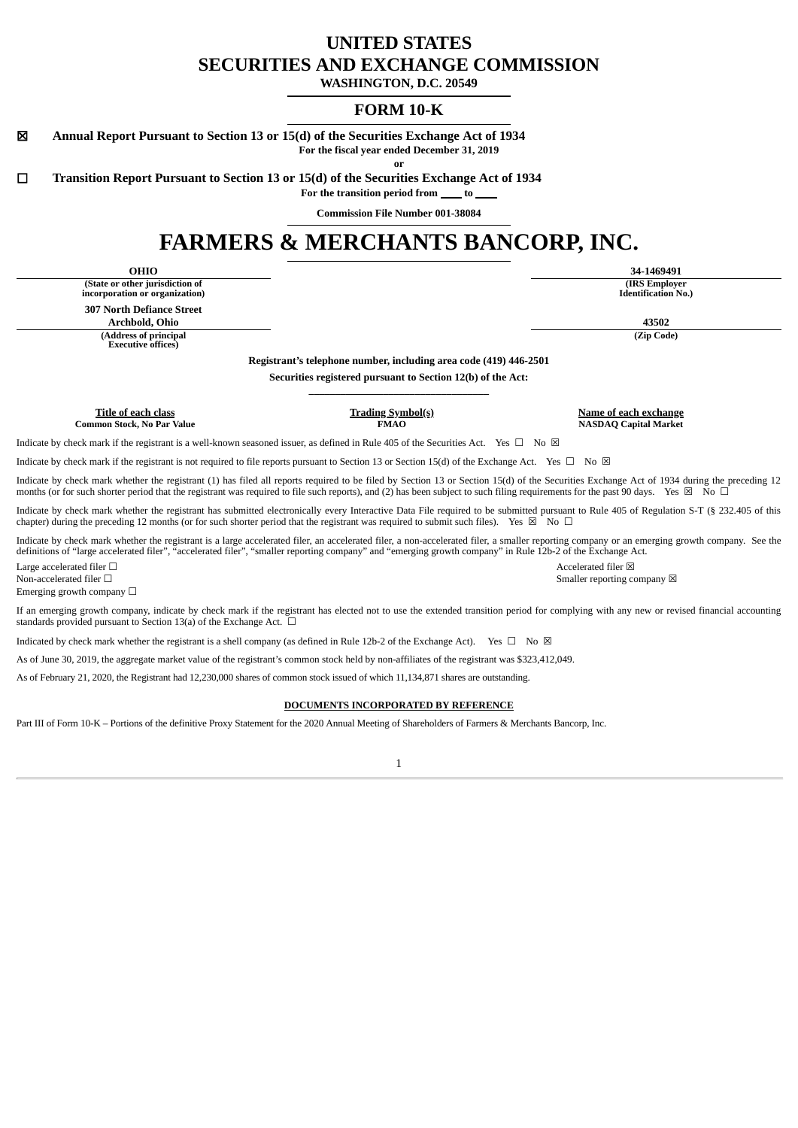# **UNITED STATES SECURITIES AND EXCHANGE COMMISSION**

**WASHINGTON, D.C. 20549**

# **FORM 10‑K**

☒ **Annual Report Pursuant to Section 13 or 15(d) of the Securities Exchange Act of 1934**

**For the fiscal year ended December 31, 2019**

**or**

☐ **Transition Report Pursuant to Section 13 or 15(d) of the Securities Exchange Act of 1934**

For the transition period from <u>state</u> to

**Commission File Number 001-38084**

# **FARMERS & MERCHANTS BANCORP, INC.**

**(State or other jurisdiction of the content of the content of the content of the content of the content of the content of the content of the content of the content of the content of the content of the content of the con incorporation or organization) Identification No.) 307 North Defiance Street Archbold, Ohio 43502 (Address of principal**

**Executive offices)**

**OHIO 34-1469491**

**(Zip Code)**

**Registrant's telephone number, including area code (419) 446-2501**

**Securities registered pursuant to Section 12(b) of the Act: \_\_\_\_\_\_\_\_\_\_\_\_\_\_\_\_\_\_\_\_\_\_\_\_\_\_\_\_\_\_\_\_\_\_**

**Title of each class Name of each exchange Trading Symbol(s) Name of each exchange Common Stock, No Par Value FMAO NASDAQ Capital Market**

Indicate by check mark if the registrant is a well-known seasoned issuer, as defined in Rule 405 of the Securities Act. Yes  $\Box$  No  $\boxtimes$ 

Indicate by check mark if the registrant is not required to file reports pursuant to Section 13 or Section 15(d) of the Exchange Act. Yes □ No ⊠

Indicate by check mark whether the registrant (1) has filed all reports required to be filed by Section 13 or Section 15(d) of the Securities Exchange Act of 1934 during the preceding 12 months (or for such shorter period that the registrant was required to file such reports), and (2) has been subject to such filing requirements for the past 90 days. Yes  $\boxtimes$  No  $\Box$ 

Indicate by check mark whether the registrant has submitted electronically every Interactive Data File required to be submitted pursuant to Rule 405 of Regulation S-T (§ 232.405 of this chapter) during the preceding 12 months (or for such shorter period that the registrant was required to submit such files). Yes  $\boxtimes \bullet$  No  $\Box$ 

Indicate by check mark whether the registrant is a large accelerated filer, an accelerated filer, a non-accelerated filer, a smaller reporting company or an emerging growth company. See the definitions of "large accelerated filer", "accelerated filer", "smaller reporting company" and "emerging growth company" in Rule 12b-2 of the Exchange Act.

Large accelerated filer  $\Box$ Non-accelerated filer □  $\Box$ 

Emerging growth company  $\Box$ 

If an emerging growth company, indicate by check mark if the registrant has elected not to use the extended transition period for complying with any new or revised financial accounting standards provided pursuant to Section 13(a) of the Exchange Act.  $\Box$ 

Indicated by check mark whether the registrant is a shell company (as defined in Rule 12b-2 of the Exchange Act). Yes  $\Box$  No  $\boxtimes$ 

As of June 30, 2019, the aggregate market value of the registrant's common stock held by non-affiliates of the registrant was \$323,412,049.

As of February 21, 2020, the Registrant had 12,230,000 shares of common stock issued of which 11,134,871 shares are outstanding.

#### **DOCUMENTS INCORPORATED BY REFERENCE**

Part III of Form 10-K – Portions of the definitive Proxy Statement for the 2020 Annual Meeting of Shareholders of Farmers & Merchants Bancorp, Inc.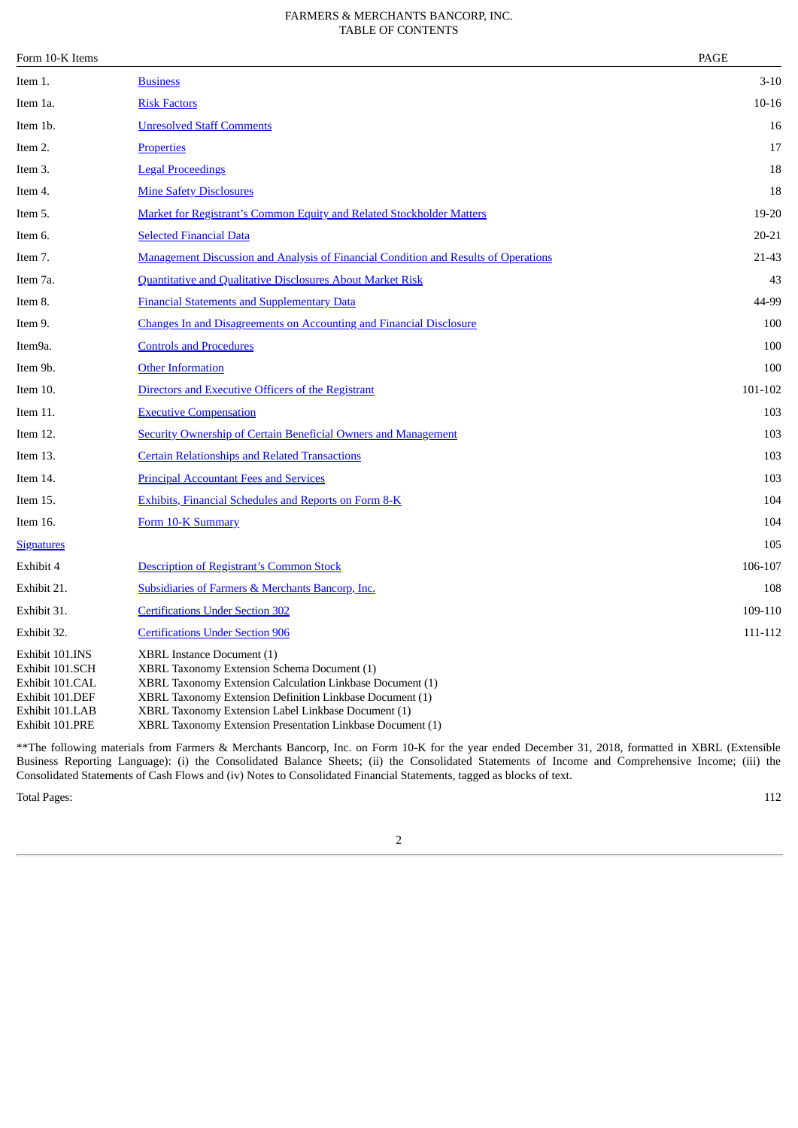## FARMERS & MERCHANTS BANCORP, INC. TABLE OF CONTENTS

| Form 10-K Items                                                                             |                                                                                                                                                                                                                                                           | PAGE      |
|---------------------------------------------------------------------------------------------|-----------------------------------------------------------------------------------------------------------------------------------------------------------------------------------------------------------------------------------------------------------|-----------|
| Item 1.                                                                                     | <b>Business</b>                                                                                                                                                                                                                                           | $3 - 10$  |
| Item 1a.                                                                                    | <b>Risk Factors</b>                                                                                                                                                                                                                                       | $10 - 16$ |
| Item 1b.                                                                                    | <b>Unresolved Staff Comments</b>                                                                                                                                                                                                                          | 16        |
| Item 2.                                                                                     | <b>Properties</b>                                                                                                                                                                                                                                         | 17        |
| Item 3.                                                                                     | <b>Legal Proceedings</b>                                                                                                                                                                                                                                  | 18        |
| Item 4.                                                                                     | <b>Mine Safety Disclosures</b>                                                                                                                                                                                                                            | 18        |
| Item 5.                                                                                     | Market for Registrant's Common Equity and Related Stockholder Matters                                                                                                                                                                                     | 19-20     |
| Item 6.                                                                                     | <b>Selected Financial Data</b>                                                                                                                                                                                                                            | $20 - 21$ |
| Item 7.                                                                                     | Management Discussion and Analysis of Financial Condition and Results of Operations                                                                                                                                                                       | 21-43     |
| Item 7a.                                                                                    | <b>Quantitative and Qualitative Disclosures About Market Risk</b>                                                                                                                                                                                         | 43        |
| Item 8.                                                                                     | <b>Financial Statements and Supplementary Data</b>                                                                                                                                                                                                        | 44-99     |
| Item 9.                                                                                     | <b>Changes In and Disagreements on Accounting and Financial Disclosure</b>                                                                                                                                                                                | 100       |
| Item9a.                                                                                     | <b>Controls and Procedures</b>                                                                                                                                                                                                                            | 100       |
| Item 9b.                                                                                    | <b>Other Information</b>                                                                                                                                                                                                                                  | 100       |
| Item 10.                                                                                    | Directors and Executive Officers of the Registrant                                                                                                                                                                                                        | 101-102   |
| Item 11.                                                                                    | <b>Executive Compensation</b>                                                                                                                                                                                                                             | 103       |
| Item 12.                                                                                    | Security Ownership of Certain Beneficial Owners and Management                                                                                                                                                                                            | 103       |
| Item 13.                                                                                    | <b>Certain Relationships and Related Transactions</b>                                                                                                                                                                                                     | 103       |
| Item 14.                                                                                    | <b>Principal Accountant Fees and Services</b>                                                                                                                                                                                                             | 103       |
| Item 15.                                                                                    | Exhibits, Financial Schedules and Reports on Form 8-K                                                                                                                                                                                                     | 104       |
| Item 16.                                                                                    | Form 10-K Summary                                                                                                                                                                                                                                         | 104       |
| <b>Signatures</b>                                                                           |                                                                                                                                                                                                                                                           | 105       |
| Exhibit 4                                                                                   | <b>Description of Registrant's Common Stock</b>                                                                                                                                                                                                           | 106-107   |
| Exhibit 21.                                                                                 | <b>Subsidiaries of Farmers &amp; Merchants Bancorp, Inc.</b>                                                                                                                                                                                              | 108       |
| Exhibit 31.                                                                                 | <b>Certifications Under Section 302</b>                                                                                                                                                                                                                   | 109-110   |
| Exhibit 32.                                                                                 | <b>Certifications Under Section 906</b>                                                                                                                                                                                                                   | 111-112   |
| Exhibit 101.INS<br>Exhibit 101.SCH<br>Exhibit 101.CAL<br>Exhibit 101.DEF<br>Exhibit 101.LAB | XBRL Instance Document (1)<br>XBRL Taxonomy Extension Schema Document (1)<br>XBRL Taxonomy Extension Calculation Linkbase Document (1)<br>XBRL Taxonomy Extension Definition Linkbase Document (1)<br>XBRL Taxonomy Extension Label Linkbase Document (1) |           |

Exhibit 101.PRE XBRL Taxonomy Extension Presentation Linkbase Document (1)

\*\*The following materials from Farmers & Merchants Bancorp, Inc. on Form 10-K for the year ended December 31, 2018, formatted in XBRL (Extensible Business Reporting Language): (i) the Consolidated Balance Sheets; (ii) the Consolidated Statements of Income and Comprehensive Income; (iii) the Consolidated Statements of Cash Flows and (iv) Notes to Consolidated Financial Statements, tagged as blocks of text.

Total Pages: 112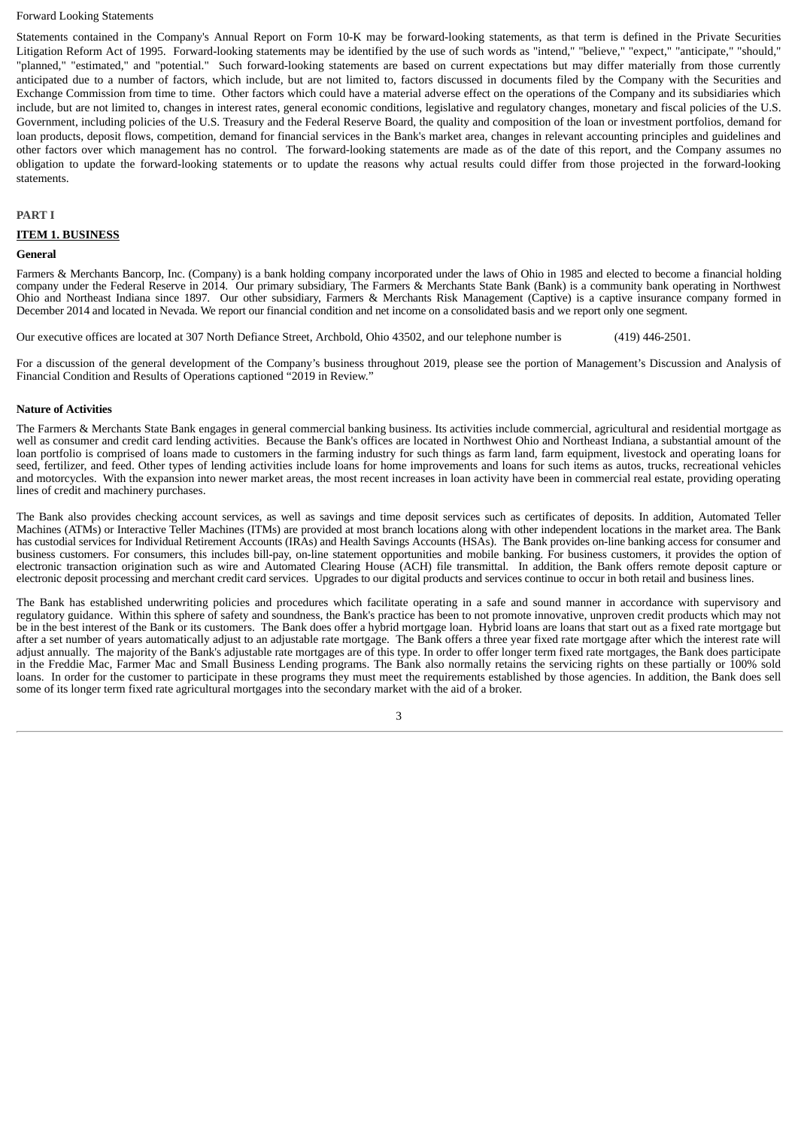#### Forward Looking Statements

Statements contained in the Company's Annual Report on Form 10-K may be forward-looking statements, as that term is defined in the Private Securities Litigation Reform Act of 1995. Forward-looking statements may be identified by the use of such words as "intend," "believe," "expect," "anticipate," "should," "planned," "estimated," and "potential." Such forward-looking statements are based on current expectations but may differ materially from those currently anticipated due to a number of factors, which include, but are not limited to, factors discussed in documents filed by the Company with the Securities and Exchange Commission from time to time. Other factors which could have a material adverse effect on the operations of the Company and its subsidiaries which include, but are not limited to, changes in interest rates, general economic conditions, legislative and regulatory changes, monetary and fiscal policies of the U.S. Government, including policies of the U.S. Treasury and the Federal Reserve Board, the quality and composition of the loan or investment portfolios, demand for loan products, deposit flows, competition, demand for financial services in the Bank's market area, changes in relevant accounting principles and guidelines and other factors over which management has no control. The forward-looking statements are made as of the date of this report, and the Company assumes no obligation to update the forward-looking statements or to update the reasons why actual results could differ from those projected in the forward-looking statements.

## **PART I**

#### <span id="page-2-0"></span>**ITEM 1. BUSINESS**

#### **General**

Farmers & Merchants Bancorp, Inc. (Company) is a bank holding company incorporated under the laws of Ohio in 1985 and elected to become a financial holding company under the Federal Reserve in 2014. Our primary subsidiary, The Farmers & Merchants State Bank (Bank) is a community bank operating in Northwest Ohio and Northeast Indiana since 1897. Our other subsidiary, Farmers & Merchants Risk Management (Captive) is a captive insurance company formed in December 2014 and located in Nevada. We report our financial condition and net income on a consolidated basis and we report only one segment.

Our executive offices are located at 307 North Defiance Street, Archbold, Ohio 43502, and our telephone number is (419) 446-2501.

For a discussion of the general development of the Company's business throughout 2019, please see the portion of Management's Discussion and Analysis of Financial Condition and Results of Operations captioned "2019 in Review."

## **Nature of Activities**

The Farmers & Merchants State Bank engages in general commercial banking business. Its activities include commercial, agricultural and residential mortgage as well as consumer and credit card lending activities. Because the Bank's offices are located in Northwest Ohio and Northeast Indiana, a substantial amount of the loan portfolio is comprised of loans made to customers in the farming industry for such things as farm land, farm equipment, livestock and operating loans for seed, fertilizer, and feed. Other types of lending activities include loans for home improvements and loans for such items as autos, trucks, recreational vehicles and motorcycles. With the expansion into newer market areas, the most recent increases in loan activity have been in commercial real estate, providing operating lines of credit and machinery purchases.

The Bank also provides checking account services, as well as savings and time deposit services such as certificates of deposits. In addition, Automated Teller Machines (ATMs) or Interactive Teller Machines (ITMs) are provided at most branch locations along with other independent locations in the market area. The Bank has custodial services for Individual Retirement Accounts (IRAs) and Health Savings Accounts (HSAs). The Bank provides on-line banking access for consumer and business customers. For consumers, this includes bill-pay, on-line statement opportunities and mobile banking. For business customers, it provides the option of electronic transaction origination such as wire and Automated Clearing House (ACH) file transmittal. In addition, the Bank offers remote deposit capture or electronic deposit processing and merchant credit card services. Upgrades to our digital products and services continue to occur in both retail and business lines.

The Bank has established underwriting policies and procedures which facilitate operating in a safe and sound manner in accordance with supervisory and regulatory guidance. Within this sphere of safety and soundness, the Bank's practice has been to not promote innovative, unproven credit products which may not be in the best interest of the Bank or its customers. The Bank does offer a hybrid mortgage loan. Hybrid loans are loans that start out as a fixed rate mortgage but after a set number of years automatically adjust to an adjustable rate mortgage. The Bank offers a three year fixed rate mortgage after which the interest rate will adjust annually. The majority of the Bank's adjustable rate mortgages are of this type. In order to offer longer term fixed rate mortgages, the Bank does participate in the Freddie Mac, Farmer Mac and Small Business Lending programs. The Bank also normally retains the servicing rights on these partially or 100% sold loans. In order for the customer to participate in these programs they must meet the requirements established by those agencies. In addition, the Bank does sell some of its longer term fixed rate agricultural mortgages into the secondary market with the aid of a broker.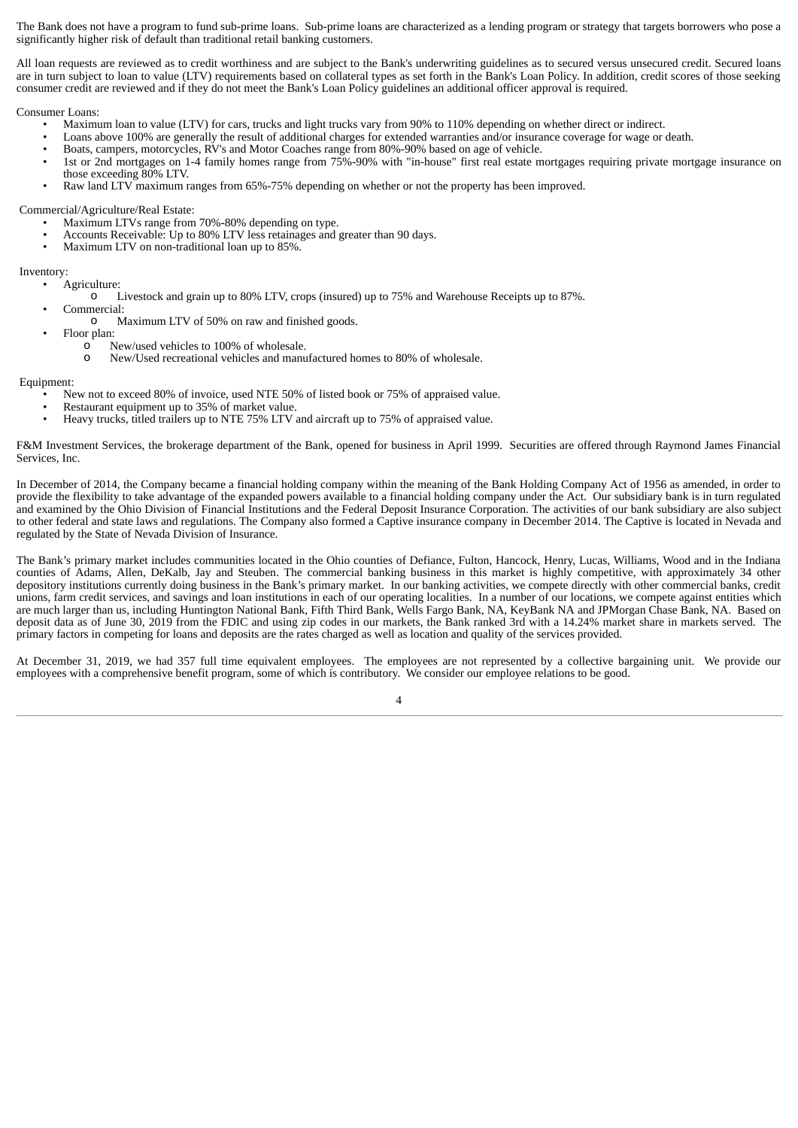The Bank does not have a program to fund sub-prime loans. Sub-prime loans are characterized as a lending program or strategy that targets borrowers who pose a significantly higher risk of default than traditional retail banking customers.

All loan requests are reviewed as to credit worthiness and are subject to the Bank's underwriting guidelines as to secured versus unsecured credit. Secured loans are in turn subject to loan to value (LTV) requirements based on collateral types as set forth in the Bank's Loan Policy. In addition, credit scores of those seeking consumer credit are reviewed and if they do not meet the Bank's Loan Policy guidelines an additional officer approval is required.

Consumer Loans:

- Maximum loan to value (LTV) for cars, trucks and light trucks vary from 90% to 110% depending on whether direct or indirect.
- Loans above 100% are generally the result of additional charges for extended warranties and/or insurance coverage for wage or death.
- Boats, campers, motorcycles, RV's and Motor Coaches range from 80%-90% based on age of vehicle.
- 1st or 2nd mortgages on 1-4 family homes range from 75%-90% with "in-house" first real estate mortgages requiring private mortgage insurance on those exceeding 80% LTV.
- Raw land LTV maximum ranges from 65%-75% depending on whether or not the property has been improved.

Commercial/Agriculture/Real Estate:

- Maximum LTVs range from 70%-80% depending on type.
- Accounts Receivable: Up to 80% LTV less retainages and greater than 90 days.<br>• Maximum LTV on non-traditional loan up to 85%
- Maximum LTV on non-traditional loan up to 85%.

#### **Inventory**

- Agriculture:
	- o Livestock and grain up to 80% LTV, crops (insured) up to 75% and Warehouse Receipts up to 87%.
- Commercial:
	- o Maximum LTV of 50% on raw and finished goods.
- Floor plan:<br>0 N
	- **o** New/used vehicles to 100% of wholesale.<br>**Q** New/Used recreational vehicles and manu
		- New/Used recreational vehicles and manufactured homes to 80% of wholesale.

#### Equipment:

- New not to exceed 80% of invoice, used NTE 50% of listed book or 75% of appraised value.
- Restaurant equipment up to 35% of market value.
- Heavy trucks, titled trailers up to NTE 75% LTV and aircraft up to 75% of appraised value.

F&M Investment Services, the brokerage department of the Bank, opened for business in April 1999. Securities are offered through Raymond James Financial Services, Inc.

In December of 2014, the Company became a financial holding company within the meaning of the Bank Holding Company Act of 1956 as amended, in order to provide the flexibility to take advantage of the expanded powers available to a financial holding company under the Act. Our subsidiary bank is in turn regulated and examined by the Ohio Division of Financial Institutions and the Federal Deposit Insurance Corporation. The activities of our bank subsidiary are also subject to other federal and state laws and regulations. The Company also formed a Captive insurance company in December 2014. The Captive is located in Nevada and regulated by the State of Nevada Division of Insurance.

The Bank's primary market includes communities located in the Ohio counties of Defiance, Fulton, Hancock, Henry, Lucas, Williams, Wood and in the Indiana counties of Adams, Allen, DeKalb, Jay and Steuben. The commercial banking business in this market is highly competitive, with approximately 34 other depository institutions currently doing business in the Bank's primary market. In our banking activities, we compete directly with other commercial banks, credit unions, farm credit services, and savings and loan institutions in each of our operating localities. In a number of our locations, we compete against entities which are much larger than us, including Huntington National Bank, Fifth Third Bank, Wells Fargo Bank, NA, KeyBank NA and JPMorgan Chase Bank, NA. Based on deposit data as of June 30, 2019 from the FDIC and using zip codes in our markets, the Bank ranked 3rd with a 14.24% market share in markets served. The primary factors in competing for loans and deposits are the rates charged as well as location and quality of the services provided.

At December 31, 2019, we had 357 full time equivalent employees. The employees are not represented by a collective bargaining unit. We provide our employees with a comprehensive benefit program, some of which is contributory. We consider our employee relations to be good.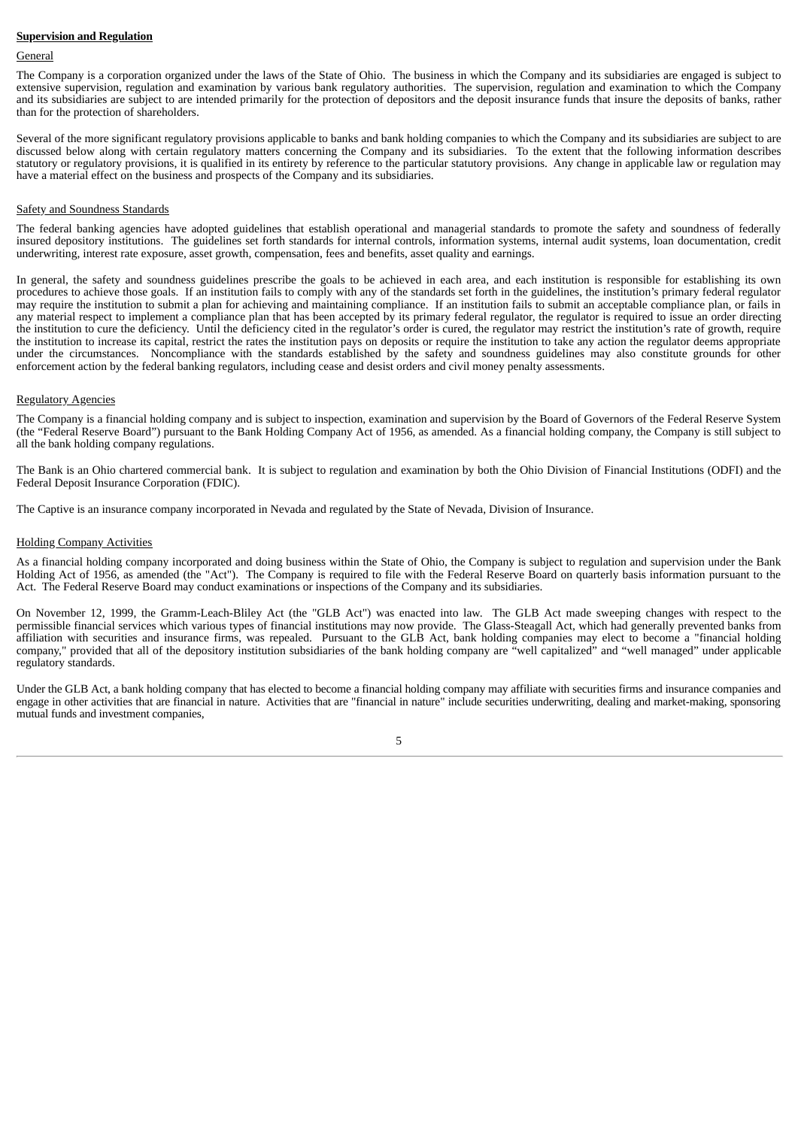## **Supervision and Regulation**

## General

The Company is a corporation organized under the laws of the State of Ohio. The business in which the Company and its subsidiaries are engaged is subject to extensive supervision, regulation and examination by various bank regulatory authorities. The supervision, regulation and examination to which the Company and its subsidiaries are subject to are intended primarily for the protection of depositors and the deposit insurance funds that insure the deposits of banks, rather than for the protection of shareholders.

Several of the more significant regulatory provisions applicable to banks and bank holding companies to which the Company and its subsidiaries are subject to are discussed below along with certain regulatory matters concerning the Company and its subsidiaries. To the extent that the following information describes statutory or regulatory provisions, it is qualified in its entirety by reference to the particular statutory provisions. Any change in applicable law or regulation may have a material effect on the business and prospects of the Company and its subsidiaries.

## Safety and Soundness Standards

The federal banking agencies have adopted guidelines that establish operational and managerial standards to promote the safety and soundness of federally insured depository institutions. The guidelines set forth standards for internal controls, information systems, internal audit systems, loan documentation, credit underwriting, interest rate exposure, asset growth, compensation, fees and benefits, asset quality and earnings.

In general, the safety and soundness guidelines prescribe the goals to be achieved in each area, and each institution is responsible for establishing its own procedures to achieve those goals. If an institution fails to comply with any of the standards set forth in the guidelines, the institution's primary federal regulator may require the institution to submit a plan for achieving and maintaining compliance. If an institution fails to submit an acceptable compliance plan, or fails in any material respect to implement a compliance plan that has been accepted by its primary federal regulator, the regulator is required to issue an order directing the institution to cure the deficiency. Until the deficiency cited in the regulator's order is cured, the regulator may restrict the institution's rate of growth, require the institution to increase its capital, restrict the rates the institution pays on deposits or require the institution to take any action the regulator deems appropriate under the circumstances. Noncompliance with the standards established by the safety and soundness guidelines may also constitute grounds for other enforcement action by the federal banking regulators, including cease and desist orders and civil money penalty assessments.

## Regulatory Agencies

The Company is a financial holding company and is subject to inspection, examination and supervision by the Board of Governors of the Federal Reserve System (the "Federal Reserve Board") pursuant to the Bank Holding Company Act of 1956, as amended. As a financial holding company, the Company is still subject to all the bank holding company regulations.

The Bank is an Ohio chartered commercial bank. It is subject to regulation and examination by both the Ohio Division of Financial Institutions (ODFI) and the Federal Deposit Insurance Corporation (FDIC).

The Captive is an insurance company incorporated in Nevada and regulated by the State of Nevada, Division of Insurance.

## Holding Company Activities

As a financial holding company incorporated and doing business within the State of Ohio, the Company is subject to regulation and supervision under the Bank Holding Act of 1956, as amended (the "Act"). The Company is required to file with the Federal Reserve Board on quarterly basis information pursuant to the Act. The Federal Reserve Board may conduct examinations or inspections of the Company and its subsidiaries.

On November 12, 1999, the Gramm-Leach-Bliley Act (the "GLB Act") was enacted into law. The GLB Act made sweeping changes with respect to the permissible financial services which various types of financial institutions may now provide. The Glass-Steagall Act, which had generally prevented banks from affiliation with securities and insurance firms, was repealed. Pursuant to the GLB Act, bank holding companies may elect to become a "financial holding company," provided that all of the depository institution subsidiaries of the bank holding company are "well capitalized" and "well managed" under applicable regulatory standards.

Under the GLB Act, a bank holding company that has elected to become a financial holding company may affiliate with securities firms and insurance companies and engage in other activities that are financial in nature. Activities that are "financial in nature" include securities underwriting, dealing and market-making, sponsoring mutual funds and investment companies,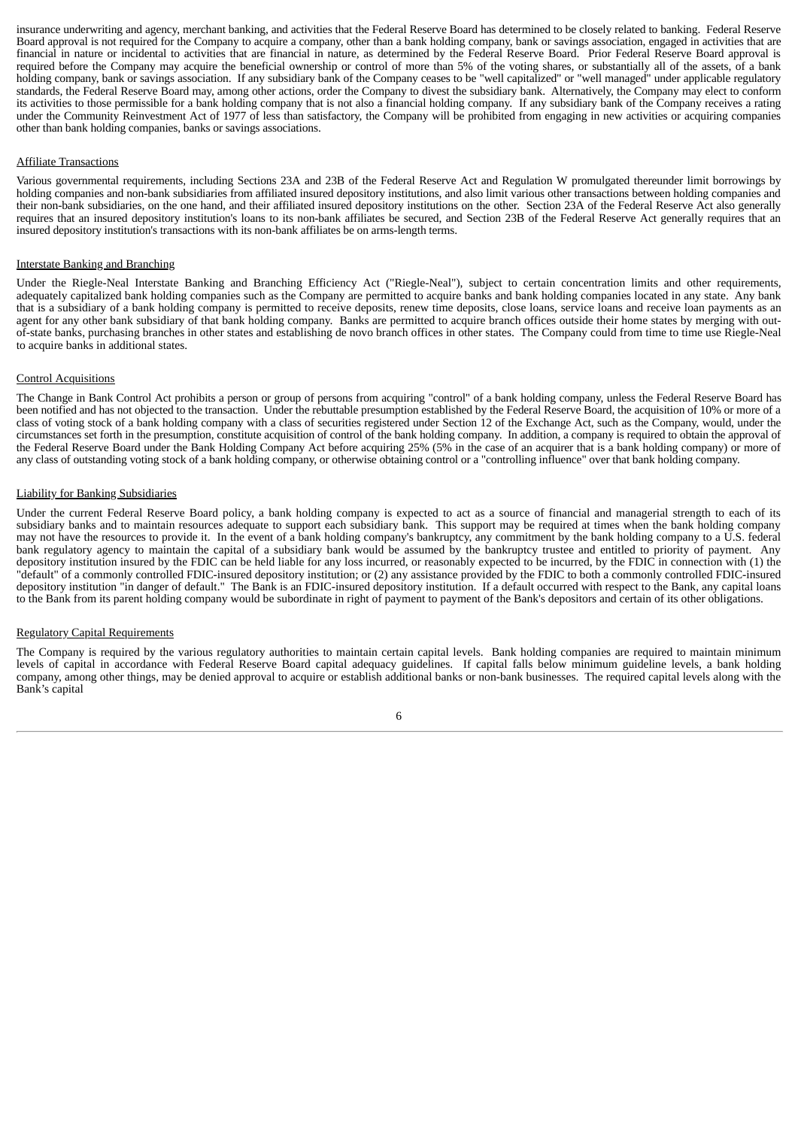insurance underwriting and agency, merchant banking, and activities that the Federal Reserve Board has determined to be closely related to banking. Federal Reserve Board approval is not required for the Company to acquire a company, other than a bank holding company, bank or savings association, engaged in activities that are financial in nature or incidental to activities that are financial in nature, as determined by the Federal Reserve Board. Prior Federal Reserve Board approval is required before the Company may acquire the beneficial ownership or control of more than 5% of the voting shares, or substantially all of the assets, of a bank holding company, bank or savings association. If any subsidiary bank of the Company ceases to be "well capitalized" or "well managed" under applicable regulatory standards, the Federal Reserve Board may, among other actions, order the Company to divest the subsidiary bank. Alternatively, the Company may elect to conform its activities to those permissible for a bank holding company that is not also a financial holding company. If any subsidiary bank of the Company receives a rating under the Community Reinvestment Act of 1977 of less than satisfactory, the Company will be prohibited from engaging in new activities or acquiring companies other than bank holding companies, banks or savings associations.

#### Affiliate Transactions

Various governmental requirements, including Sections 23A and 23B of the Federal Reserve Act and Regulation W promulgated thereunder limit borrowings by holding companies and non-bank subsidiaries from affiliated insured depository institutions, and also limit various other transactions between holding companies and their non-bank subsidiaries, on the one hand, and their affiliated insured depository institutions on the other. Section 23A of the Federal Reserve Act also generally requires that an insured depository institution's loans to its non-bank affiliates be secured, and Section 23B of the Federal Reserve Act generally requires that an insured depository institution's transactions with its non-bank affiliates be on arms-length terms.

#### Interstate Banking and Branching

Under the Riegle-Neal Interstate Banking and Branching Efficiency Act ("Riegle-Neal"), subject to certain concentration limits and other requirements, adequately capitalized bank holding companies such as the Company are permitted to acquire banks and bank holding companies located in any state. Any bank that is a subsidiary of a bank holding company is permitted to receive deposits, renew time deposits, close loans, service loans and receive loan payments as an agent for any other bank subsidiary of that bank holding company. Banks are permitted to acquire branch offices outside their home states by merging with outof-state banks, purchasing branches in other states and establishing de novo branch offices in other states. The Company could from time to time use Riegle-Neal to acquire banks in additional states.

## Control Acquisitions

The Change in Bank Control Act prohibits a person or group of persons from acquiring "control" of a bank holding company, unless the Federal Reserve Board has been notified and has not objected to the transaction. Under the rebuttable presumption established by the Federal Reserve Board, the acquisition of 10% or more of a class of voting stock of a bank holding company with a class of securities registered under Section 12 of the Exchange Act, such as the Company, would, under the circumstances set forth in the presumption, constitute acquisition of control of the bank holding company. In addition, a company is required to obtain the approval of the Federal Reserve Board under the Bank Holding Company Act before acquiring 25% (5% in the case of an acquirer that is a bank holding company) or more of any class of outstanding voting stock of a bank holding company, or otherwise obtaining control or a "controlling influence" over that bank holding company.

## Liability for Banking Subsidiaries

Under the current Federal Reserve Board policy, a bank holding company is expected to act as a source of financial and managerial strength to each of its subsidiary banks and to maintain resources adequate to support each subsidiary bank. This support may be required at times when the bank holding company may not have the resources to provide it. In the event of a bank holding company's bankruptcy, any commitment by the bank holding company to a U.S. federal bank regulatory agency to maintain the capital of a subsidiary bank would be assumed by the bankruptcy trustee and entitled to priority of payment. Any depository institution insured by the FDIC can be held liable for any loss incurred, or reasonably expected to be incurred, by the FDIC in connection with (1) the "default" of a commonly controlled FDIC-insured depository institution; or (2) any assistance provided by the FDIC to both a commonly controlled FDIC-insured depository institution "in danger of default." The Bank is an FDIC-insured depository institution. If a default occurred with respect to the Bank, any capital loans to the Bank from its parent holding company would be subordinate in right of payment to payment of the Bank's depositors and certain of its other obligations.

## Regulatory Capital Requirements

The Company is required by the various regulatory authorities to maintain certain capital levels. Bank holding companies are required to maintain minimum levels of capital in accordance with Federal Reserve Board capital adequacy guidelines. If capital falls below minimum guideline levels, a bank holding company, among other things, may be denied approval to acquire or establish additional banks or non-bank businesses. The required capital levels along with the Bank's capital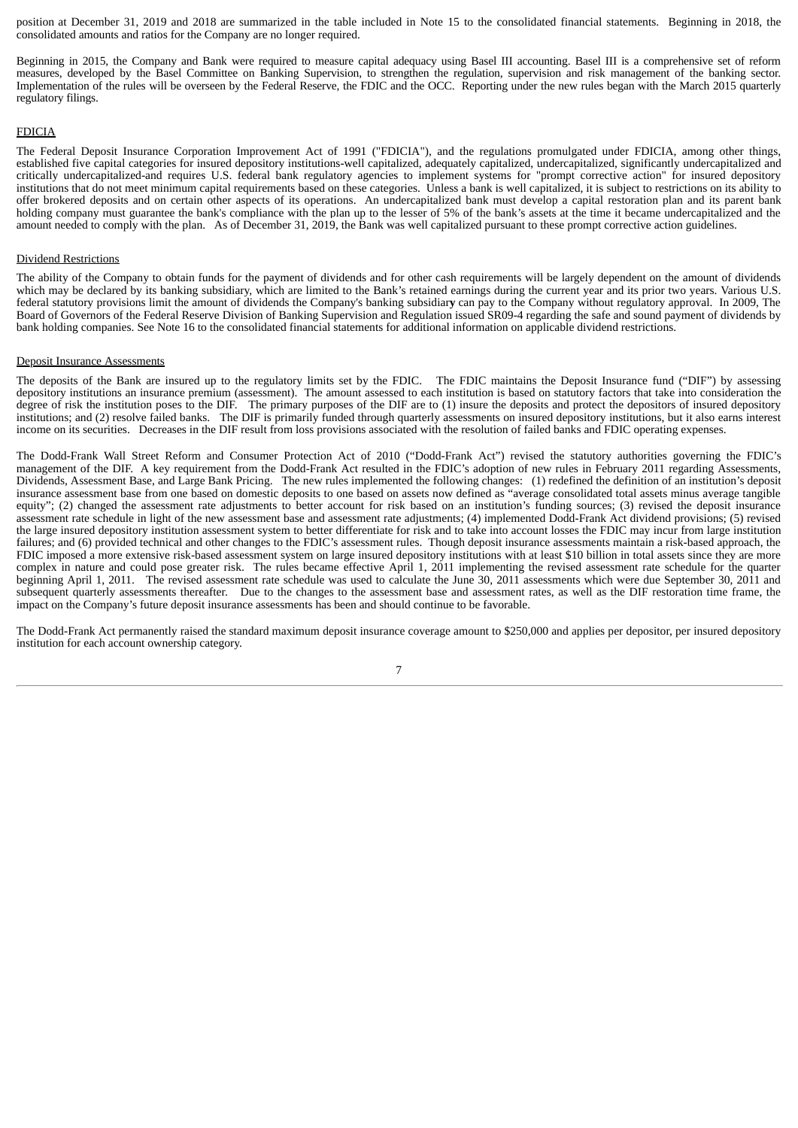position at December 31, 2019 and 2018 are summarized in the table included in Note 15 to the consolidated financial statements. Beginning in 2018, the consolidated amounts and ratios for the Company are no longer required.

Beginning in 2015, the Company and Bank were required to measure capital adequacy using Basel III accounting. Basel III is a comprehensive set of reform measures, developed by the Basel Committee on Banking Supervision, to strengthen the regulation, supervision and risk management of the banking sector. Implementation of the rules will be overseen by the Federal Reserve, the FDIC and the OCC. Reporting under the new rules began with the March 2015 quarterly regulatory filings.

#### FDICIA

The Federal Deposit Insurance Corporation Improvement Act of 1991 ("FDICIA"), and the regulations promulgated under FDICIA, among other things, established five capital categories for insured depository institutions-well capitalized, adequately capitalized, undercapitalized, significantly undercapitalized and critically undercapitalized-and requires U.S. federal bank regulatory agencies to implement systems for "prompt corrective action" for insured depository institutions that do not meet minimum capital requirements based on these categories. Unless a bank is well capitalized, it is subject to restrictions on its ability to offer brokered deposits and on certain other aspects of its operations. An undercapitalized bank must develop a capital restoration plan and its parent bank holding company must guarantee the bank's compliance with the plan up to the lesser of 5% of the bank's assets at the time it became undercapitalized and the amount needed to comply with the plan. As of December 31, 2019, the Bank was well capitalized pursuant to these prompt corrective action guidelines.

#### Dividend Restrictions

The ability of the Company to obtain funds for the payment of dividends and for other cash requirements will be largely dependent on the amount of dividends which may be declared by its banking subsidiary, which are limited to the Bank's retained earnings during the current year and its prior two years. Various U.S. federal statutory provisions limit the amount of dividends the Company's banking subsidiar**y** can pay to the Company without regulatory approval. In 2009, The Board of Governors of the Federal Reserve Division of Banking Supervision and Regulation issued SR09-4 regarding the safe and sound payment of dividends by bank holding companies. See Note 16 to the consolidated financial statements for additional information on applicable dividend restrictions.

#### Deposit Insurance Assessments

The deposits of the Bank are insured up to the regulatory limits set by the FDIC. The FDIC maintains the Deposit Insurance fund ("DIF") by assessing depository institutions an insurance premium (assessment). The amount assessed to each institution is based on statutory factors that take into consideration the degree of risk the institution poses to the DIF. The primary purposes of the DIF are to (1) insure the deposits and protect the depositors of insured depository institutions; and (2) resolve failed banks. The DIF is primarily funded through quarterly assessments on insured depository institutions, but it also earns interest income on its securities. Decreases in the DIF result from loss provisions associated with the resolution of failed banks and FDIC operating expenses.

The Dodd-Frank Wall Street Reform and Consumer Protection Act of 2010 ("Dodd-Frank Act") revised the statutory authorities governing the FDIC's management of the DIF. A key requirement from the Dodd-Frank Act resulted in the FDIC's adoption of new rules in February 2011 regarding Assessments, Dividends, Assessment Base, and Large Bank Pricing. The new rules implemented the following changes: (1) redefined the definition of an institution's deposit insurance assessment base from one based on domestic deposits to one based on assets now defined as "average consolidated total assets minus average tangible equity"; (2) changed the assessment rate adjustments to better account for risk based on an institution's funding sources; (3) revised the deposit insurance assessment rate schedule in light of the new assessment base and assessment rate adjustments; (4) implemented Dodd-Frank Act dividend provisions; (5) revised the large insured depository institution assessment system to better differentiate for risk and to take into account losses the FDIC may incur from large institution failures; and (6) provided technical and other changes to the FDIC's assessment rules. Though deposit insurance assessments maintain a risk-based approach, the FDIC imposed a more extensive risk-based assessment system on large insured depository institutions with at least \$10 billion in total assets since they are more complex in nature and could pose greater risk. The rules became effective April 1, 2011 implementing the revised assessment rate schedule for the quarter beginning April 1, 2011. The revised assessment rate schedule was used to calculate the June 30, 2011 assessments which were due September 30, 2011 and subsequent quarterly assessments thereafter. Due to the changes to the assessment base and assessment rates, as well as the DIF restoration time frame, the impact on the Company's future deposit insurance assessments has been and should continue to be favorable.

The Dodd-Frank Act permanently raised the standard maximum deposit insurance coverage amount to \$250,000 and applies per depositor, per insured depository institution for each account ownership category.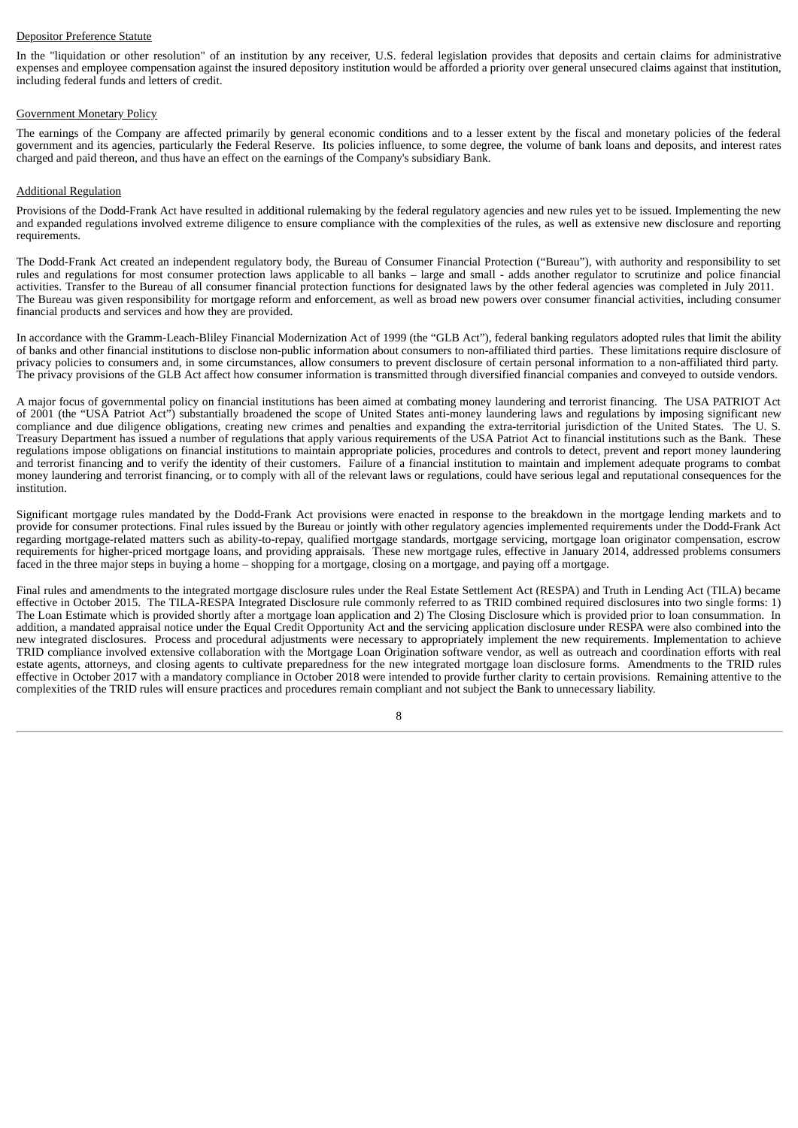## Depositor Preference Statute

In the "liquidation or other resolution" of an institution by any receiver, U.S. federal legislation provides that deposits and certain claims for administrative expenses and employee compensation against the insured depository institution would be afforded a priority over general unsecured claims against that institution, including federal funds and letters of credit.

#### Government Monetary Policy

The earnings of the Company are affected primarily by general economic conditions and to a lesser extent by the fiscal and monetary policies of the federal government and its agencies, particularly the Federal Reserve. Its policies influence, to some degree, the volume of bank loans and deposits, and interest rates charged and paid thereon, and thus have an effect on the earnings of the Company's subsidiary Bank.

#### Additional Regulation

Provisions of the Dodd-Frank Act have resulted in additional rulemaking by the federal regulatory agencies and new rules yet to be issued. Implementing the new and expanded regulations involved extreme diligence to ensure compliance with the complexities of the rules, as well as extensive new disclosure and reporting requirements.

The Dodd-Frank Act created an independent regulatory body, the Bureau of Consumer Financial Protection ("Bureau"), with authority and responsibility to set rules and regulations for most consumer protection laws applicable to all banks – large and small - adds another regulator to scrutinize and police financial activities. Transfer to the Bureau of all consumer financial protection functions for designated laws by the other federal agencies was completed in July 2011. The Bureau was given responsibility for mortgage reform and enforcement, as well as broad new powers over consumer financial activities, including consumer financial products and services and how they are provided.

In accordance with the Gramm-Leach-Bliley Financial Modernization Act of 1999 (the "GLB Act"), federal banking regulators adopted rules that limit the ability of banks and other financial institutions to disclose non-public information about consumers to non-affiliated third parties. These limitations require disclosure of privacy policies to consumers and, in some circumstances, allow consumers to prevent disclosure of certain personal information to a non-affiliated third party. The privacy provisions of the GLB Act affect how consumer information is transmitted through diversified financial companies and conveyed to outside vendors.

A major focus of governmental policy on financial institutions has been aimed at combating money laundering and terrorist financing. The USA PATRIOT Act of 2001 (the "USA Patriot Act") substantially broadened the scope of United States anti-money laundering laws and regulations by imposing significant new compliance and due diligence obligations, creating new crimes and penalties and expanding the extra-territorial jurisdiction of the United States. The U. S. Treasury Department has issued a number of regulations that apply various requirements of the USA Patriot Act to financial institutions such as the Bank. These regulations impose obligations on financial institutions to maintain appropriate policies, procedures and controls to detect, prevent and report money laundering and terrorist financing and to verify the identity of their customers. Failure of a financial institution to maintain and implement adequate programs to combat money laundering and terrorist financing, or to comply with all of the relevant laws or regulations, could have serious legal and reputational consequences for the institution.

Significant mortgage rules mandated by the Dodd-Frank Act provisions were enacted in response to the breakdown in the mortgage lending markets and to provide for consumer protections. Final rules issued by the Bureau or jointly with other regulatory agencies implemented requirements under the Dodd-Frank Act regarding mortgage-related matters such as ability-to-repay, qualified mortgage standards, mortgage servicing, mortgage loan originator compensation, escrow requirements for higher-priced mortgage loans, and providing appraisals. These new mortgage rules, effective in January 2014, addressed problems consumers faced in the three major steps in buying a home – shopping for a mortgage, closing on a mortgage, and paying off a mortgage.

Final rules and amendments to the integrated mortgage disclosure rules under the Real Estate Settlement Act (RESPA) and Truth in Lending Act (TILA) became effective in October 2015. The TILA-RESPA Integrated Disclosure rule commonly referred to as TRID combined required disclosures into two single forms: 1) The Loan Estimate which is provided shortly after a mortgage loan application and 2) The Closing Disclosure which is provided prior to loan consummation. In addition, a mandated appraisal notice under the Equal Credit Opportunity Act and the servicing application disclosure under RESPA were also combined into the new integrated disclosures. Process and procedural adjustments were necessary to appropriately implement the new requirements. Implementation to achieve TRID compliance involved extensive collaboration with the Mortgage Loan Origination software vendor, as well as outreach and coordination efforts with real estate agents, attorneys, and closing agents to cultivate preparedness for the new integrated mortgage loan disclosure forms. Amendments to the TRID rules effective in October 2017 with a mandatory compliance in October 2018 were intended to provide further clarity to certain provisions. Remaining attentive to the complexities of the TRID rules will ensure practices and procedures remain compliant and not subject the Bank to unnecessary liability.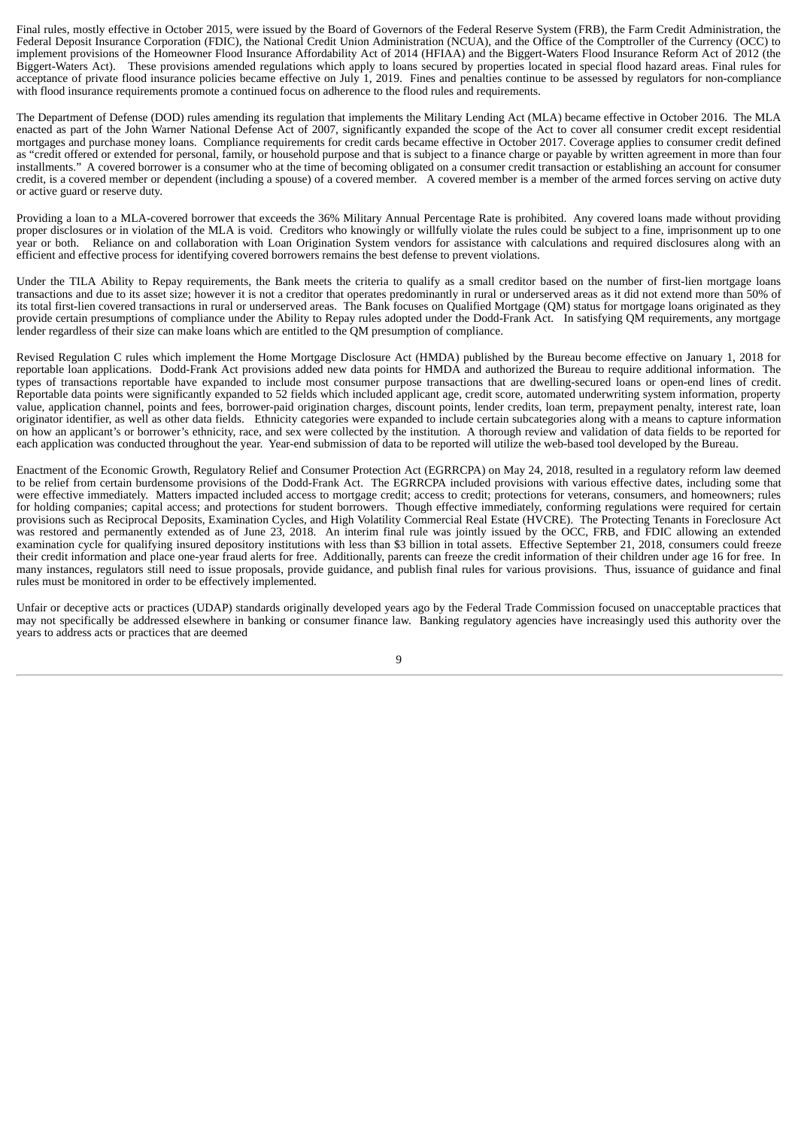Final rules, mostly effective in October 2015, were issued by the Board of Governors of the Federal Reserve System (FRB), the Farm Credit Administration, the Federal Deposit Insurance Corporation (FDIC), the National Credit Union Administration (NCUA), and the Office of the Comptroller of the Currency (OCC) to implement provisions of the Homeowner Flood Insurance Affordability Act of 2014 (HFIAA) and the Biggert-Waters Flood Insurance Reform Act of 2012 (the These provisions amended regulations which apply to loans secured by properties located in special flood hazard areas. Final rules for acceptance of private flood insurance policies became effective on July 1, 2019. Fines and penalties continue to be assessed by regulators for non-compliance with flood insurance requirements promote a continued focus on adherence to the flood rules and requirements.

The Department of Defense (DOD) rules amending its regulation that implements the Military Lending Act (MLA) became effective in October 2016. The MLA enacted as part of the John Warner National Defense Act of 2007, significantly expanded the scope of the Act to cover all consumer credit except residential mortgages and purchase money loans. Compliance requirements for credit cards became effective in October 2017. Coverage applies to consumer credit defined as "credit offered or extended for personal, family, or household purpose and that is subject to a finance charge or payable by written agreement in more than four installments." A covered borrower is a consumer who at the time of becoming obligated on a consumer credit transaction or establishing an account for consumer credit, is a covered member or dependent (including a spouse) of a covered member. A covered member is a member of the armed forces serving on active duty or active guard or reserve duty.

Providing a loan to a MLA-covered borrower that exceeds the 36% Military Annual Percentage Rate is prohibited. Any covered loans made without providing proper disclosures or in violation of the MLA is void. Creditors who knowingly or willfully violate the rules could be subject to a fine, imprisonment up to one year or both. Reliance on and collaboration with Loan Origination System vendors for assistance with calculations and required disclosures along with an efficient and effective process for identifying covered borrowers remains the best defense to prevent violations.

Under the TILA Ability to Repay requirements, the Bank meets the criteria to qualify as a small creditor based on the number of first-lien mortgage loans transactions and due to its asset size; however it is not a creditor that operates predominantly in rural or underserved areas as it did not extend more than 50% of its total first-lien covered transactions in rural or underserved areas. The Bank focuses on Qualified Mortgage (QM) status for mortgage loans originated as they provide certain presumptions of compliance under the Ability to Repay rules adopted under the Dodd-Frank Act. In satisfying QM requirements, any mortgage lender regardless of their size can make loans which are entitled to the QM presumption of compliance.

Revised Regulation C rules which implement the Home Mortgage Disclosure Act (HMDA) published by the Bureau become effective on January 1, 2018 for reportable loan applications. Dodd-Frank Act provisions added new data points for HMDA and authorized the Bureau to require additional information. The types of transactions reportable have expanded to include most consumer purpose transactions that are dwelling-secured loans or open-end lines of credit. Reportable data points were significantly expanded to 52 fields which included applicant age, credit score, automated underwriting system information, property value, application channel, points and fees, borrower-paid origination charges, discount points, lender credits, loan term, prepayment penalty, interest rate, loan originator identifier, as well as other data fields. Ethnicity categories were expanded to include certain subcategories along with a means to capture information on how an applicant's or borrower's ethnicity, race, and sex were collected by the institution. A thorough review and validation of data fields to be reported for each application was conducted throughout the year. Year-end submission of data to be reported will utilize the web-based tool developed by the Bureau.

Enactment of the Economic Growth, Regulatory Relief and Consumer Protection Act (EGRRCPA) on May 24, 2018, resulted in a regulatory reform law deemed to be relief from certain burdensome provisions of the Dodd-Frank Act. The EGRRCPA included provisions with various effective dates, including some that were effective immediately. Matters impacted included access to mortgage credit; access to credit; protections for veterans, consumers, and homeowners; rules for holding companies; capital access; and protections for student borrowers. Though effective immediately, conforming regulations were required for certain provisions such as Reciprocal Deposits, Examination Cycles, and High Volatility Commercial Real Estate (HVCRE). The Protecting Tenants in Foreclosure Act was restored and permanently extended as of June 23, 2018. An interim final rule was jointly issued by the OCC, FRB, and FDIC allowing an extended examination cycle for qualifying insured depository institutions with less than \$3 billion in total assets. Effective September 21, 2018, consumers could freeze their credit information and place one-year fraud alerts for free. Additionally, parents can freeze the credit information of their children under age 16 for free. In many instances, regulators still need to issue proposals, provide guidance, and publish final rules for various provisions. Thus, issuance of guidance and final rules must be monitored in order to be effectively implemented.

Unfair or deceptive acts or practices (UDAP) standards originally developed years ago by the Federal Trade Commission focused on unacceptable practices that may not specifically be addressed elsewhere in banking or consumer finance law. Banking regulatory agencies have increasingly used this authority over the years to address acts or practices that are deemed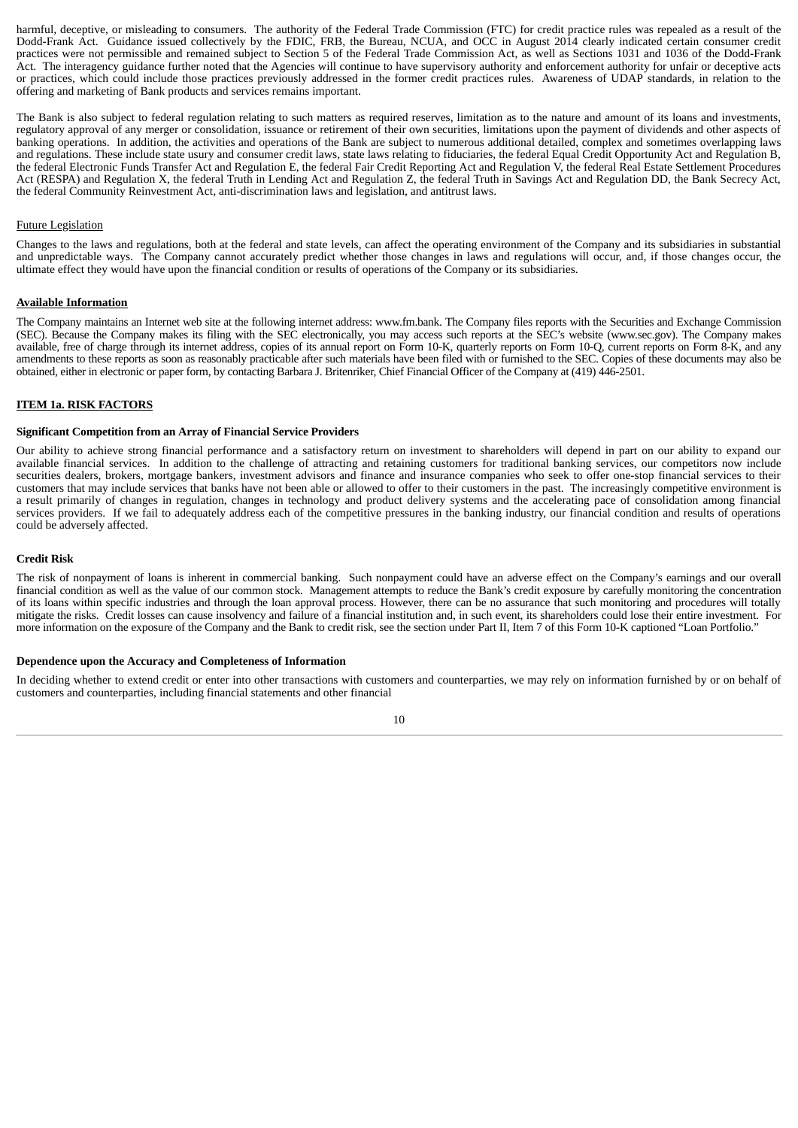harmful, deceptive, or misleading to consumers. The authority of the Federal Trade Commission (FTC) for credit practice rules was repealed as a result of the Dodd-Frank Act. Guidance issued collectively by the FDIC, FRB, the Bureau, NCUA, and OCC in August 2014 clearly indicated certain consumer credit practices were not permissible and remained subject to Section 5 of the Federal Trade Commission Act, as well as Sections 1031 and 1036 of the Dodd-Frank Act. The interagency guidance further noted that the Agencies will continue to have supervisory authority and enforcement authority for unfair or deceptive acts or practices, which could include those practices previously addressed in the former credit practices rules. Awareness of UDAP standards, in relation to the offering and marketing of Bank products and services remains important.

The Bank is also subject to federal regulation relating to such matters as required reserves, limitation as to the nature and amount of its loans and investments, regulatory approval of any merger or consolidation, issuance or retirement of their own securities, limitations upon the payment of dividends and other aspects of banking operations. In addition, the activities and operations of the Bank are subject to numerous additional detailed, complex and sometimes overlapping laws and regulations. These include state usury and consumer credit laws, state laws relating to fiduciaries, the federal Equal Credit Opportunity Act and Regulation B, the federal Electronic Funds Transfer Act and Regulation E, the federal Fair Credit Reporting Act and Regulation V, the federal Real Estate Settlement Procedures Act (RESPA) and Regulation X, the federal Truth in Lending Act and Regulation Z, the federal Truth in Savings Act and Regulation DD, the Bank Secrecy Act, the federal Community Reinvestment Act, anti-discrimination laws and legislation, and antitrust laws.

#### Future Legislation

Changes to the laws and regulations, both at the federal and state levels, can affect the operating environment of the Company and its subsidiaries in substantial and unpredictable ways. The Company cannot accurately predict whether those changes in laws and regulations will occur, and, if those changes occur, the ultimate effect they would have upon the financial condition or results of operations of the Company or its subsidiaries.

#### **Available Information**

The Company maintains an Internet web site at the following internet address: www.fm.bank. The Company files reports with the Securities and Exchange Commission (SEC). Because the Company makes its filing with the SEC electronically, you may access such reports at the SEC's website (www.sec.gov). The Company makes available, free of charge through its internet address, copies of its annual report on Form 10-K, quarterly reports on Form 10-Q, current reports on Form 8-K, and any amendments to these reports as soon as reasonably practicable after such materials have been filed with or furnished to the SEC. Copies of these documents may also be obtained, either in electronic or paper form, by contacting Barbara J. Britenriker, Chief Financial Officer of the Company at (419) 446-2501.

#### <span id="page-9-0"></span>**ITEM 1a. RISK FACTORS**

#### **Significant Competition from an Array of Financial Service Providers**

Our ability to achieve strong financial performance and a satisfactory return on investment to shareholders will depend in part on our ability to expand our available financial services. In addition to the challenge of attracting and retaining customers for traditional banking services, our competitors now include securities dealers, brokers, mortgage bankers, investment advisors and finance and insurance companies who seek to offer one-stop financial services to their customers that may include services that banks have not been able or allowed to offer to their customers in the past. The increasingly competitive environment is a result primarily of changes in regulation, changes in technology and product delivery systems and the accelerating pace of consolidation among financial services providers. If we fail to adequately address each of the competitive pressures in the banking industry, our financial condition and results of operations could be adversely affected.

#### **Credit Risk**

The risk of nonpayment of loans is inherent in commercial banking. Such nonpayment could have an adverse effect on the Company's earnings and our overall financial condition as well as the value of our common stock. Management attempts to reduce the Bank's credit exposure by carefully monitoring the concentration of its loans within specific industries and through the loan approval process. However, there can be no assurance that such monitoring and procedures will totally mitigate the risks. Credit losses can cause insolvency and failure of a financial institution and, in such event, its shareholders could lose their entire investment. For more information on the exposure of the Company and the Bank to credit risk, see the section under Part II, Item 7 of this Form 10-K captioned "Loan Portfolio."

#### **Dependence upon the Accuracy and Completeness of Information**

In deciding whether to extend credit or enter into other transactions with customers and counterparties, we may rely on information furnished by or on behalf of customers and counterparties, including financial statements and other financial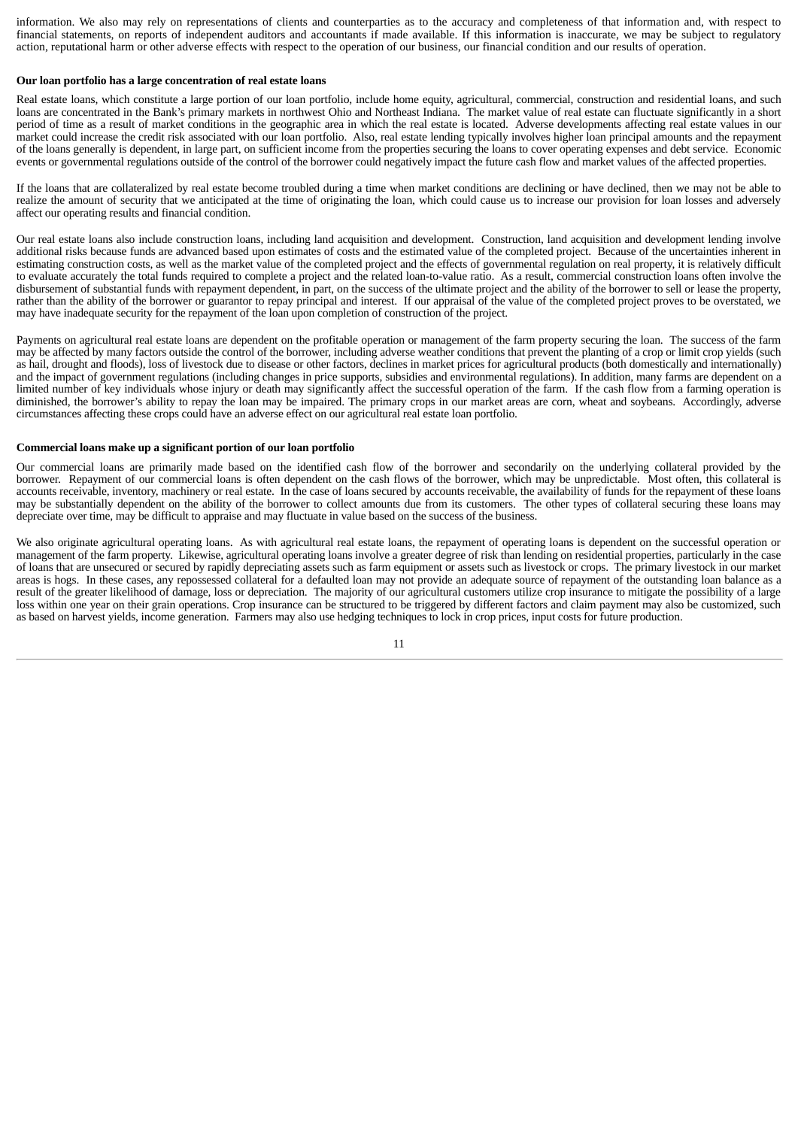information. We also may rely on representations of clients and counterparties as to the accuracy and completeness of that information and, with respect to financial statements, on reports of independent auditors and accountants if made available. If this information is inaccurate, we may be subject to regulatory action, reputational harm or other adverse effects with respect to the operation of our business, our financial condition and our results of operation.

#### **Our loan portfolio has a large concentration of real estate loans**

Real estate loans, which constitute a large portion of our loan portfolio, include home equity, agricultural, commercial, construction and residential loans, and such loans are concentrated in the Bank's primary markets in northwest Ohio and Northeast Indiana. The market value of real estate can fluctuate significantly in a short period of time as a result of market conditions in the geographic area in which the real estate is located. Adverse developments affecting real estate values in our market could increase the credit risk associated with our loan portfolio. Also, real estate lending typically involves higher loan principal amounts and the repayment of the loans generally is dependent, in large part, on sufficient income from the properties securing the loans to cover operating expenses and debt service. Economic events or governmental regulations outside of the control of the borrower could negatively impact the future cash flow and market values of the affected properties.

If the loans that are collateralized by real estate become troubled during a time when market conditions are declining or have declined, then we may not be able to realize the amount of security that we anticipated at the time of originating the loan, which could cause us to increase our provision for loan losses and adversely affect our operating results and financial condition.

Our real estate loans also include construction loans, including land acquisition and development. Construction, land acquisition and development lending involve additional risks because funds are advanced based upon estimates of costs and the estimated value of the completed project. Because of the uncertainties inherent in estimating construction costs, as well as the market value of the completed project and the effects of governmental regulation on real property, it is relatively difficult to evaluate accurately the total funds required to complete a project and the related loan-to-value ratio. As a result, commercial construction loans often involve the disbursement of substantial funds with repayment dependent, in part, on the success of the ultimate project and the ability of the borrower to sell or lease the property, rather than the ability of the borrower or guarantor to repay principal and interest. If our appraisal of the value of the completed project proves to be overstated, we may have inadequate security for the repayment of the loan upon completion of construction of the project.

Payments on agricultural real estate loans are dependent on the profitable operation or management of the farm property securing the loan. The success of the farm may be affected by many factors outside the control of the borrower, including adverse weather conditions that prevent the planting of a crop or limit crop yields (such as hail, drought and floods), loss of livestock due to disease or other factors, declines in market prices for agricultural products (both domestically and internationally) and the impact of government regulations (including changes in price supports, subsidies and environmental regulations). In addition, many farms are dependent on a limited number of key individuals whose injury or death may significantly affect the successful operation of the farm. If the cash flow from a farming operation is diminished, the borrower's ability to repay the loan may be impaired. The primary crops in our market areas are corn, wheat and soybeans. Accordingly, adverse circumstances affecting these crops could have an adverse effect on our agricultural real estate loan portfolio.

#### **Commercial loans make up a significant portion of our loan portfolio**

Our commercial loans are primarily made based on the identified cash flow of the borrower and secondarily on the underlying collateral provided by the borrower. Repayment of our commercial loans is often dependent on the cash flows of the borrower, which may be unpredictable. Most often, this collateral is accounts receivable, inventory, machinery or real estate. In the case of loans secured by accounts receivable, the availability of funds for the repayment of these loans may be substantially dependent on the ability of the borrower to collect amounts due from its customers. The other types of collateral securing these loans may depreciate over time, may be difficult to appraise and may fluctuate in value based on the success of the business.

We also originate agricultural operating loans. As with agricultural real estate loans, the repayment of operating loans is dependent on the successful operation or management of the farm property. Likewise, agricultural operating loans involve a greater degree of risk than lending on residential properties, particularly in the case of loans that are unsecured or secured by rapidly depreciating assets such as farm equipment or assets such as livestock or crops. The primary livestock in our market areas is hogs. In these cases, any repossessed collateral for a defaulted loan may not provide an adequate source of repayment of the outstanding loan balance as a result of the greater likelihood of damage, loss or depreciation. The majority of our agricultural customers utilize crop insurance to mitigate the possibility of a large loss within one year on their grain operations. Crop insurance can be structured to be triggered by different factors and claim payment may also be customized, such as based on harvest yields, income generation. Farmers may also use hedging techniques to lock in crop prices, input costs for future production.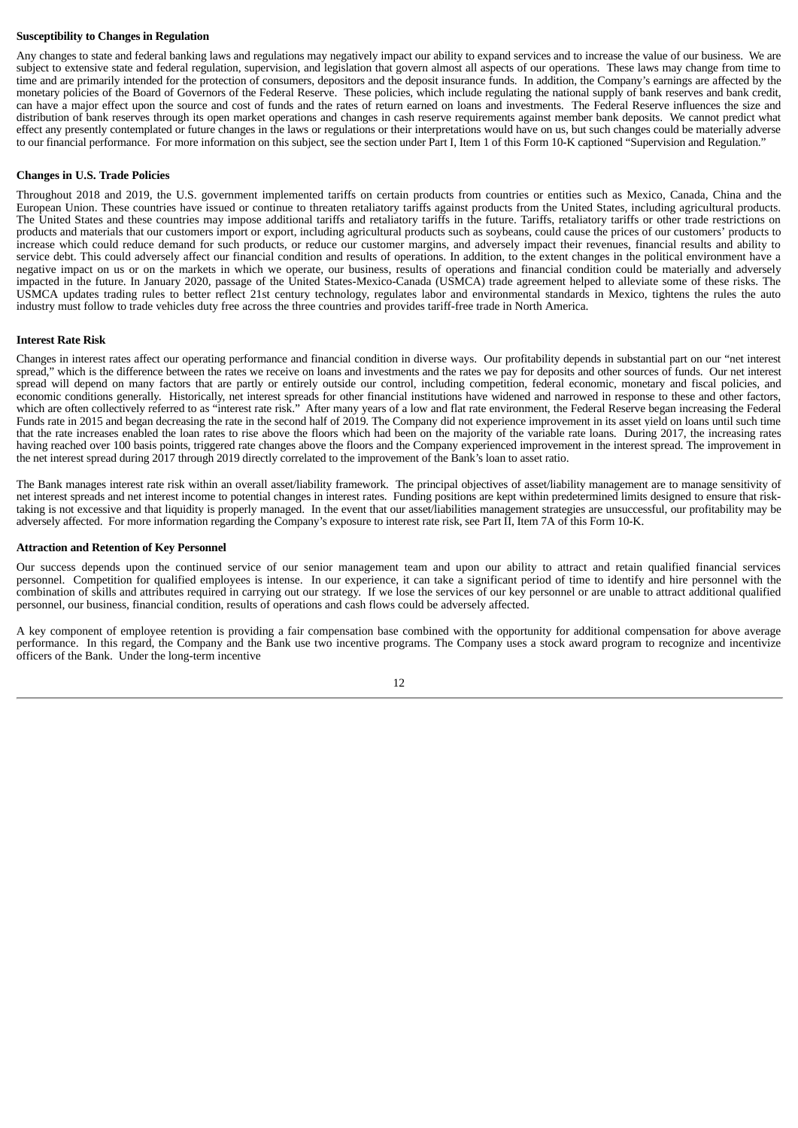#### **Susceptibility to Changes in Regulation**

Any changes to state and federal banking laws and regulations may negatively impact our ability to expand services and to increase the value of our business. We are subject to extensive state and federal regulation, supervision, and legislation that govern almost all aspects of our operations. These laws may change from time to time and are primarily intended for the protection of consumers, depositors and the deposit insurance funds. In addition, the Company's earnings are affected by the monetary policies of the Board of Governors of the Federal Reserve. These policies, which include regulating the national supply of bank reserves and bank credit, can have a major effect upon the source and cost of funds and the rates of return earned on loans and investments. The Federal Reserve influences the size and distribution of bank reserves through its open market operations and changes in cash reserve requirements against member bank deposits. We cannot predict what effect any presently contemplated or future changes in the laws or regulations or their interpretations would have on us, but such changes could be materially adverse to our financial performance. For more information on this subject, see the section under Part I, Item 1 of this Form 10-K captioned "Supervision and Regulation."

#### **Changes in U.S. Trade Policies**

Throughout 2018 and 2019, the U.S. government implemented tariffs on certain products from countries or entities such as Mexico, Canada, China and the European Union. These countries have issued or continue to threaten retaliatory tariffs against products from the United States, including agricultural products. The United States and these countries may impose additional tariffs and retaliatory tariffs in the future. Tariffs, retaliatory tariffs or other trade restrictions on products and materials that our customers import or export, including agricultural products such as soybeans, could cause the prices of our customers' products to increase which could reduce demand for such products, or reduce our customer margins, and adversely impact their revenues, financial results and ability to service debt. This could adversely affect our financial condition and results of operations. In addition, to the extent changes in the political environment have a negative impact on us or on the markets in which we operate, our business, results of operations and financial condition could be materially and adversely impacted in the future. In January 2020, passage of the United States-Mexico-Canada (USMCA) trade agreement helped to alleviate some of these risks. The USMCA updates trading rules to better reflect 21st century technology, regulates labor and environmental standards in Mexico, tightens the rules the auto industry must follow to trade vehicles duty free across the three countries and provides tariff-free trade in North America.

#### **Interest Rate Risk**

Changes in interest rates affect our operating performance and financial condition in diverse ways. Our profitability depends in substantial part on our "net interest spread," which is the difference between the rates we receive on loans and investments and the rates we pay for deposits and other sources of funds. Our net interest spread will depend on many factors that are partly or entirely outside our control, including competition, federal economic, monetary and fiscal policies, and economic conditions generally. Historically, net interest spreads for other financial institutions have widened and narrowed in response to these and other factors, which are often collectively referred to as "interest rate risk." After many years of a low and flat rate environment, the Federal Reserve began increasing the Federal Funds rate in 2015 and began decreasing the rate in the second half of 2019. The Company did not experience improvement in its asset yield on loans until such time that the rate increases enabled the loan rates to rise above the floors which had been on the majority of the variable rate loans. During 2017, the increasing rates having reached over 100 basis points, triggered rate changes above the floors and the Company experienced improvement in the interest spread. The improvement in the net interest spread during 2017 through 2019 directly correlated to the improvement of the Bank's loan to asset ratio.

The Bank manages interest rate risk within an overall asset/liability framework. The principal objectives of asset/liability management are to manage sensitivity of net interest spreads and net interest income to potential changes in interest rates. Funding positions are kept within predetermined limits designed to ensure that risktaking is not excessive and that liquidity is properly managed. In the event that our asset/liabilities management strategies are unsuccessful, our profitability may be adversely affected. For more information regarding the Company's exposure to interest rate risk, see Part II, Item 7A of this Form 10-K.

#### **Attraction and Retention of Key Personnel**

Our success depends upon the continued service of our senior management team and upon our ability to attract and retain qualified financial services personnel. Competition for qualified employees is intense. In our experience, it can take a significant period of time to identify and hire personnel with the combination of skills and attributes required in carrying out our strategy. If we lose the services of our key personnel or are unable to attract additional qualified personnel, our business, financial condition, results of operations and cash flows could be adversely affected.

A key component of employee retention is providing a fair compensation base combined with the opportunity for additional compensation for above average performance. In this regard, the Company and the Bank use two incentive programs. The Company uses a stock award program to recognize and incentivize officers of the Bank. Under the long-term incentive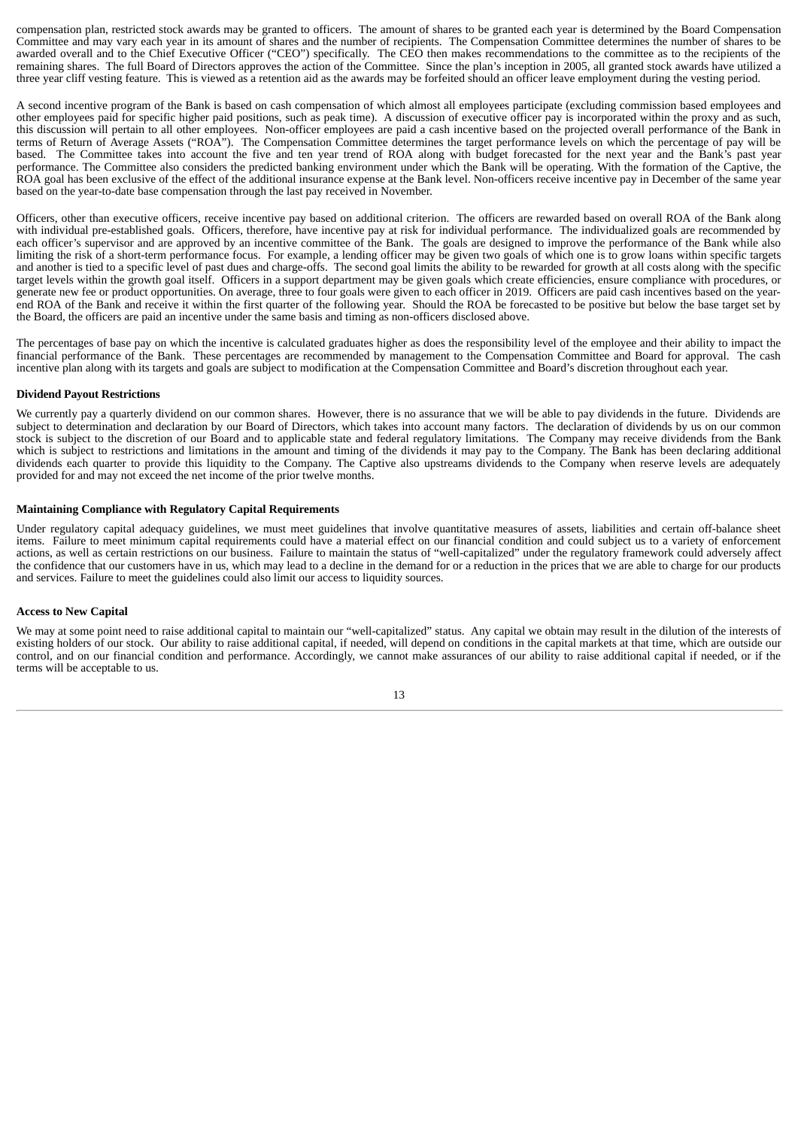compensation plan, restricted stock awards may be granted to officers. The amount of shares to be granted each year is determined by the Board Compensation Committee and may vary each year in its amount of shares and the number of recipients. The Compensation Committee determines the number of shares to be awarded overall and to the Chief Executive Officer ("CEO") specifically. The CEO then makes recommendations to the committee as to the recipients of the remaining shares. The full Board of Directors approves the action of the Committee. Since the plan's inception in 2005, all granted stock awards have utilized a three year cliff vesting feature. This is viewed as a retention aid as the awards may be forfeited should an officer leave employment during the vesting period.

A second incentive program of the Bank is based on cash compensation of which almost all employees participate (excluding commission based employees and other employees paid for specific higher paid positions, such as peak time). A discussion of executive officer pay is incorporated within the proxy and as such, this discussion will pertain to all other employees. Non-officer employees are paid a cash incentive based on the projected overall performance of the Bank in terms of Return of Average Assets ("ROA"). The Compensation Committee determines the target performance levels on which the percentage of pay will be based. The Committee takes into account the five and ten year trend of ROA along with budget forecasted for the next year and the Bank's past year performance. The Committee also considers the predicted banking environment under which the Bank will be operating. With the formation of the Captive, the ROA goal has been exclusive of the effect of the additional insurance expense at the Bank level. Non-officers receive incentive pay in December of the same year based on the year-to-date base compensation through the last pay received in November.

Officers, other than executive officers, receive incentive pay based on additional criterion. The officers are rewarded based on overall ROA of the Bank along with individual pre-established goals. Officers, therefore, have incentive pay at risk for individual performance. The individualized goals are recommended by each officer's supervisor and are approved by an incentive committee of the Bank. The goals are designed to improve the performance of the Bank while also limiting the risk of a short-term performance focus. For example, a lending officer may be given two goals of which one is to grow loans within specific targets and another is tied to a specific level of past dues and charge-offs. The second goal limits the ability to be rewarded for growth at all costs along with the specific target levels within the growth goal itself. Officers in a support department may be given goals which create efficiencies, ensure compliance with procedures, or generate new fee or product opportunities. On average, three to four goals were given to each officer in 2019. Officers are paid cash incentives based on the yearend ROA of the Bank and receive it within the first quarter of the following year. Should the ROA be forecasted to be positive but below the base target set by the Board, the officers are paid an incentive under the same basis and timing as non-officers disclosed above.

The percentages of base pay on which the incentive is calculated graduates higher as does the responsibility level of the employee and their ability to impact the financial performance of the Bank. These percentages are recommended by management to the Compensation Committee and Board for approval. The cash incentive plan along with its targets and goals are subject to modification at the Compensation Committee and Board's discretion throughout each year.

#### **Dividend Payout Restrictions**

We currently pay a quarterly dividend on our common shares. However, there is no assurance that we will be able to pay dividends in the future. Dividends are subject to determination and declaration by our Board of Directors, which takes into account many factors. The declaration of dividends by us on our common stock is subject to the discretion of our Board and to applicable state and federal regulatory limitations. The Company may receive dividends from the Bank which is subject to restrictions and limitations in the amount and timing of the dividends it may pay to the Company. The Bank has been declaring additional dividends each quarter to provide this liquidity to the Company. The Captive also upstreams dividends to the Company when reserve levels are adequately provided for and may not exceed the net income of the prior twelve months.

#### **Maintaining Compliance with Regulatory Capital Requirements**

Under regulatory capital adequacy guidelines, we must meet guidelines that involve quantitative measures of assets, liabilities and certain off-balance sheet items. Failure to meet minimum capital requirements could have a material effect on our financial condition and could subject us to a variety of enforcement actions, as well as certain restrictions on our business. Failure to maintain the status of "well-capitalized" under the regulatory framework could adversely affect the confidence that our customers have in us, which may lead to a decline in the demand for or a reduction in the prices that we are able to charge for our products and services. Failure to meet the guidelines could also limit our access to liquidity sources.

#### **Access to New Capital**

We may at some point need to raise additional capital to maintain our "well-capitalized" status. Any capital we obtain may result in the dilution of the interests of existing holders of our stock. Our ability to raise additional capital, if needed, will depend on conditions in the capital markets at that time, which are outside our control, and on our financial condition and performance. Accordingly, we cannot make assurances of our ability to raise additional capital if needed, or if the terms will be acceptable to us.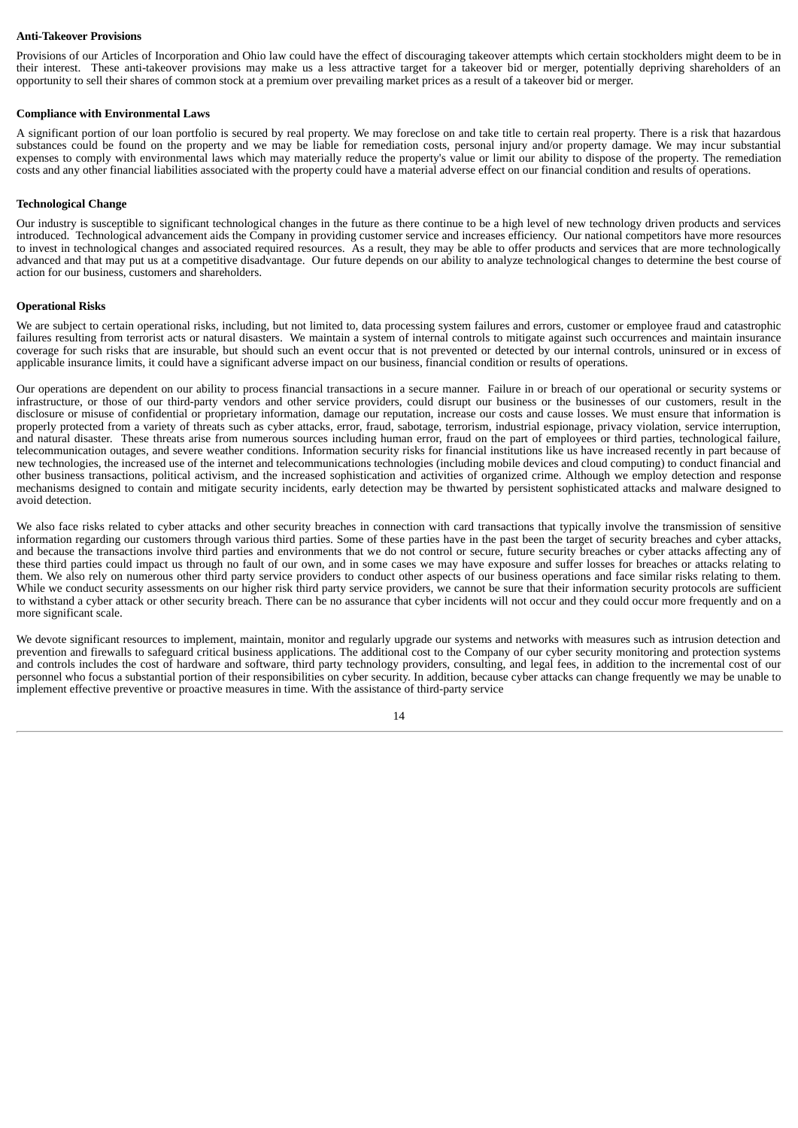#### **Anti-Takeover Provisions**

Provisions of our Articles of Incorporation and Ohio law could have the effect of discouraging takeover attempts which certain stockholders might deem to be in their interest. These anti-takeover provisions may make us a less attractive target for a takeover bid or merger, potentially depriving shareholders of an opportunity to sell their shares of common stock at a premium over prevailing market prices as a result of a takeover bid or merger.

#### **Compliance with Environmental Laws**

A significant portion of our loan portfolio is secured by real property. We may foreclose on and take title to certain real property. There is a risk that hazardous substances could be found on the property and we may be liable for remediation costs, personal injury and/or property damage. We may incur substantial expenses to comply with environmental laws which may materially reduce the property's value or limit our ability to dispose of the property. The remediation costs and any other financial liabilities associated with the property could have a material adverse effect on our financial condition and results of operations.

#### **Technological Change**

Our industry is susceptible to significant technological changes in the future as there continue to be a high level of new technology driven products and services introduced. Technological advancement aids the Company in providing customer service and increases efficiency. Our national competitors have more resources to invest in technological changes and associated required resources. As a result, they may be able to offer products and services that are more technologically advanced and that may put us at a competitive disadvantage. Our future depends on our ability to analyze technological changes to determine the best course of action for our business, customers and shareholders.

#### **Operational Risks**

We are subject to certain operational risks, including, but not limited to, data processing system failures and errors, customer or employee fraud and catastrophic failures resulting from terrorist acts or natural disasters. We maintain a system of internal controls to mitigate against such occurrences and maintain insurance coverage for such risks that are insurable, but should such an event occur that is not prevented or detected by our internal controls, uninsured or in excess of applicable insurance limits, it could have a significant adverse impact on our business, financial condition or results of operations.

Our operations are dependent on our ability to process financial transactions in a secure manner. Failure in or breach of our operational or security systems or infrastructure, or those of our third-party vendors and other service providers, could disrupt our business or the businesses of our customers, result in the disclosure or misuse of confidential or proprietary information, damage our reputation, increase our costs and cause losses. We must ensure that information is properly protected from a variety of threats such as cyber attacks, error, fraud, sabotage, terrorism, industrial espionage, privacy violation, service interruption, and natural disaster. These threats arise from numerous sources including human error, fraud on the part of employees or third parties, technological failure, telecommunication outages, and severe weather conditions. Information security risks for financial institutions like us have increased recently in part because of new technologies, the increased use of the internet and telecommunications technologies (including mobile devices and cloud computing) to conduct financial and other business transactions, political activism, and the increased sophistication and activities of organized crime. Although we employ detection and response mechanisms designed to contain and mitigate security incidents, early detection may be thwarted by persistent sophisticated attacks and malware designed to avoid detection.

We also face risks related to cyber attacks and other security breaches in connection with card transactions that typically involve the transmission of sensitive information regarding our customers through various third parties. Some of these parties have in the past been the target of security breaches and cyber attacks, and because the transactions involve third parties and environments that we do not control or secure, future security breaches or cyber attacks affecting any of these third parties could impact us through no fault of our own, and in some cases we may have exposure and suffer losses for breaches or attacks relating to them. We also rely on numerous other third party service providers to conduct other aspects of our business operations and face similar risks relating to them. While we conduct security assessments on our higher risk third party service providers, we cannot be sure that their information security protocols are sufficient to withstand a cyber attack or other security breach. There can be no assurance that cyber incidents will not occur and they could occur more frequently and on a more significant scale.

We devote significant resources to implement, maintain, monitor and regularly upgrade our systems and networks with measures such as intrusion detection and prevention and firewalls to safeguard critical business applications. The additional cost to the Company of our cyber security monitoring and protection systems and controls includes the cost of hardware and software, third party technology providers, consulting, and legal fees, in addition to the incremental cost of our personnel who focus a substantial portion of their responsibilities on cyber security. In addition, because cyber attacks can change frequently we may be unable to implement effective preventive or proactive measures in time. With the assistance of third-party service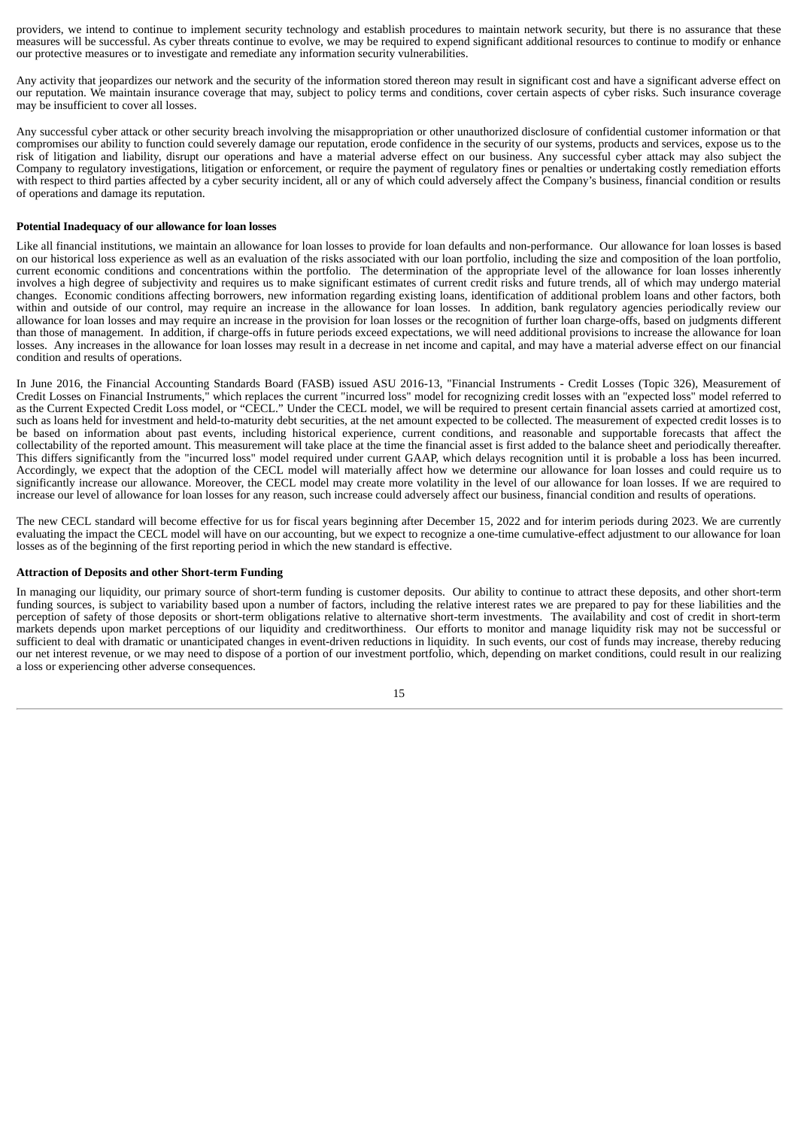providers, we intend to continue to implement security technology and establish procedures to maintain network security, but there is no assurance that these measures will be successful. As cyber threats continue to evolve, we may be required to expend significant additional resources to continue to modify or enhance our protective measures or to investigate and remediate any information security vulnerabilities.

Any activity that jeopardizes our network and the security of the information stored thereon may result in significant cost and have a significant adverse effect on our reputation. We maintain insurance coverage that may, subject to policy terms and conditions, cover certain aspects of cyber risks. Such insurance coverage may be insufficient to cover all losses.

Any successful cyber attack or other security breach involving the misappropriation or other unauthorized disclosure of confidential customer information or that compromises our ability to function could severely damage our reputation, erode confidence in the security of our systems, products and services, expose us to the risk of litigation and liability, disrupt our operations and have a material adverse effect on our business. Any successful cyber attack may also subject the Company to regulatory investigations, litigation or enforcement, or require the payment of regulatory fines or penalties or undertaking costly remediation efforts with respect to third parties affected by a cyber security incident, all or any of which could adversely affect the Company's business, financial condition or results of operations and damage its reputation.

#### **Potential Inadequacy of our allowance for loan losses**

Like all financial institutions, we maintain an allowance for loan losses to provide for loan defaults and non-performance. Our allowance for loan losses is based on our historical loss experience as well as an evaluation of the risks associated with our loan portfolio, including the size and composition of the loan portfolio, current economic conditions and concentrations within the portfolio. The determination of the appropriate level of the allowance for loan losses inherently involves a high degree of subjectivity and requires us to make significant estimates of current credit risks and future trends, all of which may undergo material changes. Economic conditions affecting borrowers, new information regarding existing loans, identification of additional problem loans and other factors, both within and outside of our control, may require an increase in the allowance for loan losses. In addition, bank regulatory agencies periodically review our allowance for loan losses and may require an increase in the provision for loan losses or the recognition of further loan charge-offs, based on judgments different than those of management. In addition, if charge-offs in future periods exceed expectations, we will need additional provisions to increase the allowance for loan losses. Any increases in the allowance for loan losses may result in a decrease in net income and capital, and may have a material adverse effect on our financial condition and results of operations.

In June 2016, the Financial Accounting Standards Board (FASB) issued ASU 2016-13, "Financial Instruments - Credit Losses (Topic 326), Measurement of Credit Losses on Financial Instruments," which replaces the current "incurred loss" model for recognizing credit losses with an "expected loss" model referred to as the Current Expected Credit Loss model, or "CECL." Under the CECL model, we will be required to present certain financial assets carried at amortized cost, such as loans held for investment and held-to-maturity debt securities, at the net amount expected to be collected. The measurement of expected credit losses is to be based on information about past events, including historical experience, current conditions, and reasonable and supportable forecasts that affect the collectability of the reported amount. This measurement will take place at the time the financial asset is first added to the balance sheet and periodically thereafter. This differs significantly from the "incurred loss" model required under current GAAP, which delays recognition until it is probable a loss has been incurred. Accordingly, we expect that the adoption of the CECL model will materially affect how we determine our allowance for loan losses and could require us to significantly increase our allowance. Moreover, the CECL model may create more volatility in the level of our allowance for loan losses. If we are required to increase our level of allowance for loan losses for any reason, such increase could adversely affect our business, financial condition and results of operations.

The new CECL standard will become effective for us for fiscal years beginning after December 15, 2022 and for interim periods during 2023. We are currently evaluating the impact the CECL model will have on our accounting, but we expect to recognize a one-time cumulative-effect adjustment to our allowance for loan losses as of the beginning of the first reporting period in which the new standard is effective.

#### **Attraction of Deposits and other Short-term Funding**

In managing our liquidity, our primary source of short-term funding is customer deposits. Our ability to continue to attract these deposits, and other short-term funding sources, is subject to variability based upon a number of factors, including the relative interest rates we are prepared to pay for these liabilities and the perception of safety of those deposits or short-term obligations relative to alternative short-term investments. The availability and cost of credit in short-term markets depends upon market perceptions of our liquidity and creditworthiness. Our efforts to monitor and manage liquidity risk may not be successful or sufficient to deal with dramatic or unanticipated changes in event-driven reductions in liquidity. In such events, our cost of funds may increase, thereby reducing our net interest revenue, or we may need to dispose of a portion of our investment portfolio, which, depending on market conditions, could result in our realizing a loss or experiencing other adverse consequences.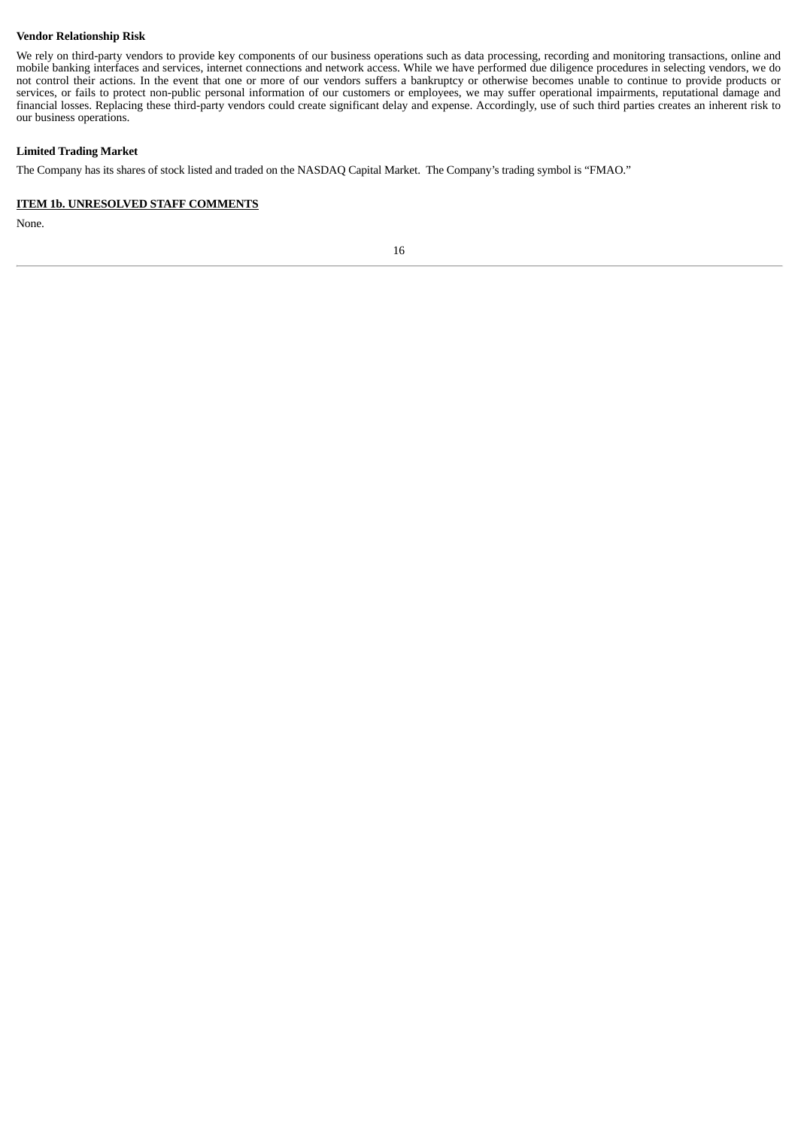## **Vendor Relationship Risk**

We rely on third-party vendors to provide key components of our business operations such as data processing, recording and monitoring transactions, online and mobile banking interfaces and services, internet connections and network access. While we have performed due diligence procedures in selecting vendors, we do not control their actions. In the event that one or more of our vendors suffers a bankruptcy or otherwise becomes unable to continue to provide products or services, or fails to protect non-public personal information of our customers or employees, we may suffer operational impairments, reputational damage and financial losses. Replacing these third-party vendors could create significant delay and expense. Accordingly, use of such third parties creates an inherent risk to our business operations.

## **Limited Trading Market**

The Company has its shares of stock listed and traded on the NASDAQ Capital Market. The Company's trading symbol is "FMAO."

## <span id="page-15-0"></span>**ITEM 1b. UNRESOLVED STAFF COMMENTS**

None.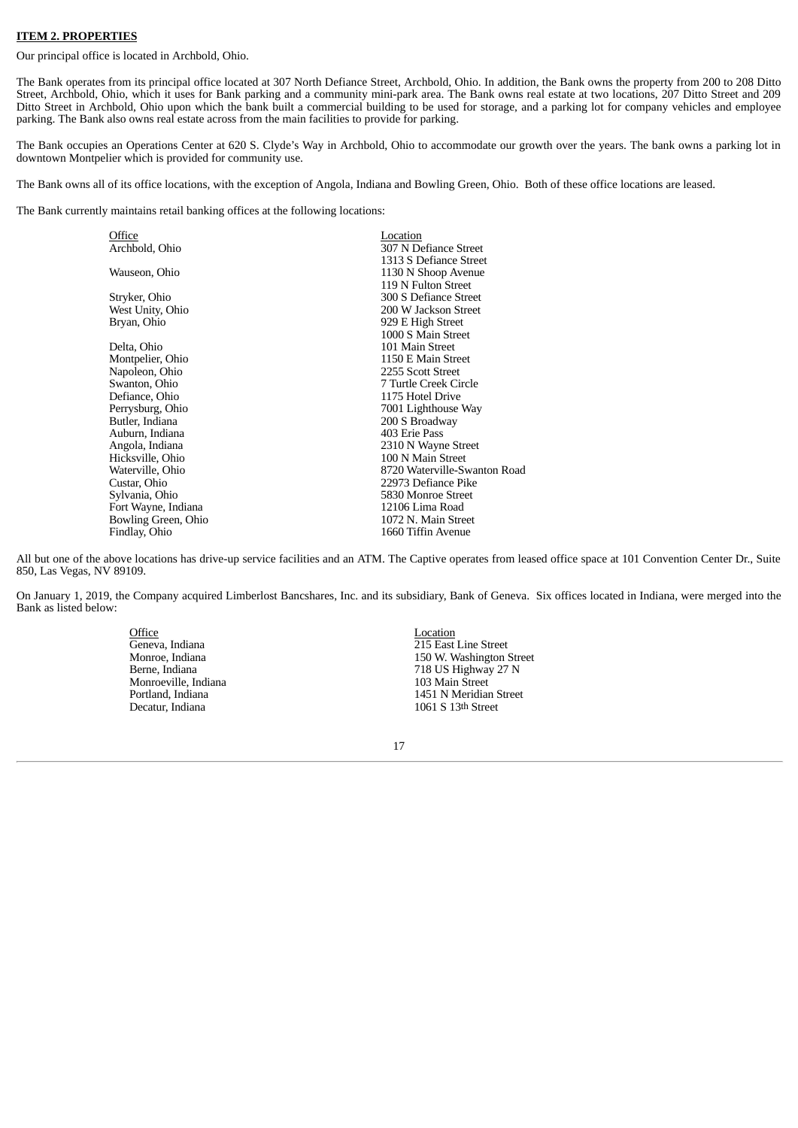## <span id="page-16-0"></span>**ITEM 2. PROPERTIES**

Our principal office is located in Archbold, Ohio.

The Bank operates from its principal office located at 307 North Defiance Street, Archbold, Ohio. In addition, the Bank owns the property from 200 to 208 Ditto Street, Archbold, Ohio, which it uses for Bank parking and a community mini-park area. The Bank owns real estate at two locations, 207 Ditto Street and 209 Ditto Street in Archbold, Ohio upon which the bank built a commercial building to be used for storage, and a parking lot for company vehicles and employee parking. The Bank also owns real estate across from the main facilities to provide for parking.

The Bank occupies an Operations Center at 620 S. Clyde's Way in Archbold, Ohio to accommodate our growth over the years. The bank owns a parking lot in downtown Montpelier which is provided for community use.

The Bank owns all of its office locations, with the exception of Angola, Indiana and Bowling Green, Ohio. Both of these office locations are leased.

The Bank currently maintains retail banking offices at the following locations:

| Office              | Location                     |
|---------------------|------------------------------|
| Archbold, Ohio      | 307 N Defiance Street        |
|                     | 1313 S Defiance Street       |
| Wauseon, Ohio       | 1130 N Shoop Avenue          |
|                     | 119 N Fulton Street          |
| Stryker, Ohio       | 300 S Defiance Street        |
| West Unity, Ohio    | 200 W Jackson Street         |
| Bryan, Ohio         | 929 E High Street            |
|                     | 1000 S Main Street           |
| Delta, Ohio         | 101 Main Street              |
| Montpelier, Ohio    | 1150 E Main Street           |
| Napoleon, Ohio      | 2255 Scott Street            |
| Swanton, Ohio       | 7 Turtle Creek Circle        |
| Defiance, Ohio      | 1175 Hotel Drive             |
| Perrysburg, Ohio    | 7001 Lighthouse Way          |
| Butler, Indiana     | 200 S Broadway               |
| Auburn, Indiana     | 403 Erie Pass                |
| Angola, Indiana     | 2310 N Wayne Street          |
| Hicksville, Ohio    | 100 N Main Street            |
| Waterville, Ohio    | 8720 Waterville-Swanton Road |
| Custar, Ohio        | 22973 Defiance Pike          |
| Sylvania, Ohio      | 5830 Monroe Street           |
| Fort Wayne, Indiana | 12106 Lima Road              |
| Bowling Green, Ohio | 1072 N. Main Street          |
| Findlay, Ohio       | 1660 Tiffin Avenue           |

All but one of the above locations has drive-up service facilities and an ATM. The Captive operates from leased office space at 101 Convention Center Dr., Suite 850, Las Vegas, NV 89109.

On January 1, 2019, the Company acquired Limberlost Bancshares, Inc. and its subsidiary, Bank of Geneva. Six offices located in Indiana, were merged into the Bank as listed below:

> Office Location Ceneva, Indiana 215 East Geneva, Indiana 215 East Line Street<br>
> Monroe, Indiana 215 215 East Line Street<br>
> 215 O W. Washington Monroeville, Indiana 103 Main Street Portland, Indiana 103 Main Street Portland, Indiana 1451 N Meridia

Monroe, Indiana 150 W. Washington Street 718 US Highway 27 N Portland, Indiana 1451 N Meridian Street 1061 S 13th Street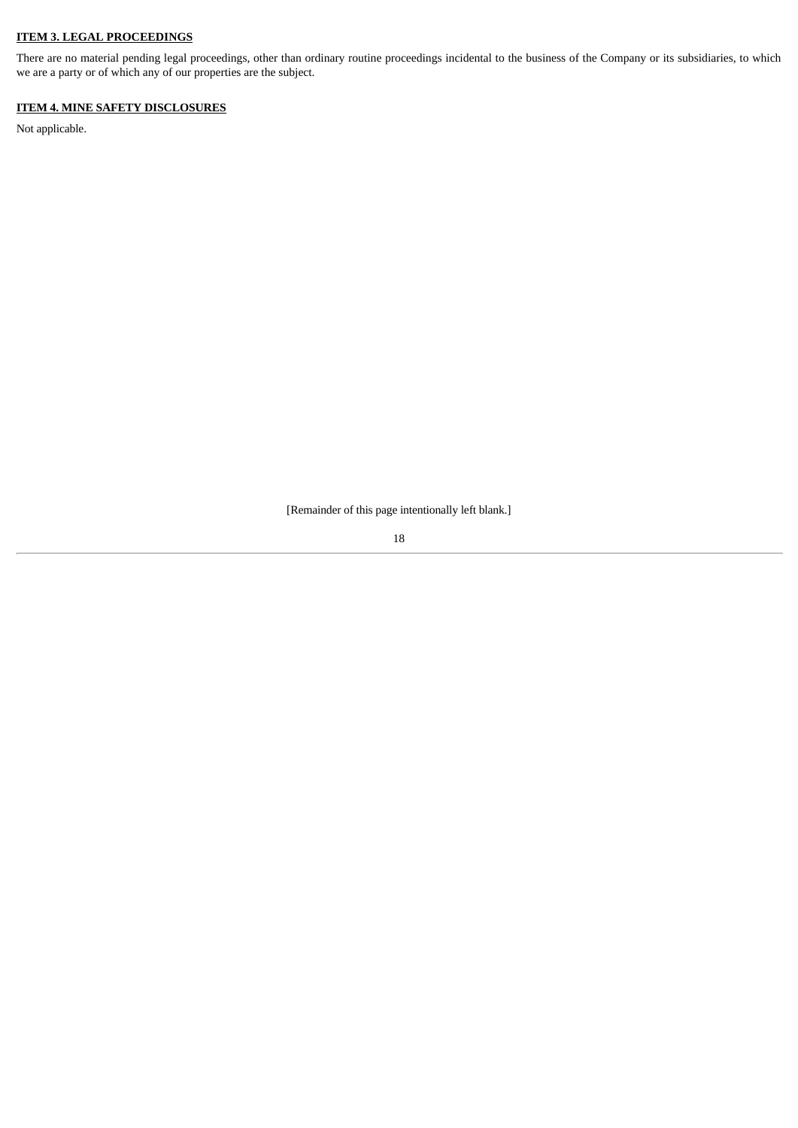## <span id="page-17-0"></span>**ITEM 3. LEGAL PROCEEDINGS**

There are no material pending legal proceedings, other than ordinary routine proceedings incidental to the business of the Company or its subsidiaries, to which we are a party or of which any of our properties are the subject.

# <span id="page-17-1"></span>**ITEM 4. MINE SAFETY DISCLOSURES**

Not applicable.

[Remainder of this page intentionally left blank.]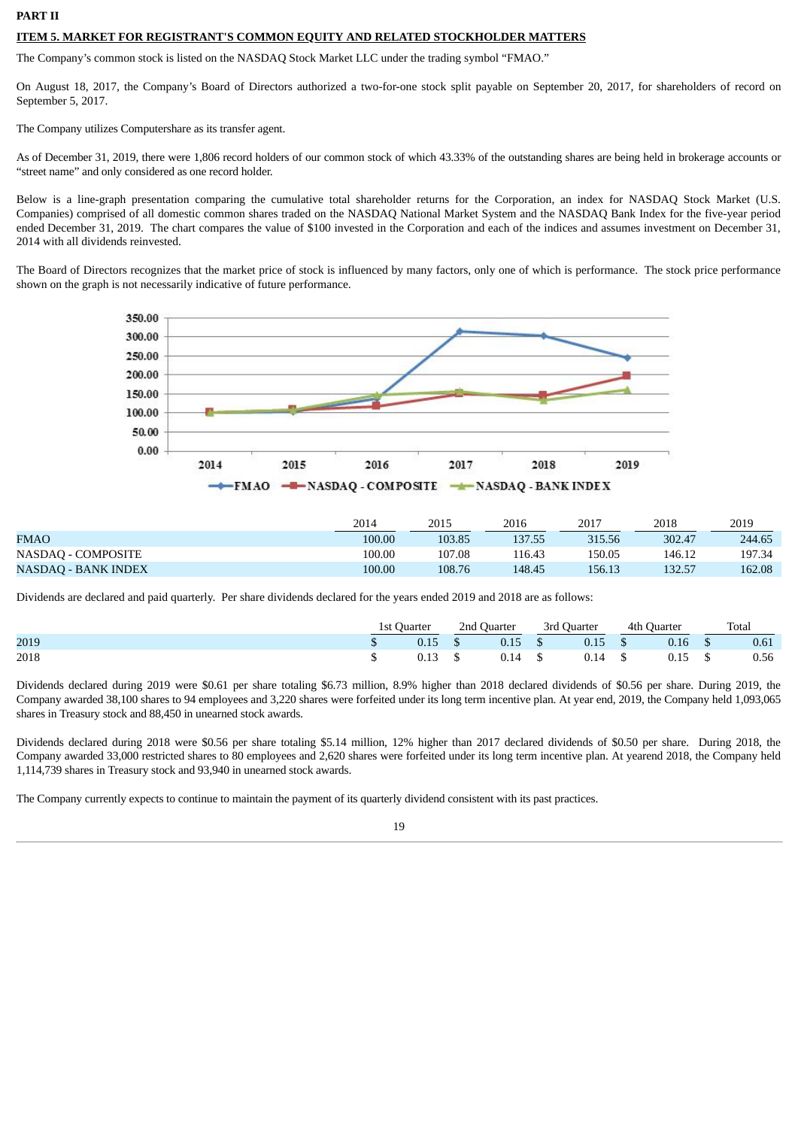## **PART II**

## <span id="page-18-0"></span>**ITEM 5. MARKET FOR REGISTRANT'S COMMON EQUITY AND RELATED STOCKHOLDER MATTERS**

The Company's common stock is listed on the NASDAQ Stock Market LLC under the trading symbol "FMAO."

On August 18, 2017, the Company's Board of Directors authorized a two-for-one stock split payable on September 20, 2017, for shareholders of record on September 5, 2017.

The Company utilizes Computershare as its transfer agent.

As of December 31, 2019, there were 1,806 record holders of our common stock of which 43.33% of the outstanding shares are being held in brokerage accounts or "street name" and only considered as one record holder.

Below is a line-graph presentation comparing the cumulative total shareholder returns for the Corporation, an index for NASDAQ Stock Market (U.S. Companies) comprised of all domestic common shares traded on the NASDAQ National Market System and the NASDAQ Bank Index for the five-year period ended December 31, 2019. The chart compares the value of \$100 invested in the Corporation and each of the indices and assumes investment on December 31, 2014 with all dividends reinvested.

The Board of Directors recognizes that the market price of stock is influenced by many factors, only one of which is performance. The stock price performance shown on the graph is not necessarily indicative of future performance.



|                            | 2014   | 2015   | 2016   | 2017   | 2018   | 2019   |
|----------------------------|--------|--------|--------|--------|--------|--------|
| FMAO                       | 100.00 | 103.85 | 137.55 | 315.56 | 302.47 | 244.65 |
| NASDAQ - COMPOSITE         | 100.00 | 107.08 | 116.43 | 150.05 | 146.12 | 197.34 |
| <b>NASDAQ - BANK INDEX</b> | 100.00 | 108.76 | 148.45 | 156.13 | 132.57 | 162.08 |

Dividends are declared and paid quarterly. Per share dividends declared for the years ended 2019 and 2018 are as follows:

|      | 1st Quarter |                 | 2nd Quarter |                 | 3rd Quarter     | 4th Quarter     | Total |
|------|-------------|-----------------|-------------|-----------------|-----------------|-----------------|-------|
| 2019 |             | $0.15 \quad$ \$ |             | $0.15 \quad$ \$ | $0.15 \quad$ \$ | $0.16$ \$       | 0.61  |
| 2018 |             | $0.13 \quad$ \$ |             | $0.14 \quad S$  | $0.14 \quad$ \$ | $0.15 \quad$ \$ | 0.56  |

Dividends declared during 2019 were \$0.61 per share totaling \$6.73 million, 8.9% higher than 2018 declared dividends of \$0.56 per share. During 2019, the Company awarded 38,100 shares to 94 employees and 3,220 shares were forfeited under its long term incentive plan. At year end, 2019, the Company held 1,093,065 shares in Treasury stock and 88,450 in unearned stock awards.

Dividends declared during 2018 were \$0.56 per share totaling \$5.14 million, 12% higher than 2017 declared dividends of \$0.50 per share. During 2018, the Company awarded 33,000 restricted shares to 80 employees and 2,620 shares were forfeited under its long term incentive plan. At yearend 2018, the Company held 1,114,739 shares in Treasury stock and 93,940 in unearned stock awards.

The Company currently expects to continue to maintain the payment of its quarterly dividend consistent with its past practices.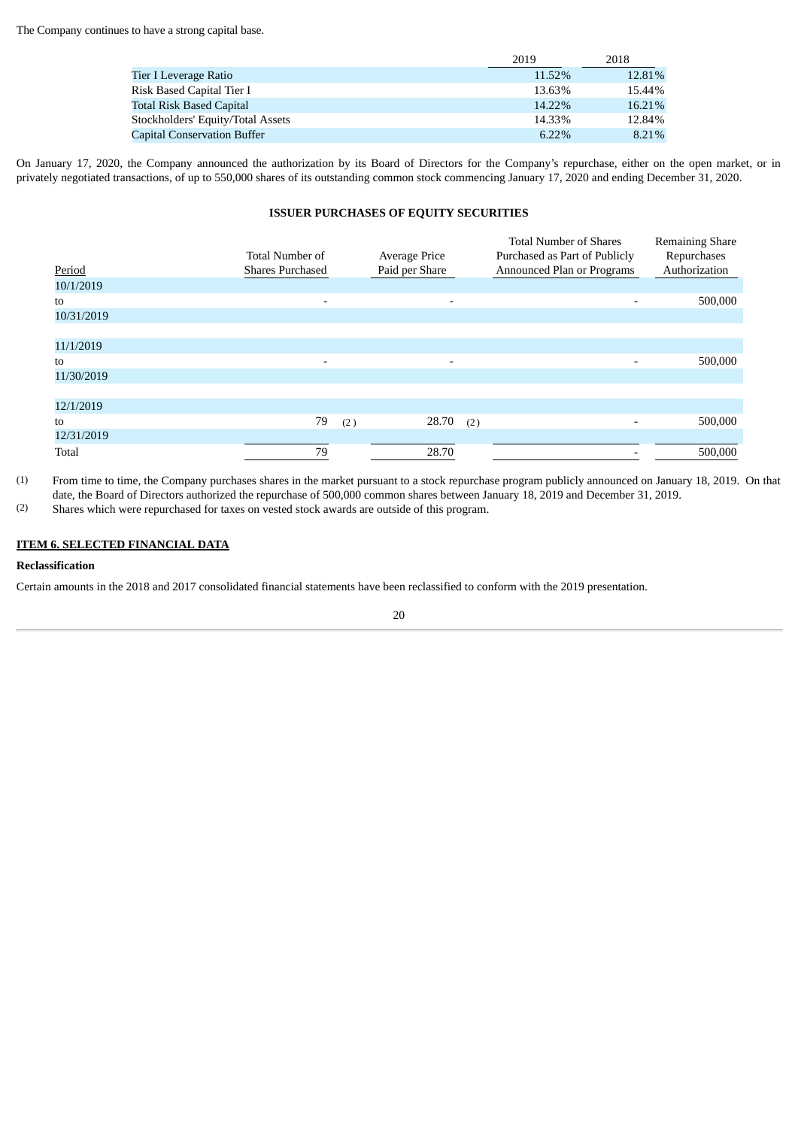|                                    | 2019     | 2018   |
|------------------------------------|----------|--------|
| Tier I Leverage Ratio              | 11.52%   | 12.81% |
| Risk Based Capital Tier I          | 13.63%   | 15.44% |
| Total Risk Based Capital           | 14.22%   | 16.21% |
| Stockholders' Equity/Total Assets  | 14.33%   | 12.84% |
| <b>Capital Conservation Buffer</b> | $6.22\%$ | 8.21%  |

On January 17, 2020, the Company announced the authorization by its Board of Directors for the Company's repurchase, either on the open market, or in privately negotiated transactions, of up to 550,000 shares of its outstanding common stock commencing January 17, 2020 and ending December 31, 2020.

# **ISSUER PURCHASES OF EQUITY SECURITIES**

|            |                          |     |                          |     | <b>Total Number of Shares</b> | <b>Remaining Share</b> |
|------------|--------------------------|-----|--------------------------|-----|-------------------------------|------------------------|
|            | Total Number of          |     | Average Price            |     | Purchased as Part of Publicly | Repurchases            |
| Period     | <b>Shares Purchased</b>  |     | Paid per Share           |     | Announced Plan or Programs    | Authorization          |
| 10/1/2019  |                          |     |                          |     |                               |                        |
| to         | $\overline{\phantom{a}}$ |     | $\overline{\phantom{a}}$ |     | $\overline{\phantom{a}}$      | 500,000                |
| 10/31/2019 |                          |     |                          |     |                               |                        |
|            |                          |     |                          |     |                               |                        |
| 11/1/2019  |                          |     |                          |     |                               |                        |
| to         | $\overline{\phantom{a}}$ |     | $\overline{\phantom{a}}$ |     | $\overline{\phantom{a}}$      | 500,000                |
| 11/30/2019 |                          |     |                          |     |                               |                        |
|            |                          |     |                          |     |                               |                        |
| 12/1/2019  |                          |     |                          |     |                               |                        |
| to         | 79                       | (2) | 28.70                    | (2) | $\overline{\phantom{0}}$      | 500,000                |
| 12/31/2019 |                          |     |                          |     |                               |                        |
| Total      | 79                       |     | 28.70                    |     |                               | 500,000                |

(1) From time to time, the Company purchases shares in the market pursuant to a stock repurchase program publicly announced on January 18, 2019. On that date, the Board of Directors authorized the repurchase of 500,000 common shares between January 18, 2019 and December 31, 2019.

(2) Shares which were repurchased for taxes on vested stock awards are outside of this program.

## <span id="page-19-0"></span>**ITEM 6. SELECTED FINANCIAL DATA**

## **Reclassification**

Certain amounts in the 2018 and 2017 consolidated financial statements have been reclassified to conform with the 2019 presentation.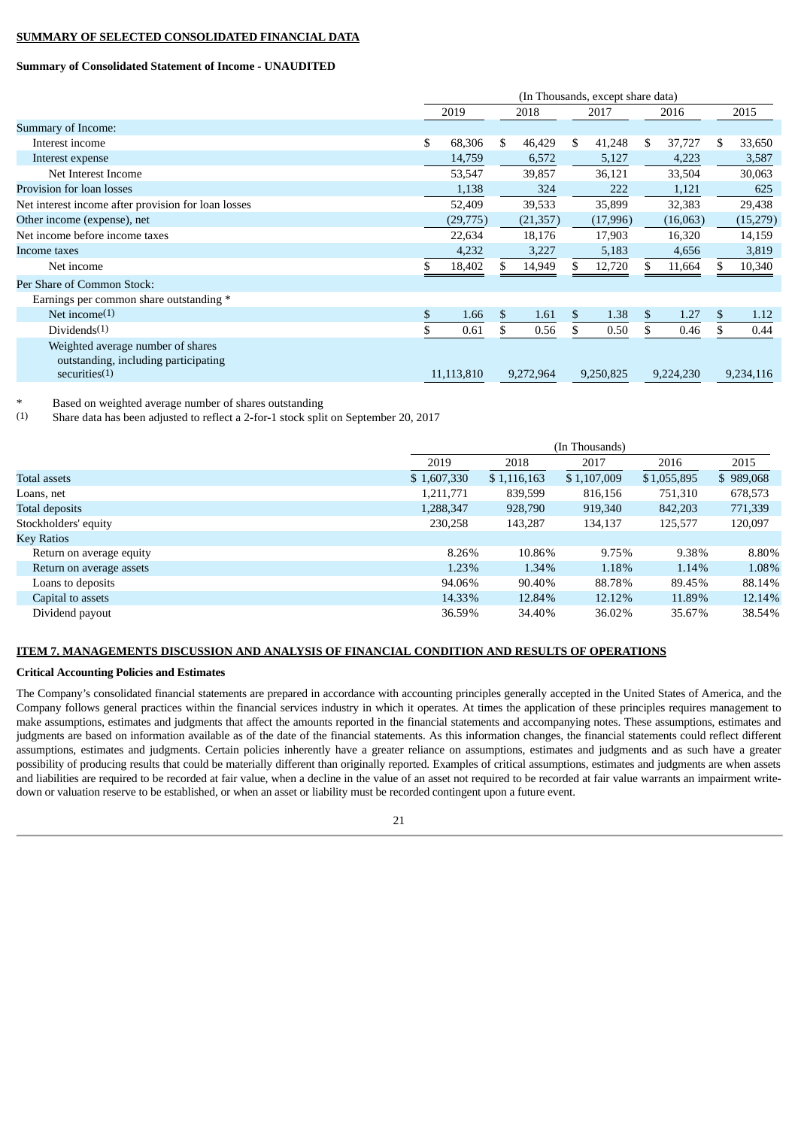## **SUMMARY OF SELECTED CONSOLIDATED FINANCIAL DATA**

# **Summary of Consolidated Statement of Income - UNAUDITED**

| (In Thousands, except share data) |           |            |           |           |          |           |          |           |           |
|-----------------------------------|-----------|------------|-----------|-----------|----------|-----------|----------|-----------|-----------|
| 2019<br>2018<br>2017              |           |            | 2016      | 2015      |          |           |          |           |           |
|                                   |           |            |           |           |          |           |          |           |           |
| \$                                | 68,306    | \$         | 46,429    | \$        | 41,248   | \$        | 37,727   | \$        | 33,650    |
|                                   | 14,759    |            | 6,572     |           | 5,127    |           | 4,223    |           | 3,587     |
|                                   | 53,547    |            | 39,857    |           | 36,121   |           | 33,504   |           | 30,063    |
|                                   | 1,138     |            | 324       |           | 222      |           | 1,121    |           | 625       |
|                                   | 52,409    |            | 39,533    |           | 35,899   |           | 32,383   |           | 29,438    |
|                                   | (29, 775) |            | (21, 357) |           | (17,996) |           | (16,063) |           | (15, 279) |
|                                   | 22,634    |            | 18,176    |           | 17,903   |           | 16,320   |           | 14,159    |
|                                   | 4,232     |            | 3,227     |           | 5,183    |           | 4,656    |           | 3,819     |
|                                   | 18,402    |            | 14,949    |           | 12,720   |           | 11,664   |           | 10,340    |
|                                   |           |            |           |           |          |           |          |           |           |
|                                   |           |            |           |           |          |           |          |           |           |
| \$                                | 1.66      | \$         | 1.61      | \$.       | 1.38     | \$        | 1.27     | \$        | 1.12      |
|                                   | 0.61      |            | 0.56      |           | 0.50     | \$        | 0.46     | \$        | 0.44      |
|                                   |           |            |           |           |          |           |          |           | 9,234,116 |
|                                   |           | 11,113,810 |           | 9,272,964 |          | 9,250,825 |          | 9,224,230 |           |

Based on weighted average number of shares outstanding

(1) Share data has been adjusted to reflect a 2-for-1 stock split on September 20, 2017

|                          | (In Thousands) |             |             |             |           |  |  |
|--------------------------|----------------|-------------|-------------|-------------|-----------|--|--|
|                          | 2019           | 2018        | 2017        | 2016        | 2015      |  |  |
| Total assets             | \$1,607,330    | \$1,116,163 | \$1,107,009 | \$1,055,895 | \$989,068 |  |  |
| Loans, net               | 1,211,771      | 839,599     | 816,156     | 751,310     | 678,573   |  |  |
| Total deposits           | 1,288,347      | 928,790     | 919,340     | 842,203     | 771,339   |  |  |
| Stockholders' equity     | 230,258        | 143,287     | 134,137     | 125,577     | 120,097   |  |  |
| <b>Key Ratios</b>        |                |             |             |             |           |  |  |
| Return on average equity | 8.26%          | 10.86%      | 9.75%       | 9.38%       | 8.80%     |  |  |
| Return on average assets | 1.23%          | 1.34%       | 1.18%       | 1.14%       | 1.08%     |  |  |
| Loans to deposits        | 94.06%         | 90.40%      | 88.78%      | 89.45%      | 88.14%    |  |  |
| Capital to assets        | 14.33%         | 12.84%      | 12.12%      | 11.89%      | 12.14%    |  |  |
| Dividend payout          | 36.59%         | 34.40%      | 36.02%      | 35.67%      | 38.54%    |  |  |

# <span id="page-20-0"></span>**ITEM 7. MANAGEMENTS DISCUSSION AND ANALYSIS OF FINANCIAL CONDITION AND RESULTS OF OPERATIONS**

# **Critical Accounting Policies and Estimates**

The Company's consolidated financial statements are prepared in accordance with accounting principles generally accepted in the United States of America, and the Company follows general practices within the financial services industry in which it operates. At times the application of these principles requires management to make assumptions, estimates and judgments that affect the amounts reported in the financial statements and accompanying notes. These assumptions, estimates and judgments are based on information available as of the date of the financial statements. As this information changes, the financial statements could reflect different assumptions, estimates and judgments. Certain policies inherently have a greater reliance on assumptions, estimates and judgments and as such have a greater possibility of producing results that could be materially different than originally reported. Examples of critical assumptions, estimates and judgments are when assets and liabilities are required to be recorded at fair value, when a decline in the value of an asset not required to be recorded at fair value warrants an impairment writedown or valuation reserve to be established, or when an asset or liability must be recorded contingent upon a future event.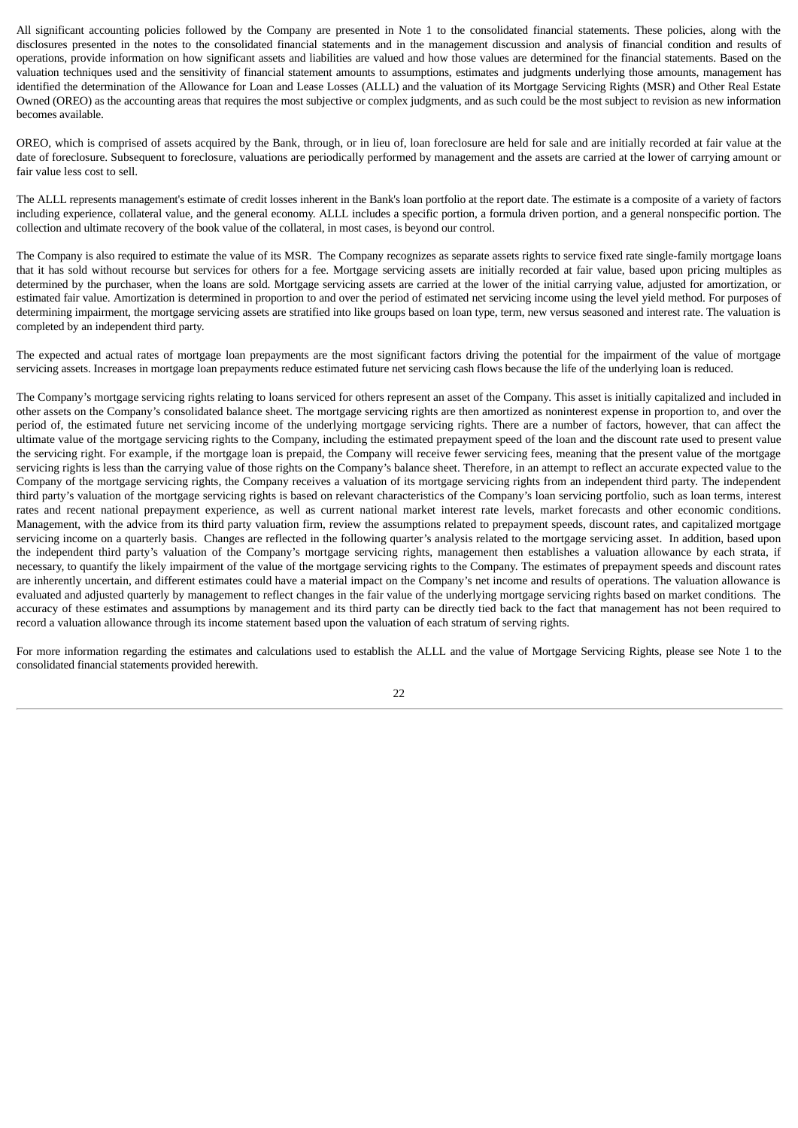All significant accounting policies followed by the Company are presented in Note 1 to the consolidated financial statements. These policies, along with the disclosures presented in the notes to the consolidated financial statements and in the management discussion and analysis of financial condition and results of operations, provide information on how significant assets and liabilities are valued and how those values are determined for the financial statements. Based on the valuation techniques used and the sensitivity of financial statement amounts to assumptions, estimates and judgments underlying those amounts, management has identified the determination of the Allowance for Loan and Lease Losses (ALLL) and the valuation of its Mortgage Servicing Rights (MSR) and Other Real Estate Owned (OREO) as the accounting areas that requires the most subjective or complex judgments, and as such could be the most subject to revision as new information becomes available.

OREO, which is comprised of assets acquired by the Bank, through, or in lieu of, loan foreclosure are held for sale and are initially recorded at fair value at the date of foreclosure. Subsequent to foreclosure, valuations are periodically performed by management and the assets are carried at the lower of carrying amount or fair value less cost to sell.

The ALLL represents management's estimate of credit losses inherent in the Bank's loan portfolio at the report date. The estimate is a composite of a variety of factors including experience, collateral value, and the general economy. ALLL includes a specific portion, a formula driven portion, and a general nonspecific portion. The collection and ultimate recovery of the book value of the collateral, in most cases, is beyond our control.

The Company is also required to estimate the value of its MSR. The Company recognizes as separate assets rights to service fixed rate single-family mortgage loans that it has sold without recourse but services for others for a fee. Mortgage servicing assets are initially recorded at fair value, based upon pricing multiples as determined by the purchaser, when the loans are sold. Mortgage servicing assets are carried at the lower of the initial carrying value, adjusted for amortization, or estimated fair value. Amortization is determined in proportion to and over the period of estimated net servicing income using the level yield method. For purposes of determining impairment, the mortgage servicing assets are stratified into like groups based on loan type, term, new versus seasoned and interest rate. The valuation is completed by an independent third party.

The expected and actual rates of mortgage loan prepayments are the most significant factors driving the potential for the impairment of the value of mortgage servicing assets. Increases in mortgage loan prepayments reduce estimated future net servicing cash flows because the life of the underlying loan is reduced.

The Company's mortgage servicing rights relating to loans serviced for others represent an asset of the Company. This asset is initially capitalized and included in other assets on the Company's consolidated balance sheet. The mortgage servicing rights are then amortized as noninterest expense in proportion to, and over the period of, the estimated future net servicing income of the underlying mortgage servicing rights. There are a number of factors, however, that can affect the ultimate value of the mortgage servicing rights to the Company, including the estimated prepayment speed of the loan and the discount rate used to present value the servicing right. For example, if the mortgage loan is prepaid, the Company will receive fewer servicing fees, meaning that the present value of the mortgage servicing rights is less than the carrying value of those rights on the Company's balance sheet. Therefore, in an attempt to reflect an accurate expected value to the Company of the mortgage servicing rights, the Company receives a valuation of its mortgage servicing rights from an independent third party. The independent third party's valuation of the mortgage servicing rights is based on relevant characteristics of the Company's loan servicing portfolio, such as loan terms, interest rates and recent national prepayment experience, as well as current national market interest rate levels, market forecasts and other economic conditions. Management, with the advice from its third party valuation firm, review the assumptions related to prepayment speeds, discount rates, and capitalized mortgage servicing income on a quarterly basis. Changes are reflected in the following quarter's analysis related to the mortgage servicing asset. In addition, based upon the independent third party's valuation of the Company's mortgage servicing rights, management then establishes a valuation allowance by each strata, if necessary, to quantify the likely impairment of the value of the mortgage servicing rights to the Company. The estimates of prepayment speeds and discount rates are inherently uncertain, and different estimates could have a material impact on the Company's net income and results of operations. The valuation allowance is evaluated and adjusted quarterly by management to reflect changes in the fair value of the underlying mortgage servicing rights based on market conditions. The accuracy of these estimates and assumptions by management and its third party can be directly tied back to the fact that management has not been required to record a valuation allowance through its income statement based upon the valuation of each stratum of serving rights.

For more information regarding the estimates and calculations used to establish the ALLL and the value of Mortgage Servicing Rights, please see Note 1 to the consolidated financial statements provided herewith.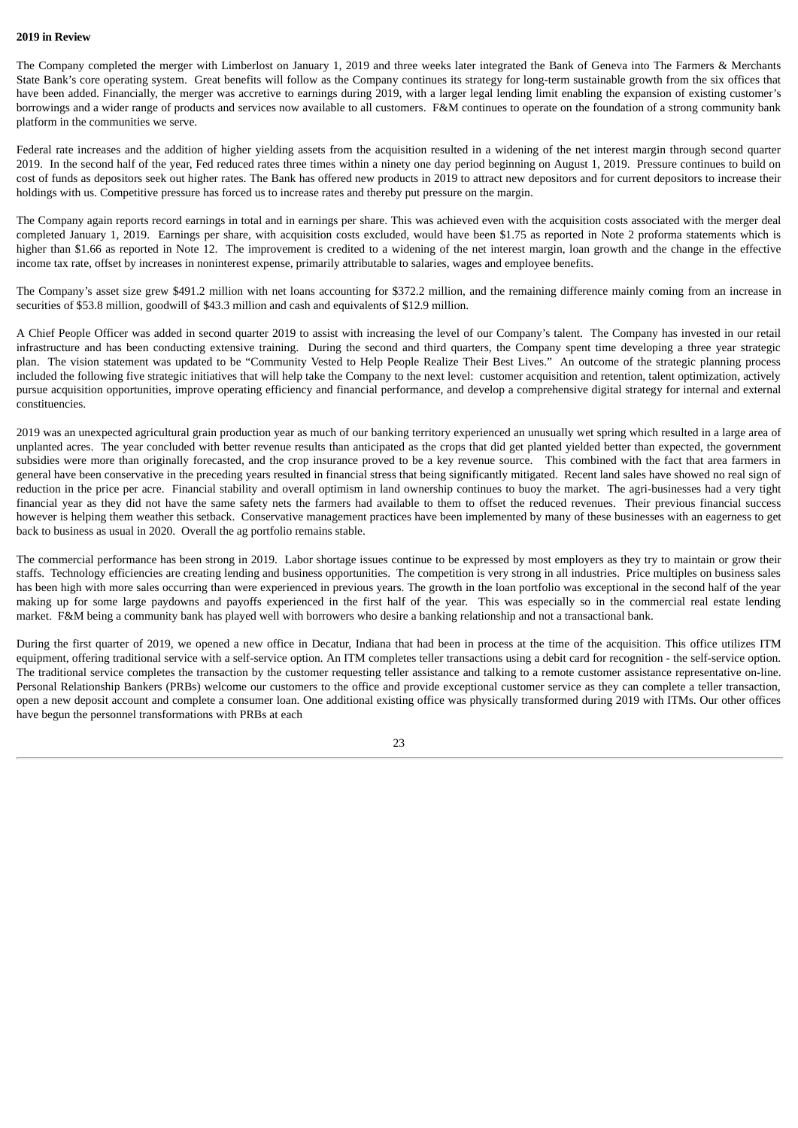#### **2019 in Review**

The Company completed the merger with Limberlost on January 1, 2019 and three weeks later integrated the Bank of Geneva into The Farmers & Merchants State Bank's core operating system. Great benefits will follow as the Company continues its strategy for long-term sustainable growth from the six offices that have been added. Financially, the merger was accretive to earnings during 2019, with a larger legal lending limit enabling the expansion of existing customer's borrowings and a wider range of products and services now available to all customers. F&M continues to operate on the foundation of a strong community bank platform in the communities we serve.

Federal rate increases and the addition of higher yielding assets from the acquisition resulted in a widening of the net interest margin through second quarter 2019. In the second half of the year, Fed reduced rates three times within a ninety one day period beginning on August 1, 2019. Pressure continues to build on cost of funds as depositors seek out higher rates. The Bank has offered new products in 2019 to attract new depositors and for current depositors to increase their holdings with us. Competitive pressure has forced us to increase rates and thereby put pressure on the margin.

The Company again reports record earnings in total and in earnings per share. This was achieved even with the acquisition costs associated with the merger deal completed January 1, 2019. Earnings per share, with acquisition costs excluded, would have been \$1.75 as reported in Note 2 proforma statements which is higher than \$1.66 as reported in Note 12. The improvement is credited to a widening of the net interest margin, loan growth and the change in the effective income tax rate, offset by increases in noninterest expense, primarily attributable to salaries, wages and employee benefits.

The Company's asset size grew \$491.2 million with net loans accounting for \$372.2 million, and the remaining difference mainly coming from an increase in securities of \$53.8 million, goodwill of \$43.3 million and cash and equivalents of \$12.9 million.

A Chief People Officer was added in second quarter 2019 to assist with increasing the level of our Company's talent. The Company has invested in our retail infrastructure and has been conducting extensive training. During the second and third quarters, the Company spent time developing a three year strategic plan. The vision statement was updated to be "Community Vested to Help People Realize Their Best Lives." An outcome of the strategic planning process included the following five strategic initiatives that will help take the Company to the next level: customer acquisition and retention, talent optimization, actively pursue acquisition opportunities, improve operating efficiency and financial performance, and develop a comprehensive digital strategy for internal and external constituencies.

2019 was an unexpected agricultural grain production year as much of our banking territory experienced an unusually wet spring which resulted in a large area of unplanted acres. The year concluded with better revenue results than anticipated as the crops that did get planted yielded better than expected, the government subsidies were more than originally forecasted, and the crop insurance proved to be a key revenue source. This combined with the fact that area farmers in general have been conservative in the preceding years resulted in financial stress that being significantly mitigated. Recent land sales have showed no real sign of reduction in the price per acre. Financial stability and overall optimism in land ownership continues to buoy the market. The agri-businesses had a very tight financial year as they did not have the same safety nets the farmers had available to them to offset the reduced revenues. Their previous financial success however is helping them weather this setback. Conservative management practices have been implemented by many of these businesses with an eagerness to get back to business as usual in 2020. Overall the ag portfolio remains stable.

The commercial performance has been strong in 2019. Labor shortage issues continue to be expressed by most employers as they try to maintain or grow their staffs. Technology efficiencies are creating lending and business opportunities. The competition is very strong in all industries. Price multiples on business sales has been high with more sales occurring than were experienced in previous years. The growth in the loan portfolio was exceptional in the second half of the year making up for some large paydowns and payoffs experienced in the first half of the year. This was especially so in the commercial real estate lending market. F&M being a community bank has played well with borrowers who desire a banking relationship and not a transactional bank.

During the first quarter of 2019, we opened a new office in Decatur, Indiana that had been in process at the time of the acquisition. This office utilizes ITM equipment, offering traditional service with a self-service option. An ITM completes teller transactions using a debit card for recognition - the self-service option. The traditional service completes the transaction by the customer requesting teller assistance and talking to a remote customer assistance representative on-line. Personal Relationship Bankers (PRBs) welcome our customers to the office and provide exceptional customer service as they can complete a teller transaction, open a new deposit account and complete a consumer loan. One additional existing office was physically transformed during 2019 with ITMs. Our other offices have begun the personnel transformations with PRBs at each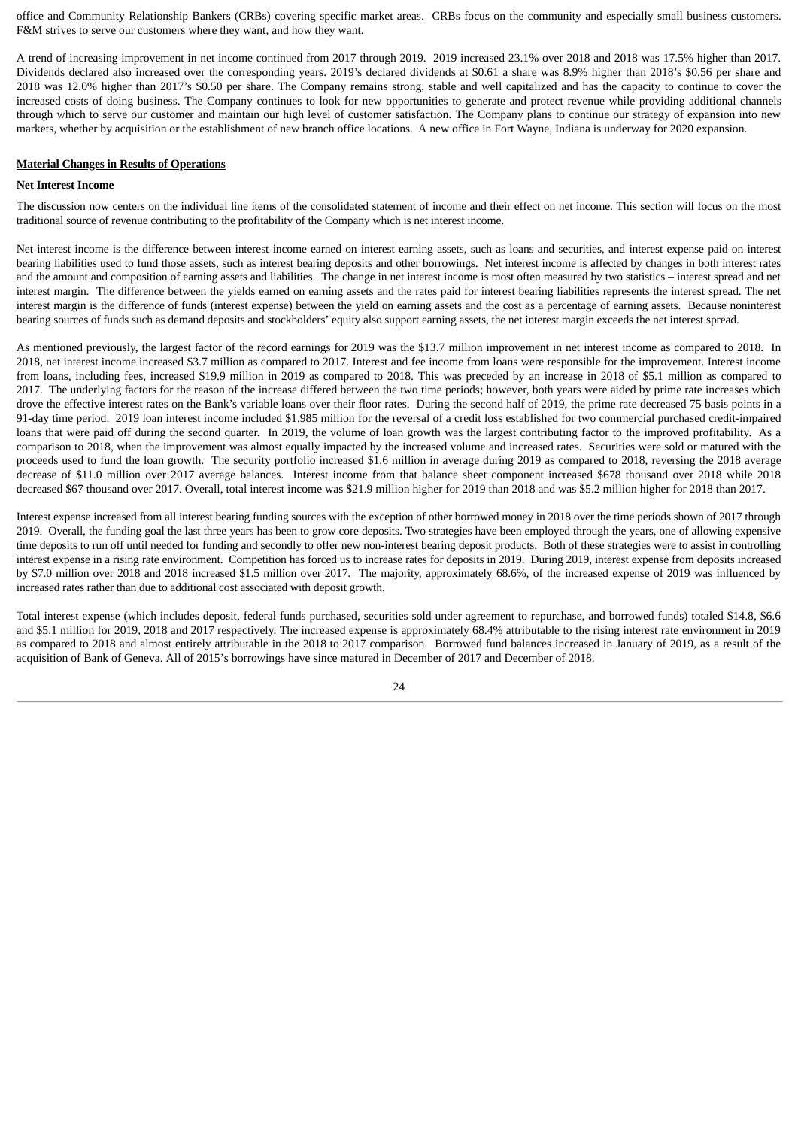office and Community Relationship Bankers (CRBs) covering specific market areas. CRBs focus on the community and especially small business customers. F&M strives to serve our customers where they want, and how they want.

A trend of increasing improvement in net income continued from 2017 through 2019. 2019 increased 23.1% over 2018 and 2018 was 17.5% higher than 2017. Dividends declared also increased over the corresponding years. 2019's declared dividends at \$0.61 a share was 8.9% higher than 2018's \$0.56 per share and 2018 was 12.0% higher than 2017's \$0.50 per share. The Company remains strong, stable and well capitalized and has the capacity to continue to cover the increased costs of doing business. The Company continues to look for new opportunities to generate and protect revenue while providing additional channels through which to serve our customer and maintain our high level of customer satisfaction. The Company plans to continue our strategy of expansion into new markets, whether by acquisition or the establishment of new branch office locations. A new office in Fort Wayne, Indiana is underway for 2020 expansion.

## **Material Changes in Results of Operations**

## **Net Interest Income**

The discussion now centers on the individual line items of the consolidated statement of income and their effect on net income. This section will focus on the most traditional source of revenue contributing to the profitability of the Company which is net interest income.

Net interest income is the difference between interest income earned on interest earning assets, such as loans and securities, and interest expense paid on interest bearing liabilities used to fund those assets, such as interest bearing deposits and other borrowings. Net interest income is affected by changes in both interest rates and the amount and composition of earning assets and liabilities. The change in net interest income is most often measured by two statistics – interest spread and net interest margin. The difference between the yields earned on earning assets and the rates paid for interest bearing liabilities represents the interest spread. The net interest margin is the difference of funds (interest expense) between the yield on earning assets and the cost as a percentage of earning assets. Because noninterest bearing sources of funds such as demand deposits and stockholders' equity also support earning assets, the net interest margin exceeds the net interest spread.

As mentioned previously, the largest factor of the record earnings for 2019 was the \$13.7 million improvement in net interest income as compared to 2018. In 2018, net interest income increased \$3.7 million as compared to 2017. Interest and fee income from loans were responsible for the improvement. Interest income from loans, including fees, increased \$19.9 million in 2019 as compared to 2018. This was preceded by an increase in 2018 of \$5.1 million as compared to 2017. The underlying factors for the reason of the increase differed between the two time periods; however, both years were aided by prime rate increases which drove the effective interest rates on the Bank's variable loans over their floor rates. During the second half of 2019, the prime rate decreased 75 basis points in a 91-day time period. 2019 loan interest income included \$1.985 million for the reversal of a credit loss established for two commercial purchased credit-impaired loans that were paid off during the second quarter. In 2019, the volume of loan growth was the largest contributing factor to the improved profitability. As a comparison to 2018, when the improvement was almost equally impacted by the increased volume and increased rates. Securities were sold or matured with the proceeds used to fund the loan growth. The security portfolio increased \$1.6 million in average during 2019 as compared to 2018, reversing the 2018 average decrease of \$11.0 million over 2017 average balances. Interest income from that balance sheet component increased \$678 thousand over 2018 while 2018 decreased \$67 thousand over 2017. Overall, total interest income was \$21.9 million higher for 2019 than 2018 and was \$5.2 million higher for 2018 than 2017.

Interest expense increased from all interest bearing funding sources with the exception of other borrowed money in 2018 over the time periods shown of 2017 through 2019. Overall, the funding goal the last three years has been to grow core deposits. Two strategies have been employed through the years, one of allowing expensive time deposits to run off until needed for funding and secondly to offer new non-interest bearing deposit products. Both of these strategies were to assist in controlling interest expense in a rising rate environment. Competition has forced us to increase rates for deposits in 2019. During 2019, interest expense from deposits increased by \$7.0 million over 2018 and 2018 increased \$1.5 million over 2017. The majority, approximately 68.6%, of the increased expense of 2019 was influenced by increased rates rather than due to additional cost associated with deposit growth.

Total interest expense (which includes deposit, federal funds purchased, securities sold under agreement to repurchase, and borrowed funds) totaled \$14.8, \$6.6 and \$5.1 million for 2019, 2018 and 2017 respectively. The increased expense is approximately 68.4% attributable to the rising interest rate environment in 2019 as compared to 2018 and almost entirely attributable in the 2018 to 2017 comparison. Borrowed fund balances increased in January of 2019, as a result of the acquisition of Bank of Geneva. All of 2015's borrowings have since matured in December of 2017 and December of 2018.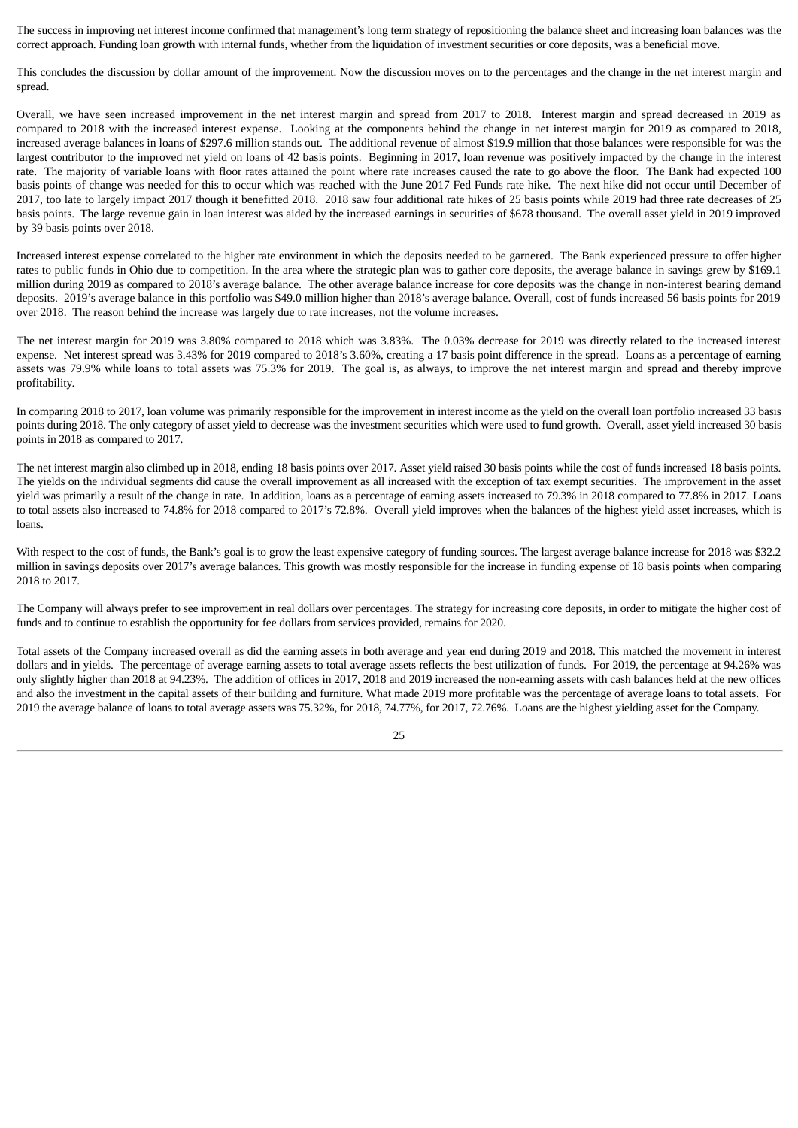The success in improving net interest income confirmed that management's long term strategy of repositioning the balance sheet and increasing loan balances was the correct approach. Funding loan growth with internal funds, whether from the liquidation of investment securities or core deposits, was a beneficial move.

This concludes the discussion by dollar amount of the improvement. Now the discussion moves on to the percentages and the change in the net interest margin and spread.

Overall, we have seen increased improvement in the net interest margin and spread from 2017 to 2018. Interest margin and spread decreased in 2019 as compared to 2018 with the increased interest expense. Looking at the components behind the change in net interest margin for 2019 as compared to 2018, increased average balances in loans of \$297.6 million stands out. The additional revenue of almost \$19.9 million that those balances were responsible for was the largest contributor to the improved net yield on loans of 42 basis points. Beginning in 2017, loan revenue was positively impacted by the change in the interest rate. The majority of variable loans with floor rates attained the point where rate increases caused the rate to go above the floor. The Bank had expected 100 basis points of change was needed for this to occur which was reached with the June 2017 Fed Funds rate hike. The next hike did not occur until December of 2017, too late to largely impact 2017 though it benefitted 2018. 2018 saw four additional rate hikes of 25 basis points while 2019 had three rate decreases of 25 basis points. The large revenue gain in loan interest was aided by the increased earnings in securities of \$678 thousand. The overall asset yield in 2019 improved by 39 basis points over 2018.

Increased interest expense correlated to the higher rate environment in which the deposits needed to be garnered. The Bank experienced pressure to offer higher rates to public funds in Ohio due to competition. In the area where the strategic plan was to gather core deposits, the average balance in savings grew by \$169.1 million during 2019 as compared to 2018's average balance. The other average balance increase for core deposits was the change in non-interest bearing demand deposits. 2019's average balance in this portfolio was \$49.0 million higher than 2018's average balance. Overall, cost of funds increased 56 basis points for 2019 over 2018. The reason behind the increase was largely due to rate increases, not the volume increases.

The net interest margin for 2019 was 3.80% compared to 2018 which was 3.83%. The 0.03% decrease for 2019 was directly related to the increased interest expense. Net interest spread was 3.43% for 2019 compared to 2018's 3.60%, creating a 17 basis point difference in the spread. Loans as a percentage of earning assets was 79.9% while loans to total assets was 75.3% for 2019. The goal is, as always, to improve the net interest margin and spread and thereby improve profitability.

In comparing 2018 to 2017, loan volume was primarily responsible for the improvement in interest income as the yield on the overall loan portfolio increased 33 basis points during 2018. The only category of asset yield to decrease was the investment securities which were used to fund growth. Overall, asset yield increased 30 basis points in 2018 as compared to 2017.

The net interest margin also climbed up in 2018, ending 18 basis points over 2017. Asset yield raised 30 basis points while the cost of funds increased 18 basis points. The yields on the individual segments did cause the overall improvement as all increased with the exception of tax exempt securities. The improvement in the asset yield was primarily a result of the change in rate. In addition, loans as a percentage of earning assets increased to 79.3% in 2018 compared to 77.8% in 2017. Loans to total assets also increased to 74.8% for 2018 compared to 2017's 72.8%. Overall yield improves when the balances of the highest yield asset increases, which is loans.

With respect to the cost of funds, the Bank's goal is to grow the least expensive category of funding sources. The largest average balance increase for 2018 was \$32.2 million in savings deposits over 2017's average balances. This growth was mostly responsible for the increase in funding expense of 18 basis points when comparing 2018 to 2017.

The Company will always prefer to see improvement in real dollars over percentages. The strategy for increasing core deposits, in order to mitigate the higher cost of funds and to continue to establish the opportunity for fee dollars from services provided, remains for 2020.

Total assets of the Company increased overall as did the earning assets in both average and year end during 2019 and 2018. This matched the movement in interest dollars and in yields. The percentage of average earning assets to total average assets reflects the best utilization of funds. For 2019, the percentage at 94.26% was only slightly higher than 2018 at 94.23%. The addition of offices in 2017, 2018 and 2019 increased the non-earning assets with cash balances held at the new offices and also the investment in the capital assets of their building and furniture. What made 2019 more profitable was the percentage of average loans to total assets. For 2019 the average balance of loans to total average assets was 75.32%, for 2018, 74.77%, for 2017, 72.76%. Loans are the highest yielding asset for the Company.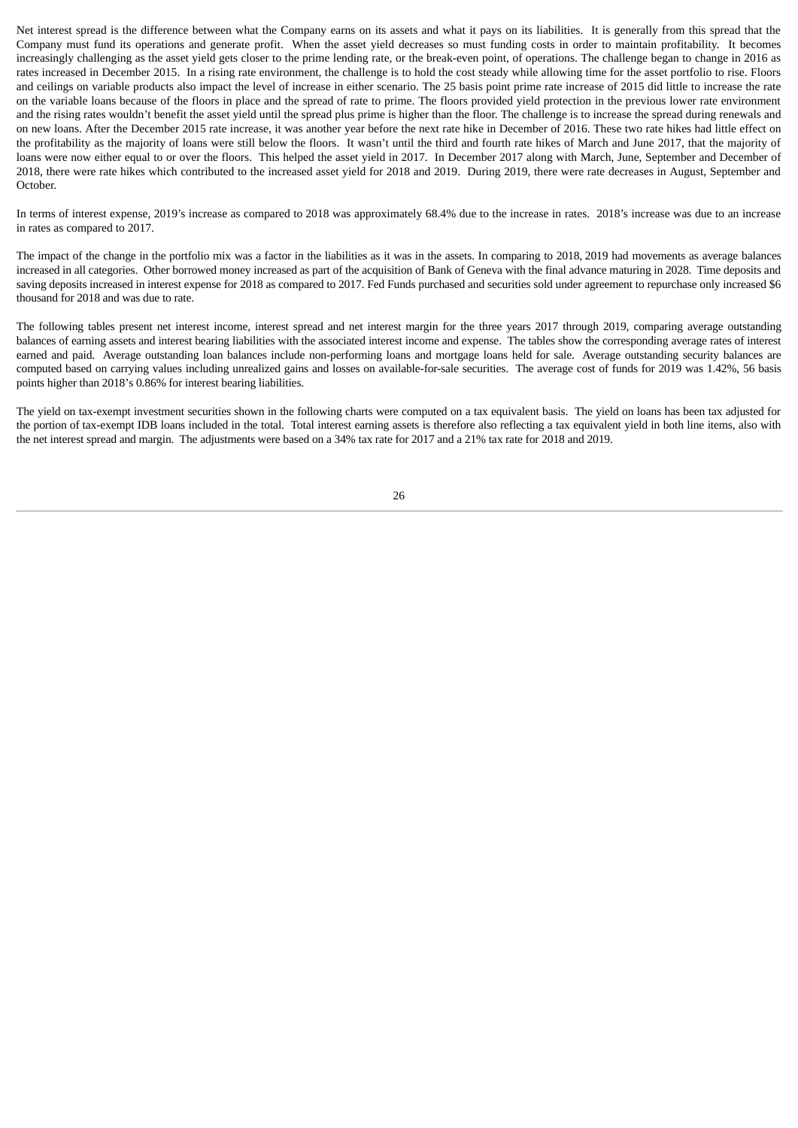Net interest spread is the difference between what the Company earns on its assets and what it pays on its liabilities. It is generally from this spread that the Company must fund its operations and generate profit. When the asset yield decreases so must funding costs in order to maintain profitability. It becomes increasingly challenging as the asset yield gets closer to the prime lending rate, or the break-even point, of operations. The challenge began to change in 2016 as rates increased in December 2015. In a rising rate environment, the challenge is to hold the cost steady while allowing time for the asset portfolio to rise. Floors and ceilings on variable products also impact the level of increase in either scenario. The 25 basis point prime rate increase of 2015 did little to increase the rate on the variable loans because of the floors in place and the spread of rate to prime. The floors provided yield protection in the previous lower rate environment and the rising rates wouldn't benefit the asset yield until the spread plus prime is higher than the floor. The challenge is to increase the spread during renewals and on new loans. After the December 2015 rate increase, it was another year before the next rate hike in December of 2016. These two rate hikes had little effect on the profitability as the majority of loans were still below the floors. It wasn't until the third and fourth rate hikes of March and June 2017, that the majority of loans were now either equal to or over the floors. This helped the asset yield in 2017. In December 2017 along with March, June, September and December of 2018, there were rate hikes which contributed to the increased asset yield for 2018 and 2019. During 2019, there were rate decreases in August, September and October.

In terms of interest expense, 2019's increase as compared to 2018 was approximately 68.4% due to the increase in rates. 2018's increase was due to an increase in rates as compared to 2017.

The impact of the change in the portfolio mix was a factor in the liabilities as it was in the assets. In comparing to 2018, 2019 had movements as average balances increased in all categories. Other borrowed money increased as part of the acquisition of Bank of Geneva with the final advance maturing in 2028. Time deposits and saving deposits increased in interest expense for 2018 as compared to 2017. Fed Funds purchased and securities sold under agreement to repurchase only increased \$6 thousand for 2018 and was due to rate.

The following tables present net interest income, interest spread and net interest margin for the three years 2017 through 2019, comparing average outstanding balances of earning assets and interest bearing liabilities with the associated interest income and expense. The tables show the corresponding average rates of interest earned and paid. Average outstanding loan balances include non-performing loans and mortgage loans held for sale. Average outstanding security balances are computed based on carrying values including unrealized gains and losses on available-for-sale securities. The average cost of funds for 2019 was 1.42%, 56 basis points higher than 2018's 0.86% for interest bearing liabilities.

The yield on tax-exempt investment securities shown in the following charts were computed on a tax equivalent basis. The yield on loans has been tax adjusted for the portion of tax-exempt IDB loans included in the total. Total interest earning assets is therefore also reflecting a tax equivalent yield in both line items, also with the net interest spread and margin. The adjustments were based on a 34% tax rate for 2017 and a 21% tax rate for 2018 and 2019.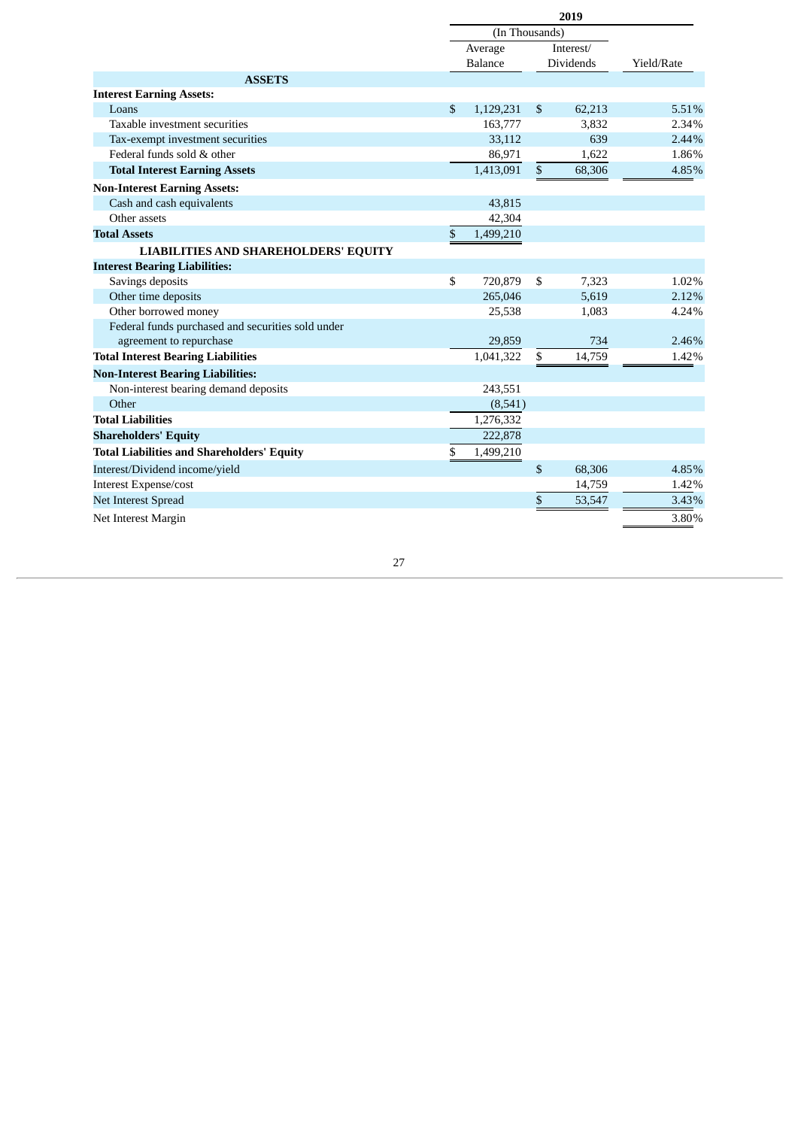|                                                   | 2019            |                           |           |            |  |  |  |
|---------------------------------------------------|-----------------|---------------------------|-----------|------------|--|--|--|
|                                                   | (In Thousands)  |                           |           |            |  |  |  |
|                                                   | Average         | Interest/                 |           |            |  |  |  |
|                                                   | <b>Balance</b>  |                           | Dividends | Yield/Rate |  |  |  |
| <b>ASSETS</b>                                     |                 |                           |           |            |  |  |  |
| <b>Interest Earning Assets:</b>                   |                 |                           |           |            |  |  |  |
| Loans                                             | \$<br>1,129,231 | $\mathbb{S}$              | 62,213    | 5.51%      |  |  |  |
| Taxable investment securities                     | 163,777         |                           | 3,832     | 2.34%      |  |  |  |
| Tax-exempt investment securities                  | 33,112          |                           | 639       | 2.44%      |  |  |  |
| Federal funds sold & other                        | 86,971          |                           | 1,622     | 1.86%      |  |  |  |
| <b>Total Interest Earning Assets</b>              | 1,413,091       | $\boldsymbol{\mathsf{S}}$ | 68,306    | 4.85%      |  |  |  |
| <b>Non-Interest Earning Assets:</b>               |                 |                           |           |            |  |  |  |
| Cash and cash equivalents                         | 43,815          |                           |           |            |  |  |  |
| Other assets                                      | 42,304          |                           |           |            |  |  |  |
| <b>Total Assets</b>                               | \$<br>1,499,210 |                           |           |            |  |  |  |
| <b>LIABILITIES AND SHAREHOLDERS' EQUITY</b>       |                 |                           |           |            |  |  |  |
| <b>Interest Bearing Liabilities:</b>              |                 |                           |           |            |  |  |  |
| Savings deposits                                  | \$<br>720,879   | \$                        | 7,323     | 1.02%      |  |  |  |
| Other time deposits                               | 265,046         |                           | 5,619     | 2.12%      |  |  |  |
| Other borrowed money                              | 25,538          |                           | 1,083     | 4.24%      |  |  |  |
| Federal funds purchased and securities sold under |                 |                           |           |            |  |  |  |
| agreement to repurchase                           | 29,859          |                           | 734       | 2.46%      |  |  |  |
| <b>Total Interest Bearing Liabilities</b>         | 1,041,322       | \$                        | 14,759    | 1.42%      |  |  |  |
| <b>Non-Interest Bearing Liabilities:</b>          |                 |                           |           |            |  |  |  |
| Non-interest bearing demand deposits              | 243,551         |                           |           |            |  |  |  |
| Other                                             | (8,541)         |                           |           |            |  |  |  |
| <b>Total Liabilities</b>                          | 1,276,332       |                           |           |            |  |  |  |
| <b>Shareholders' Equity</b>                       | 222,878         |                           |           |            |  |  |  |
| <b>Total Liabilities and Shareholders' Equity</b> | \$<br>1,499,210 |                           |           |            |  |  |  |
| Interest/Dividend income/yield                    |                 | \$                        | 68,306    | 4.85%      |  |  |  |
| Interest Expense/cost                             |                 |                           | 14,759    | 1.42%      |  |  |  |
| Net Interest Spread                               |                 | \$                        | 53,547    | 3.43%      |  |  |  |
| Net Interest Margin                               |                 |                           |           | 3.80%      |  |  |  |
|                                                   |                 |                           |           |            |  |  |  |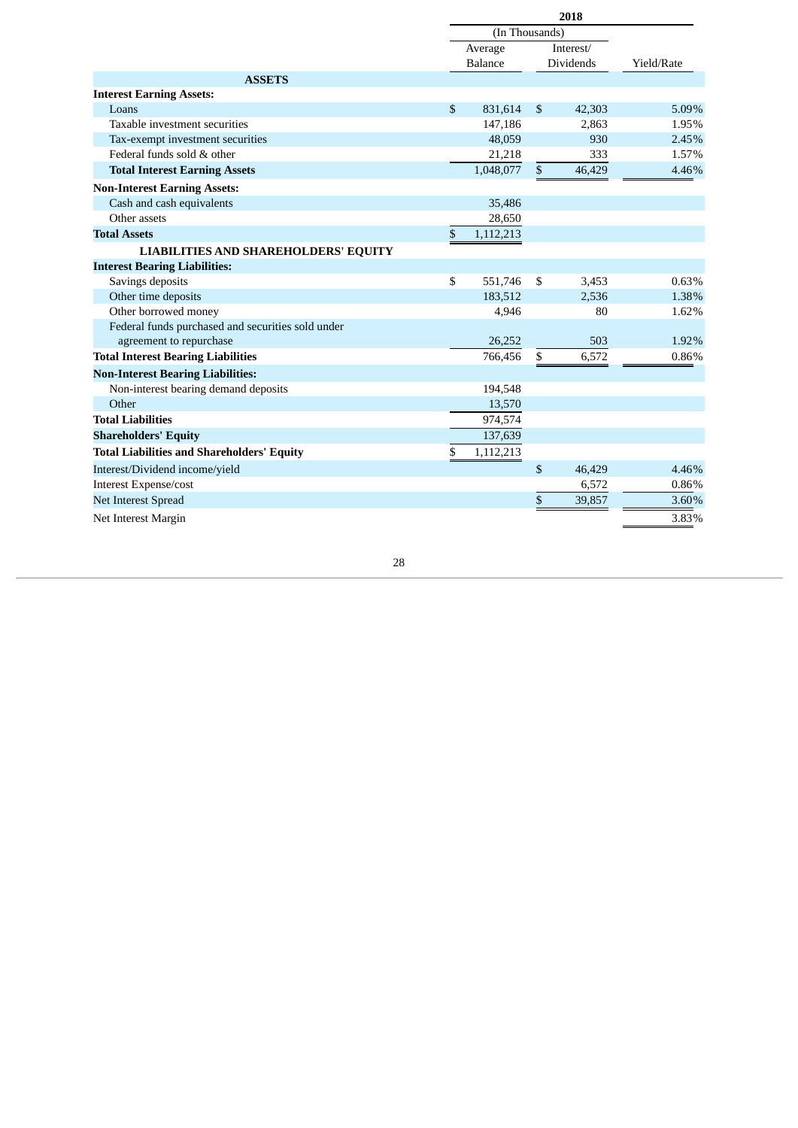| (In Thousands)<br>Interest/<br>Average<br><b>Balance</b><br>Dividends<br>Yield/Rate<br><b>ASSETS</b><br><b>Interest Earning Assets:</b><br>\$<br>$\mathbb{S}$<br>42,303<br>5.09%<br>831,614<br>Loans<br>Taxable investment securities<br>1.95%<br>147,186<br>2,863<br>Tax-exempt investment securities<br>48,059<br>930<br>2.45%<br>Federal funds sold & other<br>333<br>1.57%<br>21,218<br>\$<br>4.46%<br><b>Total Interest Earning Assets</b><br>1,048,077<br>46,429<br><b>Non-Interest Earning Assets:</b><br>Cash and cash equivalents<br>35,486<br>Other assets<br>28,650<br><b>Total Assets</b><br>\$<br>1,112,213<br><b>LIABILITIES AND SHAREHOLDERS' EQUITY</b><br><b>Interest Bearing Liabilities:</b><br>0.63%<br>Savings deposits<br>\$<br>\$<br>551.746<br>3,453<br>Other time deposits<br>1.38%<br>183,512<br>2,536<br>Other borrowed money<br>1.62%<br>4,946<br>80<br>Federal funds purchased and securities sold under<br>agreement to repurchase<br>26,252<br>503<br>1.92%<br>\$<br><b>Total Interest Bearing Liabilities</b><br>766,456<br>6,572<br>0.86%<br><b>Non-Interest Bearing Liabilities:</b><br>Non-interest bearing demand deposits<br>194,548<br>Other<br>13,570<br><b>Total Liabilities</b><br>974,574<br><b>Shareholders' Equity</b><br>137,639<br><b>Total Liabilities and Shareholders' Equity</b><br>1,112,213<br>\$<br>\$<br>Interest/Dividend income/yield<br>46,429<br>4.46%<br>Interest Expense/cost<br>0.86%<br>6,572<br>3.60%<br>Net Interest Spread<br>\$<br>39,857<br>Net Interest Margin<br>3.83% |  | 2018 |  |  |  |  |  |  |
|---------------------------------------------------------------------------------------------------------------------------------------------------------------------------------------------------------------------------------------------------------------------------------------------------------------------------------------------------------------------------------------------------------------------------------------------------------------------------------------------------------------------------------------------------------------------------------------------------------------------------------------------------------------------------------------------------------------------------------------------------------------------------------------------------------------------------------------------------------------------------------------------------------------------------------------------------------------------------------------------------------------------------------------------------------------------------------------------------------------------------------------------------------------------------------------------------------------------------------------------------------------------------------------------------------------------------------------------------------------------------------------------------------------------------------------------------------------------------------------------------------------------------------------------|--|------|--|--|--|--|--|--|
|                                                                                                                                                                                                                                                                                                                                                                                                                                                                                                                                                                                                                                                                                                                                                                                                                                                                                                                                                                                                                                                                                                                                                                                                                                                                                                                                                                                                                                                                                                                                             |  |      |  |  |  |  |  |  |
|                                                                                                                                                                                                                                                                                                                                                                                                                                                                                                                                                                                                                                                                                                                                                                                                                                                                                                                                                                                                                                                                                                                                                                                                                                                                                                                                                                                                                                                                                                                                             |  |      |  |  |  |  |  |  |
|                                                                                                                                                                                                                                                                                                                                                                                                                                                                                                                                                                                                                                                                                                                                                                                                                                                                                                                                                                                                                                                                                                                                                                                                                                                                                                                                                                                                                                                                                                                                             |  |      |  |  |  |  |  |  |
|                                                                                                                                                                                                                                                                                                                                                                                                                                                                                                                                                                                                                                                                                                                                                                                                                                                                                                                                                                                                                                                                                                                                                                                                                                                                                                                                                                                                                                                                                                                                             |  |      |  |  |  |  |  |  |
|                                                                                                                                                                                                                                                                                                                                                                                                                                                                                                                                                                                                                                                                                                                                                                                                                                                                                                                                                                                                                                                                                                                                                                                                                                                                                                                                                                                                                                                                                                                                             |  |      |  |  |  |  |  |  |
|                                                                                                                                                                                                                                                                                                                                                                                                                                                                                                                                                                                                                                                                                                                                                                                                                                                                                                                                                                                                                                                                                                                                                                                                                                                                                                                                                                                                                                                                                                                                             |  |      |  |  |  |  |  |  |
|                                                                                                                                                                                                                                                                                                                                                                                                                                                                                                                                                                                                                                                                                                                                                                                                                                                                                                                                                                                                                                                                                                                                                                                                                                                                                                                                                                                                                                                                                                                                             |  |      |  |  |  |  |  |  |
|                                                                                                                                                                                                                                                                                                                                                                                                                                                                                                                                                                                                                                                                                                                                                                                                                                                                                                                                                                                                                                                                                                                                                                                                                                                                                                                                                                                                                                                                                                                                             |  |      |  |  |  |  |  |  |
|                                                                                                                                                                                                                                                                                                                                                                                                                                                                                                                                                                                                                                                                                                                                                                                                                                                                                                                                                                                                                                                                                                                                                                                                                                                                                                                                                                                                                                                                                                                                             |  |      |  |  |  |  |  |  |
|                                                                                                                                                                                                                                                                                                                                                                                                                                                                                                                                                                                                                                                                                                                                                                                                                                                                                                                                                                                                                                                                                                                                                                                                                                                                                                                                                                                                                                                                                                                                             |  |      |  |  |  |  |  |  |
|                                                                                                                                                                                                                                                                                                                                                                                                                                                                                                                                                                                                                                                                                                                                                                                                                                                                                                                                                                                                                                                                                                                                                                                                                                                                                                                                                                                                                                                                                                                                             |  |      |  |  |  |  |  |  |
|                                                                                                                                                                                                                                                                                                                                                                                                                                                                                                                                                                                                                                                                                                                                                                                                                                                                                                                                                                                                                                                                                                                                                                                                                                                                                                                                                                                                                                                                                                                                             |  |      |  |  |  |  |  |  |
|                                                                                                                                                                                                                                                                                                                                                                                                                                                                                                                                                                                                                                                                                                                                                                                                                                                                                                                                                                                                                                                                                                                                                                                                                                                                                                                                                                                                                                                                                                                                             |  |      |  |  |  |  |  |  |
|                                                                                                                                                                                                                                                                                                                                                                                                                                                                                                                                                                                                                                                                                                                                                                                                                                                                                                                                                                                                                                                                                                                                                                                                                                                                                                                                                                                                                                                                                                                                             |  |      |  |  |  |  |  |  |
|                                                                                                                                                                                                                                                                                                                                                                                                                                                                                                                                                                                                                                                                                                                                                                                                                                                                                                                                                                                                                                                                                                                                                                                                                                                                                                                                                                                                                                                                                                                                             |  |      |  |  |  |  |  |  |
|                                                                                                                                                                                                                                                                                                                                                                                                                                                                                                                                                                                                                                                                                                                                                                                                                                                                                                                                                                                                                                                                                                                                                                                                                                                                                                                                                                                                                                                                                                                                             |  |      |  |  |  |  |  |  |
|                                                                                                                                                                                                                                                                                                                                                                                                                                                                                                                                                                                                                                                                                                                                                                                                                                                                                                                                                                                                                                                                                                                                                                                                                                                                                                                                                                                                                                                                                                                                             |  |      |  |  |  |  |  |  |
|                                                                                                                                                                                                                                                                                                                                                                                                                                                                                                                                                                                                                                                                                                                                                                                                                                                                                                                                                                                                                                                                                                                                                                                                                                                                                                                                                                                                                                                                                                                                             |  |      |  |  |  |  |  |  |
|                                                                                                                                                                                                                                                                                                                                                                                                                                                                                                                                                                                                                                                                                                                                                                                                                                                                                                                                                                                                                                                                                                                                                                                                                                                                                                                                                                                                                                                                                                                                             |  |      |  |  |  |  |  |  |
|                                                                                                                                                                                                                                                                                                                                                                                                                                                                                                                                                                                                                                                                                                                                                                                                                                                                                                                                                                                                                                                                                                                                                                                                                                                                                                                                                                                                                                                                                                                                             |  |      |  |  |  |  |  |  |
|                                                                                                                                                                                                                                                                                                                                                                                                                                                                                                                                                                                                                                                                                                                                                                                                                                                                                                                                                                                                                                                                                                                                                                                                                                                                                                                                                                                                                                                                                                                                             |  |      |  |  |  |  |  |  |
|                                                                                                                                                                                                                                                                                                                                                                                                                                                                                                                                                                                                                                                                                                                                                                                                                                                                                                                                                                                                                                                                                                                                                                                                                                                                                                                                                                                                                                                                                                                                             |  |      |  |  |  |  |  |  |
|                                                                                                                                                                                                                                                                                                                                                                                                                                                                                                                                                                                                                                                                                                                                                                                                                                                                                                                                                                                                                                                                                                                                                                                                                                                                                                                                                                                                                                                                                                                                             |  |      |  |  |  |  |  |  |
|                                                                                                                                                                                                                                                                                                                                                                                                                                                                                                                                                                                                                                                                                                                                                                                                                                                                                                                                                                                                                                                                                                                                                                                                                                                                                                                                                                                                                                                                                                                                             |  |      |  |  |  |  |  |  |
|                                                                                                                                                                                                                                                                                                                                                                                                                                                                                                                                                                                                                                                                                                                                                                                                                                                                                                                                                                                                                                                                                                                                                                                                                                                                                                                                                                                                                                                                                                                                             |  |      |  |  |  |  |  |  |
|                                                                                                                                                                                                                                                                                                                                                                                                                                                                                                                                                                                                                                                                                                                                                                                                                                                                                                                                                                                                                                                                                                                                                                                                                                                                                                                                                                                                                                                                                                                                             |  |      |  |  |  |  |  |  |
|                                                                                                                                                                                                                                                                                                                                                                                                                                                                                                                                                                                                                                                                                                                                                                                                                                                                                                                                                                                                                                                                                                                                                                                                                                                                                                                                                                                                                                                                                                                                             |  |      |  |  |  |  |  |  |
|                                                                                                                                                                                                                                                                                                                                                                                                                                                                                                                                                                                                                                                                                                                                                                                                                                                                                                                                                                                                                                                                                                                                                                                                                                                                                                                                                                                                                                                                                                                                             |  |      |  |  |  |  |  |  |
|                                                                                                                                                                                                                                                                                                                                                                                                                                                                                                                                                                                                                                                                                                                                                                                                                                                                                                                                                                                                                                                                                                                                                                                                                                                                                                                                                                                                                                                                                                                                             |  |      |  |  |  |  |  |  |
|                                                                                                                                                                                                                                                                                                                                                                                                                                                                                                                                                                                                                                                                                                                                                                                                                                                                                                                                                                                                                                                                                                                                                                                                                                                                                                                                                                                                                                                                                                                                             |  |      |  |  |  |  |  |  |
|                                                                                                                                                                                                                                                                                                                                                                                                                                                                                                                                                                                                                                                                                                                                                                                                                                                                                                                                                                                                                                                                                                                                                                                                                                                                                                                                                                                                                                                                                                                                             |  |      |  |  |  |  |  |  |
|                                                                                                                                                                                                                                                                                                                                                                                                                                                                                                                                                                                                                                                                                                                                                                                                                                                                                                                                                                                                                                                                                                                                                                                                                                                                                                                                                                                                                                                                                                                                             |  |      |  |  |  |  |  |  |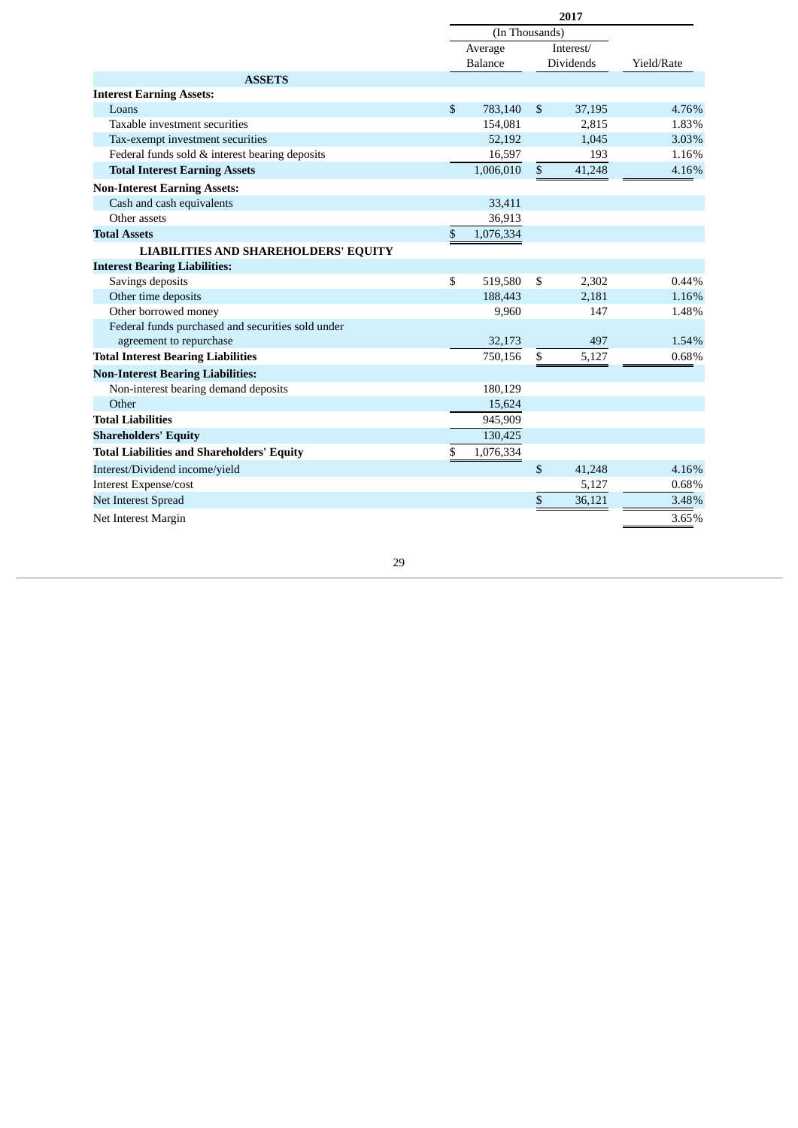|                                                   | 2017 |                |                |           |            |  |  |
|---------------------------------------------------|------|----------------|----------------|-----------|------------|--|--|
|                                                   |      | (In Thousands) |                |           |            |  |  |
|                                                   |      | Average        |                | Interest/ |            |  |  |
|                                                   |      | <b>Balance</b> |                | Dividends | Yield/Rate |  |  |
| <b>ASSETS</b>                                     |      |                |                |           |            |  |  |
| <b>Interest Earning Assets:</b>                   |      |                |                |           |            |  |  |
| Loans                                             | \$   | 783,140        | $\mathbb{S}$   | 37,195    | 4.76%      |  |  |
| Taxable investment securities                     |      | 154,081        |                | 2,815     | 1.83%      |  |  |
| Tax-exempt investment securities                  |      | 52,192         |                | 1,045     | 3.03%      |  |  |
| Federal funds sold & interest bearing deposits    |      | 16,597         |                | 193       | 1.16%      |  |  |
| <b>Total Interest Earning Assets</b>              |      | 1,006,010      | $\mathfrak{S}$ | 41,248    | 4.16%      |  |  |
| <b>Non-Interest Earning Assets:</b>               |      |                |                |           |            |  |  |
| Cash and cash equivalents                         |      | 33,411         |                |           |            |  |  |
| Other assets                                      |      | 36,913         |                |           |            |  |  |
| <b>Total Assets</b>                               | \$   | 1,076,334      |                |           |            |  |  |
| <b>LIABILITIES AND SHAREHOLDERS' EQUITY</b>       |      |                |                |           |            |  |  |
| <b>Interest Bearing Liabilities:</b>              |      |                |                |           |            |  |  |
| Savings deposits                                  | \$   | 519,580        | \$             | 2,302     | $0.44\%$   |  |  |
| Other time deposits                               |      | 188,443        |                | 2,181     | 1.16%      |  |  |
| Other borrowed money                              |      | 9,960          |                | 147       | 1.48%      |  |  |
| Federal funds purchased and securities sold under |      |                |                |           |            |  |  |
| agreement to repurchase                           |      | 32,173         |                | 497       | 1.54%      |  |  |
| <b>Total Interest Bearing Liabilities</b>         |      | 750,156        | \$             | 5,127     | 0.68%      |  |  |
| <b>Non-Interest Bearing Liabilities:</b>          |      |                |                |           |            |  |  |
| Non-interest bearing demand deposits              |      | 180,129        |                |           |            |  |  |
| Other                                             |      | 15,624         |                |           |            |  |  |
| <b>Total Liabilities</b>                          |      | 945,909        |                |           |            |  |  |
| <b>Shareholders' Equity</b>                       |      | 130,425        |                |           |            |  |  |
| <b>Total Liabilities and Shareholders' Equity</b> | \$   | 1,076,334      |                |           |            |  |  |
| Interest/Dividend income/yield                    |      |                | \$             | 41,248    | 4.16%      |  |  |
| Interest Expense/cost                             |      |                |                | 5,127     | 0.68%      |  |  |
| Net Interest Spread                               |      |                | \$             | 36,121    | 3.48%      |  |  |
| Net Interest Margin                               |      |                |                |           | 3.65%      |  |  |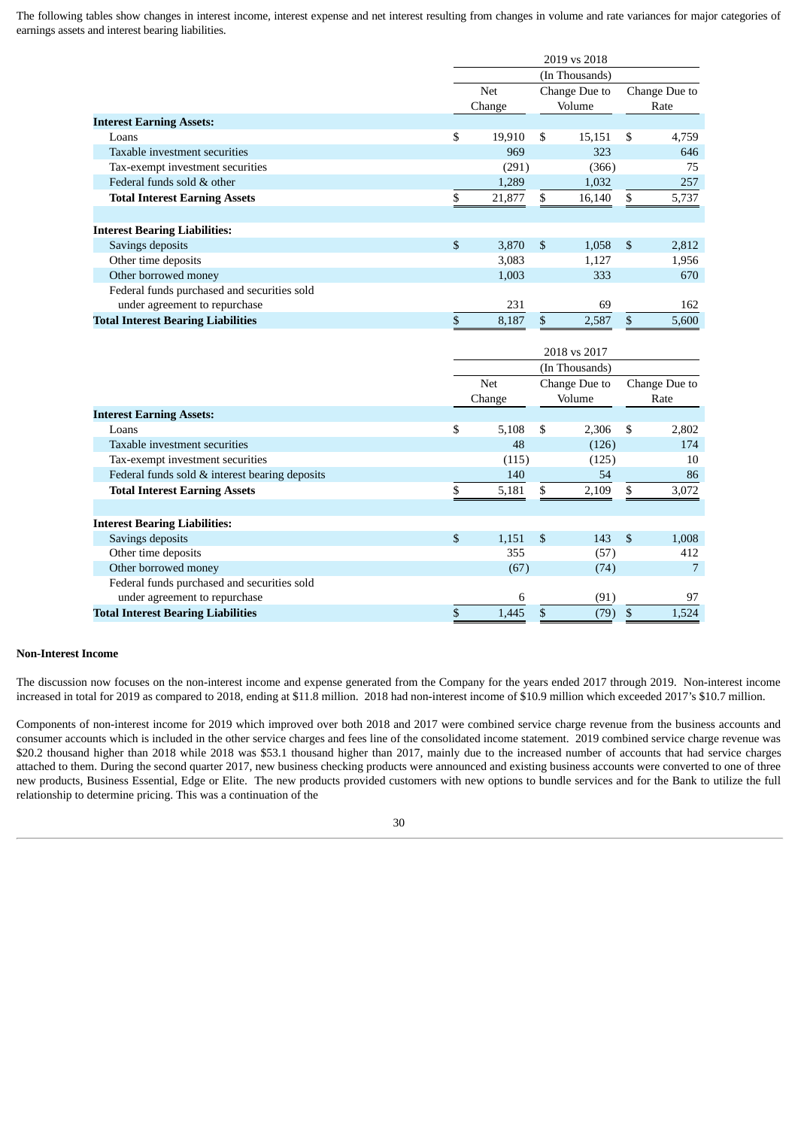The following tables show changes in interest income, interest expense and net interest resulting from changes in volume and rate variances for major categories of earnings assets and interest bearing liabilities.

|                                             | 2019 vs 2018   |            |     |               |              |               |
|---------------------------------------------|----------------|------------|-----|---------------|--------------|---------------|
|                                             | (In Thousands) |            |     |               |              |               |
|                                             |                | <b>Net</b> |     | Change Due to |              | Change Due to |
|                                             |                | Change     |     | Volume        |              | Rate          |
| <b>Interest Earning Assets:</b>             |                |            |     |               |              |               |
| Loans                                       | \$             | 19,910     | \$  | 15,151        | \$           | 4,759         |
| Taxable investment securities               |                | 969        |     | 323           |              | 646           |
| Tax-exempt investment securities            |                | (291)      |     | (366)         |              | 75            |
| Federal funds sold & other                  |                | 1,289      |     | 1,032         |              | 257           |
| <b>Total Interest Earning Assets</b>        |                | 21,877     | \$  | 16,140        | $\mathbf{s}$ | 5,737         |
|                                             |                |            |     |               |              |               |
| <b>Interest Bearing Liabilities:</b>        |                |            |     |               |              |               |
| Savings deposits                            | \$             | 3,870      | -\$ | 1,058         | - \$         | 2,812         |
| Other time deposits                         |                | 3,083      |     | 1,127         |              | 1,956         |
| Other borrowed money                        |                | 1,003      |     | 333           |              | 670           |
| Federal funds purchased and securities sold |                |            |     |               |              |               |
| under agreement to repurchase               |                | 231        |     | 69            |              | 162           |
| <b>Total Interest Bearing Liabilities</b>   | \$             | 8,187      | \$  | 2,587         | \$           | 5,600         |

|                                                | 2018 vs 2017   |        |     |               |      |                 |  |  |
|------------------------------------------------|----------------|--------|-----|---------------|------|-----------------|--|--|
|                                                | (In Thousands) |        |     |               |      |                 |  |  |
|                                                |                | Net    |     | Change Due to |      | Change Due to   |  |  |
|                                                |                | Change |     | Volume        |      | Rate            |  |  |
| <b>Interest Earning Assets:</b>                |                |        |     |               |      |                 |  |  |
| Loans                                          | \$             | 5,108  | \$. | 2,306         | \$   | 2,802           |  |  |
| Taxable investment securities                  |                | 48     |     | (126)         |      | 174             |  |  |
| Tax-exempt investment securities               |                | (115)  |     | (125)         |      | 10              |  |  |
| Federal funds sold & interest bearing deposits |                | 140    |     | 54            |      | 86              |  |  |
| <b>Total Interest Earning Assets</b>           | \$             | 5,181  | \$  | 2,109         | \$   | 3,072           |  |  |
|                                                |                |        |     |               |      |                 |  |  |
| <b>Interest Bearing Liabilities:</b>           |                |        |     |               |      |                 |  |  |
| Savings deposits                               | \$             | 1,151  | -\$ | 143           | - \$ | 1,008           |  |  |
| Other time deposits                            |                | 355    |     | (57)          |      | 412             |  |  |
| Other borrowed money                           |                | (67)   |     | (74)          |      | $7\phantom{.0}$ |  |  |
| Federal funds purchased and securities sold    |                |        |     |               |      |                 |  |  |
| under agreement to repurchase                  |                | 6      |     | (91)          |      | 97              |  |  |
| <b>Total Interest Bearing Liabilities</b>      | \$             | 1,445  | \$  | (79)          | S    | 1,524           |  |  |

## **Non-Interest Income**

The discussion now focuses on the non-interest income and expense generated from the Company for the years ended 2017 through 2019. Non-interest income increased in total for 2019 as compared to 2018, ending at \$11.8 million. 2018 had non-interest income of \$10.9 million which exceeded 2017's \$10.7 million.

Components of non-interest income for 2019 which improved over both 2018 and 2017 were combined service charge revenue from the business accounts and consumer accounts which is included in the other service charges and fees line of the consolidated income statement. 2019 combined service charge revenue was \$20.2 thousand higher than 2018 while 2018 was \$53.1 thousand higher than 2017, mainly due to the increased number of accounts that had service charges attached to them. During the second quarter 2017, new business checking products were announced and existing business accounts were converted to one of three new products, Business Essential, Edge or Elite. The new products provided customers with new options to bundle services and for the Bank to utilize the full relationship to determine pricing. This was a continuation of the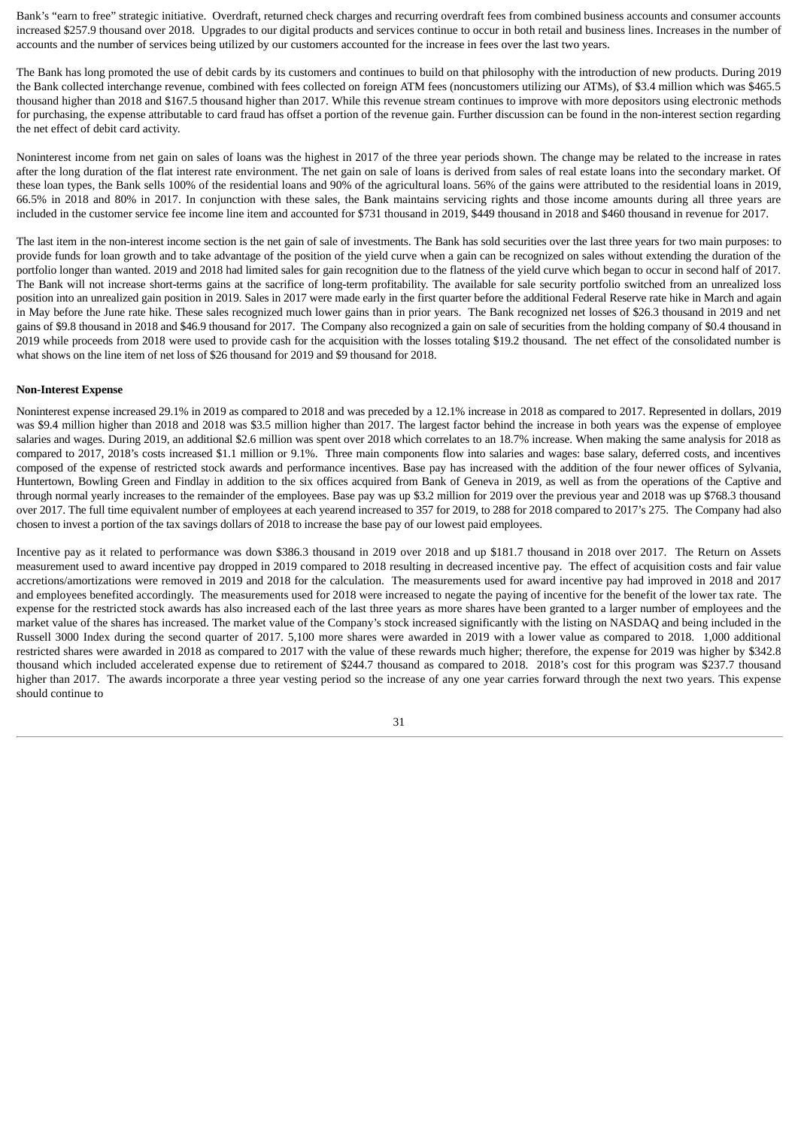Bank's "earn to free" strategic initiative. Overdraft, returned check charges and recurring overdraft fees from combined business accounts and consumer accounts increased \$257.9 thousand over 2018. Upgrades to our digital products and services continue to occur in both retail and business lines. Increases in the number of accounts and the number of services being utilized by our customers accounted for the increase in fees over the last two years.

The Bank has long promoted the use of debit cards by its customers and continues to build on that philosophy with the introduction of new products. During 2019 the Bank collected interchange revenue, combined with fees collected on foreign ATM fees (noncustomers utilizing our ATMs), of \$3.4 million which was \$465.5 thousand higher than 2018 and \$167.5 thousand higher than 2017. While this revenue stream continues to improve with more depositors using electronic methods for purchasing, the expense attributable to card fraud has offset a portion of the revenue gain. Further discussion can be found in the non-interest section regarding the net effect of debit card activity.

Noninterest income from net gain on sales of loans was the highest in 2017 of the three year periods shown. The change may be related to the increase in rates after the long duration of the flat interest rate environment. The net gain on sale of loans is derived from sales of real estate loans into the secondary market. Of these loan types, the Bank sells 100% of the residential loans and 90% of the agricultural loans. 56% of the gains were attributed to the residential loans in 2019, 66.5% in 2018 and 80% in 2017. In conjunction with these sales, the Bank maintains servicing rights and those income amounts during all three years are included in the customer service fee income line item and accounted for \$731 thousand in 2019, \$449 thousand in 2018 and \$460 thousand in revenue for 2017.

The last item in the non-interest income section is the net gain of sale of investments. The Bank has sold securities over the last three years for two main purposes: to provide funds for loan growth and to take advantage of the position of the yield curve when a gain can be recognized on sales without extending the duration of the portfolio longer than wanted. 2019 and 2018 had limited sales for gain recognition due to the flatness of the yield curve which began to occur in second half of 2017. The Bank will not increase short-terms gains at the sacrifice of long-term profitability. The available for sale security portfolio switched from an unrealized loss position into an unrealized gain position in 2019. Sales in 2017 were made early in the first quarter before the additional Federal Reserve rate hike in March and again in May before the June rate hike. These sales recognized much lower gains than in prior years. The Bank recognized net losses of \$26.3 thousand in 2019 and net gains of \$9.8 thousand in 2018 and \$46.9 thousand for 2017. The Company also recognized a gain on sale of securities from the holding company of \$0.4 thousand in 2019 while proceeds from 2018 were used to provide cash for the acquisition with the losses totaling \$19.2 thousand. The net effect of the consolidated number is what shows on the line item of net loss of \$26 thousand for 2019 and \$9 thousand for 2018.

## **Non-Interest Expense**

Noninterest expense increased 29.1% in 2019 as compared to 2018 and was preceded by a 12.1% increase in 2018 as compared to 2017. Represented in dollars, 2019 was \$9.4 million higher than 2018 and 2018 was \$3.5 million higher than 2017. The largest factor behind the increase in both years was the expense of employee salaries and wages. During 2019, an additional \$2.6 million was spent over 2018 which correlates to an 18.7% increase. When making the same analysis for 2018 as compared to 2017, 2018's costs increased \$1.1 million or 9.1%. Three main components flow into salaries and wages: base salary, deferred costs, and incentives composed of the expense of restricted stock awards and performance incentives. Base pay has increased with the addition of the four newer offices of Sylvania, Huntertown, Bowling Green and Findlay in addition to the six offices acquired from Bank of Geneva in 2019, as well as from the operations of the Captive and through normal yearly increases to the remainder of the employees. Base pay was up \$3.2 million for 2019 over the previous year and 2018 was up \$768.3 thousand over 2017. The full time equivalent number of employees at each yearend increased to 357 for 2019, to 288 for 2018 compared to 2017's 275. The Company had also chosen to invest a portion of the tax savings dollars of 2018 to increase the base pay of our lowest paid employees.

Incentive pay as it related to performance was down \$386.3 thousand in 2019 over 2018 and up \$181.7 thousand in 2018 over 2017. The Return on Assets measurement used to award incentive pay dropped in 2019 compared to 2018 resulting in decreased incentive pay. The effect of acquisition costs and fair value accretions/amortizations were removed in 2019 and 2018 for the calculation. The measurements used for award incentive pay had improved in 2018 and 2017 and employees benefited accordingly. The measurements used for 2018 were increased to negate the paying of incentive for the benefit of the lower tax rate. The expense for the restricted stock awards has also increased each of the last three years as more shares have been granted to a larger number of employees and the market value of the shares has increased. The market value of the Company's stock increased significantly with the listing on NASDAQ and being included in the Russell 3000 Index during the second quarter of 2017. 5,100 more shares were awarded in 2019 with a lower value as compared to 2018. 1,000 additional restricted shares were awarded in 2018 as compared to 2017 with the value of these rewards much higher; therefore, the expense for 2019 was higher by \$342.8 thousand which included accelerated expense due to retirement of \$244.7 thousand as compared to 2018. 2018's cost for this program was \$237.7 thousand higher than 2017. The awards incorporate a three year vesting period so the increase of any one year carries forward through the next two years. This expense should continue to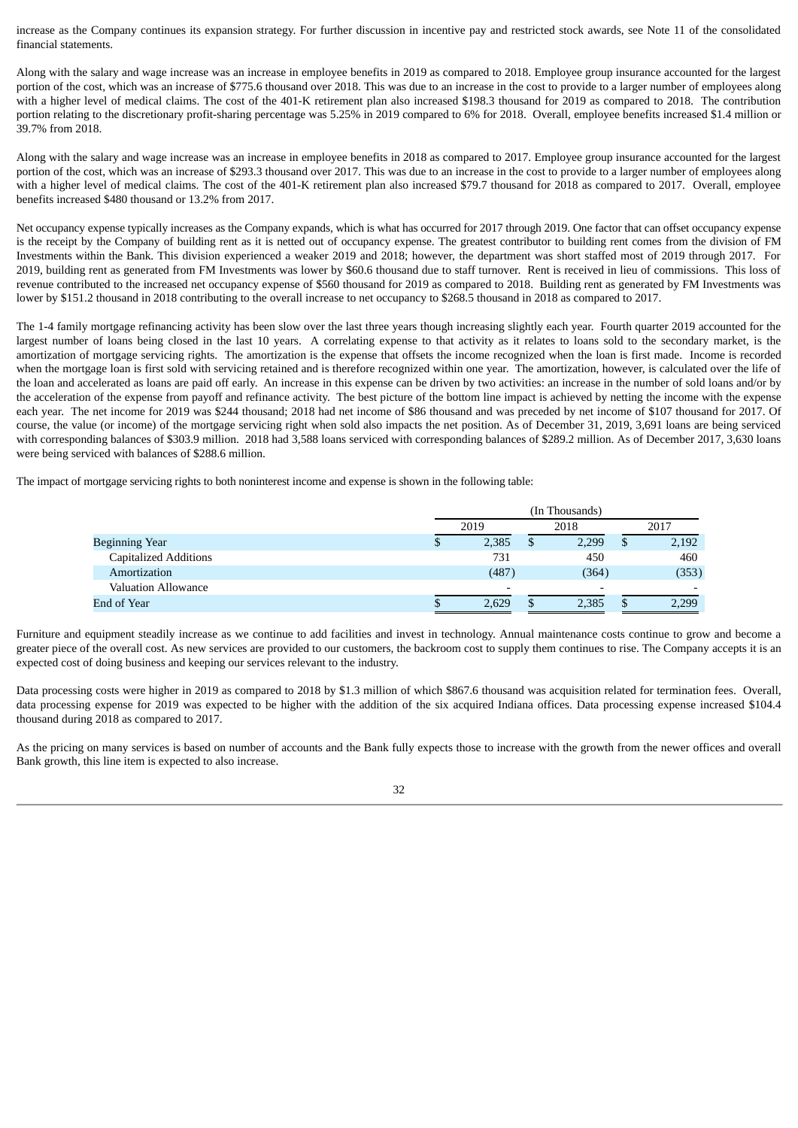increase as the Company continues its expansion strategy. For further discussion in incentive pay and restricted stock awards, see Note 11 of the consolidated financial statements.

Along with the salary and wage increase was an increase in employee benefits in 2019 as compared to 2018. Employee group insurance accounted for the largest portion of the cost, which was an increase of \$775.6 thousand over 2018. This was due to an increase in the cost to provide to a larger number of employees along with a higher level of medical claims. The cost of the 401-K retirement plan also increased \$198.3 thousand for 2019 as compared to 2018. The contribution portion relating to the discretionary profit-sharing percentage was 5.25% in 2019 compared to 6% for 2018. Overall, employee benefits increased \$1.4 million or 39.7% from 2018.

Along with the salary and wage increase was an increase in employee benefits in 2018 as compared to 2017. Employee group insurance accounted for the largest portion of the cost, which was an increase of \$293.3 thousand over 2017. This was due to an increase in the cost to provide to a larger number of employees along with a higher level of medical claims. The cost of the 401-K retirement plan also increased \$79.7 thousand for 2018 as compared to 2017. Overall, employee benefits increased \$480 thousand or 13.2% from 2017.

Net occupancy expense typically increases as the Company expands, which is what has occurred for 2017 through 2019. One factor that can offset occupancy expense is the receipt by the Company of building rent as it is netted out of occupancy expense. The greatest contributor to building rent comes from the division of FM Investments within the Bank. This division experienced a weaker 2019 and 2018; however, the department was short staffed most of 2019 through 2017. For 2019, building rent as generated from FM Investments was lower by \$60.6 thousand due to staff turnover. Rent is received in lieu of commissions. This loss of revenue contributed to the increased net occupancy expense of \$560 thousand for 2019 as compared to 2018. Building rent as generated by FM Investments was lower by \$151.2 thousand in 2018 contributing to the overall increase to net occupancy to \$268.5 thousand in 2018 as compared to 2017.

The 1-4 family mortgage refinancing activity has been slow over the last three years though increasing slightly each year. Fourth quarter 2019 accounted for the largest number of loans being closed in the last 10 years. A correlating expense to that activity as it relates to loans sold to the secondary market, is the amortization of mortgage servicing rights. The amortization is the expense that offsets the income recognized when the loan is first made. Income is recorded when the mortgage loan is first sold with servicing retained and is therefore recognized within one year. The amortization, however, is calculated over the life of the loan and accelerated as loans are paid off early. An increase in this expense can be driven by two activities: an increase in the number of sold loans and/or by the acceleration of the expense from payoff and refinance activity. The best picture of the bottom line impact is achieved by netting the income with the expense each year. The net income for 2019 was \$244 thousand; 2018 had net income of \$86 thousand and was preceded by net income of \$107 thousand for 2017. Of course, the value (or income) of the mortgage servicing right when sold also impacts the net position. As of December 31, 2019, 3,691 loans are being serviced with corresponding balances of \$303.9 million. 2018 had 3,588 loans serviced with corresponding balances of \$289.2 million. As of December 2017, 3,630 loans were being serviced with balances of \$288.6 million.

The impact of mortgage servicing rights to both noninterest income and expense is shown in the following table:

|                              | (In Thousands) |       |  |       |   |       |  |  |  |  |  |
|------------------------------|----------------|-------|--|-------|---|-------|--|--|--|--|--|
|                              |                | 2019  |  | 2018  |   | 2017  |  |  |  |  |  |
| Beginning Year               | Φ              | 2,385 |  | 2,299 | S | 2,192 |  |  |  |  |  |
| <b>Capitalized Additions</b> |                | 731   |  | 450   |   | 460   |  |  |  |  |  |
| Amortization                 |                | (487) |  | (364) |   | (353) |  |  |  |  |  |
| <b>Valuation Allowance</b>   |                | ۰     |  |       |   |       |  |  |  |  |  |
| End of Year                  |                | 2,629 |  | 2,385 | D | 2,299 |  |  |  |  |  |

Furniture and equipment steadily increase as we continue to add facilities and invest in technology. Annual maintenance costs continue to grow and become a greater piece of the overall cost. As new services are provided to our customers, the backroom cost to supply them continues to rise. The Company accepts it is an expected cost of doing business and keeping our services relevant to the industry.

Data processing costs were higher in 2019 as compared to 2018 by \$1.3 million of which \$867.6 thousand was acquisition related for termination fees. Overall, data processing expense for 2019 was expected to be higher with the addition of the six acquired Indiana offices. Data processing expense increased \$104.4 thousand during 2018 as compared to 2017.

As the pricing on many services is based on number of accounts and the Bank fully expects those to increase with the growth from the newer offices and overall Bank growth, this line item is expected to also increase.

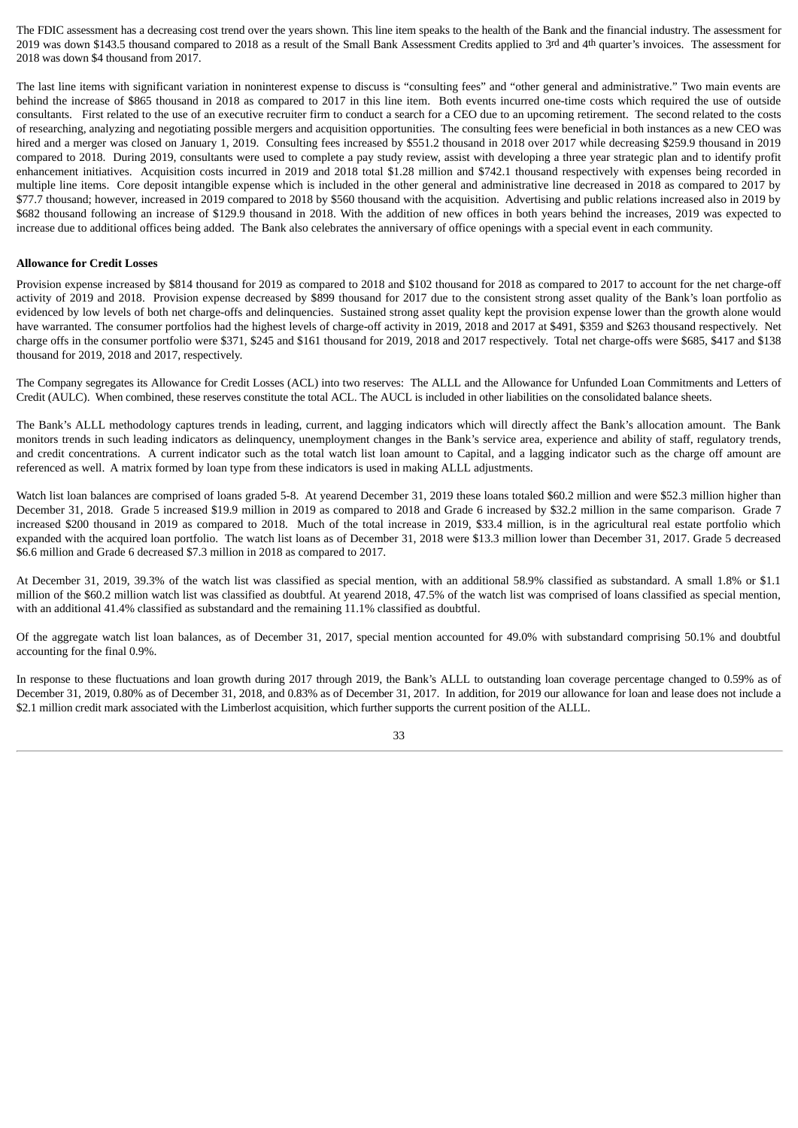The FDIC assessment has a decreasing cost trend over the years shown. This line item speaks to the health of the Bank and the financial industry. The assessment for 2019 was down \$143.5 thousand compared to 2018 as a result of the Small Bank Assessment Credits applied to 3rd and 4th quarter's invoices. The assessment for 2018 was down \$4 thousand from 2017.

The last line items with significant variation in noninterest expense to discuss is "consulting fees" and "other general and administrative." Two main events are behind the increase of \$865 thousand in 2018 as compared to 2017 in this line item. Both events incurred one-time costs which required the use of outside consultants. First related to the use of an executive recruiter firm to conduct a search for a CEO due to an upcoming retirement. The second related to the costs of researching, analyzing and negotiating possible mergers and acquisition opportunities. The consulting fees were beneficial in both instances as a new CEO was hired and a merger was closed on January 1, 2019. Consulting fees increased by \$551.2 thousand in 2018 over 2017 while decreasing \$259.9 thousand in 2019 compared to 2018. During 2019, consultants were used to complete a pay study review, assist with developing a three year strategic plan and to identify profit enhancement initiatives. Acquisition costs incurred in 2019 and 2018 total \$1.28 million and \$742.1 thousand respectively with expenses being recorded in multiple line items. Core deposit intangible expense which is included in the other general and administrative line decreased in 2018 as compared to 2017 by \$77.7 thousand; however, increased in 2019 compared to 2018 by \$560 thousand with the acquisition. Advertising and public relations increased also in 2019 by \$682 thousand following an increase of \$129.9 thousand in 2018. With the addition of new offices in both years behind the increases, 2019 was expected to increase due to additional offices being added. The Bank also celebrates the anniversary of office openings with a special event in each community.

#### **Allowance for Credit Losses**

Provision expense increased by \$814 thousand for 2019 as compared to 2018 and \$102 thousand for 2018 as compared to 2017 to account for the net charge-off activity of 2019 and 2018. Provision expense decreased by \$899 thousand for 2017 due to the consistent strong asset quality of the Bank's loan portfolio as evidenced by low levels of both net charge-offs and delinquencies. Sustained strong asset quality kept the provision expense lower than the growth alone would have warranted. The consumer portfolios had the highest levels of charge-off activity in 2019, 2018 and 2017 at \$491, \$359 and \$263 thousand respectively. Net charge offs in the consumer portfolio were \$371, \$245 and \$161 thousand for 2019, 2018 and 2017 respectively. Total net charge-offs were \$685, \$417 and \$138 thousand for 2019, 2018 and 2017, respectively.

The Company segregates its Allowance for Credit Losses (ACL) into two reserves: The ALLL and the Allowance for Unfunded Loan Commitments and Letters of Credit (AULC). When combined, these reserves constitute the total ACL. The AUCL is included in other liabilities on the consolidated balance sheets.

The Bank's ALLL methodology captures trends in leading, current, and lagging indicators which will directly affect the Bank's allocation amount. The Bank monitors trends in such leading indicators as delinquency, unemployment changes in the Bank's service area, experience and ability of staff, regulatory trends, and credit concentrations. A current indicator such as the total watch list loan amount to Capital, and a lagging indicator such as the charge off amount are referenced as well. A matrix formed by loan type from these indicators is used in making ALLL adjustments.

Watch list loan balances are comprised of loans graded 5-8. At yearend December 31, 2019 these loans totaled \$60.2 million and were \$52.3 million higher than December 31, 2018. Grade 5 increased \$19.9 million in 2019 as compared to 2018 and Grade 6 increased by \$32.2 million in the same comparison. Grade 7 increased \$200 thousand in 2019 as compared to 2018. Much of the total increase in 2019, \$33.4 million, is in the agricultural real estate portfolio which expanded with the acquired loan portfolio. The watch list loans as of December 31, 2018 were \$13.3 million lower than December 31, 2017. Grade 5 decreased \$6.6 million and Grade 6 decreased \$7.3 million in 2018 as compared to 2017.

At December 31, 2019, 39.3% of the watch list was classified as special mention, with an additional 58.9% classified as substandard. A small 1.8% or \$1.1 million of the \$60.2 million watch list was classified as doubtful. At yearend 2018, 47.5% of the watch list was comprised of loans classified as special mention, with an additional 41.4% classified as substandard and the remaining 11.1% classified as doubtful.

Of the aggregate watch list loan balances, as of December 31, 2017, special mention accounted for 49.0% with substandard comprising 50.1% and doubtful accounting for the final 0.9%.

In response to these fluctuations and loan growth during 2017 through 2019, the Bank's ALLL to outstanding loan coverage percentage changed to 0.59% as of December 31, 2019, 0.80% as of December 31, 2018, and 0.83% as of December 31, 2017. In addition, for 2019 our allowance for loan and lease does not include a \$2.1 million credit mark associated with the Limberlost acquisition, which further supports the current position of the ALLL.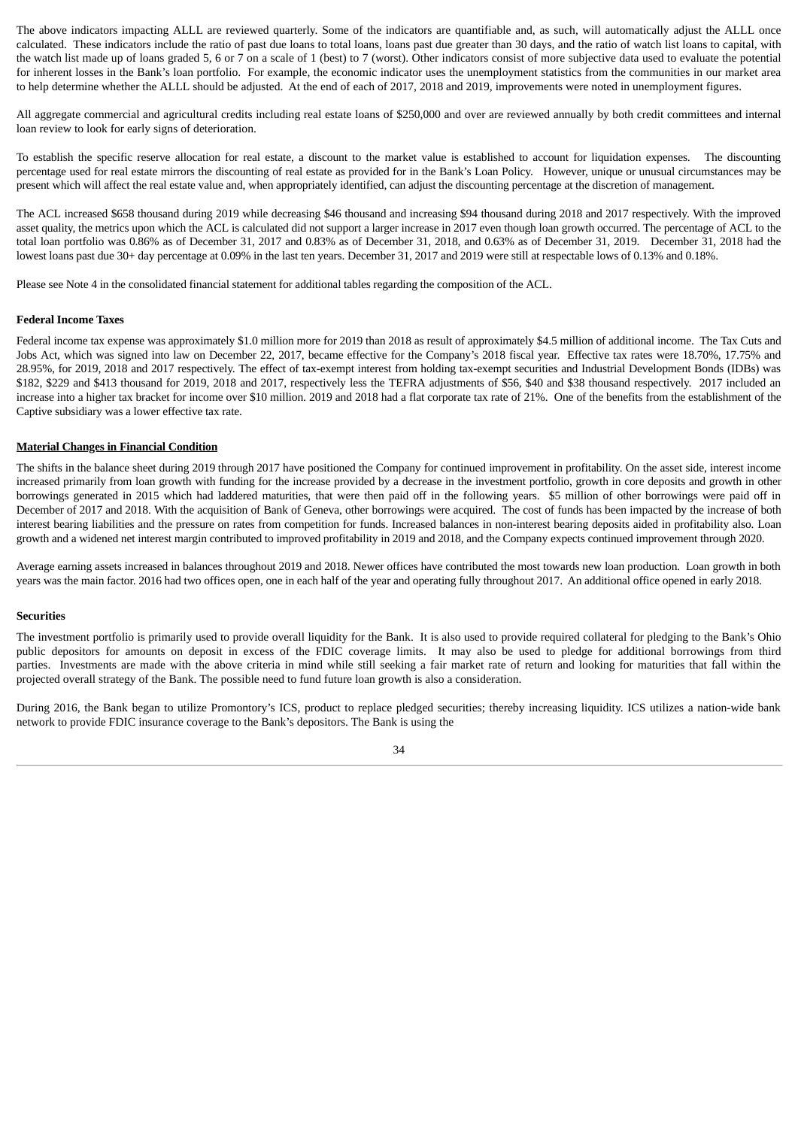The above indicators impacting ALLL are reviewed quarterly. Some of the indicators are quantifiable and, as such, will automatically adjust the ALLL once calculated. These indicators include the ratio of past due loans to total loans, loans past due greater than 30 days, and the ratio of watch list loans to capital, with the watch list made up of loans graded 5, 6 or 7 on a scale of 1 (best) to 7 (worst). Other indicators consist of more subjective data used to evaluate the potential for inherent losses in the Bank's loan portfolio. For example, the economic indicator uses the unemployment statistics from the communities in our market area to help determine whether the ALLL should be adjusted. At the end of each of 2017, 2018 and 2019, improvements were noted in unemployment figures.

All aggregate commercial and agricultural credits including real estate loans of \$250,000 and over are reviewed annually by both credit committees and internal loan review to look for early signs of deterioration.

To establish the specific reserve allocation for real estate, a discount to the market value is established to account for liquidation expenses. The discounting percentage used for real estate mirrors the discounting of real estate as provided for in the Bank's Loan Policy. However, unique or unusual circumstances may be present which will affect the real estate value and, when appropriately identified, can adjust the discounting percentage at the discretion of management.

The ACL increased \$658 thousand during 2019 while decreasing \$46 thousand and increasing \$94 thousand during 2018 and 2017 respectively. With the improved asset quality, the metrics upon which the ACL is calculated did not support a larger increase in 2017 even though loan growth occurred. The percentage of ACL to the total loan portfolio was 0.86% as of December 31, 2017 and 0.83% as of December 31, 2018, and 0.63% as of December 31, 2019. December 31, 2018 had the lowest loans past due 30+ day percentage at 0.09% in the last ten years. December 31, 2017 and 2019 were still at respectable lows of 0.13% and 0.18%.

Please see Note 4 in the consolidated financial statement for additional tables regarding the composition of the ACL.

## **Federal Income Taxes**

Federal income tax expense was approximately \$1.0 million more for 2019 than 2018 as result of approximately \$4.5 million of additional income. The Tax Cuts and Jobs Act, which was signed into law on December 22, 2017, became effective for the Company's 2018 fiscal year. Effective tax rates were 18.70%, 17.75% and 28.95%, for 2019, 2018 and 2017 respectively. The effect of tax-exempt interest from holding tax-exempt securities and Industrial Development Bonds (IDBs) was \$182, \$229 and \$413 thousand for 2019, 2018 and 2017, respectively less the TEFRA adjustments of \$56, \$40 and \$38 thousand respectively. 2017 included an increase into a higher tax bracket for income over \$10 million. 2019 and 2018 had a flat corporate tax rate of 21%. One of the benefits from the establishment of the Captive subsidiary was a lower effective tax rate.

## **Material Changes in Financial Condition**

The shifts in the balance sheet during 2019 through 2017 have positioned the Company for continued improvement in profitability. On the asset side, interest income increased primarily from loan growth with funding for the increase provided by a decrease in the investment portfolio, growth in core deposits and growth in other borrowings generated in 2015 which had laddered maturities, that were then paid off in the following years. \$5 million of other borrowings were paid off in December of 2017 and 2018. With the acquisition of Bank of Geneva, other borrowings were acquired. The cost of funds has been impacted by the increase of both interest bearing liabilities and the pressure on rates from competition for funds. Increased balances in non-interest bearing deposits aided in profitability also. Loan growth and a widened net interest margin contributed to improved profitability in 2019 and 2018, and the Company expects continued improvement through 2020.

Average earning assets increased in balances throughout 2019 and 2018. Newer offices have contributed the most towards new loan production. Loan growth in both years was the main factor. 2016 had two offices open, one in each half of the year and operating fully throughout 2017. An additional office opened in early 2018.

#### **Securities**

The investment portfolio is primarily used to provide overall liquidity for the Bank. It is also used to provide required collateral for pledging to the Bank's Ohio public depositors for amounts on deposit in excess of the FDIC coverage limits. It may also be used to pledge for additional borrowings from third parties. Investments are made with the above criteria in mind while still seeking a fair market rate of return and looking for maturities that fall within the projected overall strategy of the Bank. The possible need to fund future loan growth is also a consideration.

During 2016, the Bank began to utilize Promontory's ICS, product to replace pledged securities; thereby increasing liquidity. ICS utilizes a nation-wide bank network to provide FDIC insurance coverage to the Bank's depositors. The Bank is using the

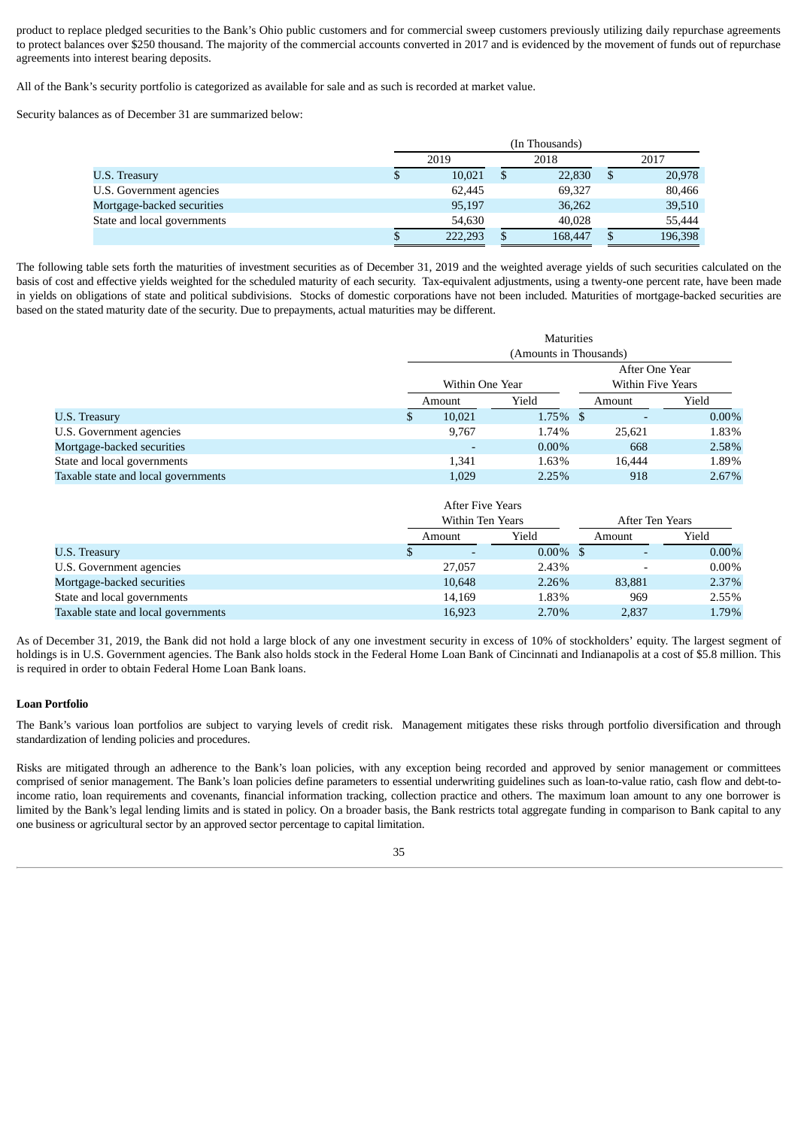product to replace pledged securities to the Bank's Ohio public customers and for commercial sweep customers previously utilizing daily repurchase agreements to protect balances over \$250 thousand. The majority of the commercial accounts converted in 2017 and is evidenced by the movement of funds out of repurchase agreements into interest bearing deposits.

All of the Bank's security portfolio is categorized as available for sale and as such is recorded at market value.

Security balances as of December 31 are summarized below:

|                             | (In Thousands) |  |         |   |         |  |  |  |  |
|-----------------------------|----------------|--|---------|---|---------|--|--|--|--|
|                             | 2019           |  | 2018    |   | 2017    |  |  |  |  |
| U.S. Treasury               | 10,021         |  | 22,830  | S | 20,978  |  |  |  |  |
| U.S. Government agencies    | 62,445         |  | 69,327  |   | 80,466  |  |  |  |  |
| Mortgage-backed securities  | 95,197         |  | 36,262  |   | 39,510  |  |  |  |  |
| State and local governments | 54,630         |  | 40,028  |   | 55,444  |  |  |  |  |
|                             | 222,293        |  | 168,447 |   | 196,398 |  |  |  |  |

The following table sets forth the maturities of investment securities as of December 31, 2019 and the weighted average yields of such securities calculated on the basis of cost and effective yields weighted for the scheduled maturity of each security. Tax-equivalent adjustments, using a twenty-one percent rate, have been made in yields on obligations of state and political subdivisions. Stocks of domestic corporations have not been included. Maturities of mortgage-backed securities are based on the stated maturity date of the security. Due to prepayments, actual maturities may be different.

|                                     |    | (Amounts in Thousands)   |             |                   |          |  |  |  |  |
|-------------------------------------|----|--------------------------|-------------|-------------------|----------|--|--|--|--|
|                                     |    |                          |             | After One Year    |          |  |  |  |  |
|                                     |    | Within One Year          |             | Within Five Years |          |  |  |  |  |
|                                     |    | Amount                   | Yield       | Amount            | Yield    |  |  |  |  |
| U.S. Treasury                       | P. | 10,021                   | $1.75\%$ \$ | -                 | $0.00\%$ |  |  |  |  |
| U.S. Government agencies            |    | 9.767                    | 1.74%       | 25,621            | 1.83%    |  |  |  |  |
| Mortgage-backed securities          |    | $\overline{\phantom{0}}$ | $0.00\%$    | 668               | 2.58%    |  |  |  |  |
| State and local governments         |    | 1,341                    | 1.63%       | 16,444            | 1.89%    |  |  |  |  |
| Taxable state and local governments |    | 1,029                    | 2.25%       | 918               | 2.67%    |  |  |  |  |

|                                     | <b>After Five Years</b><br>Within Ten Years |             | After Ten Years |          |  |  |  |  |
|-------------------------------------|---------------------------------------------|-------------|-----------------|----------|--|--|--|--|
|                                     | Amount                                      | Yield       | Amount          | Yield    |  |  |  |  |
| U.S. Treasury                       | \$                                          | $0.00\%$ \$ |                 | $0.00\%$ |  |  |  |  |
| U.S. Government agencies            | 27,057                                      | 2.43%       |                 | $0.00\%$ |  |  |  |  |
| Mortgage-backed securities          | 10,648                                      | 2.26%       | 83.881          | 2.37%    |  |  |  |  |
| State and local governments         | 14,169                                      | 1.83%       | 969             | 2.55%    |  |  |  |  |
| Taxable state and local governments | 16,923                                      | 2.70%       | 2,837           | 1.79%    |  |  |  |  |

As of December 31, 2019, the Bank did not hold a large block of any one investment security in excess of 10% of stockholders' equity. The largest segment of holdings is in U.S. Government agencies. The Bank also holds stock in the Federal Home Loan Bank of Cincinnati and Indianapolis at a cost of \$5.8 million. This is required in order to obtain Federal Home Loan Bank loans.

## **Loan Portfolio**

The Bank's various loan portfolios are subject to varying levels of credit risk. Management mitigates these risks through portfolio diversification and through standardization of lending policies and procedures.

Risks are mitigated through an adherence to the Bank's loan policies, with any exception being recorded and approved by senior management or committees comprised of senior management. The Bank's loan policies define parameters to essential underwriting guidelines such as loan-to-value ratio, cash flow and debt-toincome ratio, loan requirements and covenants, financial information tracking, collection practice and others. The maximum loan amount to any one borrower is limited by the Bank's legal lending limits and is stated in policy. On a broader basis, the Bank restricts total aggregate funding in comparison to Bank capital to any one business or agricultural sector by an approved sector percentage to capital limitation.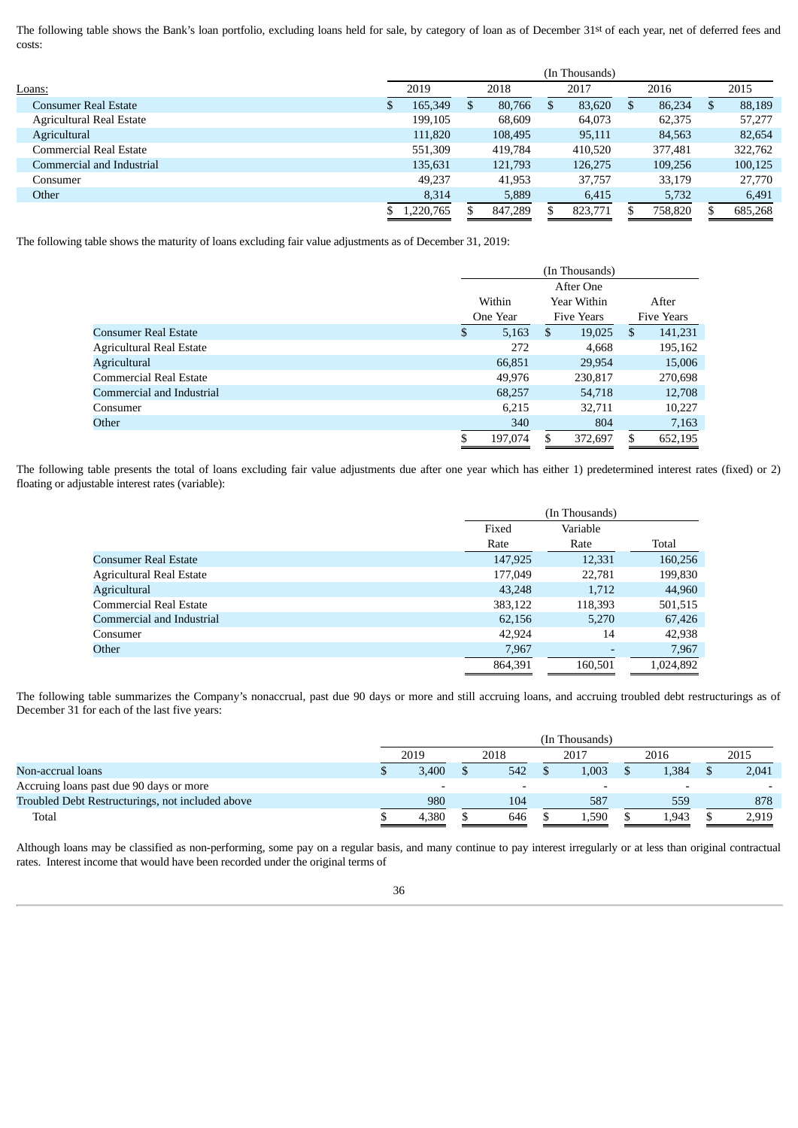The following table shows the Bank's loan portfolio, excluding loans held for sale, by category of loan as of December 31st of each year, net of deferred fees and costs:

|                           | (In Thousands) |          |   |         |   |         |   |         |   |         |
|---------------------------|----------------|----------|---|---------|---|---------|---|---------|---|---------|
| Loans:                    |                | 2019     |   | 2018    |   | 2017    |   | 2016    |   | 2015    |
| Consumer Real Estate      | S              | 165,349  | S | 80,766  | S | 83,620  | S | 86.234  | S | 88,189  |
| Agricultural Real Estate  |                | 199,105  |   | 68,609  |   | 64,073  |   | 62,375  |   | 57,277  |
| Agricultural              |                | 111,820  |   | 108,495 |   | 95,111  |   | 84,563  |   | 82,654  |
| Commercial Real Estate    |                | 551,309  |   | 419.784 |   | 410,520 |   | 377.481 |   | 322,762 |
| Commercial and Industrial |                | 135,631  |   | 121,793 |   | 126,275 |   | 109,256 |   | 100,125 |
| Consumer                  |                | 49.237   |   | 41,953  |   | 37,757  |   | 33,179  |   | 27,770  |
| Other                     |                | 8,314    |   | 5,889   |   | 6,415   |   | 5,732   |   | 6,491   |
|                           |                | ,220,765 |   | 847,289 | S | 823,771 | S | 758,820 |   | 685,268 |

The following table shows the maturity of loans excluding fair value adjustments as of December 31, 2019:

|                           |    | (In Thousands) |    |                   |                   |         |  |  |  |
|---------------------------|----|----------------|----|-------------------|-------------------|---------|--|--|--|
|                           |    | After One      |    |                   |                   |         |  |  |  |
|                           |    | Within         |    | Year Within       |                   | After   |  |  |  |
|                           |    | One Year       |    | <b>Five Years</b> | <b>Five Years</b> |         |  |  |  |
| Consumer Real Estate      | S  | 5,163          | \$ | 19,025            | \$                | 141,231 |  |  |  |
| Agricultural Real Estate  |    | 272            |    | 4,668             |                   | 195,162 |  |  |  |
| Agricultural              |    | 66,851         |    | 29,954            |                   | 15,006  |  |  |  |
| Commercial Real Estate    |    | 49,976         |    | 230,817           |                   | 270,698 |  |  |  |
| Commercial and Industrial |    | 68,257         |    | 54,718            |                   | 12,708  |  |  |  |
| Consumer                  |    | 6,215          |    | 32,711            |                   | 10,227  |  |  |  |
| Other                     |    | 340            |    | 804               |                   | 7,163   |  |  |  |
|                           | \$ | 197,074        | \$ | 372,697           | \$                | 652,195 |  |  |  |

The following table presents the total of loans excluding fair value adjustments due after one year which has either 1) predetermined interest rates (fixed) or 2) floating or adjustable interest rates (variable):

|                           |         | (In Thousands) |           |  |  |  |  |
|---------------------------|---------|----------------|-----------|--|--|--|--|
|                           | Fixed   | Variable       |           |  |  |  |  |
|                           | Rate    | Rate           | Total     |  |  |  |  |
| Consumer Real Estate      | 147,925 | 12,331         | 160,256   |  |  |  |  |
| Agricultural Real Estate  | 177,049 | 22,781         | 199,830   |  |  |  |  |
| Agricultural              | 43,248  | 1,712          | 44,960    |  |  |  |  |
| Commercial Real Estate    | 383,122 | 118,393        | 501,515   |  |  |  |  |
| Commercial and Industrial | 62,156  | 5,270          | 67,426    |  |  |  |  |
| Consumer                  | 42,924  | 14             | 42,938    |  |  |  |  |
| Other                     | 7,967   |                | 7,967     |  |  |  |  |
|                           | 864.391 | 160.501        | 1,024,892 |  |  |  |  |

The following table summarizes the Company's nonaccrual, past due 90 days or more and still accruing loans, and accruing troubled debt restructurings as of December 31 for each of the last five years:

|                                                  | (In Thousands) |                          |      |     |      |                          |  |                          |  |       |  |  |
|--------------------------------------------------|----------------|--------------------------|------|-----|------|--------------------------|--|--------------------------|--|-------|--|--|
|                                                  | 2019<br>2018   |                          | 2017 |     | 2016 |                          |  | 2015                     |  |       |  |  |
| Non-accrual loans                                |                | 3.400                    |      | 542 |      | 1.003                    |  | 1,384                    |  | 2,041 |  |  |
| Accruing loans past due 90 days or more          |                | $\overline{\phantom{0}}$ |      |     |      | $\overline{\phantom{a}}$ |  | $\overline{\phantom{0}}$ |  |       |  |  |
| Troubled Debt Restructurings, not included above |                | 980                      |      | 104 |      | 587                      |  | 559                      |  | 878   |  |  |
| Total                                            |                | 4.380                    |      | 646 |      | 1,590                    |  | 1.943                    |  | 2,919 |  |  |

Although loans may be classified as non-performing, some pay on a regular basis, and many continue to pay interest irregularly or at less than original contractual rates. Interest income that would have been recorded under the original terms of

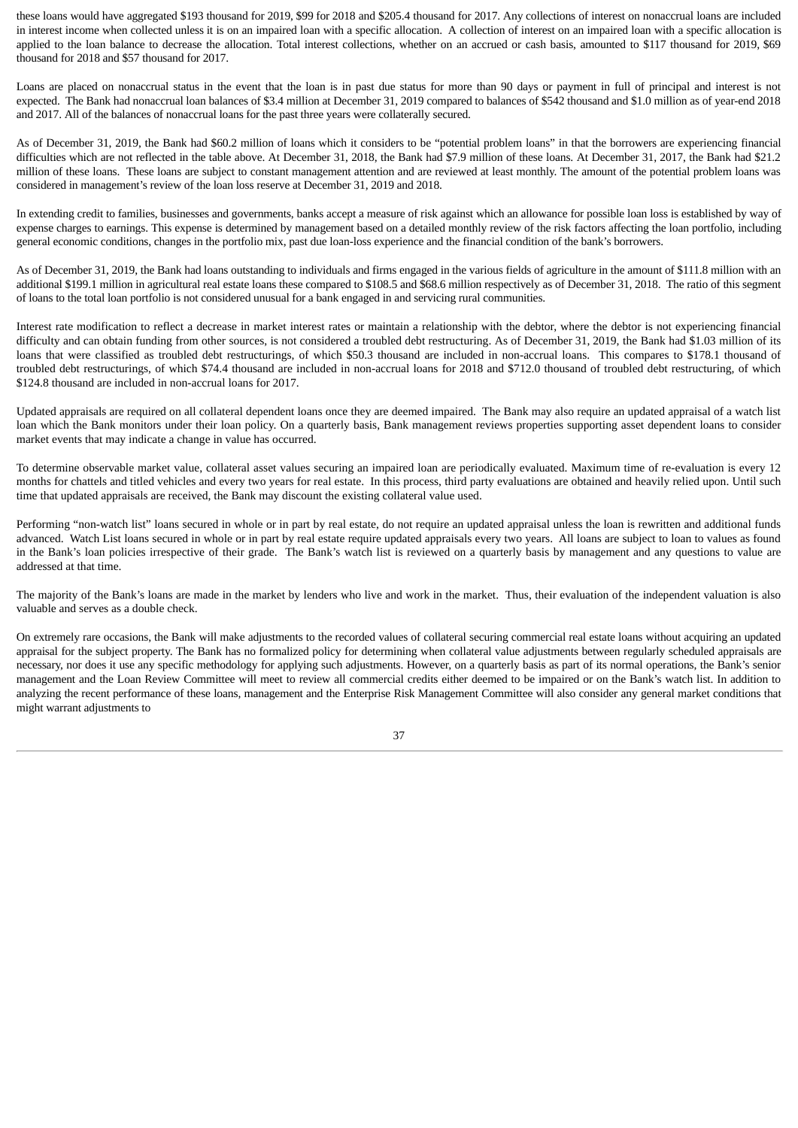these loans would have aggregated \$193 thousand for 2019, \$99 for 2018 and \$205.4 thousand for 2017. Any collections of interest on nonaccrual loans are included in interest income when collected unless it is on an impaired loan with a specific allocation. A collection of interest on an impaired loan with a specific allocation is applied to the loan balance to decrease the allocation. Total interest collections, whether on an accrued or cash basis, amounted to \$117 thousand for 2019, \$69 thousand for 2018 and \$57 thousand for 2017.

Loans are placed on nonaccrual status in the event that the loan is in past due status for more than 90 days or payment in full of principal and interest is not expected. The Bank had nonaccrual loan balances of \$3.4 million at December 31, 2019 compared to balances of \$542 thousand and \$1.0 million as of year-end 2018 and 2017. All of the balances of nonaccrual loans for the past three years were collaterally secured.

As of December 31, 2019, the Bank had \$60.2 million of loans which it considers to be "potential problem loans" in that the borrowers are experiencing financial difficulties which are not reflected in the table above. At December 31, 2018, the Bank had \$7.9 million of these loans. At December 31, 2017, the Bank had \$21.2 million of these loans. These loans are subject to constant management attention and are reviewed at least monthly. The amount of the potential problem loans was considered in management's review of the loan loss reserve at December 31, 2019 and 2018.

In extending credit to families, businesses and governments, banks accept a measure of risk against which an allowance for possible loan loss is established by way of expense charges to earnings. This expense is determined by management based on a detailed monthly review of the risk factors affecting the loan portfolio, including general economic conditions, changes in the portfolio mix, past due loan-loss experience and the financial condition of the bank's borrowers.

As of December 31, 2019, the Bank had loans outstanding to individuals and firms engaged in the various fields of agriculture in the amount of \$111.8 million with an additional \$199.1 million in agricultural real estate loans these compared to \$108.5 and \$68.6 million respectively as of December 31, 2018. The ratio of this segment of loans to the total loan portfolio is not considered unusual for a bank engaged in and servicing rural communities.

Interest rate modification to reflect a decrease in market interest rates or maintain a relationship with the debtor, where the debtor is not experiencing financial difficulty and can obtain funding from other sources, is not considered a troubled debt restructuring. As of December 31, 2019, the Bank had \$1.03 million of its loans that were classified as troubled debt restructurings, of which \$50.3 thousand are included in non-accrual loans. This compares to \$178.1 thousand of troubled debt restructurings, of which \$74.4 thousand are included in non-accrual loans for 2018 and \$712.0 thousand of troubled debt restructuring, of which \$124.8 thousand are included in non-accrual loans for 2017.

Updated appraisals are required on all collateral dependent loans once they are deemed impaired. The Bank may also require an updated appraisal of a watch list loan which the Bank monitors under their loan policy. On a quarterly basis, Bank management reviews properties supporting asset dependent loans to consider market events that may indicate a change in value has occurred.

To determine observable market value, collateral asset values securing an impaired loan are periodically evaluated. Maximum time of re-evaluation is every 12 months for chattels and titled vehicles and every two years for real estate. In this process, third party evaluations are obtained and heavily relied upon. Until such time that updated appraisals are received, the Bank may discount the existing collateral value used.

Performing "non-watch list" loans secured in whole or in part by real estate, do not require an updated appraisal unless the loan is rewritten and additional funds advanced. Watch List loans secured in whole or in part by real estate require updated appraisals every two years. All loans are subject to loan to values as found in the Bank's loan policies irrespective of their grade. The Bank's watch list is reviewed on a quarterly basis by management and any questions to value are addressed at that time.

The majority of the Bank's loans are made in the market by lenders who live and work in the market. Thus, their evaluation of the independent valuation is also valuable and serves as a double check.

On extremely rare occasions, the Bank will make adjustments to the recorded values of collateral securing commercial real estate loans without acquiring an updated appraisal for the subject property. The Bank has no formalized policy for determining when collateral value adjustments between regularly scheduled appraisals are necessary, nor does it use any specific methodology for applying such adjustments. However, on a quarterly basis as part of its normal operations, the Bank's senior management and the Loan Review Committee will meet to review all commercial credits either deemed to be impaired or on the Bank's watch list. In addition to analyzing the recent performance of these loans, management and the Enterprise Risk Management Committee will also consider any general market conditions that might warrant adjustments to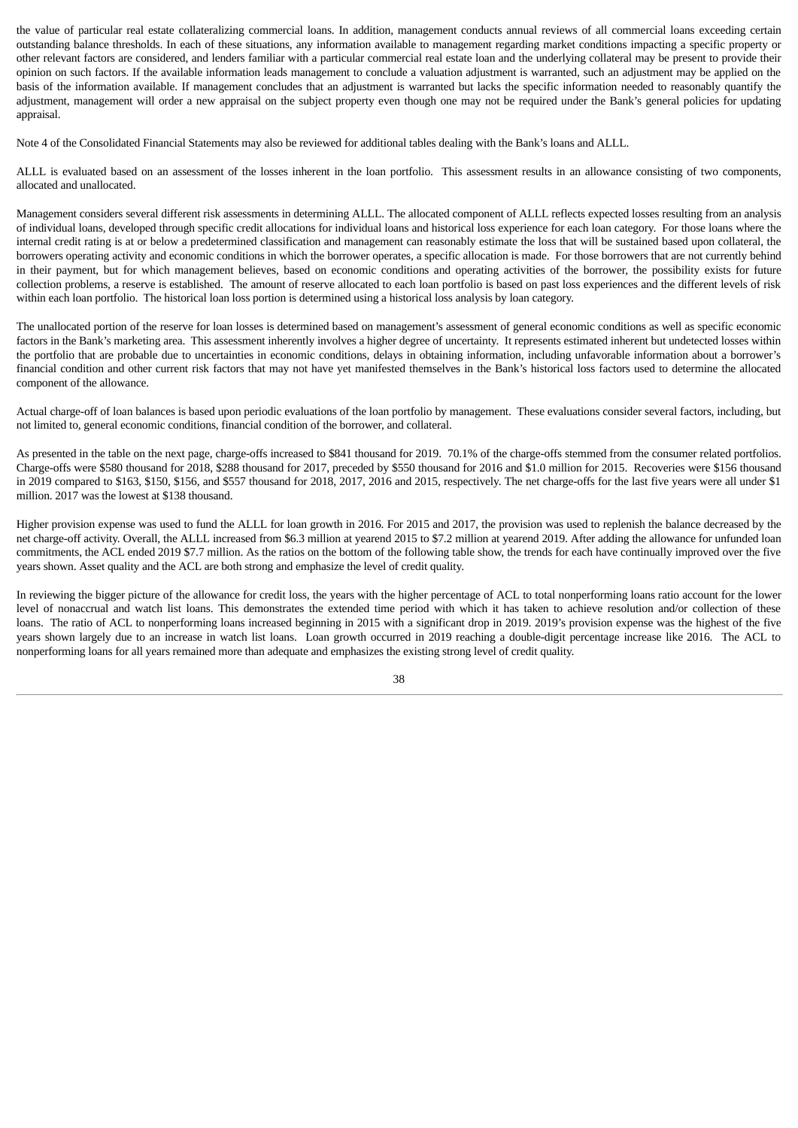the value of particular real estate collateralizing commercial loans. In addition, management conducts annual reviews of all commercial loans exceeding certain outstanding balance thresholds. In each of these situations, any information available to management regarding market conditions impacting a specific property or other relevant factors are considered, and lenders familiar with a particular commercial real estate loan and the underlying collateral may be present to provide their opinion on such factors. If the available information leads management to conclude a valuation adjustment is warranted, such an adjustment may be applied on the basis of the information available. If management concludes that an adjustment is warranted but lacks the specific information needed to reasonably quantify the adjustment, management will order a new appraisal on the subject property even though one may not be required under the Bank's general policies for updating appraisal.

Note 4 of the Consolidated Financial Statements may also be reviewed for additional tables dealing with the Bank's loans and ALLL.

ALLL is evaluated based on an assessment of the losses inherent in the loan portfolio. This assessment results in an allowance consisting of two components, allocated and unallocated.

Management considers several different risk assessments in determining ALLL. The allocated component of ALLL reflects expected losses resulting from an analysis of individual loans, developed through specific credit allocations for individual loans and historical loss experience for each loan category. For those loans where the internal credit rating is at or below a predetermined classification and management can reasonably estimate the loss that will be sustained based upon collateral, the borrowers operating activity and economic conditions in which the borrower operates, a specific allocation is made. For those borrowers that are not currently behind in their payment, but for which management believes, based on economic conditions and operating activities of the borrower, the possibility exists for future collection problems, a reserve is established. The amount of reserve allocated to each loan portfolio is based on past loss experiences and the different levels of risk within each loan portfolio. The historical loan loss portion is determined using a historical loss analysis by loan category.

The unallocated portion of the reserve for loan losses is determined based on management's assessment of general economic conditions as well as specific economic factors in the Bank's marketing area. This assessment inherently involves a higher degree of uncertainty. It represents estimated inherent but undetected losses within the portfolio that are probable due to uncertainties in economic conditions, delays in obtaining information, including unfavorable information about a borrower's financial condition and other current risk factors that may not have yet manifested themselves in the Bank's historical loss factors used to determine the allocated component of the allowance.

Actual charge-off of loan balances is based upon periodic evaluations of the loan portfolio by management. These evaluations consider several factors, including, but not limited to, general economic conditions, financial condition of the borrower, and collateral.

As presented in the table on the next page, charge-offs increased to \$841 thousand for 2019. 70.1% of the charge-offs stemmed from the consumer related portfolios. Charge-offs were \$580 thousand for 2018, \$288 thousand for 2017, preceded by \$550 thousand for 2016 and \$1.0 million for 2015. Recoveries were \$156 thousand in 2019 compared to \$163, \$150, \$156, and \$557 thousand for 2018, 2017, 2016 and 2015, respectively. The net charge-offs for the last five years were all under \$1 million. 2017 was the lowest at \$138 thousand.

Higher provision expense was used to fund the ALLL for loan growth in 2016. For 2015 and 2017, the provision was used to replenish the balance decreased by the net charge-off activity. Overall, the ALLL increased from \$6.3 million at yearend 2015 to \$7.2 million at yearend 2019. After adding the allowance for unfunded loan commitments, the ACL ended 2019 \$7.7 million. As the ratios on the bottom of the following table show, the trends for each have continually improved over the five years shown. Asset quality and the ACL are both strong and emphasize the level of credit quality.

In reviewing the bigger picture of the allowance for credit loss, the years with the higher percentage of ACL to total nonperforming loans ratio account for the lower level of nonaccrual and watch list loans. This demonstrates the extended time period with which it has taken to achieve resolution and/or collection of these loans. The ratio of ACL to nonperforming loans increased beginning in 2015 with a significant drop in 2019. 2019's provision expense was the highest of the five years shown largely due to an increase in watch list loans. Loan growth occurred in 2019 reaching a double-digit percentage increase like 2016. The ACL to nonperforming loans for all years remained more than adequate and emphasizes the existing strong level of credit quality.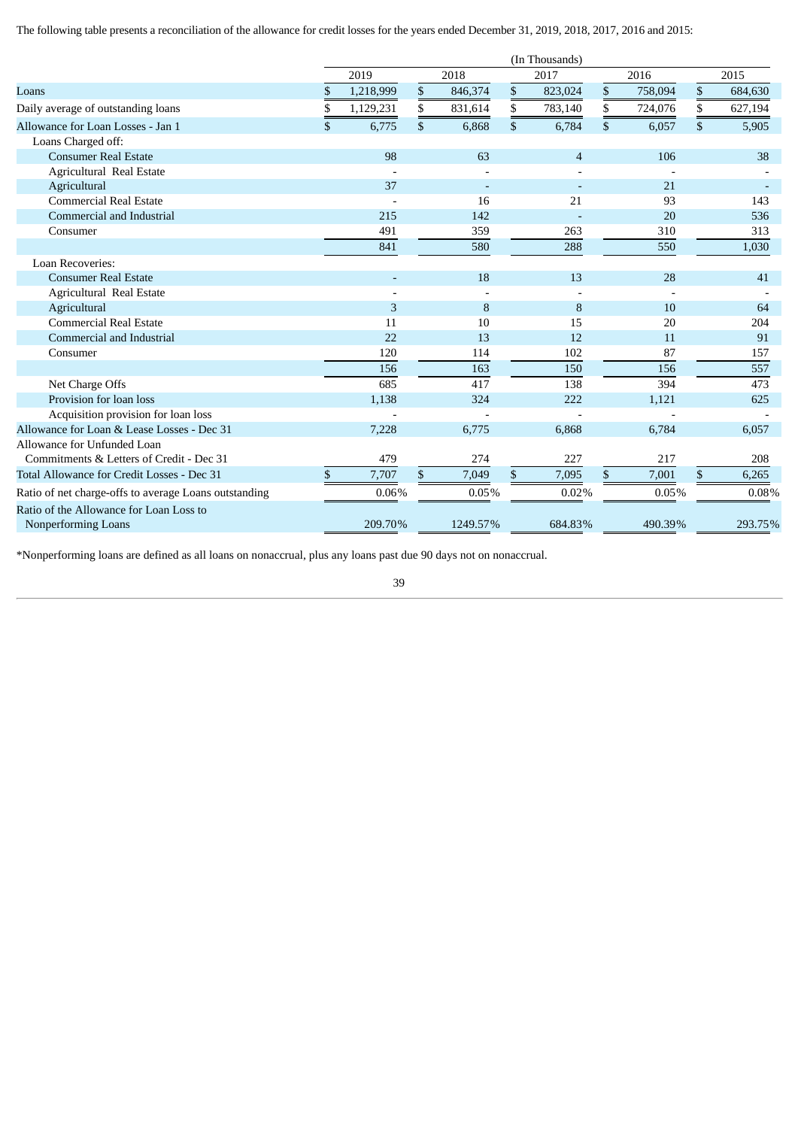The following table presents a reconciliation of the allowance for credit losses for the years ended December 31, 2019, 2018, 2017, 2016 and 2015:

|                                                                | (In Thousands) |           |              |          |              |                |              |         |    |         |
|----------------------------------------------------------------|----------------|-----------|--------------|----------|--------------|----------------|--------------|---------|----|---------|
|                                                                |                | 2019      |              | 2018     |              | 2017           |              | 2016    |    | 2015    |
| Loans                                                          | \$             | 1,218,999 | \$           | 846,374  | \$           | 823,024        | \$           | 758,094 | \$ | 684,630 |
| Daily average of outstanding loans                             | \$             | 1,129,231 | \$           | 831,614  | \$           | 783,140        | \$           | 724,076 | \$ | 627,194 |
| Allowance for Loan Losses - Jan 1                              | \$             | 6,775     | $\mathbb{S}$ | 6,868    | $\mathbb{S}$ | 6,784          | $\mathbb{S}$ | 6,057   | \$ | 5,905   |
| Loans Charged off:                                             |                |           |              |          |              |                |              |         |    |         |
| <b>Consumer Real Estate</b>                                    |                | 98        |              | 63       |              | $\overline{4}$ |              | 106     |    | 38      |
| Agricultural Real Estate                                       |                |           |              |          |              |                |              |         |    |         |
| Agricultural                                                   |                | 37        |              |          |              |                |              | 21      |    |         |
| <b>Commercial Real Estate</b>                                  |                |           |              | 16       |              | 21             |              | 93      |    | 143     |
| Commercial and Industrial                                      |                | 215       |              | 142      |              |                |              | 20      |    | 536     |
| Consumer                                                       |                | 491       |              | 359      |              | 263            |              | 310     |    | 313     |
|                                                                |                | 841       |              | 580      |              | 288            |              | 550     |    | 1,030   |
| Loan Recoveries:                                               |                |           |              |          |              |                |              |         |    |         |
| <b>Consumer Real Estate</b>                                    |                |           |              | 18       |              | 13             |              | 28      |    | 41      |
| Agricultural Real Estate                                       |                |           |              |          |              |                |              |         |    |         |
| Agricultural                                                   |                | 3         |              | 8        |              | 8              |              | 10      |    | 64      |
| <b>Commercial Real Estate</b>                                  |                | 11        |              | 10       |              | 15             |              | 20      |    | 204     |
| Commercial and Industrial                                      |                | 22        |              | 13       |              | 12             |              | 11      |    | 91      |
| Consumer                                                       |                | 120       |              | 114      |              | 102            |              | 87      |    | 157     |
|                                                                |                | 156       |              | 163      |              | 150            |              | 156     |    | 557     |
| Net Charge Offs                                                |                | 685       |              | 417      |              | 138            |              | 394     |    | 473     |
| Provision for loan loss                                        |                | 1,138     |              | 324      |              | 222            |              | 1,121   |    | 625     |
| Acquisition provision for loan loss                            |                |           |              |          |              |                |              |         |    |         |
| Allowance for Loan & Lease Losses - Dec 31                     |                | 7,228     |              | 6,775    |              | 6,868          |              | 6,784   |    | 6,057   |
| Allowance for Unfunded Loan                                    |                |           |              |          |              |                |              |         |    |         |
| Commitments & Letters of Credit - Dec 31                       |                | 479       |              | 274      |              | 227            |              | 217     |    | 208     |
| Total Allowance for Credit Losses - Dec 31                     | \$             | 7,707     | $\mathbb{S}$ | 7,049    | \$           | 7,095          | \$           | 7,001   | \$ | 6,265   |
| Ratio of net charge-offs to average Loans outstanding          |                | 0.06%     |              | 0.05%    |              | 0.02%          |              | 0.05%   |    | 0.08%   |
| Ratio of the Allowance for Loan Loss to<br>Nonperforming Loans |                | 209.70%   |              | 1249.57% |              | 684.83%        |              | 490.39% |    | 293.75% |

\*Nonperforming loans are defined as all loans on nonaccrual, plus any loans past due 90 days not on nonaccrual.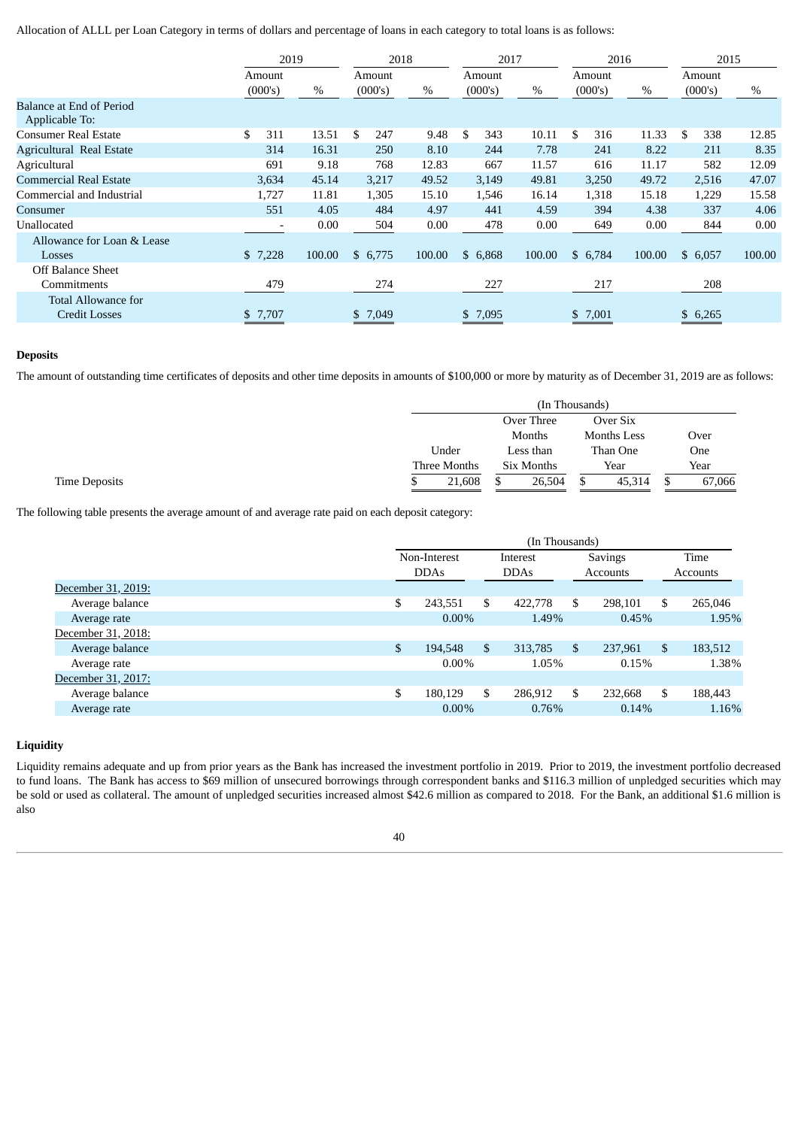Allocation of ALLL per Loan Category in terms of dollars and percentage of loans in each category to total loans is as follows:

|                          |         |              |         |              |         | 2016      |         | 2015      |         |
|--------------------------|---------|--------------|---------|--------------|---------|-----------|---------|-----------|---------|
| Amount                   |         | Amount       |         | Amount       |         | Amount    |         | Amount    |         |
|                          |         |              |         |              |         |           |         |           | %       |
|                          |         |              |         |              |         |           |         |           |         |
| \$.<br>311               | 13.51   | \$<br>247    | 9.48    | \$<br>343    | 10.11   | 316<br>\$ | 11.33   | \$<br>338 | 12.85   |
| 314                      | 16.31   | 250          | 8.10    | 244          | 7.78    | 241       | 8.22    | 211       | 8.35    |
| 691                      | 9.18    | 768          | 12.83   | 667          | 11.57   | 616       | 11.17   | 582       | 12.09   |
| 3,634                    | 45.14   | 3,217        | 49.52   | 3,149        | 49.81   | 3,250     | 49.72   | 2,516     | 47.07   |
| 1,727                    | 11.81   | 1,305        | 15.10   | 1,546        | 16.14   | 1,318     | 15.18   | 1,229     | 15.58   |
| 551                      | 4.05    | 484          | 4.97    | 441          | 4.59    | 394       | 4.38    | 337       | 4.06    |
| $\overline{\phantom{a}}$ | 0.00    | 504          | 0.00    | 478          | 0.00    | 649       | 0.00    | 844       | 0.00    |
|                          |         |              |         |              |         |           |         |           |         |
| \$7,228                  | 100.00  | \$6,775      | 100.00  | \$6,868      | 100.00  | \$6,784   | 100.00  | \$6,057   | 100.00  |
|                          |         |              |         |              |         |           |         |           |         |
| 479                      |         | 274          |         | 227          |         | 217       |         | 208       |         |
|                          |         |              |         |              |         |           |         |           |         |
| \$7,707                  |         | 7,049<br>\$  |         | \$7,095      |         | \$7,001   |         | \$6,265   |         |
|                          | (000's) | 2019<br>$\%$ | (000's) | 2018<br>$\%$ | (000's) | 2017<br>% | (000's) | $\%$      | (000's) |

# **Deposits**

The amount of outstanding time certificates of deposits and other time deposits in amounts of \$100,000 or more by maturity as of December 31, 2019 are as follows:

|              | Over Three | Over Six           |                |
|--------------|------------|--------------------|----------------|
|              | Months     | <b>Months Less</b> | Over           |
| Under        | Less than  | Than One           | One            |
| Three Months | Six Months | Year               | Year           |
| 21,608       | 26,504     | 45,314             | 67,066         |
|              |            |                    | (In Thousands) |

The following table presents the average amount of and average rate paid on each deposit category:

|                    | (In Thousands) |              |    |             |          |                |    |          |  |
|--------------------|----------------|--------------|----|-------------|----------|----------------|----|----------|--|
|                    |                | Non-Interest |    | Interest    |          | <b>Savings</b> |    | Time     |  |
|                    |                | <b>DDAs</b>  |    | <b>DDAs</b> | Accounts |                |    | Accounts |  |
| December 31, 2019: |                |              |    |             |          |                |    |          |  |
| Average balance    | \$             | 243.551      | \$ | 422,778     | \$       | 298.101        | \$ | 265,046  |  |
| Average rate       |                | $0.00\%$     |    | 1.49%       |          | 0.45%          |    | 1.95%    |  |
| December 31, 2018: |                |              |    |             |          |                |    |          |  |
| Average balance    | \$             | 194.548      | \$ | 313,785     | \$.      | 237,961        | \$ | 183,512  |  |
| Average rate       |                | $0.00\%$     |    | 1.05%       |          | 0.15%          |    | 1.38%    |  |
| December 31, 2017: |                |              |    |             |          |                |    |          |  |
| Average balance    | \$             | 180.129      | \$ | 286,912     | \$       | 232.668        | \$ | 188,443  |  |
| Average rate       |                | $0.00\%$     |    | 0.76%       |          | 0.14%          |    | 1.16%    |  |

# **Liquidity**

Liquidity remains adequate and up from prior years as the Bank has increased the investment portfolio in 2019. Prior to 2019, the investment portfolio decreased to fund loans. The Bank has access to \$69 million of unsecured borrowings through correspondent banks and \$116.3 million of unpledged securities which may be sold or used as collateral. The amount of unpledged securities increased almost \$42.6 million as compared to 2018. For the Bank, an additional \$1.6 million is also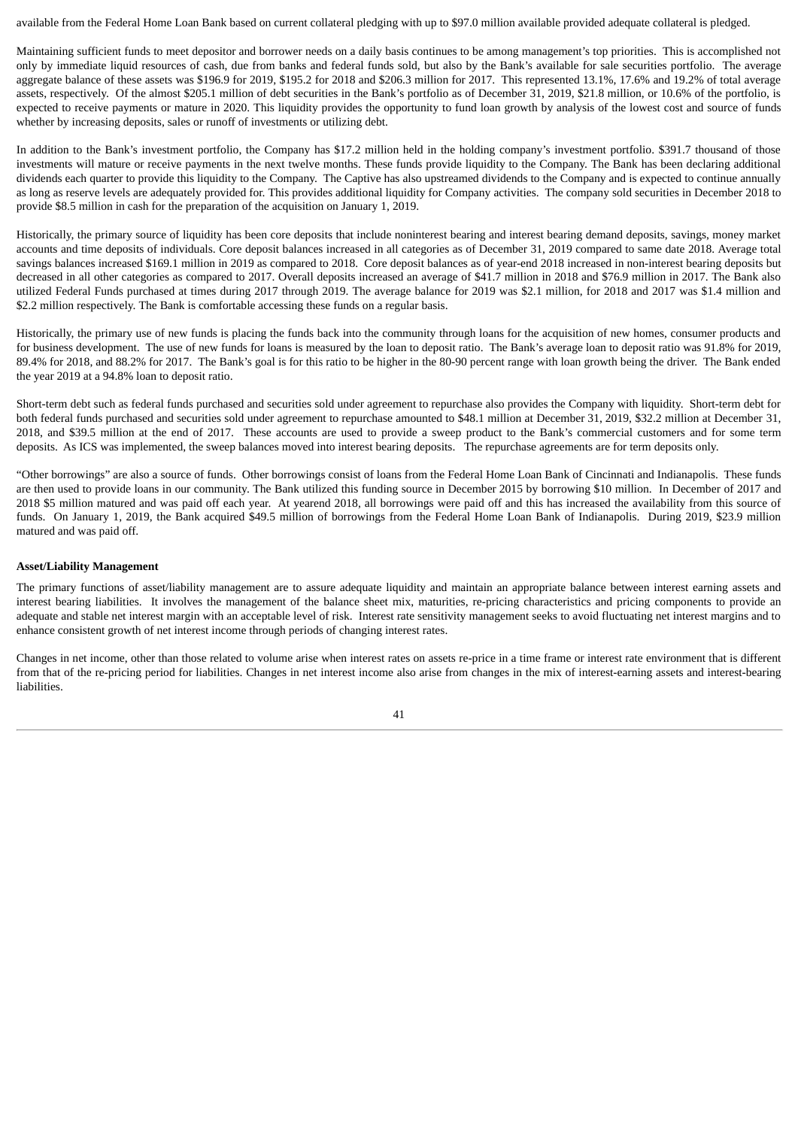available from the Federal Home Loan Bank based on current collateral pledging with up to \$97.0 million available provided adequate collateral is pledged.

Maintaining sufficient funds to meet depositor and borrower needs on a daily basis continues to be among management's top priorities. This is accomplished not only by immediate liquid resources of cash, due from banks and federal funds sold, but also by the Bank's available for sale securities portfolio. The average aggregate balance of these assets was \$196.9 for 2019, \$195.2 for 2018 and \$206.3 million for 2017. This represented 13.1%, 17.6% and 19.2% of total average assets, respectively. Of the almost \$205.1 million of debt securities in the Bank's portfolio as of December 31, 2019, \$21.8 million, or 10.6% of the portfolio, is expected to receive payments or mature in 2020. This liquidity provides the opportunity to fund loan growth by analysis of the lowest cost and source of funds whether by increasing deposits, sales or runoff of investments or utilizing debt.

In addition to the Bank's investment portfolio, the Company has \$17.2 million held in the holding company's investment portfolio. \$391.7 thousand of those investments will mature or receive payments in the next twelve months. These funds provide liquidity to the Company. The Bank has been declaring additional dividends each quarter to provide this liquidity to the Company. The Captive has also upstreamed dividends to the Company and is expected to continue annually as long as reserve levels are adequately provided for. This provides additional liquidity for Company activities. The company sold securities in December 2018 to provide \$8.5 million in cash for the preparation of the acquisition on January 1, 2019.

Historically, the primary source of liquidity has been core deposits that include noninterest bearing and interest bearing demand deposits, savings, money market accounts and time deposits of individuals. Core deposit balances increased in all categories as of December 31, 2019 compared to same date 2018. Average total savings balances increased \$169.1 million in 2019 as compared to 2018. Core deposit balances as of year-end 2018 increased in non-interest bearing deposits but decreased in all other categories as compared to 2017. Overall deposits increased an average of \$41.7 million in 2018 and \$76.9 million in 2017. The Bank also utilized Federal Funds purchased at times during 2017 through 2019. The average balance for 2019 was \$2.1 million, for 2018 and 2017 was \$1.4 million and \$2.2 million respectively. The Bank is comfortable accessing these funds on a regular basis.

Historically, the primary use of new funds is placing the funds back into the community through loans for the acquisition of new homes, consumer products and for business development. The use of new funds for loans is measured by the loan to deposit ratio. The Bank's average loan to deposit ratio was 91.8% for 2019, 89.4% for 2018, and 88.2% for 2017. The Bank's goal is for this ratio to be higher in the 80-90 percent range with loan growth being the driver. The Bank ended the year 2019 at a 94.8% loan to deposit ratio.

Short-term debt such as federal funds purchased and securities sold under agreement to repurchase also provides the Company with liquidity. Short-term debt for both federal funds purchased and securities sold under agreement to repurchase amounted to \$48.1 million at December 31, 2019, \$32.2 million at December 31, 2018, and \$39.5 million at the end of 2017. These accounts are used to provide a sweep product to the Bank's commercial customers and for some term deposits. As ICS was implemented, the sweep balances moved into interest bearing deposits. The repurchase agreements are for term deposits only.

"Other borrowings" are also a source of funds. Other borrowings consist of loans from the Federal Home Loan Bank of Cincinnati and Indianapolis. These funds are then used to provide loans in our community. The Bank utilized this funding source in December 2015 by borrowing \$10 million. In December of 2017 and 2018 \$5 million matured and was paid off each year. At yearend 2018, all borrowings were paid off and this has increased the availability from this source of funds. On January 1, 2019, the Bank acquired \$49.5 million of borrowings from the Federal Home Loan Bank of Indianapolis. During 2019, \$23.9 million matured and was paid off.

## **Asset/Liability Management**

The primary functions of asset/liability management are to assure adequate liquidity and maintain an appropriate balance between interest earning assets and interest bearing liabilities. It involves the management of the balance sheet mix, maturities, re-pricing characteristics and pricing components to provide an adequate and stable net interest margin with an acceptable level of risk. Interest rate sensitivity management seeks to avoid fluctuating net interest margins and to enhance consistent growth of net interest income through periods of changing interest rates.

Changes in net income, other than those related to volume arise when interest rates on assets re-price in a time frame or interest rate environment that is different from that of the re-pricing period for liabilities. Changes in net interest income also arise from changes in the mix of interest-earning assets and interest-bearing liabilities.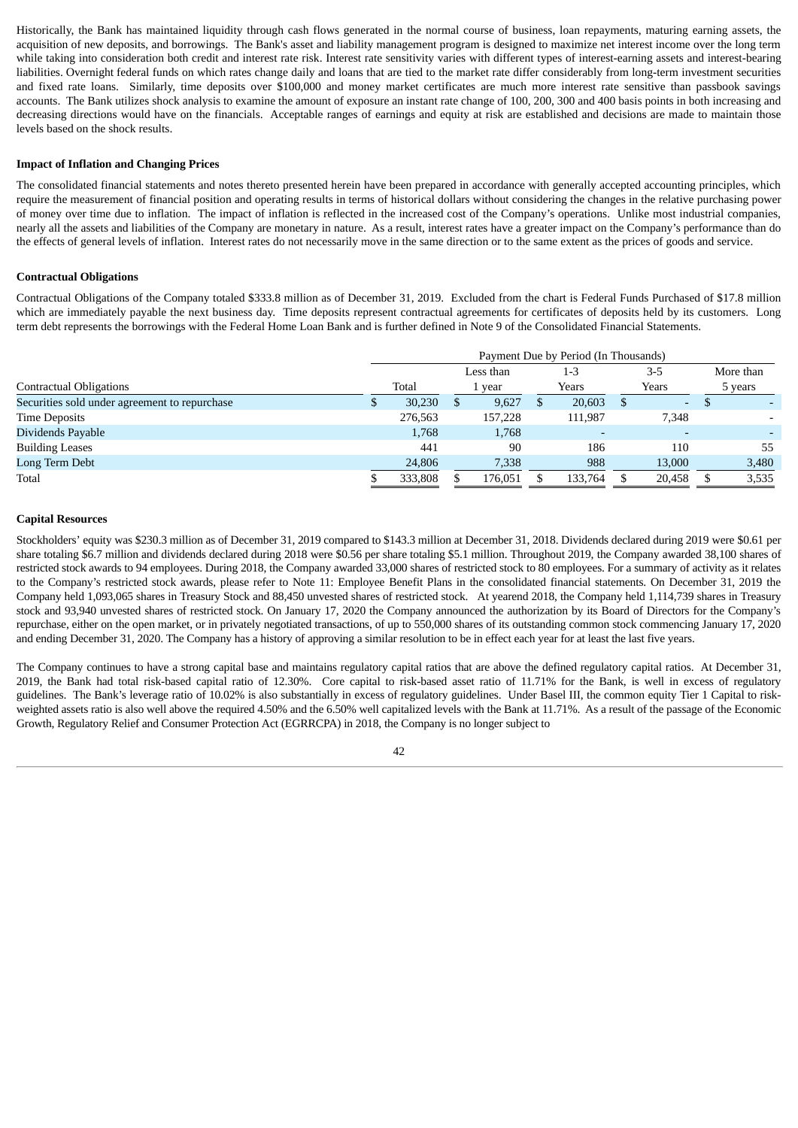Historically, the Bank has maintained liquidity through cash flows generated in the normal course of business, loan repayments, maturing earning assets, the acquisition of new deposits, and borrowings. The Bank's asset and liability management program is designed to maximize net interest income over the long term while taking into consideration both credit and interest rate risk. Interest rate sensitivity varies with different types of interest-earning assets and interest-bearing liabilities. Overnight federal funds on which rates change daily and loans that are tied to the market rate differ considerably from long-term investment securities and fixed rate loans. Similarly, time deposits over \$100,000 and money market certificates are much more interest rate sensitive than passbook savings accounts. The Bank utilizes shock analysis to examine the amount of exposure an instant rate change of 100, 200, 300 and 400 basis points in both increasing and decreasing directions would have on the financials. Acceptable ranges of earnings and equity at risk are established and decisions are made to maintain those levels based on the shock results.

## **Impact of Inflation and Changing Prices**

The consolidated financial statements and notes thereto presented herein have been prepared in accordance with generally accepted accounting principles, which require the measurement of financial position and operating results in terms of historical dollars without considering the changes in the relative purchasing power of money over time due to inflation. The impact of inflation is reflected in the increased cost of the Company's operations. Unlike most industrial companies, nearly all the assets and liabilities of the Company are monetary in nature. As a result, interest rates have a greater impact on the Company's performance than do the effects of general levels of inflation. Interest rates do not necessarily move in the same direction or to the same extent as the prices of goods and service.

## **Contractual Obligations**

Contractual Obligations of the Company totaled \$333.8 million as of December 31, 2019. Excluded from the chart is Federal Funds Purchased of \$17.8 million which are immediately payable the next business day. Time deposits represent contractual agreements for certificates of deposits held by its customers. Long term debt represents the borrowings with the Federal Home Loan Bank and is further defined in Note 9 of the Consolidated Financial Statements.

|                                               | Payment Due by Period (In Thousands) |                 |  |           |  |                          |         |                          |           |       |  |
|-----------------------------------------------|--------------------------------------|-----------------|--|-----------|--|--------------------------|---------|--------------------------|-----------|-------|--|
|                                               |                                      |                 |  | Less than |  | $1 - 3$                  | $3 - 5$ |                          | More than |       |  |
| <b>Contractual Obligations</b>                |                                      | Total<br>1 year |  | Years     |  | Years                    |         | 5 years                  |           |       |  |
| Securities sold under agreement to repurchase |                                      | 30,230          |  | 9,627     |  | 20,603                   | -S      | $\overline{\phantom{0}}$ |           |       |  |
| Time Deposits                                 |                                      | 276,563         |  | 157,228   |  | 111,987                  |         | 7,348                    |           |       |  |
| Dividends Payable                             |                                      | 1,768           |  | 1,768     |  | $\overline{\phantom{0}}$ |         |                          |           |       |  |
| <b>Building Leases</b>                        |                                      | 441             |  | 90        |  | 186                      |         | 110                      |           | 55    |  |
| Long Term Debt                                |                                      | 24,806          |  | 7,338     |  | 988                      |         | 13,000                   |           | 3,480 |  |
| Total                                         |                                      | 333,808         |  | 176,051   |  | 133.764                  |         | 20,458                   |           | 3,535 |  |

## **Capital Resources**

Stockholders' equity was \$230.3 million as of December 31, 2019 compared to \$143.3 million at December 31, 2018. Dividends declared during 2019 were \$0.61 per share totaling \$6.7 million and dividends declared during 2018 were \$0.56 per share totaling \$5.1 million. Throughout 2019, the Company awarded 38,100 shares of restricted stock awards to 94 employees. During 2018, the Company awarded 33,000 shares of restricted stock to 80 employees. For a summary of activity as it relates to the Company's restricted stock awards, please refer to Note 11: Employee Benefit Plans in the consolidated financial statements. On December 31, 2019 the Company held 1,093,065 shares in Treasury Stock and 88,450 unvested shares of restricted stock. At yearend 2018, the Company held 1,114,739 shares in Treasury stock and 93,940 unvested shares of restricted stock. On January 17, 2020 the Company announced the authorization by its Board of Directors for the Company's repurchase, either on the open market, or in privately negotiated transactions, of up to 550,000 shares of its outstanding common stock commencing January 17, 2020 and ending December 31, 2020. The Company has a history of approving a similar resolution to be in effect each year for at least the last five years.

The Company continues to have a strong capital base and maintains regulatory capital ratios that are above the defined regulatory capital ratios. At December 31, 2019, the Bank had total risk-based capital ratio of 12.30%. Core capital to risk-based asset ratio of 11.71% for the Bank, is well in excess of regulatory guidelines. The Bank's leverage ratio of 10.02% is also substantially in excess of regulatory guidelines. Under Basel III, the common equity Tier 1 Capital to riskweighted assets ratio is also well above the required 4.50% and the 6.50% well capitalized levels with the Bank at 11.71%. As a result of the passage of the Economic Growth, Regulatory Relief and Consumer Protection Act (EGRRCPA) in 2018, the Company is no longer subject to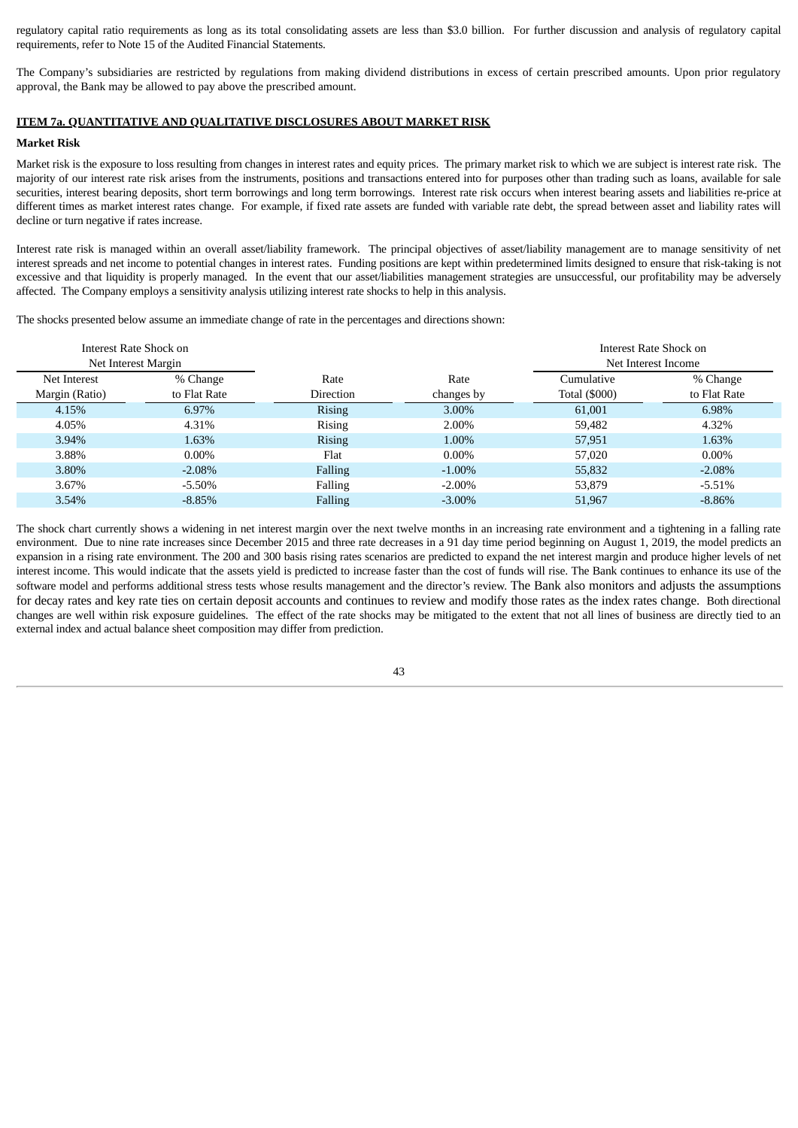regulatory capital ratio requirements as long as its total consolidating assets are less than \$3.0 billion. For further discussion and analysis of regulatory capital requirements, refer to Note 15 of the Audited Financial Statements.

The Company's subsidiaries are restricted by regulations from making dividend distributions in excess of certain prescribed amounts. Upon prior regulatory approval, the Bank may be allowed to pay above the prescribed amount.

## **ITEM 7a. QUANTITATIVE AND QUALITATIVE DISCLOSURES ABOUT MARKET RISK**

### **Market Risk**

Market risk is the exposure to loss resulting from changes in interest rates and equity prices. The primary market risk to which we are subject is interest rate risk. The majority of our interest rate risk arises from the instruments, positions and transactions entered into for purposes other than trading such as loans, available for sale securities, interest bearing deposits, short term borrowings and long term borrowings. Interest rate risk occurs when interest bearing assets and liabilities re-price at different times as market interest rates change. For example, if fixed rate assets are funded with variable rate debt, the spread between asset and liability rates will decline or turn negative if rates increase.

Interest rate risk is managed within an overall asset/liability framework. The principal objectives of asset/liability management are to manage sensitivity of net interest spreads and net income to potential changes in interest rates. Funding positions are kept within predetermined limits designed to ensure that risk-taking is not excessive and that liquidity is properly managed. In the event that our asset/liabilities management strategies are unsuccessful, our profitability may be adversely affected. The Company employs a sensitivity analysis utilizing interest rate shocks to help in this analysis.

The shocks presented below assume an immediate change of rate in the percentages and directions shown:

|                | Interest Rate Shock on<br>Net Interest Margin |               |            | Interest Rate Shock on<br>Net Interest Income |              |
|----------------|-----------------------------------------------|---------------|------------|-----------------------------------------------|--------------|
| Net Interest   | % Change                                      | Rate          | Rate       | Cumulative                                    | % Change     |
| Margin (Ratio) | to Flat Rate                                  | Direction     | changes by | Total (\$000)                                 | to Flat Rate |
| 4.15%          | 6.97%                                         | <b>Rising</b> | 3.00%      | 61,001                                        | 6.98%        |
| 4.05%          | 4.31%                                         | <b>Rising</b> | 2.00%      | 59,482                                        | 4.32%        |
| 3.94%          | 1.63%                                         | <b>Rising</b> | 1.00%      | 57,951                                        | 1.63%        |
| 3.88%          | $0.00\%$                                      | Flat          | $0.00\%$   | 57,020                                        | $0.00\%$     |
| 3.80%          | $-2.08%$                                      | Falling       | $-1.00\%$  | 55,832                                        | $-2.08%$     |
| 3.67%          | $-5.50\%$                                     | Falling       | $-2.00\%$  | 53,879                                        | $-5.51\%$    |
| 3.54%          | $-8.85%$                                      | Falling       | $-3.00\%$  | 51,967                                        | $-8.86%$     |

The shock chart currently shows a widening in net interest margin over the next twelve months in an increasing rate environment and a tightening in a falling rate environment. Due to nine rate increases since December 2015 and three rate decreases in a 91 day time period beginning on August 1, 2019, the model predicts an expansion in a rising rate environment. The 200 and 300 basis rising rates scenarios are predicted to expand the net interest margin and produce higher levels of net interest income. This would indicate that the assets yield is predicted to increase faster than the cost of funds will rise. The Bank continues to enhance its use of the software model and performs additional stress tests whose results management and the director's review. The Bank also monitors and adjusts the assumptions for decay rates and key rate ties on certain deposit accounts and continues to review and modify those rates as the index rates change. Both directional changes are well within risk exposure guidelines. The effect of the rate shocks may be mitigated to the extent that not all lines of business are directly tied to an external index and actual balance sheet composition may differ from prediction.

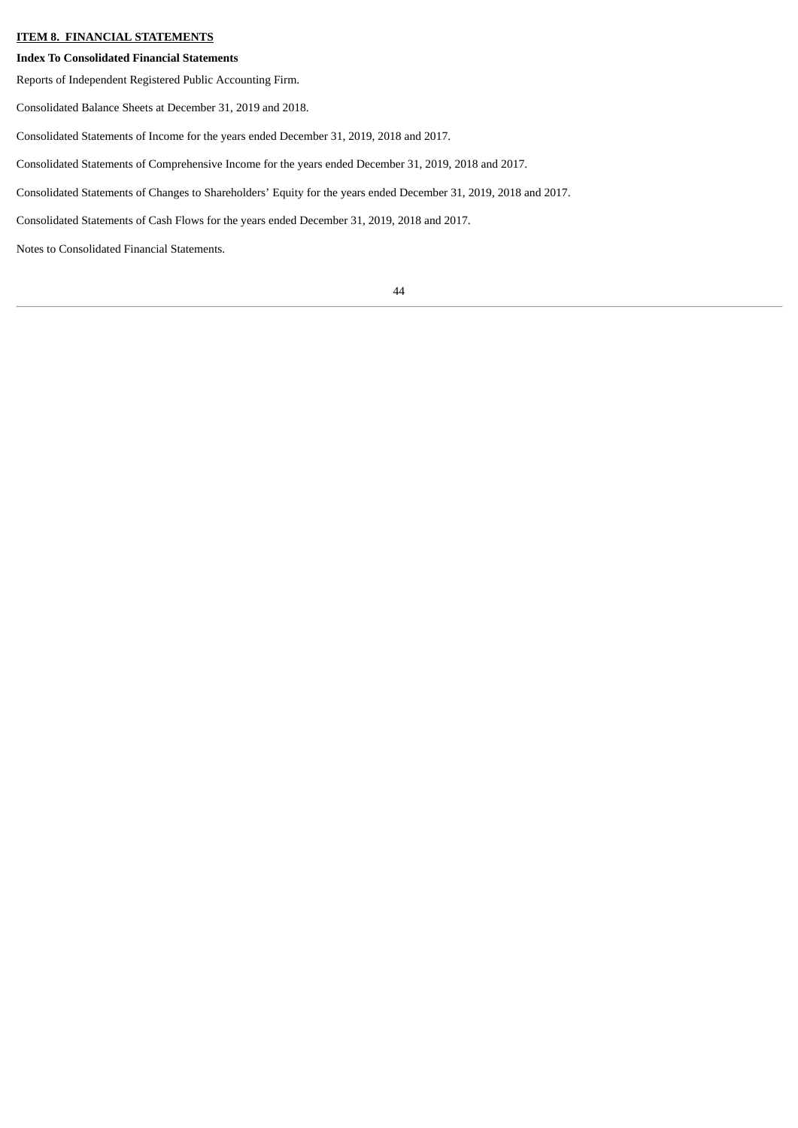## **ITEM 8. FINANCIAL STATEMENTS**

## **Index To Consolidated Financial Statements**

Reports of Independent Registered Public Accounting Firm.

Consolidated Balance Sheets at December 31, 2019 and 2018.

Consolidated Statements of Income for the years ended December 31, 2019, 2018 and 2017.

Consolidated Statements of Comprehensive Income for the years ended December 31, 2019, 2018 and 2017.

Consolidated Statements of Changes to Shareholders' Equity for the years ended December 31, 2019, 2018 and 2017.

Consolidated Statements of Cash Flows for the years ended December 31, 2019, 2018 and 2017.

Notes to Consolidated Financial Statements.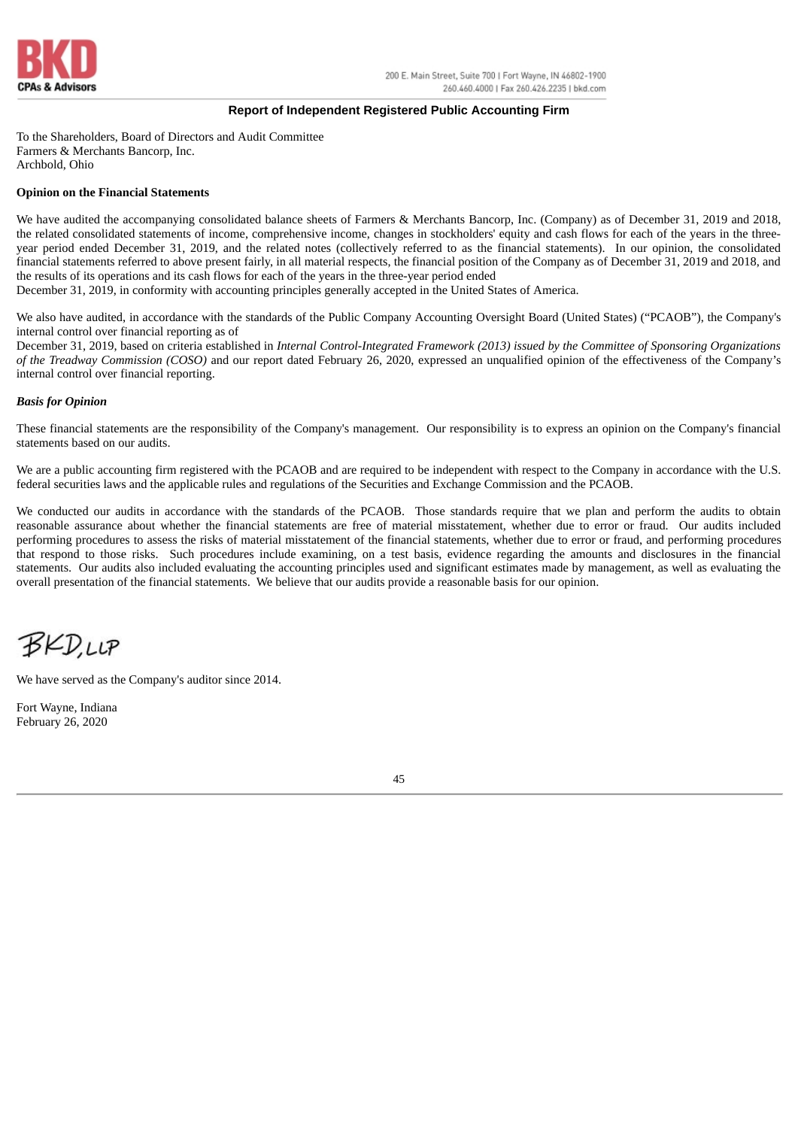

## **Report of Independent Registered Public Accounting Firm**

To the Shareholders, Board of Directors and Audit Committee Farmers & Merchants Bancorp, Inc. Archbold, Ohio

## **Opinion on the Financial Statements**

We have audited the accompanying consolidated balance sheets of Farmers & Merchants Bancorp, Inc. (Company) as of December 31, 2019 and 2018, the related consolidated statements of income, comprehensive income, changes in stockholders' equity and cash flows for each of the years in the threeyear period ended December 31, 2019, and the related notes (collectively referred to as the financial statements). In our opinion, the consolidated financial statements referred to above present fairly, in all material respects, the financial position of the Company as of December 31, 2019 and 2018, and the results of its operations and its cash flows for each of the years in the three-year period ended

December 31, 2019, in conformity with accounting principles generally accepted in the United States of America.

We also have audited, in accordance with the standards of the Public Company Accounting Oversight Board (United States) ("PCAOB"), the Company's internal control over financial reporting as of

December 31, 2019, based on criteria established in *Internal Control-Integrated Framework (2013) issued by the Committee of Sponsoring Organizations of the Treadway Commission (COSO)* and our report dated February 26, 2020, expressed an unqualified opinion of the effectiveness of the Company's internal control over financial reporting.

## *Basis for Opinion*

These financial statements are the responsibility of the Company's management. Our responsibility is to express an opinion on the Company's financial statements based on our audits.

We are a public accounting firm registered with the PCAOB and are required to be independent with respect to the Company in accordance with the U.S. federal securities laws and the applicable rules and regulations of the Securities and Exchange Commission and the PCAOB.

We conducted our audits in accordance with the standards of the PCAOB. Those standards require that we plan and perform the audits to obtain reasonable assurance about whether the financial statements are free of material misstatement, whether due to error or fraud. Our audits included performing procedures to assess the risks of material misstatement of the financial statements, whether due to error or fraud, and performing procedures that respond to those risks. Such procedures include examining, on a test basis, evidence regarding the amounts and disclosures in the financial statements. Our audits also included evaluating the accounting principles used and significant estimates made by management, as well as evaluating the overall presentation of the financial statements. We believe that our audits provide a reasonable basis for our opinion.

BKDUP

We have served as the Company's auditor since 2014.

Fort Wayne, Indiana February 26, 2020

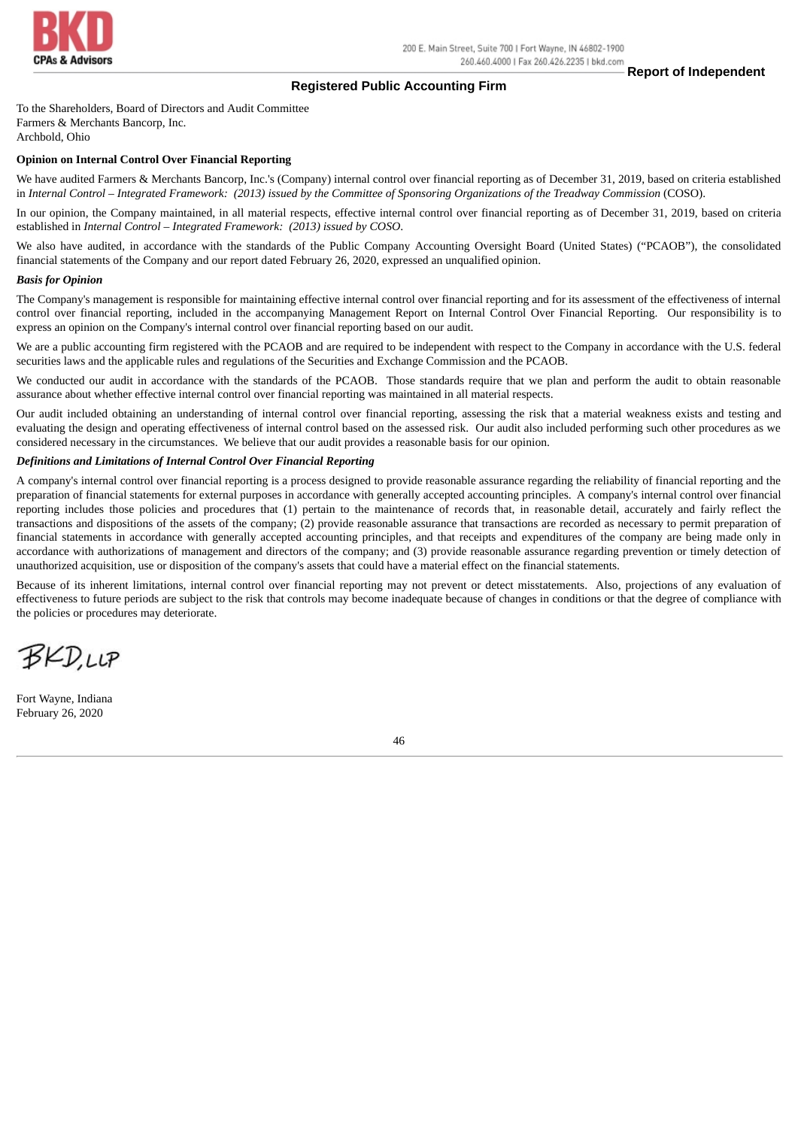

**Report of Independent**

## **Registered Public Accounting Firm**

To the Shareholders, Board of Directors and Audit Committee Farmers & Merchants Bancorp, Inc. Archbold, Ohio

## **Opinion on Internal Control Over Financial Reporting**

We have audited Farmers & Merchants Bancorp, Inc.'s (Company) internal control over financial reporting as of December 31, 2019, based on criteria established in Internal Control - Integrated Framework: (2013) issued by the Committee of Sponsoring Organizations of the Treadway Commission (COSO).

In our opinion, the Company maintained, in all material respects, effective internal control over financial reporting as of December 31, 2019, based on criteria established in *Internal Control – Integrated Framework: (2013) issued by COSO*.

We also have audited, in accordance with the standards of the Public Company Accounting Oversight Board (United States) ("PCAOB"), the consolidated financial statements of the Company and our report dated February 26, 2020, expressed an unqualified opinion.

## *Basis for Opinion*

The Company's management is responsible for maintaining effective internal control over financial reporting and for its assessment of the effectiveness of internal control over financial reporting, included in the accompanying Management Report on Internal Control Over Financial Reporting. Our responsibility is to express an opinion on the Company's internal control over financial reporting based on our audit.

We are a public accounting firm registered with the PCAOB and are required to be independent with respect to the Company in accordance with the U.S. federal securities laws and the applicable rules and regulations of the Securities and Exchange Commission and the PCAOB.

We conducted our audit in accordance with the standards of the PCAOB. Those standards require that we plan and perform the audit to obtain reasonable assurance about whether effective internal control over financial reporting was maintained in all material respects.

Our audit included obtaining an understanding of internal control over financial reporting, assessing the risk that a material weakness exists and testing and evaluating the design and operating effectiveness of internal control based on the assessed risk. Our audit also included performing such other procedures as we considered necessary in the circumstances. We believe that our audit provides a reasonable basis for our opinion.

### *Definitions and Limitations of Internal Control Over Financial Reporting*

A company's internal control over financial reporting is a process designed to provide reasonable assurance regarding the reliability of financial reporting and the preparation of financial statements for external purposes in accordance with generally accepted accounting principles. A company's internal control over financial reporting includes those policies and procedures that (1) pertain to the maintenance of records that, in reasonable detail, accurately and fairly reflect the transactions and dispositions of the assets of the company; (2) provide reasonable assurance that transactions are recorded as necessary to permit preparation of financial statements in accordance with generally accepted accounting principles, and that receipts and expenditures of the company are being made only in accordance with authorizations of management and directors of the company; and (3) provide reasonable assurance regarding prevention or timely detection of unauthorized acquisition, use or disposition of the company's assets that could have a material effect on the financial statements.

Because of its inherent limitations, internal control over financial reporting may not prevent or detect misstatements. Also, projections of any evaluation of effectiveness to future periods are subject to the risk that controls may become inadequate because of changes in conditions or that the degree of compliance with the policies or procedures may deteriorate.

**BKD,LLP** 

Fort Wayne, Indiana February 26, 2020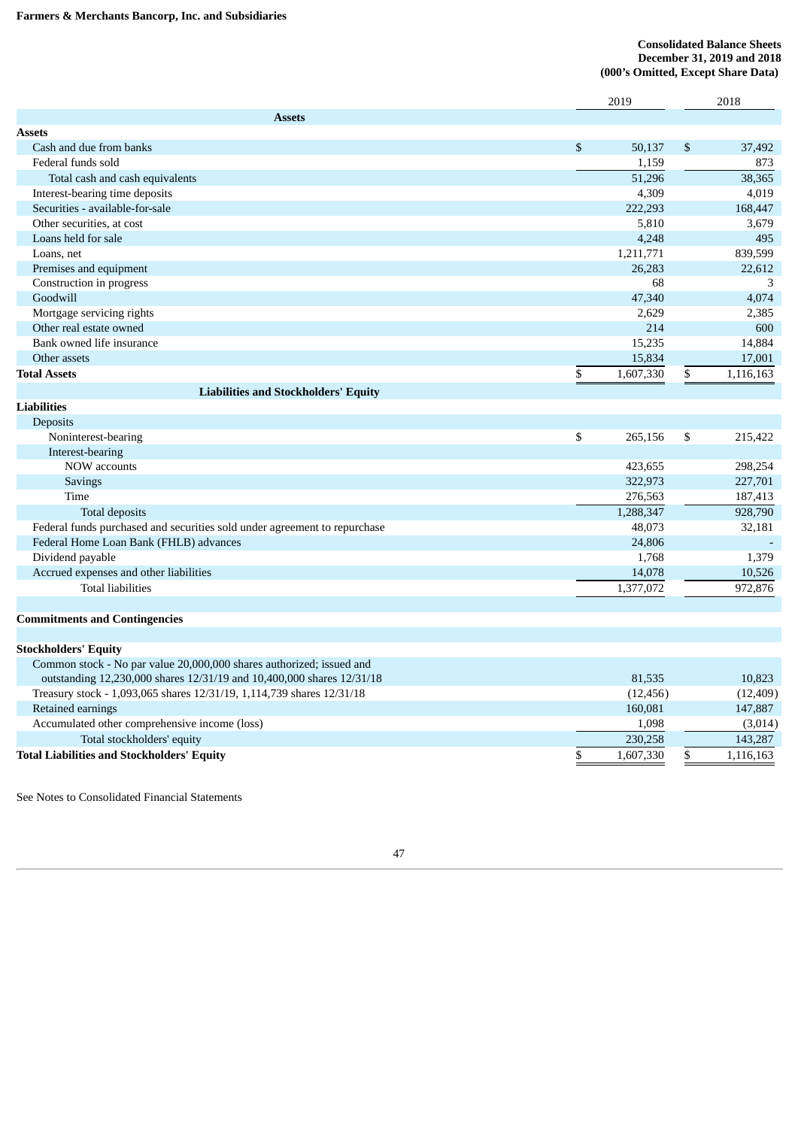# **Farmers & Merchants Bancorp, Inc. and Subsidiaries**

# **Consolidated Balance Sheets December 31, 2019 and 2018 (000's Omitted, Except Share Data)**

|                                                                                                                                               |              | 2019      | 2018            |
|-----------------------------------------------------------------------------------------------------------------------------------------------|--------------|-----------|-----------------|
| <b>Assets</b>                                                                                                                                 |              |           |                 |
| <b>Assets</b>                                                                                                                                 |              |           |                 |
| Cash and due from banks                                                                                                                       | $\mathbb{S}$ | 50,137    | \$<br>37,492    |
| Federal funds sold                                                                                                                            |              | 1,159     | 873             |
| Total cash and cash equivalents                                                                                                               |              | 51,296    | 38,365          |
| Interest-bearing time deposits                                                                                                                |              | 4,309     | 4,019           |
| Securities - available-for-sale                                                                                                               |              | 222,293   | 168,447         |
| Other securities, at cost                                                                                                                     |              | 5,810     | 3,679           |
| Loans held for sale                                                                                                                           |              | 4,248     | 495             |
| Loans, net                                                                                                                                    |              | 1,211,771 | 839,599         |
| Premises and equipment                                                                                                                        |              | 26,283    | 22,612          |
| Construction in progress                                                                                                                      |              | 68        | 3               |
| Goodwill                                                                                                                                      |              | 47,340    | 4,074           |
| Mortgage servicing rights                                                                                                                     |              | 2,629     | 2,385           |
| Other real estate owned                                                                                                                       |              | 214       | 600             |
| Bank owned life insurance                                                                                                                     |              | 15,235    | 14,884          |
| Other assets                                                                                                                                  |              | 15,834    | 17,001          |
| <b>Total Assets</b>                                                                                                                           | \$           | 1,607,330 | \$<br>1,116,163 |
| <b>Liabilities and Stockholders' Equity</b>                                                                                                   |              |           |                 |
| <b>Liabilities</b>                                                                                                                            |              |           |                 |
| <b>Deposits</b>                                                                                                                               |              |           |                 |
| Noninterest-bearing                                                                                                                           | \$           | 265,156   | \$<br>215,422   |
| Interest-bearing                                                                                                                              |              |           |                 |
| <b>NOW accounts</b>                                                                                                                           |              | 423,655   | 298,254         |
| <b>Savings</b>                                                                                                                                |              | 322,973   | 227,701         |
| Time                                                                                                                                          |              | 276,563   | 187,413         |
| <b>Total deposits</b>                                                                                                                         |              | 1,288,347 | 928,790         |
| Federal funds purchased and securities sold under agreement to repurchase                                                                     |              | 48,073    | 32,181          |
| Federal Home Loan Bank (FHLB) advances                                                                                                        |              | 24,806    |                 |
| Dividend payable                                                                                                                              |              | 1,768     | 1,379           |
| Accrued expenses and other liabilities                                                                                                        |              | 14,078    | 10,526          |
| <b>Total liabilities</b>                                                                                                                      |              | 1,377,072 | 972,876         |
|                                                                                                                                               |              |           |                 |
| <b>Commitments and Contingencies</b>                                                                                                          |              |           |                 |
|                                                                                                                                               |              |           |                 |
| <b>Stockholders' Equity</b>                                                                                                                   |              |           |                 |
| Common stock - No par value 20,000,000 shares authorized; issued and<br>outstanding 12,230,000 shares 12/31/19 and 10,400,000 shares 12/31/18 |              | 81,535    | 10,823          |
| Treasury stock - 1,093,065 shares 12/31/19, 1,114,739 shares 12/31/18                                                                         |              | (12, 456) | (12, 409)       |
| Retained earnings                                                                                                                             |              | 160,081   | 147,887         |
| Accumulated other comprehensive income (loss)                                                                                                 |              | 1,098     | (3,014)         |
|                                                                                                                                               |              | 230,258   | 143,287         |
| Total stockholders' equity                                                                                                                    | \$           | 1,607,330 | \$<br>1,116,163 |
| <b>Total Liabilities and Stockholders' Equity</b>                                                                                             |              |           |                 |

See Notes to Consolidated Financial Statements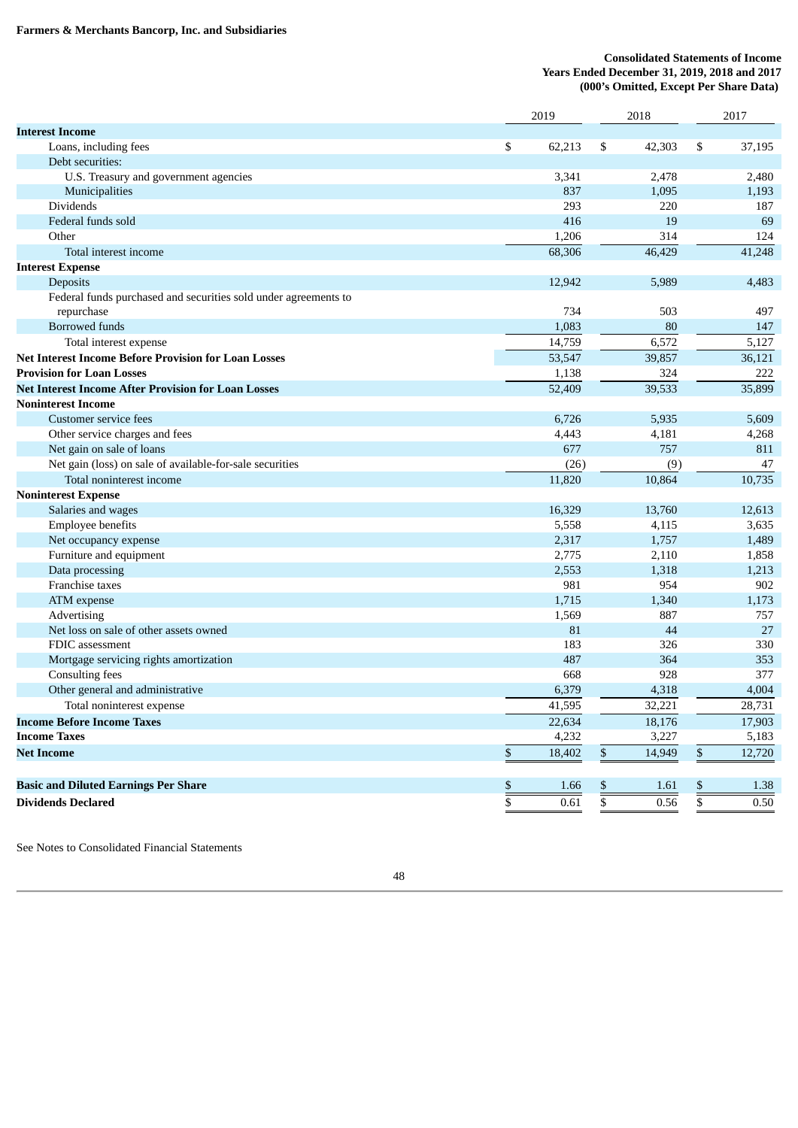# **Farmers & Merchants Bancorp, Inc. and Subsidiaries**

# **Consolidated Statements of Income Years Ended December 31, 2019, 2018 and 2017 (000's Omitted, Except Per Share Data)**

|                                                                 | 2019         |                 | 2018   |             | 2017     |
|-----------------------------------------------------------------|--------------|-----------------|--------|-------------|----------|
| <b>Interest Income</b>                                          |              |                 |        |             |          |
| Loans, including fees                                           | \$<br>62,213 | \$              | 42,303 | \$          | 37,195   |
| Debt securities:                                                |              |                 |        |             |          |
| U.S. Treasury and government agencies                           | 3,341        |                 | 2,478  |             | 2,480    |
| Municipalities                                                  | 837          |                 | 1,095  |             | 1,193    |
| Dividends                                                       | 293          |                 | 220    |             | 187      |
| Federal funds sold                                              | 416          |                 | 19     |             | 69       |
| Other                                                           | 1,206        |                 | 314    |             | 124      |
| Total interest income                                           | 68,306       |                 | 46,429 |             | 41,248   |
| <b>Interest Expense</b>                                         |              |                 |        |             |          |
| Deposits                                                        | 12,942       |                 | 5,989  |             | 4,483    |
| Federal funds purchased and securities sold under agreements to |              |                 |        |             |          |
| repurchase                                                      | 734          |                 | 503    |             | 497      |
| <b>Borrowed funds</b>                                           | 1,083        |                 | 80     |             | 147      |
| Total interest expense                                          | 14,759       |                 | 6,572  |             | 5,127    |
| <b>Net Interest Income Before Provision for Loan Losses</b>     | 53,547       |                 | 39,857 |             | 36,121   |
| <b>Provision for Loan Losses</b>                                | 1,138        |                 | 324    |             | 222      |
| <b>Net Interest Income After Provision for Loan Losses</b>      | 52,409       |                 | 39,533 |             | 35,899   |
| <b>Noninterest Income</b>                                       |              |                 |        |             |          |
| Customer service fees                                           | 6,726        |                 | 5,935  |             | 5,609    |
| Other service charges and fees                                  | 4,443        |                 | 4,181  |             | 4,268    |
| Net gain on sale of loans                                       | 677          |                 | 757    |             | 811      |
| Net gain (loss) on sale of available-for-sale securities        | (26)         |                 | (9)    |             | 47       |
| Total noninterest income                                        | 11,820       |                 | 10,864 |             | 10,735   |
| <b>Noninterest Expense</b>                                      |              |                 |        |             |          |
| Salaries and wages                                              | 16,329       |                 | 13,760 |             | 12,613   |
| Employee benefits                                               | 5,558        |                 | 4,115  |             | 3,635    |
| Net occupancy expense                                           | 2,317        |                 | 1,757  |             | 1,489    |
| Furniture and equipment                                         | 2,775        |                 | 2,110  |             | 1,858    |
| Data processing                                                 | 2,553        |                 | 1,318  |             | 1,213    |
| Franchise taxes                                                 | 981          |                 | 954    |             | 902      |
| ATM expense                                                     | 1,715        |                 | 1,340  |             | 1,173    |
| Advertising                                                     | 1,569        |                 | 887    |             | 757      |
| Net loss on sale of other assets owned                          | 81           |                 | 44     |             | 27       |
| FDIC assessment                                                 | 183          |                 | 326    |             | 330      |
| Mortgage servicing rights amortization                          | 487          |                 | 364    |             | 353      |
| Consulting fees                                                 | 668          |                 | 928    |             | 377      |
| Other general and administrative                                | 6,379        |                 | 4,318  |             | 4,004    |
| Total noninterest expense                                       | 41,595       |                 | 32,221 |             | 28,731   |
|                                                                 |              |                 |        |             |          |
| <b>Income Before Income Taxes</b>                               | 22,634       |                 | 18,176 |             | 17,903   |
| <b>Income Taxes</b>                                             | 4,232        |                 | 3,227  |             | 5,183    |
| <b>Net Income</b>                                               | \$<br>18,402 | $\overline{\$}$ | 14,949 | $\mathbb S$ | 12,720   |
| <b>Basic and Diluted Earnings Per Share</b>                     | \$<br>1.66   | \$              | 1.61   | \$          | 1.38     |
| <b>Dividends Declared</b>                                       | \$<br>0.61   | \$              | 0.56   | $\mathbb S$ | $0.50\,$ |

See Notes to Consolidated Financial Statements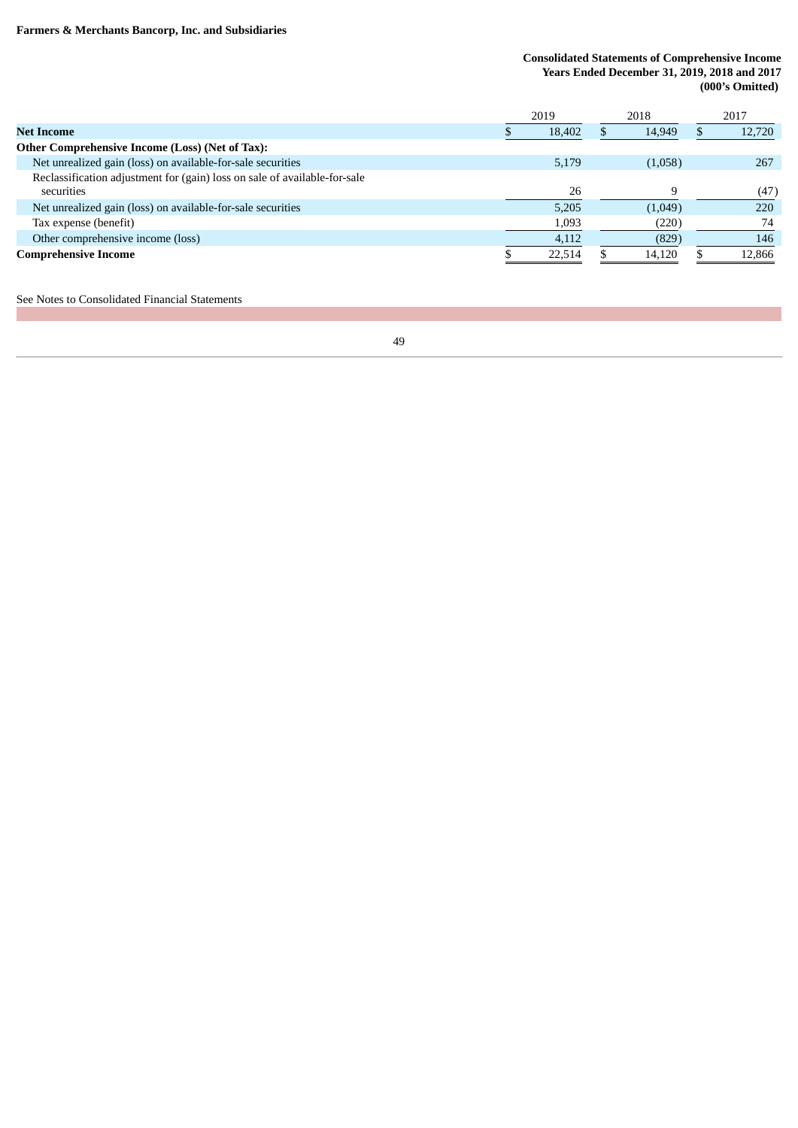## **Consolidated Statements of Comprehensive Income Years Ended December 31, 2019, 2018 and 2017 (000's Omitted)**

|                                                                           | 2019   | 2018    | 2017   |
|---------------------------------------------------------------------------|--------|---------|--------|
| Net Income                                                                | 18,402 | 14,949  | 12,720 |
| Other Comprehensive Income (Loss) (Net of Tax):                           |        |         |        |
| Net unrealized gain (loss) on available-for-sale securities               | 5,179  | (1,058) | 267    |
| Reclassification adjustment for (gain) loss on sale of available-for-sale |        |         |        |
| securities                                                                | 26     | 9       | (47)   |
| Net unrealized gain (loss) on available-for-sale securities               | 5,205  | (1,049) | 220    |
| Tax expense (benefit)                                                     | 1,093  | (220)   | 74     |
| Other comprehensive income (loss)                                         | 4,112  | (829)   | 146    |
| <b>Comprehensive Income</b>                                               | 22.514 | 14.120  | 12.866 |

See Notes to Consolidated Financial Statements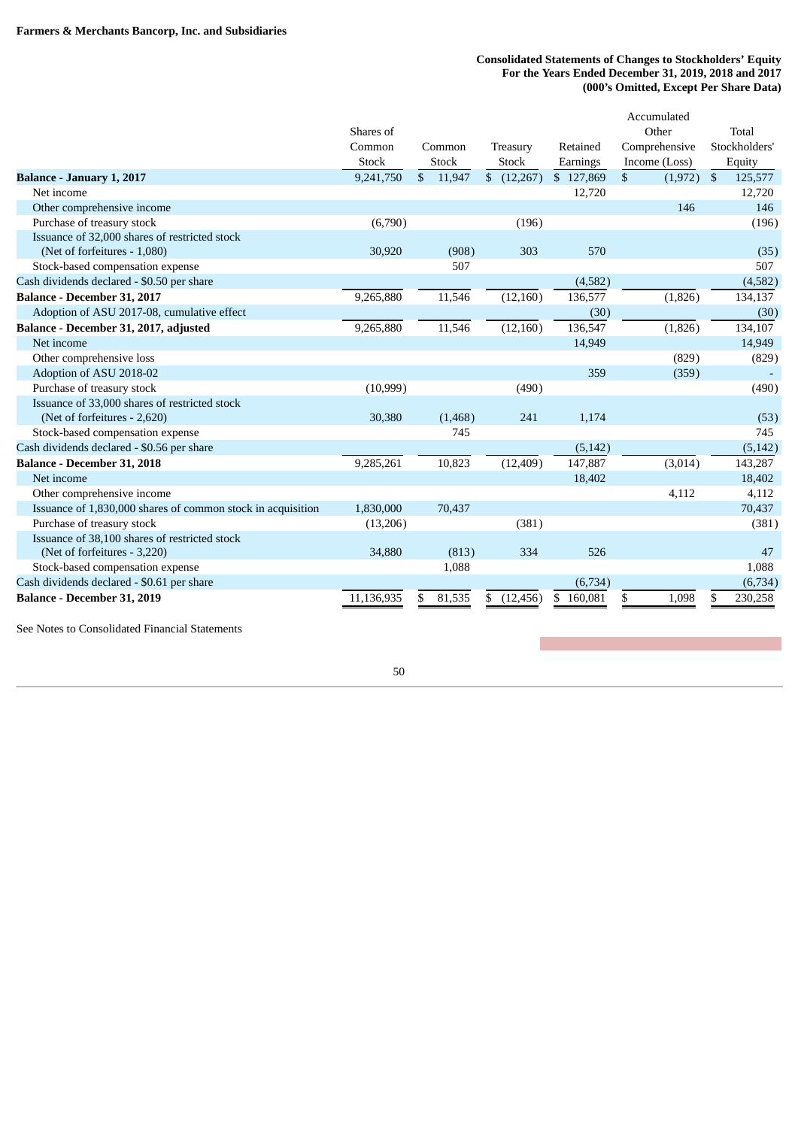## **Consolidated Statements of Changes to Stockholders' Equity For the Years Ended December 31, 2019, 2018 and 2017 (000's Omitted, Except Per Share Data)**

|                                                             |            |                        |                 |               | Accumulated             |                       |
|-------------------------------------------------------------|------------|------------------------|-----------------|---------------|-------------------------|-----------------------|
|                                                             | Shares of  |                        |                 |               | Other                   | <b>Total</b>          |
|                                                             | Common     | Common                 | Treasury        | Retained      | Comprehensive           | Stockholders'         |
|                                                             | Stock      | <b>Stock</b>           | <b>Stock</b>    | Earnings      | Income (Loss)           | Equity                |
| Balance - January 1, 2017                                   | 9,241,750  | $\mathbb{S}$<br>11,947 | \$(12,267)      | \$127,869     | $\mathbb{S}$<br>(1,972) | $\sqrt{3}$<br>125,577 |
| Net income                                                  |            |                        |                 | 12,720        |                         | 12,720                |
| Other comprehensive income                                  |            |                        |                 |               | 146                     | 146                   |
| Purchase of treasury stock                                  | (6,790)    |                        | (196)           |               |                         | (196)                 |
| Issuance of 32,000 shares of restricted stock               |            |                        |                 |               |                         |                       |
| (Net of forfeitures - 1,080)                                | 30,920     | (908)                  | 303             | 570           |                         | (35)                  |
| Stock-based compensation expense                            |            | 507                    |                 |               |                         | 507                   |
| Cash dividends declared - \$0.50 per share                  |            |                        |                 | (4,582)       |                         | (4,582)               |
| Balance - December 31, 2017                                 | 9,265,880  | 11,546                 | (12, 160)       | 136,577       | (1,826)                 | 134,137               |
| Adoption of ASU 2017-08, cumulative effect                  |            |                        |                 | (30)          |                         | (30)                  |
| Balance - December 31, 2017, adjusted                       | 9,265,880  | 11,546                 | (12, 160)       | 136,547       | (1,826)                 | 134,107               |
| Net income                                                  |            |                        |                 | 14,949        |                         | 14,949                |
| Other comprehensive loss                                    |            |                        |                 |               | (829)                   | (829)                 |
| Adoption of ASU 2018-02                                     |            |                        |                 | 359           | (359)                   |                       |
| Purchase of treasury stock                                  | (10, 999)  |                        | (490)           |               |                         | (490)                 |
| Issuance of 33,000 shares of restricted stock               |            |                        |                 |               |                         |                       |
| (Net of forfeitures - 2,620)                                | 30,380     | (1,468)                | 241             | 1,174         |                         | (53)                  |
| Stock-based compensation expense                            |            | 745                    |                 |               |                         | 745                   |
| Cash dividends declared - \$0.56 per share                  |            |                        |                 | (5, 142)      |                         | (5, 142)              |
| <b>Balance - December 31, 2018</b>                          | 9,285,261  | 10,823                 | (12, 409)       | 147,887       | (3,014)                 | 143,287               |
| Net income                                                  |            |                        |                 | 18,402        |                         | 18,402                |
| Other comprehensive income                                  |            |                        |                 |               | 4,112                   | 4,112                 |
| Issuance of 1,830,000 shares of common stock in acquisition | 1,830,000  | 70,437                 |                 |               |                         | 70,437                |
| Purchase of treasury stock                                  | (13,206)   |                        | (381)           |               |                         | (381)                 |
| Issuance of 38,100 shares of restricted stock               |            |                        |                 |               |                         |                       |
| (Net of forfeitures - 3,220)                                | 34,880     | (813)                  | 334             | 526           |                         | 47                    |
| Stock-based compensation expense                            |            | 1,088                  |                 |               |                         | 1,088                 |
| Cash dividends declared - \$0.61 per share                  |            |                        |                 | (6, 734)      |                         | (6,734)               |
| Balance - December 31, 2019                                 | 11,136,935 | 81,535<br>\$           | (12, 456)<br>S. | \$<br>160,081 | \$<br>1,098             | 230,258<br>\$         |

See Notes to Consolidated Financial Statements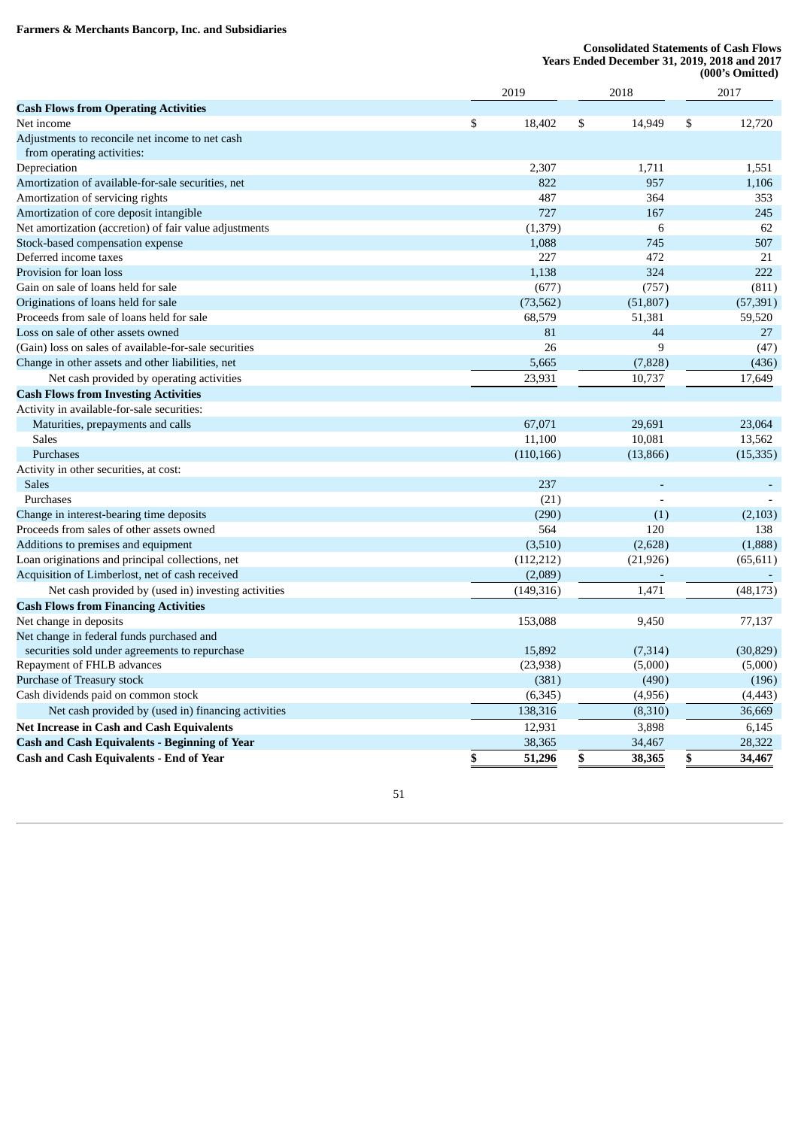|                                                        | 2019         | 2018         |    | 2017      |  |
|--------------------------------------------------------|--------------|--------------|----|-----------|--|
| <b>Cash Flows from Operating Activities</b>            |              |              |    |           |  |
| Net income                                             | \$<br>18,402 | \$<br>14,949 | \$ | 12,720    |  |
| Adjustments to reconcile net income to net cash        |              |              |    |           |  |
| from operating activities:                             |              |              |    |           |  |
| Depreciation                                           | 2,307        | 1,711        |    | 1,551     |  |
| Amortization of available-for-sale securities, net     | 822          | 957          |    | 1,106     |  |
| Amortization of servicing rights                       | 487          | 364          |    | 353       |  |
| Amortization of core deposit intangible                | 727          | 167          |    | 245       |  |
| Net amortization (accretion) of fair value adjustments | (1,379)      | 6            |    | 62        |  |
| Stock-based compensation expense                       | 1,088        | 745          |    | 507       |  |
| Deferred income taxes                                  | 227          | 472          |    | 21        |  |
| Provision for loan loss                                | 1,138        | 324          |    | 222       |  |
| Gain on sale of loans held for sale                    | (677)        | (757)        |    | (811)     |  |
| Originations of loans held for sale                    | (73, 562)    | (51, 807)    |    | (57, 391) |  |
| Proceeds from sale of loans held for sale              | 68,579       | 51,381       |    | 59,520    |  |
| Loss on sale of other assets owned                     | 81           | 44           |    | 27        |  |
| (Gain) loss on sales of available-for-sale securities  | 26           | 9            |    | (47)      |  |
| Change in other assets and other liabilities, net      | 5,665        | (7,828)      |    | (436)     |  |
| Net cash provided by operating activities              | 23,931       | 10,737       |    | 17,649    |  |
| <b>Cash Flows from Investing Activities</b>            |              |              |    |           |  |
| Activity in available-for-sale securities:             |              |              |    |           |  |
| Maturities, prepayments and calls                      | 67,071       | 29,691       |    | 23,064    |  |
| Sales                                                  | 11,100       | 10,081       |    | 13,562    |  |
| Purchases                                              | (110, 166)   | (13,866)     |    | (15, 335) |  |
| Activity in other securities, at cost:                 |              |              |    |           |  |
| <b>Sales</b>                                           | 237          |              |    |           |  |
| Purchases                                              | (21)         |              |    |           |  |
| Change in interest-bearing time deposits               | (290)        | (1)          |    | (2,103)   |  |
| Proceeds from sales of other assets owned              | 564          | 120          |    | 138       |  |
| Additions to premises and equipment                    | (3,510)      | (2,628)      |    | (1,888)   |  |
| Loan originations and principal collections, net       | (112,212)    | (21, 926)    |    | (65, 611) |  |
| Acquisition of Limberlost, net of cash received        | (2,089)      |              |    |           |  |
| Net cash provided by (used in) investing activities    | (149, 316)   | 1,471        |    | (48, 173) |  |
| <b>Cash Flows from Financing Activities</b>            |              |              |    |           |  |
| Net change in deposits                                 | 153,088      | 9,450        |    | 77,137    |  |
| Net change in federal funds purchased and              |              |              |    |           |  |
| securities sold under agreements to repurchase         | 15,892       | (7,314)      |    | (30, 829) |  |
| Repayment of FHLB advances                             | (23, 938)    | (5,000)      |    | (5,000)   |  |
| Purchase of Treasury stock                             | (381)        | (490)        |    | (196)     |  |
| Cash dividends paid on common stock                    | (6, 345)     | (4,956)      |    | (4, 443)  |  |
| Net cash provided by (used in) financing activities    | 138,316      | (8,310)      |    | 36,669    |  |
| <b>Net Increase in Cash and Cash Equivalents</b>       | 12,931       | 3,898        |    | 6,145     |  |
| <b>Cash and Cash Equivalents - Beginning of Year</b>   | 38,365       | 34,467       |    | 28,322    |  |
| <b>Cash and Cash Equivalents - End of Year</b>         | \$<br>51,296 | \$<br>38,365 | \$ | 34,467    |  |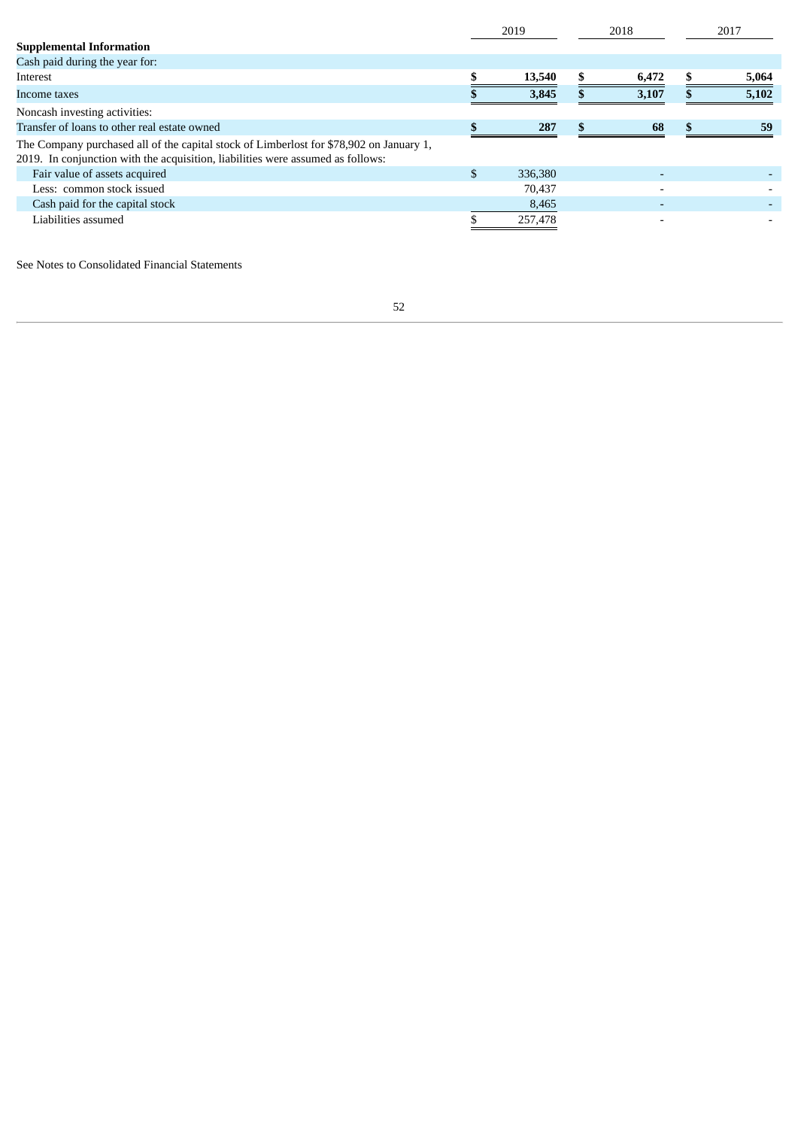|                                                                                                                                                                            | 2019 |         | 2018  | 2017  |
|----------------------------------------------------------------------------------------------------------------------------------------------------------------------------|------|---------|-------|-------|
| <b>Supplemental Information</b>                                                                                                                                            |      |         |       |       |
| Cash paid during the year for:                                                                                                                                             |      |         |       |       |
| Interest                                                                                                                                                                   |      | 13,540  | 6,472 | 5,064 |
| Income taxes                                                                                                                                                               |      | 3,845   | 3.107 | 5,102 |
| Noncash investing activities:                                                                                                                                              |      |         |       |       |
| Transfer of loans to other real estate owned                                                                                                                               |      | 287     | 68    | 59    |
| The Company purchased all of the capital stock of Limberlost for \$78,902 on January 1,<br>2019. In conjunction with the acquisition, liabilities were assumed as follows: |      |         |       |       |
| Fair value of assets acquired                                                                                                                                              |      | 336,380 |       |       |
| Less: common stock issued                                                                                                                                                  |      | 70.437  |       |       |
| Cash paid for the capital stock                                                                                                                                            |      | 8,465   |       |       |
| Liabilities assumed                                                                                                                                                        |      | 257,478 |       |       |

See Notes to Consolidated Financial Statements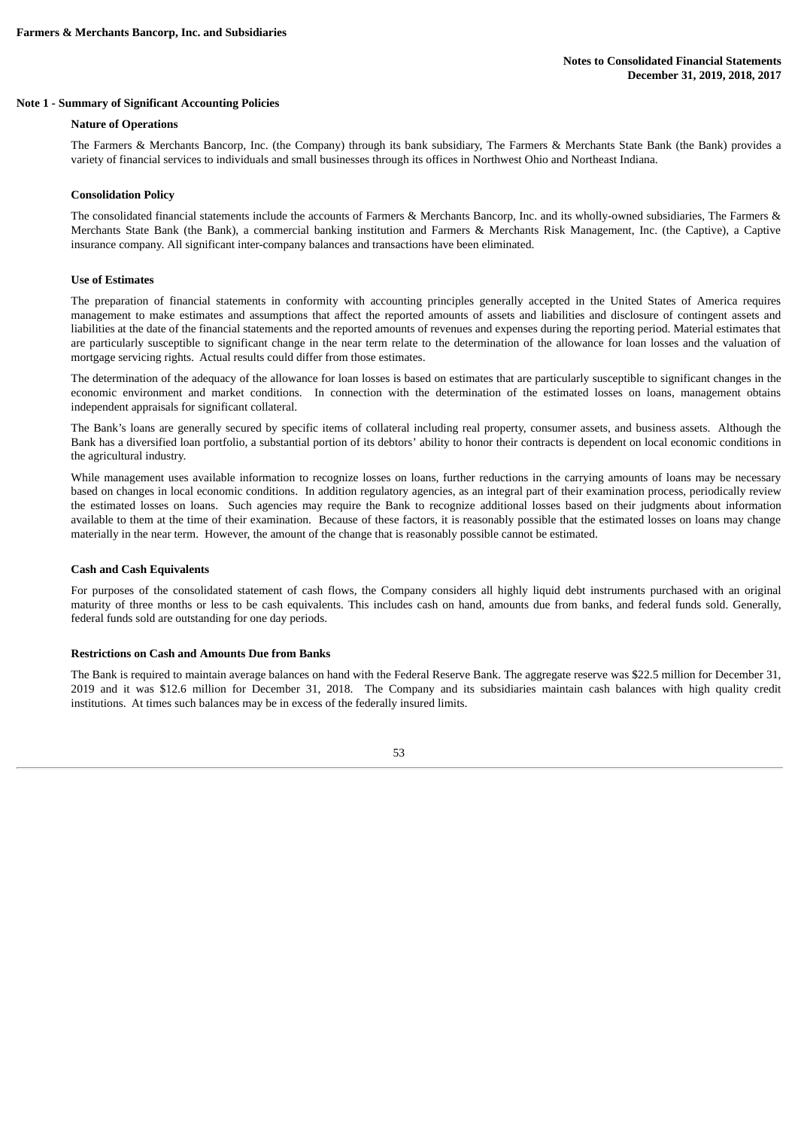#### **Note 1 - Summary of Significant Accounting Policies**

## **Nature of Operations**

The Farmers & Merchants Bancorp, Inc. (the Company) through its bank subsidiary, The Farmers & Merchants State Bank (the Bank) provides a variety of financial services to individuals and small businesses through its offices in Northwest Ohio and Northeast Indiana.

#### **Consolidation Policy**

The consolidated financial statements include the accounts of Farmers & Merchants Bancorp, Inc. and its wholly-owned subsidiaries, The Farmers & Merchants State Bank (the Bank), a commercial banking institution and Farmers & Merchants Risk Management, Inc. (the Captive), a Captive insurance company. All significant inter-company balances and transactions have been eliminated.

#### **Use of Estimates**

The preparation of financial statements in conformity with accounting principles generally accepted in the United States of America requires management to make estimates and assumptions that affect the reported amounts of assets and liabilities and disclosure of contingent assets and liabilities at the date of the financial statements and the reported amounts of revenues and expenses during the reporting period. Material estimates that are particularly susceptible to significant change in the near term relate to the determination of the allowance for loan losses and the valuation of mortgage servicing rights. Actual results could differ from those estimates.

The determination of the adequacy of the allowance for loan losses is based on estimates that are particularly susceptible to significant changes in the economic environment and market conditions. In connection with the determination of the estimated losses on loans, management obtains independent appraisals for significant collateral.

The Bank's loans are generally secured by specific items of collateral including real property, consumer assets, and business assets. Although the Bank has a diversified loan portfolio, a substantial portion of its debtors' ability to honor their contracts is dependent on local economic conditions in the agricultural industry.

While management uses available information to recognize losses on loans, further reductions in the carrying amounts of loans may be necessary based on changes in local economic conditions. In addition regulatory agencies, as an integral part of their examination process, periodically review the estimated losses on loans. Such agencies may require the Bank to recognize additional losses based on their judgments about information available to them at the time of their examination. Because of these factors, it is reasonably possible that the estimated losses on loans may change materially in the near term. However, the amount of the change that is reasonably possible cannot be estimated.

#### **Cash and Cash Equivalents**

For purposes of the consolidated statement of cash flows, the Company considers all highly liquid debt instruments purchased with an original maturity of three months or less to be cash equivalents. This includes cash on hand, amounts due from banks, and federal funds sold. Generally, federal funds sold are outstanding for one day periods.

#### **Restrictions on Cash and Amounts Due from Banks**

The Bank is required to maintain average balances on hand with the Federal Reserve Bank. The aggregate reserve was \$22.5 million for December 31, 2019 and it was \$12.6 million for December 31, 2018. The Company and its subsidiaries maintain cash balances with high quality credit institutions. At times such balances may be in excess of the federally insured limits.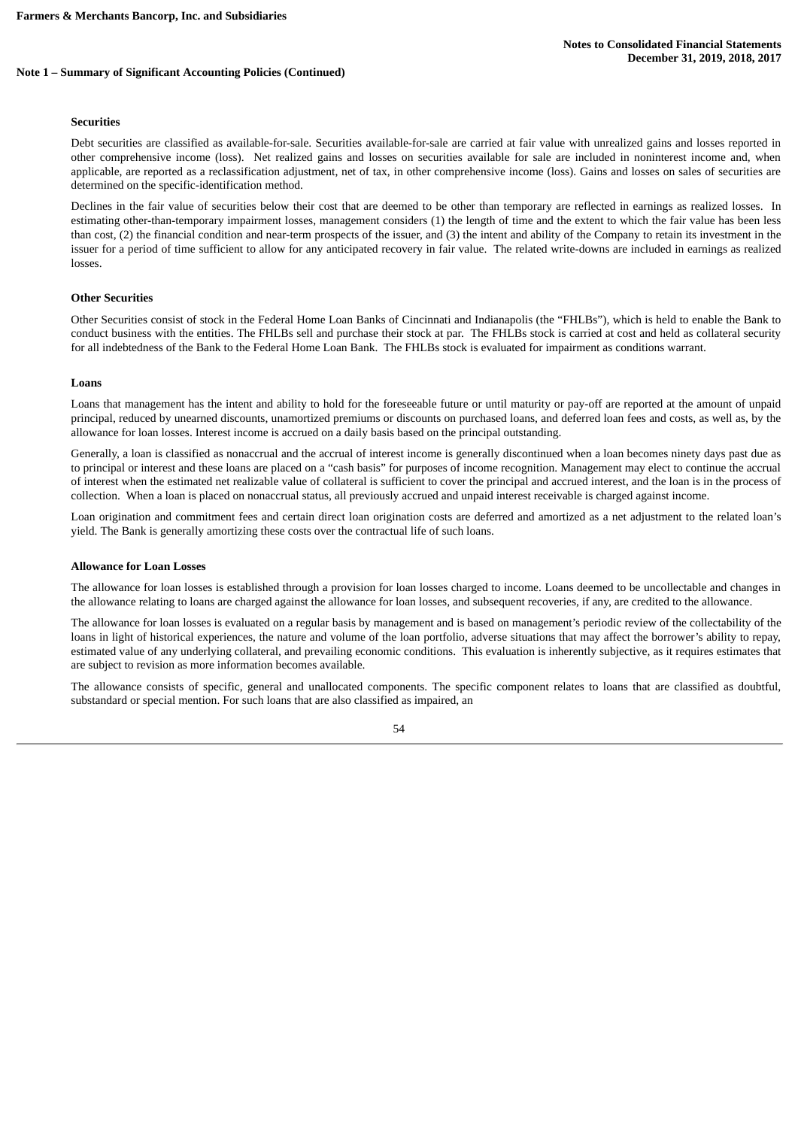## **Securities**

Debt securities are classified as available-for-sale. Securities available-for-sale are carried at fair value with unrealized gains and losses reported in other comprehensive income (loss). Net realized gains and losses on securities available for sale are included in noninterest income and, when applicable, are reported as a reclassification adjustment, net of tax, in other comprehensive income (loss). Gains and losses on sales of securities are determined on the specific-identification method.

Declines in the fair value of securities below their cost that are deemed to be other than temporary are reflected in earnings as realized losses. In estimating other-than-temporary impairment losses, management considers (1) the length of time and the extent to which the fair value has been less than cost, (2) the financial condition and near-term prospects of the issuer, and (3) the intent and ability of the Company to retain its investment in the issuer for a period of time sufficient to allow for any anticipated recovery in fair value. The related write-downs are included in earnings as realized losses.

## **Other Securities**

Other Securities consist of stock in the Federal Home Loan Banks of Cincinnati and Indianapolis (the "FHLBs"), which is held to enable the Bank to conduct business with the entities. The FHLBs sell and purchase their stock at par. The FHLBs stock is carried at cost and held as collateral security for all indebtedness of the Bank to the Federal Home Loan Bank. The FHLBs stock is evaluated for impairment as conditions warrant.

#### **Loans**

Loans that management has the intent and ability to hold for the foreseeable future or until maturity or pay-off are reported at the amount of unpaid principal, reduced by unearned discounts, unamortized premiums or discounts on purchased loans, and deferred loan fees and costs, as well as, by the allowance for loan losses. Interest income is accrued on a daily basis based on the principal outstanding.

Generally, a loan is classified as nonaccrual and the accrual of interest income is generally discontinued when a loan becomes ninety days past due as to principal or interest and these loans are placed on a "cash basis" for purposes of income recognition. Management may elect to continue the accrual of interest when the estimated net realizable value of collateral is sufficient to cover the principal and accrued interest, and the loan is in the process of collection. When a loan is placed on nonaccrual status, all previously accrued and unpaid interest receivable is charged against income.

Loan origination and commitment fees and certain direct loan origination costs are deferred and amortized as a net adjustment to the related loan's yield. The Bank is generally amortizing these costs over the contractual life of such loans.

#### **Allowance for Loan Losses**

The allowance for loan losses is established through a provision for loan losses charged to income. Loans deemed to be uncollectable and changes in the allowance relating to loans are charged against the allowance for loan losses, and subsequent recoveries, if any, are credited to the allowance.

The allowance for loan losses is evaluated on a regular basis by management and is based on management's periodic review of the collectability of the loans in light of historical experiences, the nature and volume of the loan portfolio, adverse situations that may affect the borrower's ability to repay, estimated value of any underlying collateral, and prevailing economic conditions. This evaluation is inherently subjective, as it requires estimates that are subject to revision as more information becomes available.

The allowance consists of specific, general and unallocated components. The specific component relates to loans that are classified as doubtful, substandard or special mention. For such loans that are also classified as impaired, an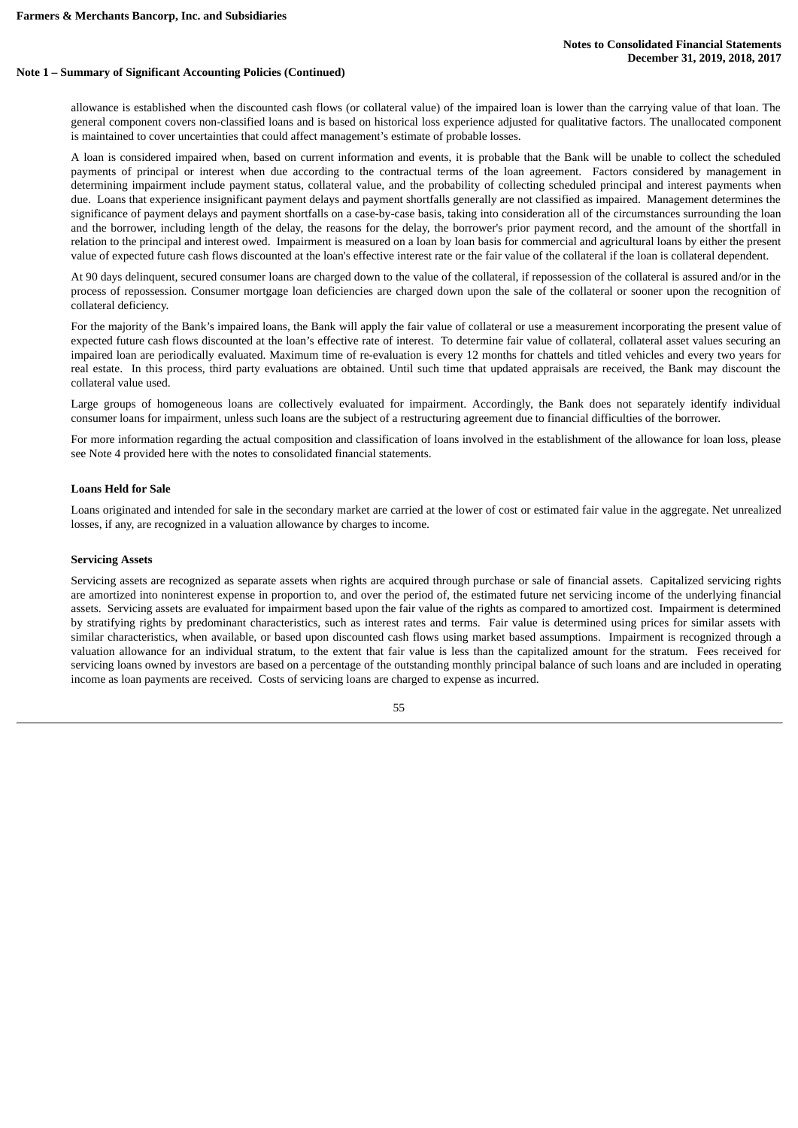allowance is established when the discounted cash flows (or collateral value) of the impaired loan is lower than the carrying value of that loan. The general component covers non-classified loans and is based on historical loss experience adjusted for qualitative factors. The unallocated component is maintained to cover uncertainties that could affect management's estimate of probable losses.

A loan is considered impaired when, based on current information and events, it is probable that the Bank will be unable to collect the scheduled payments of principal or interest when due according to the contractual terms of the loan agreement. Factors considered by management in determining impairment include payment status, collateral value, and the probability of collecting scheduled principal and interest payments when due. Loans that experience insignificant payment delays and payment shortfalls generally are not classified as impaired. Management determines the significance of payment delays and payment shortfalls on a case-by-case basis, taking into consideration all of the circumstances surrounding the loan and the borrower, including length of the delay, the reasons for the delay, the borrower's prior payment record, and the amount of the shortfall in relation to the principal and interest owed. Impairment is measured on a loan by loan basis for commercial and agricultural loans by either the present value of expected future cash flows discounted at the loan's effective interest rate or the fair value of the collateral if the loan is collateral dependent.

At 90 days delinquent, secured consumer loans are charged down to the value of the collateral, if repossession of the collateral is assured and/or in the process of repossession. Consumer mortgage loan deficiencies are charged down upon the sale of the collateral or sooner upon the recognition of collateral deficiency.

For the majority of the Bank's impaired loans, the Bank will apply the fair value of collateral or use a measurement incorporating the present value of expected future cash flows discounted at the loan's effective rate of interest. To determine fair value of collateral, collateral asset values securing an impaired loan are periodically evaluated. Maximum time of re-evaluation is every 12 months for chattels and titled vehicles and every two years for real estate. In this process, third party evaluations are obtained. Until such time that updated appraisals are received, the Bank may discount the collateral value used.

Large groups of homogeneous loans are collectively evaluated for impairment. Accordingly, the Bank does not separately identify individual consumer loans for impairment, unless such loans are the subject of a restructuring agreement due to financial difficulties of the borrower.

For more information regarding the actual composition and classification of loans involved in the establishment of the allowance for loan loss, please see Note 4 provided here with the notes to consolidated financial statements.

## **Loans Held for Sale**

Loans originated and intended for sale in the secondary market are carried at the lower of cost or estimated fair value in the aggregate. Net unrealized losses, if any, are recognized in a valuation allowance by charges to income.

## **Servicing Assets**

Servicing assets are recognized as separate assets when rights are acquired through purchase or sale of financial assets. Capitalized servicing rights are amortized into noninterest expense in proportion to, and over the period of, the estimated future net servicing income of the underlying financial assets. Servicing assets are evaluated for impairment based upon the fair value of the rights as compared to amortized cost. Impairment is determined by stratifying rights by predominant characteristics, such as interest rates and terms. Fair value is determined using prices for similar assets with similar characteristics, when available, or based upon discounted cash flows using market based assumptions. Impairment is recognized through a valuation allowance for an individual stratum, to the extent that fair value is less than the capitalized amount for the stratum. Fees received for servicing loans owned by investors are based on a percentage of the outstanding monthly principal balance of such loans and are included in operating income as loan payments are received. Costs of servicing loans are charged to expense as incurred.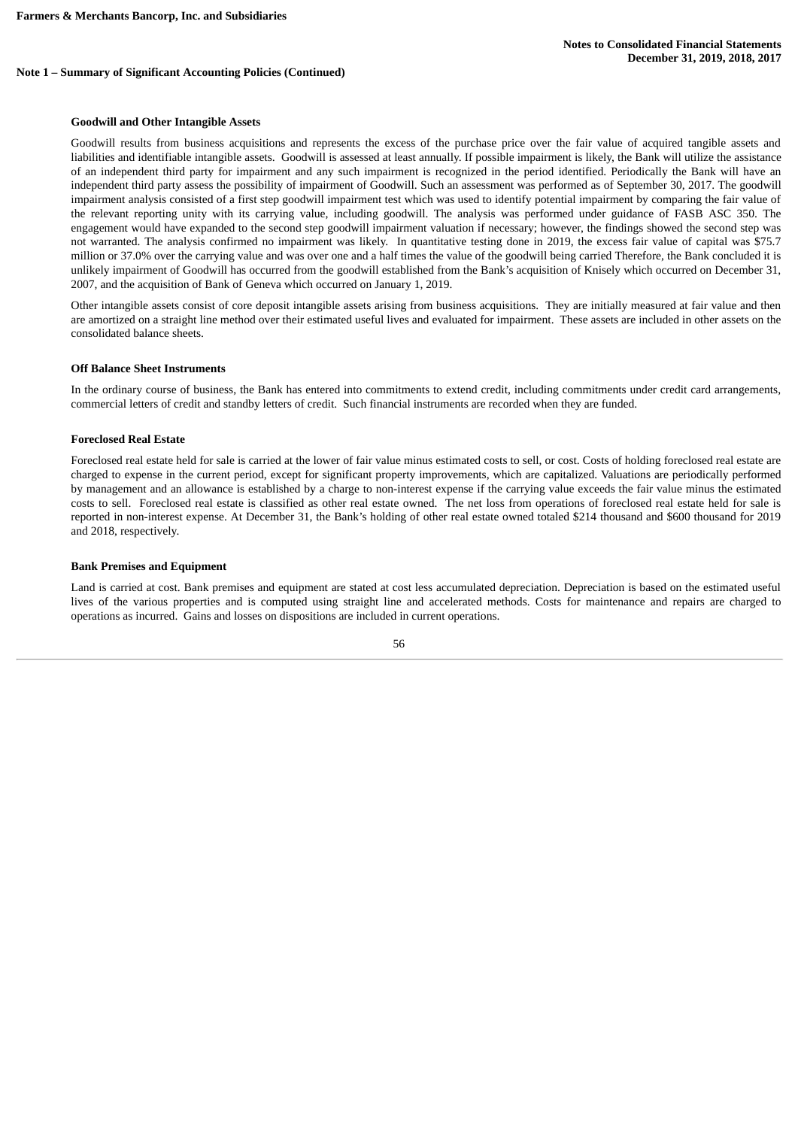#### **Goodwill and Other Intangible Assets**

Goodwill results from business acquisitions and represents the excess of the purchase price over the fair value of acquired tangible assets and liabilities and identifiable intangible assets. Goodwill is assessed at least annually. If possible impairment is likely, the Bank will utilize the assistance of an independent third party for impairment and any such impairment is recognized in the period identified. Periodically the Bank will have an independent third party assess the possibility of impairment of Goodwill. Such an assessment was performed as of September 30, 2017. The goodwill impairment analysis consisted of a first step goodwill impairment test which was used to identify potential impairment by comparing the fair value of the relevant reporting unity with its carrying value, including goodwill. The analysis was performed under guidance of FASB ASC 350. The engagement would have expanded to the second step goodwill impairment valuation if necessary; however, the findings showed the second step was not warranted. The analysis confirmed no impairment was likely. In quantitative testing done in 2019, the excess fair value of capital was \$75.7 million or 37.0% over the carrying value and was over one and a half times the value of the goodwill being carried Therefore, the Bank concluded it is unlikely impairment of Goodwill has occurred from the goodwill established from the Bank's acquisition of Knisely which occurred on December 31, 2007, and the acquisition of Bank of Geneva which occurred on January 1, 2019.

Other intangible assets consist of core deposit intangible assets arising from business acquisitions. They are initially measured at fair value and then are amortized on a straight line method over their estimated useful lives and evaluated for impairment. These assets are included in other assets on the consolidated balance sheets.

#### **Off Balance Sheet Instruments**

In the ordinary course of business, the Bank has entered into commitments to extend credit, including commitments under credit card arrangements, commercial letters of credit and standby letters of credit. Such financial instruments are recorded when they are funded.

#### **Foreclosed Real Estate**

Foreclosed real estate held for sale is carried at the lower of fair value minus estimated costs to sell, or cost. Costs of holding foreclosed real estate are charged to expense in the current period, except for significant property improvements, which are capitalized. Valuations are periodically performed by management and an allowance is established by a charge to non-interest expense if the carrying value exceeds the fair value minus the estimated costs to sell. Foreclosed real estate is classified as other real estate owned. The net loss from operations of foreclosed real estate held for sale is reported in non-interest expense. At December 31, the Bank's holding of other real estate owned totaled \$214 thousand and \$600 thousand for 2019 and 2018, respectively.

#### **Bank Premises and Equipment**

Land is carried at cost. Bank premises and equipment are stated at cost less accumulated depreciation. Depreciation is based on the estimated useful lives of the various properties and is computed using straight line and accelerated methods. Costs for maintenance and repairs are charged to operations as incurred. Gains and losses on dispositions are included in current operations.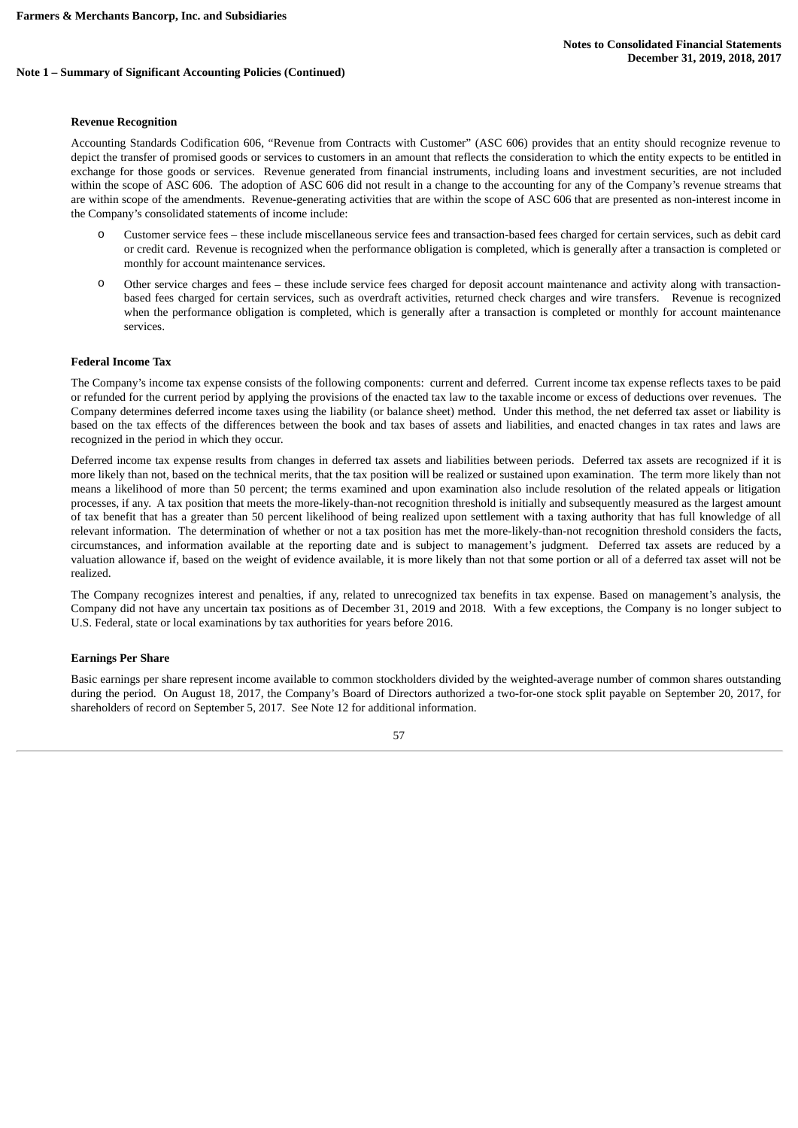#### **Revenue Recognition**

Accounting Standards Codification 606, "Revenue from Contracts with Customer" (ASC 606) provides that an entity should recognize revenue to depict the transfer of promised goods or services to customers in an amount that reflects the consideration to which the entity expects to be entitled in exchange for those goods or services. Revenue generated from financial instruments, including loans and investment securities, are not included within the scope of ASC 606. The adoption of ASC 606 did not result in a change to the accounting for any of the Company's revenue streams that are within scope of the amendments. Revenue-generating activities that are within the scope of ASC 606 that are presented as non-interest income in the Company's consolidated statements of income include:

- o Customer service fees these include miscellaneous service fees and transaction-based fees charged for certain services, such as debit card or credit card. Revenue is recognized when the performance obligation is completed, which is generally after a transaction is completed or monthly for account maintenance services.
- o Other service charges and fees these include service fees charged for deposit account maintenance and activity along with transactionbased fees charged for certain services, such as overdraft activities, returned check charges and wire transfers. Revenue is recognized when the performance obligation is completed, which is generally after a transaction is completed or monthly for account maintenance services.

## **Federal Income Tax**

The Company's income tax expense consists of the following components: current and deferred. Current income tax expense reflects taxes to be paid or refunded for the current period by applying the provisions of the enacted tax law to the taxable income or excess of deductions over revenues. The Company determines deferred income taxes using the liability (or balance sheet) method. Under this method, the net deferred tax asset or liability is based on the tax effects of the differences between the book and tax bases of assets and liabilities, and enacted changes in tax rates and laws are recognized in the period in which they occur.

Deferred income tax expense results from changes in deferred tax assets and liabilities between periods. Deferred tax assets are recognized if it is more likely than not, based on the technical merits, that the tax position will be realized or sustained upon examination. The term more likely than not means a likelihood of more than 50 percent; the terms examined and upon examination also include resolution of the related appeals or litigation processes, if any. A tax position that meets the more-likely-than-not recognition threshold is initially and subsequently measured as the largest amount of tax benefit that has a greater than 50 percent likelihood of being realized upon settlement with a taxing authority that has full knowledge of all relevant information. The determination of whether or not a tax position has met the more-likely-than-not recognition threshold considers the facts, circumstances, and information available at the reporting date and is subject to management's judgment. Deferred tax assets are reduced by a valuation allowance if, based on the weight of evidence available, it is more likely than not that some portion or all of a deferred tax asset will not be realized.

The Company recognizes interest and penalties, if any, related to unrecognized tax benefits in tax expense. Based on management's analysis, the Company did not have any uncertain tax positions as of December 31, 2019 and 2018. With a few exceptions, the Company is no longer subject to U.S. Federal, state or local examinations by tax authorities for years before 2016.

#### **Earnings Per Share**

Basic earnings per share represent income available to common stockholders divided by the weighted-average number of common shares outstanding during the period. On August 18, 2017, the Company's Board of Directors authorized a two-for-one stock split payable on September 20, 2017, for shareholders of record on September 5, 2017. See Note 12 for additional information.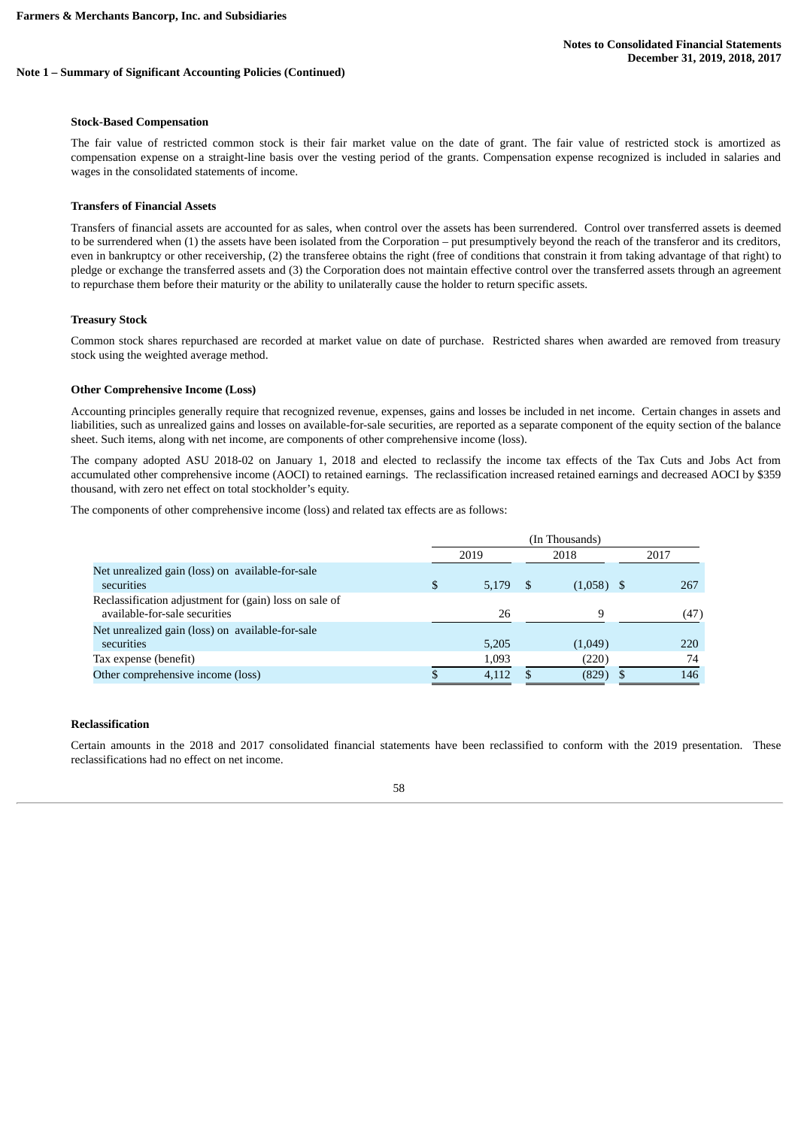#### **Stock-Based Compensation**

The fair value of restricted common stock is their fair market value on the date of grant. The fair value of restricted stock is amortized as compensation expense on a straight-line basis over the vesting period of the grants. Compensation expense recognized is included in salaries and wages in the consolidated statements of income.

## **Transfers of Financial Assets**

Transfers of financial assets are accounted for as sales, when control over the assets has been surrendered. Control over transferred assets is deemed to be surrendered when (1) the assets have been isolated from the Corporation – put presumptively beyond the reach of the transferor and its creditors, even in bankruptcy or other receivership, (2) the transferee obtains the right (free of conditions that constrain it from taking advantage of that right) to pledge or exchange the transferred assets and (3) the Corporation does not maintain effective control over the transferred assets through an agreement to repurchase them before their maturity or the ability to unilaterally cause the holder to return specific assets.

## **Treasury Stock**

Common stock shares repurchased are recorded at market value on date of purchase. Restricted shares when awarded are removed from treasury stock using the weighted average method.

## **Other Comprehensive Income (Loss)**

Accounting principles generally require that recognized revenue, expenses, gains and losses be included in net income. Certain changes in assets and liabilities, such as unrealized gains and losses on available-for-sale securities, are reported as a separate component of the equity section of the balance sheet. Such items, along with net income, are components of other comprehensive income (loss).

The company adopted ASU 2018-02 on January 1, 2018 and elected to reclassify the income tax effects of the Tax Cuts and Jobs Act from accumulated other comprehensive income (AOCI) to retained earnings. The reclassification increased retained earnings and decreased AOCI by \$359 thousand, with zero net effect on total stockholder's equity.

The components of other comprehensive income (loss) and related tax effects are as follows:

|                                                                                         | (In Thousands) |       |  |                      |  |      |  |  |
|-----------------------------------------------------------------------------------------|----------------|-------|--|----------------------|--|------|--|--|
|                                                                                         |                | 2019  |  | 2018                 |  | 2017 |  |  |
| Net unrealized gain (loss) on available-for-sale<br>securities                          | \$             | 5,179 |  | $(1,058)$ \$<br>- \$ |  | 267  |  |  |
| Reclassification adjustment for (gain) loss on sale of<br>available-for-sale securities |                | 26    |  | 9                    |  | (47) |  |  |
| Net unrealized gain (loss) on available-for-sale<br>securities                          |                | 5,205 |  | (1,049)              |  | 220  |  |  |
| Tax expense (benefit)                                                                   |                | 1,093 |  | (220)                |  | 74   |  |  |
| Other comprehensive income (loss)                                                       |                | 4,112 |  | (829)                |  | 146  |  |  |

#### **Reclassification**

Certain amounts in the 2018 and 2017 consolidated financial statements have been reclassified to conform with the 2019 presentation. These reclassifications had no effect on net income.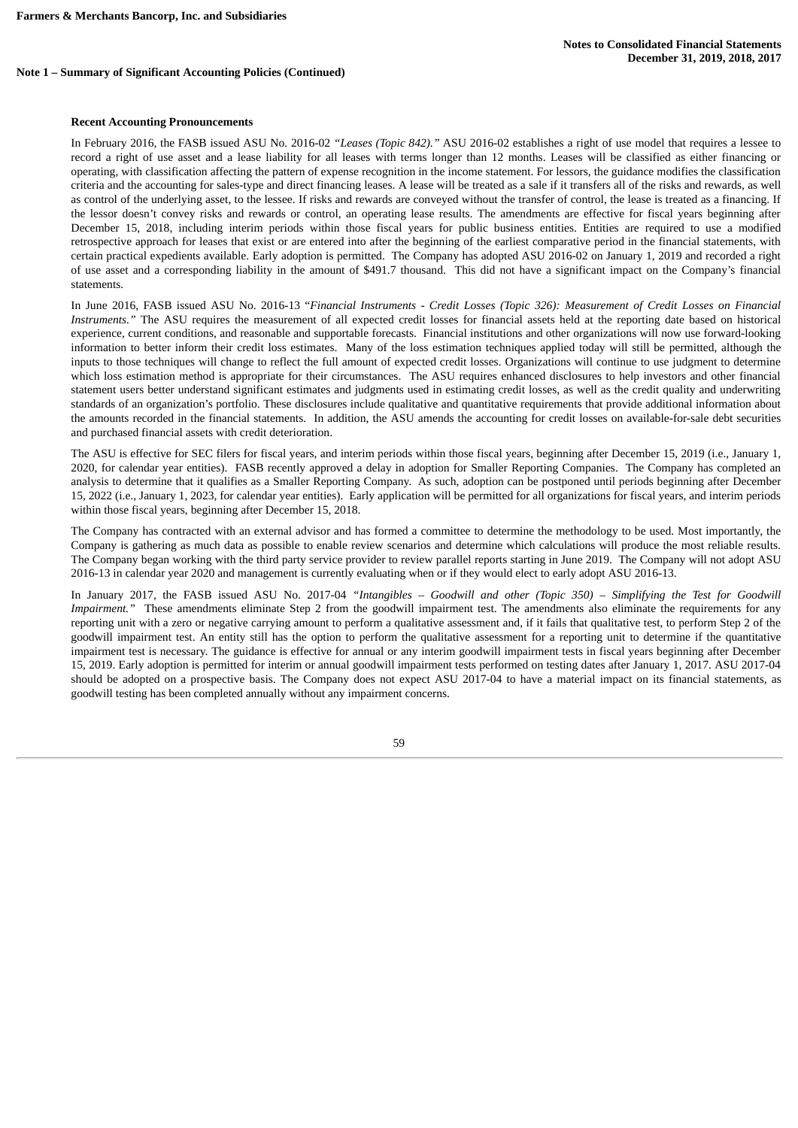#### **Recent Accounting Pronouncements**

In February 2016, the FASB issued ASU No. 2016-02 *"Leases (Topic 842)."* ASU 2016-02 establishes a right of use model that requires a lessee to record a right of use asset and a lease liability for all leases with terms longer than 12 months. Leases will be classified as either financing or operating, with classification affecting the pattern of expense recognition in the income statement. For lessors, the guidance modifies the classification criteria and the accounting for sales-type and direct financing leases. A lease will be treated as a sale if it transfers all of the risks and rewards, as well as control of the underlying asset, to the lessee. If risks and rewards are conveyed without the transfer of control, the lease is treated as a financing. If the lessor doesn't convey risks and rewards or control, an operating lease results. The amendments are effective for fiscal years beginning after December 15, 2018, including interim periods within those fiscal years for public business entities. Entities are required to use a modified retrospective approach for leases that exist or are entered into after the beginning of the earliest comparative period in the financial statements, with certain practical expedients available. Early adoption is permitted. The Company has adopted ASU 2016-02 on January 1, 2019 and recorded a right of use asset and a corresponding liability in the amount of \$491.7 thousand. This did not have a significant impact on the Company's financial statements.

In June 2016, FASB issued ASU No. 2016-13 "Financial Instruments - Credit Losses (Topic 326): Measurement of Credit Losses on Financial *Instruments."* The ASU requires the measurement of all expected credit losses for financial assets held at the reporting date based on historical experience, current conditions, and reasonable and supportable forecasts. Financial institutions and other organizations will now use forward-looking information to better inform their credit loss estimates. Many of the loss estimation techniques applied today will still be permitted, although the inputs to those techniques will change to reflect the full amount of expected credit losses. Organizations will continue to use judgment to determine which loss estimation method is appropriate for their circumstances. The ASU requires enhanced disclosures to help investors and other financial statement users better understand significant estimates and judgments used in estimating credit losses, as well as the credit quality and underwriting standards of an organization's portfolio. These disclosures include qualitative and quantitative requirements that provide additional information about the amounts recorded in the financial statements. In addition, the ASU amends the accounting for credit losses on available-for-sale debt securities and purchased financial assets with credit deterioration.

The ASU is effective for SEC filers for fiscal years, and interim periods within those fiscal years, beginning after December 15, 2019 (i.e., January 1, 2020, for calendar year entities). FASB recently approved a delay in adoption for Smaller Reporting Companies. The Company has completed an analysis to determine that it qualifies as a Smaller Reporting Company. As such, adoption can be postponed until periods beginning after December 15, 2022 (i.e., January 1, 2023, for calendar year entities). Early application will be permitted for all organizations for fiscal years, and interim periods within those fiscal years, beginning after December 15, 2018.

The Company has contracted with an external advisor and has formed a committee to determine the methodology to be used. Most importantly, the Company is gathering as much data as possible to enable review scenarios and determine which calculations will produce the most reliable results. The Company began working with the third party service provider to review parallel reports starting in June 2019. The Company will not adopt ASU 2016-13 in calendar year 2020 and management is currently evaluating when or if they would elect to early adopt ASU 2016-13.

In January 2017, the FASB issued ASU No. 2017-04 *"Intangibles – Goodwill and other (Topic 350) – Simplifying the Test for Goodwill Impairment."* These amendments eliminate Step 2 from the goodwill impairment test. The amendments also eliminate the requirements for any reporting unit with a zero or negative carrying amount to perform a qualitative assessment and, if it fails that qualitative test, to perform Step 2 of the goodwill impairment test. An entity still has the option to perform the qualitative assessment for a reporting unit to determine if the quantitative impairment test is necessary. The guidance is effective for annual or any interim goodwill impairment tests in fiscal years beginning after December 15, 2019. Early adoption is permitted for interim or annual goodwill impairment tests performed on testing dates after January 1, 2017. ASU 2017-04 should be adopted on a prospective basis. The Company does not expect ASU 2017-04 to have a material impact on its financial statements, as goodwill testing has been completed annually without any impairment concerns.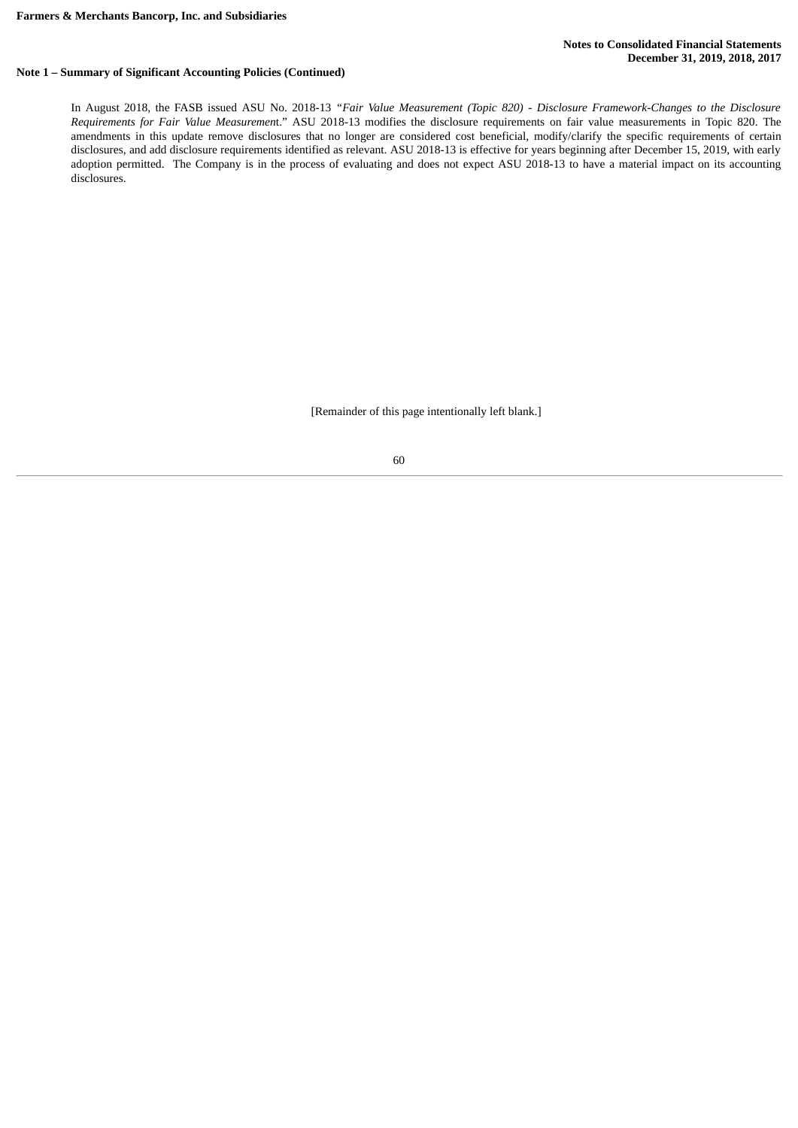In August 2018, the FASB issued ASU No. 2018-13 *"Fair Value Measurement (Topic 820) - Disclosure Framework-Changes to the Disclosure Requirements for Fair Value Measuremen*t." ASU 2018-13 modifies the disclosure requirements on fair value measurements in Topic 820. The amendments in this update remove disclosures that no longer are considered cost beneficial, modify/clarify the specific requirements of certain disclosures, and add disclosure requirements identified as relevant. ASU 2018-13 is effective for years beginning after December 15, 2019, with early adoption permitted. The Company is in the process of evaluating and does not expect ASU 2018-13 to have a material impact on its accounting disclosures.

[Remainder of this page intentionally left blank.]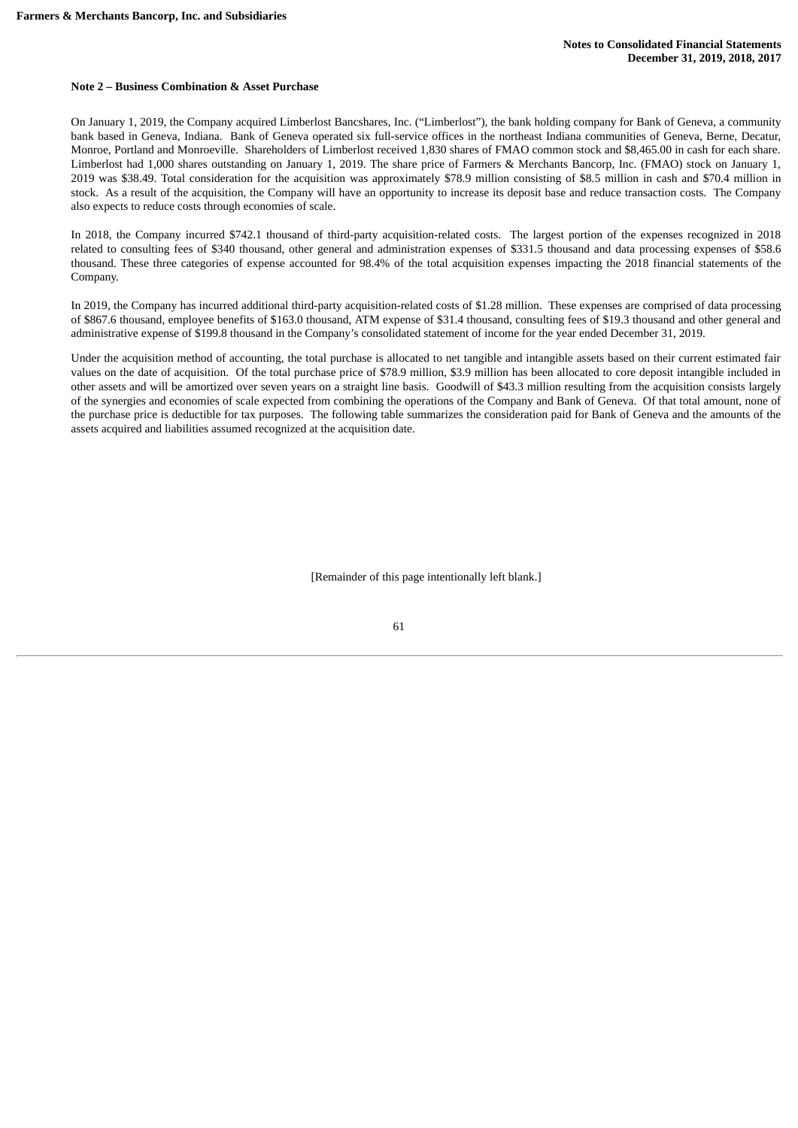#### **Note 2 – Business Combination & Asset Purchase**

On January 1, 2019, the Company acquired Limberlost Bancshares, Inc. ("Limberlost"), the bank holding company for Bank of Geneva, a community bank based in Geneva, Indiana. Bank of Geneva operated six full-service offices in the northeast Indiana communities of Geneva, Berne, Decatur, Monroe, Portland and Monroeville. Shareholders of Limberlost received 1,830 shares of FMAO common stock and \$8,465.00 in cash for each share. Limberlost had 1,000 shares outstanding on January 1, 2019. The share price of Farmers & Merchants Bancorp, Inc. (FMAO) stock on January 1, 2019 was \$38.49. Total consideration for the acquisition was approximately \$78.9 million consisting of \$8.5 million in cash and \$70.4 million in stock. As a result of the acquisition, the Company will have an opportunity to increase its deposit base and reduce transaction costs. The Company also expects to reduce costs through economies of scale.

In 2018, the Company incurred \$742.1 thousand of third-party acquisition-related costs. The largest portion of the expenses recognized in 2018 related to consulting fees of \$340 thousand, other general and administration expenses of \$331.5 thousand and data processing expenses of \$58.6 thousand. These three categories of expense accounted for 98.4% of the total acquisition expenses impacting the 2018 financial statements of the Company.

In 2019, the Company has incurred additional third-party acquisition-related costs of \$1.28 million. These expenses are comprised of data processing of \$867.6 thousand, employee benefits of \$163.0 thousand, ATM expense of \$31.4 thousand, consulting fees of \$19.3 thousand and other general and administrative expense of \$199.8 thousand in the Company's consolidated statement of income for the year ended December 31, 2019.

Under the acquisition method of accounting, the total purchase is allocated to net tangible and intangible assets based on their current estimated fair values on the date of acquisition. Of the total purchase price of \$78.9 million, \$3.9 million has been allocated to core deposit intangible included in other assets and will be amortized over seven years on a straight line basis. Goodwill of \$43.3 million resulting from the acquisition consists largely of the synergies and economies of scale expected from combining the operations of the Company and Bank of Geneva. Of that total amount, none of the purchase price is deductible for tax purposes. The following table summarizes the consideration paid for Bank of Geneva and the amounts of the assets acquired and liabilities assumed recognized at the acquisition date.

[Remainder of this page intentionally left blank.]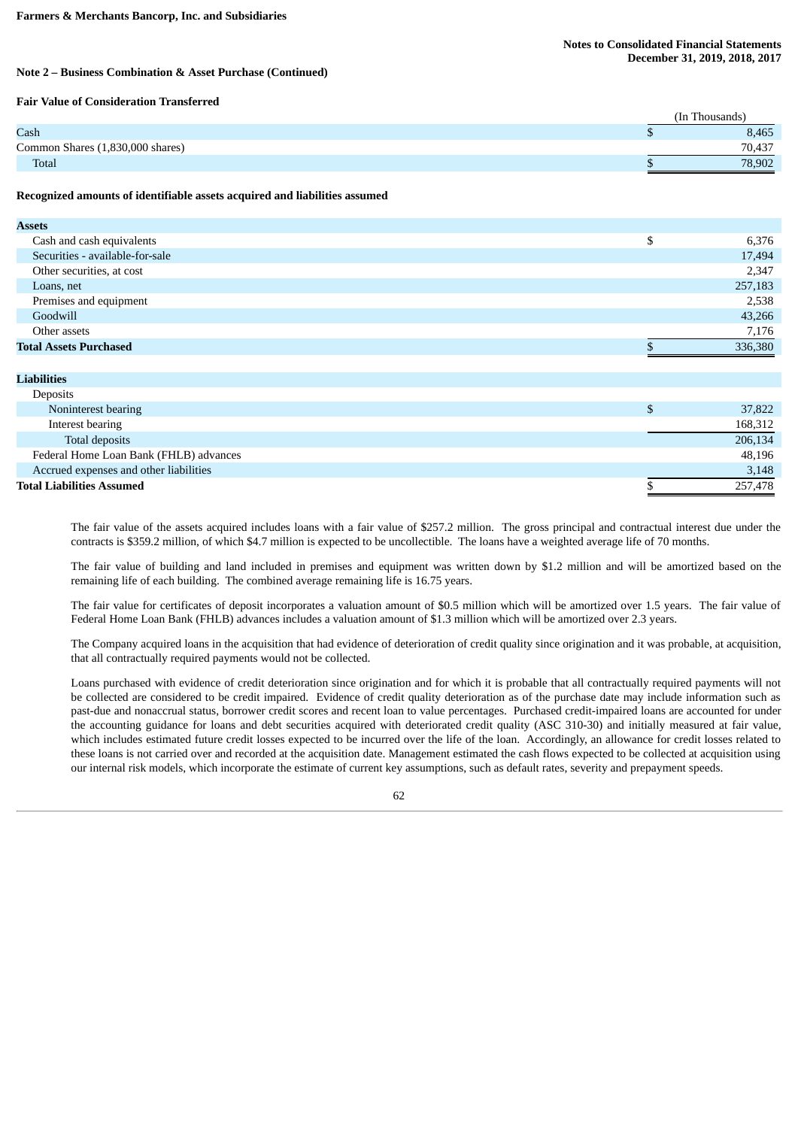## **Note 2 – Business Combination & Asset Purchase (Continued)**

## **Fair Value of Consideration Transferred**

|                                  | (In Thousands) |
|----------------------------------|----------------|
| Cash                             | 8,465          |
| Common Shares (1,830,000 shares) | 70.437         |
| Total                            | 78,902         |

#### **Recognized amounts of identifiable assets acquired and liabilities assumed**

| <b>Assets</b>                   |   |         |
|---------------------------------|---|---------|
| Cash and cash equivalents       | จ | 6,376   |
| Securities - available-for-sale |   | 17,494  |
| Other securities, at cost       |   | 2,347   |
| Loans, net                      |   | 257,183 |
| Premises and equipment          |   | 2,538   |
| Goodwill                        |   | 43,266  |
| Other assets                    |   | 7,176   |
| <b>Total Assets Purchased</b>   |   | 336,380 |

| Liabilities                            |         |
|----------------------------------------|---------|
| <b>Deposits</b>                        |         |
| Noninterest bearing                    | 37,822  |
| Interest bearing                       | 168,312 |
| Total deposits                         | 206,134 |
| Federal Home Loan Bank (FHLB) advances | 48,196  |
| Accrued expenses and other liabilities | 3,148   |
| <b>Total Liabilities Assumed</b>       | 257,478 |

The fair value of the assets acquired includes loans with a fair value of \$257.2 million. The gross principal and contractual interest due under the contracts is \$359.2 million, of which \$4.7 million is expected to be uncollectible. The loans have a weighted average life of 70 months.

The fair value of building and land included in premises and equipment was written down by \$1.2 million and will be amortized based on the remaining life of each building. The combined average remaining life is 16.75 years.

The fair value for certificates of deposit incorporates a valuation amount of \$0.5 million which will be amortized over 1.5 years. The fair value of Federal Home Loan Bank (FHLB) advances includes a valuation amount of \$1.3 million which will be amortized over 2.3 years.

The Company acquired loans in the acquisition that had evidence of deterioration of credit quality since origination and it was probable, at acquisition, that all contractually required payments would not be collected.

Loans purchased with evidence of credit deterioration since origination and for which it is probable that all contractually required payments will not be collected are considered to be credit impaired. Evidence of credit quality deterioration as of the purchase date may include information such as past-due and nonaccrual status, borrower credit scores and recent loan to value percentages. Purchased credit-impaired loans are accounted for under the accounting guidance for loans and debt securities acquired with deteriorated credit quality (ASC 310-30) and initially measured at fair value, which includes estimated future credit losses expected to be incurred over the life of the loan. Accordingly, an allowance for credit losses related to these loans is not carried over and recorded at the acquisition date. Management estimated the cash flows expected to be collected at acquisition using our internal risk models, which incorporate the estimate of current key assumptions, such as default rates, severity and prepayment speeds.

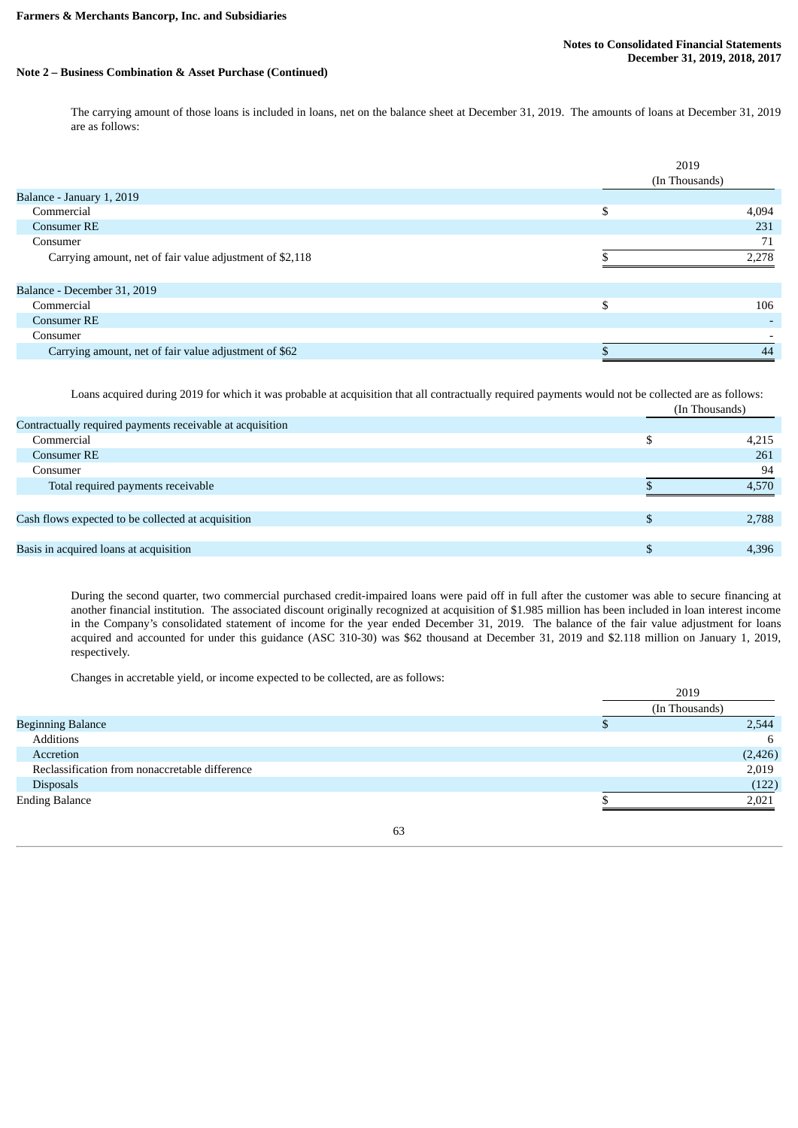## **Note 2 – Business Combination & Asset Purchase (Continued)**

The carrying amount of those loans is included in loans, net on the balance sheet at December 31, 2019. The amounts of loans at December 31, 2019 are as follows:

|                                                          | 2019           |
|----------------------------------------------------------|----------------|
|                                                          | (In Thousands) |
| Balance - January 1, 2019                                |                |
| Commercial                                               | \$<br>4,094    |
| <b>Consumer RE</b>                                       | 231            |
| Consumer                                                 | 71             |
| Carrying amount, net of fair value adjustment of \$2,118 | 2,278          |
| Balance - December 31, 2019                              |                |
| Commercial                                               | \$<br>106      |
| <b>Consumer RE</b>                                       |                |
| Consumer                                                 |                |
| Carrying amount, net of fair value adjustment of \$62    | 44             |

Loans acquired during 2019 for which it was probable at acquisition that all contractually required payments would not be collected are as follows:

|                                                           | (In Thousands) |
|-----------------------------------------------------------|----------------|
| Contractually required payments receivable at acquisition |                |
| Commercial                                                | 4,215          |
| Consumer RE                                               | 261            |
| Consumer                                                  | 94             |
| Total required payments receivable                        | 4.570          |
|                                                           |                |
| Cash flows expected to be collected at acquisition        | 2,788          |
|                                                           |                |
| Basis in acquired loans at acquisition                    | \$<br>4,396    |
|                                                           |                |

During the second quarter, two commercial purchased credit-impaired loans were paid off in full after the customer was able to secure financing at another financial institution. The associated discount originally recognized at acquisition of \$1.985 million has been included in loan interest income in the Company's consolidated statement of income for the year ended December 31, 2019. The balance of the fair value adjustment for loans acquired and accounted for under this guidance (ASC 310-30) was \$62 thousand at December 31, 2019 and \$2.118 million on January 1, 2019, respectively.

Changes in accretable yield, or income expected to be collected, are as follows:

|                                                | 2019           |          |
|------------------------------------------------|----------------|----------|
|                                                | (In Thousands) |          |
| <b>Beginning Balance</b>                       |                | 2,544    |
| <b>Additions</b>                               |                | 6        |
| Accretion                                      |                | (2, 426) |
| Reclassification from nonaccretable difference |                | 2,019    |
| <b>Disposals</b>                               |                | (122)    |
| <b>Ending Balance</b>                          |                | 2,021    |
|                                                |                |          |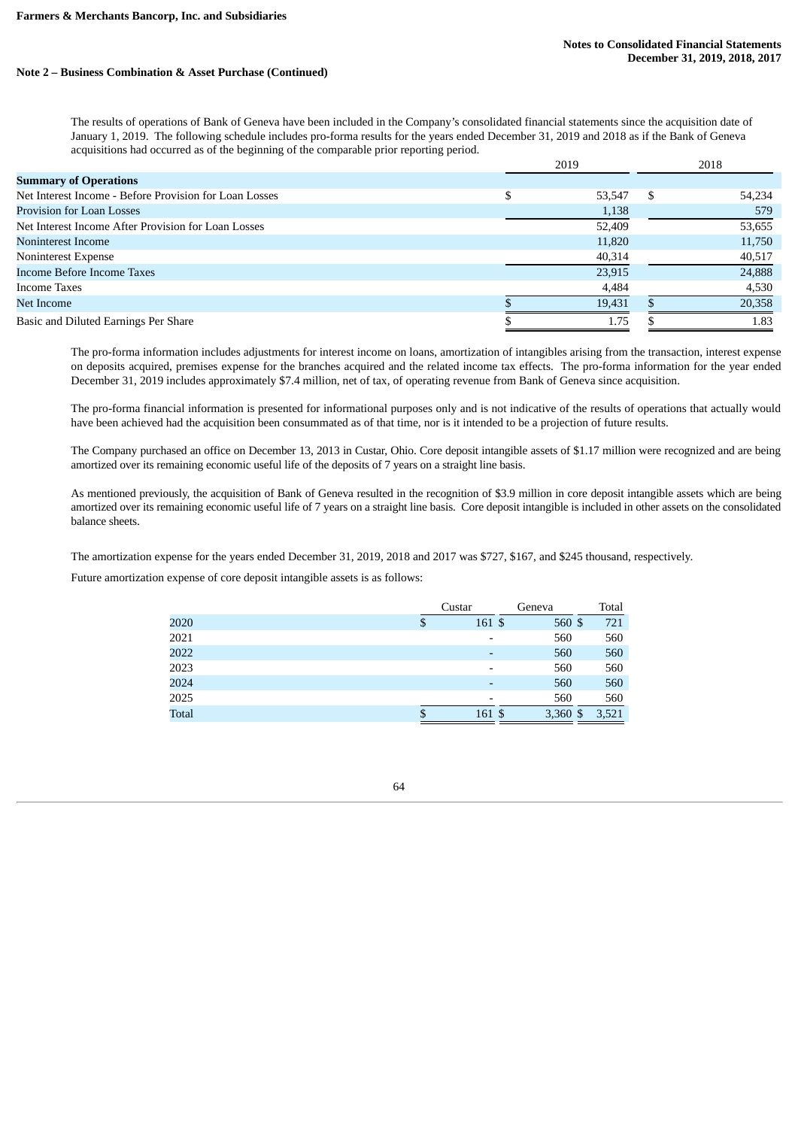#### **Note 2 – Business Combination & Asset Purchase (Continued)**

The results of operations of Bank of Geneva have been included in the Company's consolidated financial statements since the acquisition date of January 1, 2019. The following schedule includes pro-forma results for the years ended December 31, 2019 and 2018 as if the Bank of Geneva acquisitions had occurred as of the beginning of the comparable prior reporting period.

|                                                        | 2019         | 2018        |
|--------------------------------------------------------|--------------|-------------|
| <b>Summary of Operations</b>                           |              |             |
| Net Interest Income - Before Provision for Loan Losses | \$<br>53,547 | 54,234<br>S |
| Provision for Loan Losses                              | 1,138        | 579         |
| Net Interest Income After Provision for Loan Losses    | 52,409       | 53,655      |
| Noninterest Income                                     | 11,820       | 11,750      |
| Noninterest Expense                                    | 40,314       | 40,517      |
| Income Before Income Taxes                             | 23,915       | 24,888      |
| Income Taxes                                           | 4,484        | 4,530       |
| Net Income                                             | 19.431       | 20,358      |
| Basic and Diluted Earnings Per Share                   | 1.75         | 1.83        |

The pro-forma information includes adjustments for interest income on loans, amortization of intangibles arising from the transaction, interest expense on deposits acquired, premises expense for the branches acquired and the related income tax effects. The pro-forma information for the year ended December 31, 2019 includes approximately \$7.4 million, net of tax, of operating revenue from Bank of Geneva since acquisition.

The pro-forma financial information is presented for informational purposes only and is not indicative of the results of operations that actually would have been achieved had the acquisition been consummated as of that time, nor is it intended to be a projection of future results.

The Company purchased an office on December 13, 2013 in Custar, Ohio. Core deposit intangible assets of \$1.17 million were recognized and are being amortized over its remaining economic useful life of the deposits of 7 years on a straight line basis.

As mentioned previously, the acquisition of Bank of Geneva resulted in the recognition of \$3.9 million in core deposit intangible assets which are being amortized over its remaining economic useful life of 7 years on a straight line basis. Core deposit intangible is included in other assets on the consolidated balance sheets.

The amortization expense for the years ended December 31, 2019, 2018 and 2017 was \$727, \$167, and \$245 thousand, respectively.

Future amortization expense of core deposit intangible assets is as follows:

|              |    | Custar                   | Geneva   | Total |
|--------------|----|--------------------------|----------|-------|
| 2020         | Φ  | 161 \$                   | 560 \$   | 721   |
| 2021         |    |                          | 560      | 560   |
| 2022         |    | $\overline{\phantom{0}}$ | 560      | 560   |
| 2023         |    |                          | 560      | 560   |
| 2024         |    |                          | 560      | 560   |
| 2025         |    |                          | 560      | 560   |
| <b>Total</b> | \$ | 161 \$                   | 3,360 \$ | 3,521 |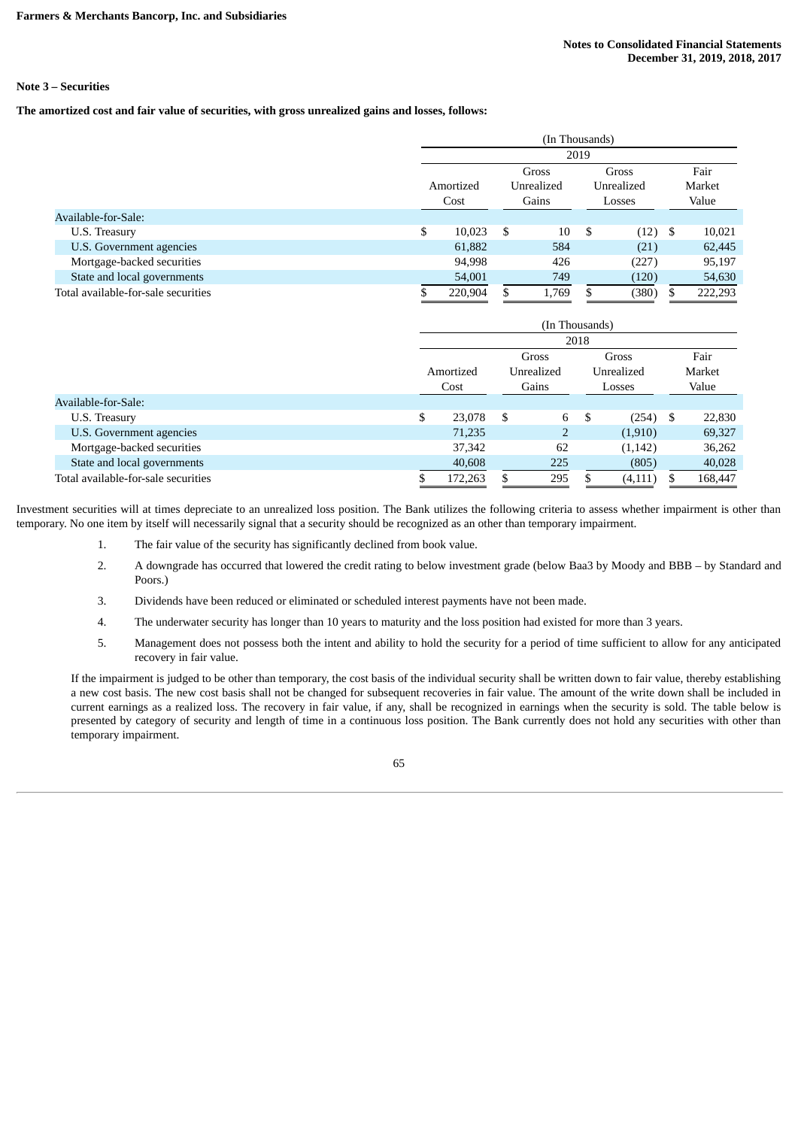## **Note 3 – Securities**

**The amortized cost and fair value of securities, with gross unrealized gains and losses, follows:**

|                                     | (In Thousands) |   |            |       |            |      |         |  |
|-------------------------------------|----------------|---|------------|-------|------------|------|---------|--|
|                                     | 2019           |   |            |       |            |      |         |  |
|                                     | Gross          |   |            | Gross |            |      | Fair    |  |
|                                     | Amortized      |   | Unrealized |       | Unrealized |      | Market  |  |
|                                     | Cost           |   | Gains      |       | Losses     |      | Value   |  |
| Available-for-Sale:                 |                |   |            |       |            |      |         |  |
| U.S. Treasury                       | \$<br>10.023   | S | 10         | \$    | (12)       | - \$ | 10,021  |  |
| U.S. Government agencies            | 61,882         |   | 584        |       | (21)       |      | 62,445  |  |
| Mortgage-backed securities          | 94,998         |   | 426        |       | (227)      |      | 95,197  |  |
| State and local governments         | 54,001         |   | 749        |       | (120)      |      | 54,630  |  |
| Total available-for-sale securities | 220.904        | S | 1,769      | £.    | (380)      |      | 222,293 |  |

|                                     | (In Thousands) |    |                |        |            |       |         |  |
|-------------------------------------|----------------|----|----------------|--------|------------|-------|---------|--|
|                                     | 2018           |    |                |        |            |       |         |  |
|                                     | Gross          |    |                | Gross  |            |       | Fair    |  |
|                                     | Amortized      |    | Unrealized     |        | Unrealized |       | Market  |  |
|                                     | Cost           |    | Gains          | Losses |            | Value |         |  |
| Available-for-Sale:                 |                |    |                |        |            |       |         |  |
| U.S. Treasury                       | \$<br>23,078   | \$ | 6              | \$     | (254)      | -\$   | 22,830  |  |
| U.S. Government agencies            | 71,235         |    | $\overline{2}$ |        | (1,910)    |       | 69,327  |  |
| Mortgage-backed securities          | 37,342         |    | 62             |        | (1, 142)   |       | 36,262  |  |
| State and local governments         | 40,608         |    | 225            |        | (805)      |       | 40,028  |  |
| Total available-for-sale securities | \$<br>172,263  |    | 295            | \$     | (4, 111)   |       | 168,447 |  |

Investment securities will at times depreciate to an unrealized loss position. The Bank utilizes the following criteria to assess whether impairment is other than temporary. No one item by itself will necessarily signal that a security should be recognized as an other than temporary impairment.

- 1. The fair value of the security has significantly declined from book value.
- 2. A downgrade has occurred that lowered the credit rating to below investment grade (below Baa3 by Moody and BBB by Standard and Poors.)
- 3. Dividends have been reduced or eliminated or scheduled interest payments have not been made.
- 4. The underwater security has longer than 10 years to maturity and the loss position had existed for more than 3 years.
- 5. Management does not possess both the intent and ability to hold the security for a period of time sufficient to allow for any anticipated recovery in fair value.

If the impairment is judged to be other than temporary, the cost basis of the individual security shall be written down to fair value, thereby establishing a new cost basis. The new cost basis shall not be changed for subsequent recoveries in fair value. The amount of the write down shall be included in current earnings as a realized loss. The recovery in fair value, if any, shall be recognized in earnings when the security is sold. The table below is presented by category of security and length of time in a continuous loss position. The Bank currently does not hold any securities with other than temporary impairment.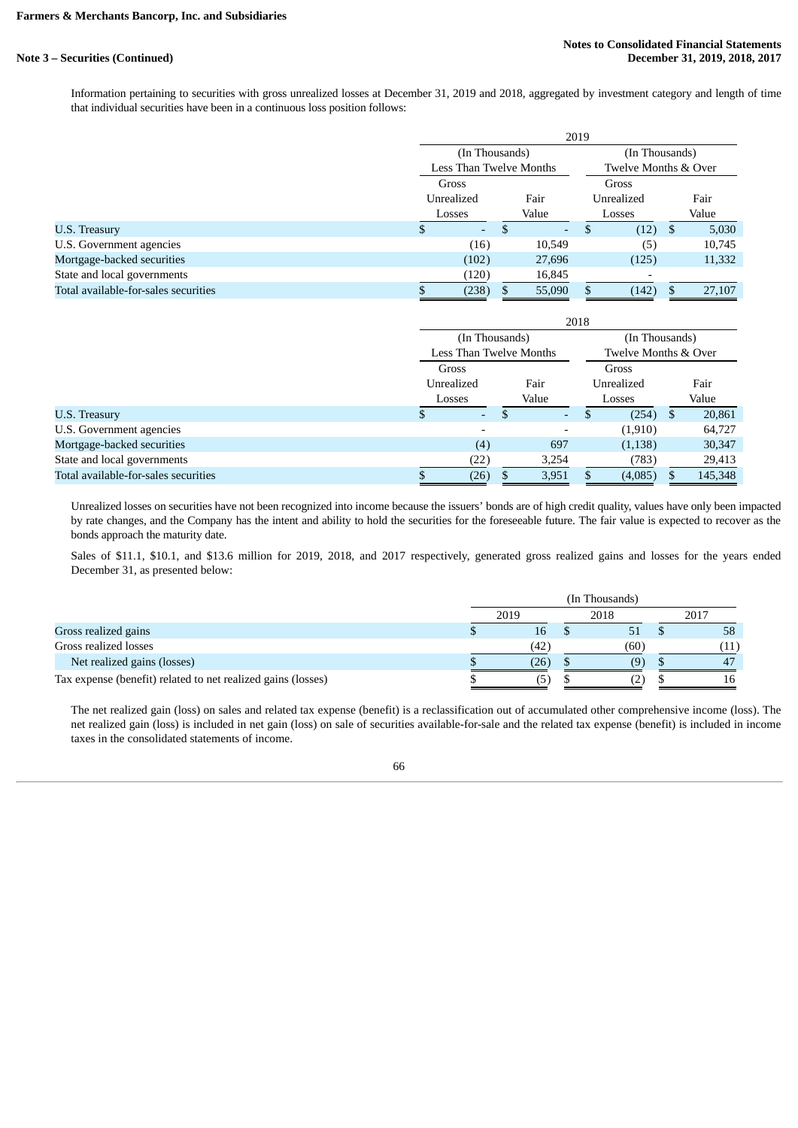Information pertaining to securities with gross unrealized losses at December 31, 2019 and 2018, aggregated by investment category and length of time that individual securities have been in a continuous loss position follows:

|                                      | 2019                    |  |                          |                      |            |                |        |
|--------------------------------------|-------------------------|--|--------------------------|----------------------|------------|----------------|--------|
|                                      | (In Thousands)          |  |                          |                      |            | (In Thousands) |        |
|                                      | Less Than Twelve Months |  |                          | Twelve Months & Over |            |                |        |
|                                      | Gross                   |  | Gross                    |                      |            |                |        |
|                                      | Unrealized              |  | Fair                     |                      | Unrealized |                | Fair   |
|                                      | Losses                  |  | Value                    |                      | Losses     |                | Value  |
| U.S. Treasury                        | $\sim$                  |  | $\overline{\phantom{a}}$ | D                    | (12)       | S,             | 5,030  |
| U.S. Government agencies             | (16)                    |  | 10,549                   |                      | (5)        |                | 10,745 |
| Mortgage-backed securities           | (102)                   |  | 27,696                   |                      | (125)      |                | 11,332 |
| State and local governments          | (120)                   |  | 16,845                   |                      |            |                |        |
| Total available-for-sales securities | (238)                   |  | 55,090                   |                      | (142)      |                | 27,107 |

|                                      |                         |    |        | 2018 |                      |    |         |  |
|--------------------------------------|-------------------------|----|--------|------|----------------------|----|---------|--|
|                                      | (In Thousands)          |    |        |      | (In Thousands)       |    |         |  |
|                                      | Less Than Twelve Months |    |        |      | Twelve Months & Over |    |         |  |
|                                      | Gross                   |    |        |      | Gross                |    |         |  |
|                                      | Unrealized              |    | Fair   |      | Unrealized           |    | Fair    |  |
|                                      | Losses                  |    | Value  |      | Losses               |    | Value   |  |
| U.S. Treasury                        | ۰.                      | S. | $\sim$ | S    | (254)                | -S | 20,861  |  |
| U.S. Government agencies             |                         |    |        |      | (1,910)              |    | 64,727  |  |
| Mortgage-backed securities           | (4)                     |    | 697    |      | (1,138)              |    | 30,347  |  |
| State and local governments          | (22)                    |    | 3,254  |      | (783)                |    | 29,413  |  |
| Total available-for-sales securities | (26)                    |    | 3,951  |      | (4,085)              |    | 145,348 |  |

Unrealized losses on securities have not been recognized into income because the issuers' bonds are of high credit quality, values have only been impacted by rate changes, and the Company has the intent and ability to hold the securities for the foreseeable future. The fair value is expected to recover as the bonds approach the maturity date.

Sales of \$11.1, \$10.1, and \$13.6 million for 2019, 2018, and 2017 respectively, generated gross realized gains and losses for the years ended December 31, as presented below:

|                                                              |  |      |      | (In Thousands) |  |      |
|--------------------------------------------------------------|--|------|------|----------------|--|------|
|                                                              |  | 2019 | 2018 |                |  | 2017 |
| Gross realized gains                                         |  | 16   |      | 51             |  | 58   |
| Gross realized losses                                        |  | (42) |      | (60)           |  | (11) |
| Net realized gains (losses)                                  |  | (26) |      | (9`            |  | 47   |
| Tax expense (benefit) related to net realized gains (losses) |  | Έ,   |      | $\mathcal{L}$  |  | 16   |

The net realized gain (loss) on sales and related tax expense (benefit) is a reclassification out of accumulated other comprehensive income (loss). The net realized gain (loss) is included in net gain (loss) on sale of securities available-for-sale and the related tax expense (benefit) is included in income taxes in the consolidated statements of income.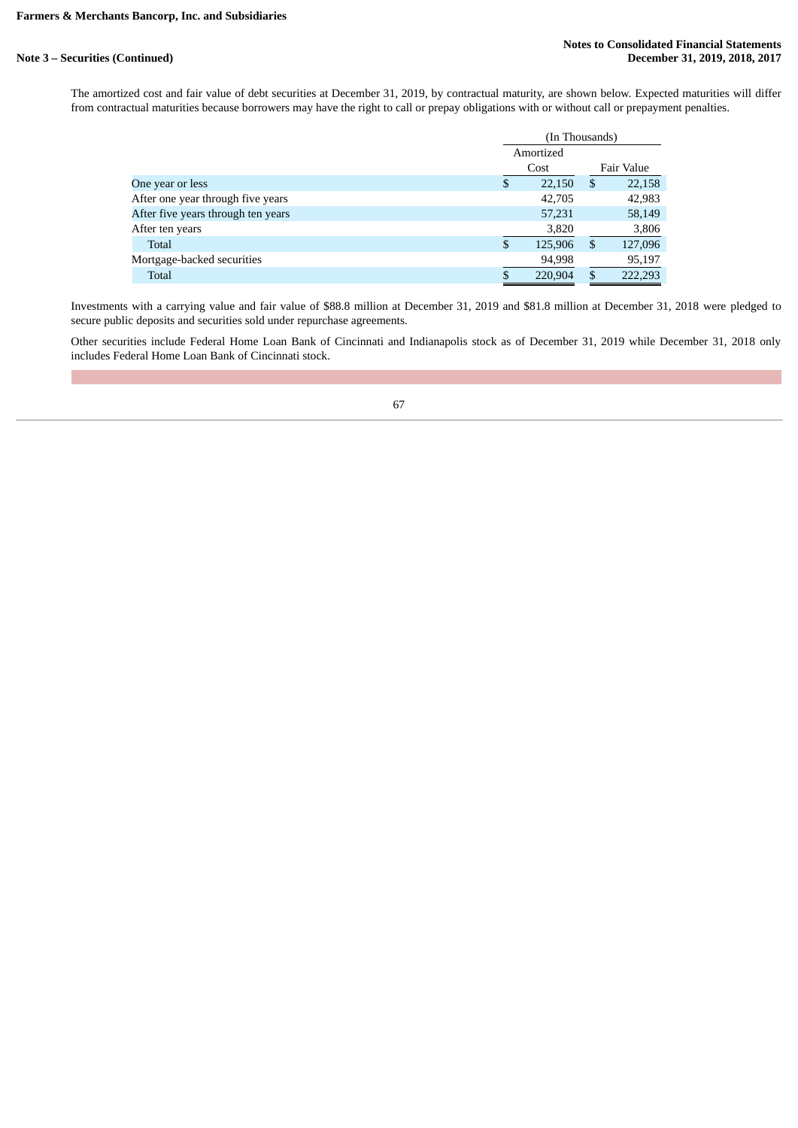The amortized cost and fair value of debt securities at December 31, 2019, by contractual maturity, are shown below. Expected maturities will differ from contractual maturities because borrowers may have the right to call or prepay obligations with or without call or prepayment penalties.

|                                    | (In Thousands) |    |            |  |  |  |  |  |
|------------------------------------|----------------|----|------------|--|--|--|--|--|
|                                    | Amortized      |    |            |  |  |  |  |  |
|                                    | Cost           |    | Fair Value |  |  |  |  |  |
| One year or less                   | \$<br>22,150   | \$ | 22,158     |  |  |  |  |  |
| After one year through five years  | 42,705         |    | 42,983     |  |  |  |  |  |
| After five years through ten years | 57,231         |    | 58,149     |  |  |  |  |  |
| After ten years                    | 3,820          |    | 3,806      |  |  |  |  |  |
| Total                              | \$<br>125,906  | \$ | 127,096    |  |  |  |  |  |
| Mortgage-backed securities         | 94,998         |    | 95,197     |  |  |  |  |  |
| Total                              | \$<br>220.904  | \$ | 222.293    |  |  |  |  |  |

Investments with a carrying value and fair value of \$88.8 million at December 31, 2019 and \$81.8 million at December 31, 2018 were pledged to secure public deposits and securities sold under repurchase agreements.

Other securities include Federal Home Loan Bank of Cincinnati and Indianapolis stock as of December 31, 2019 while December 31, 2018 only includes Federal Home Loan Bank of Cincinnati stock.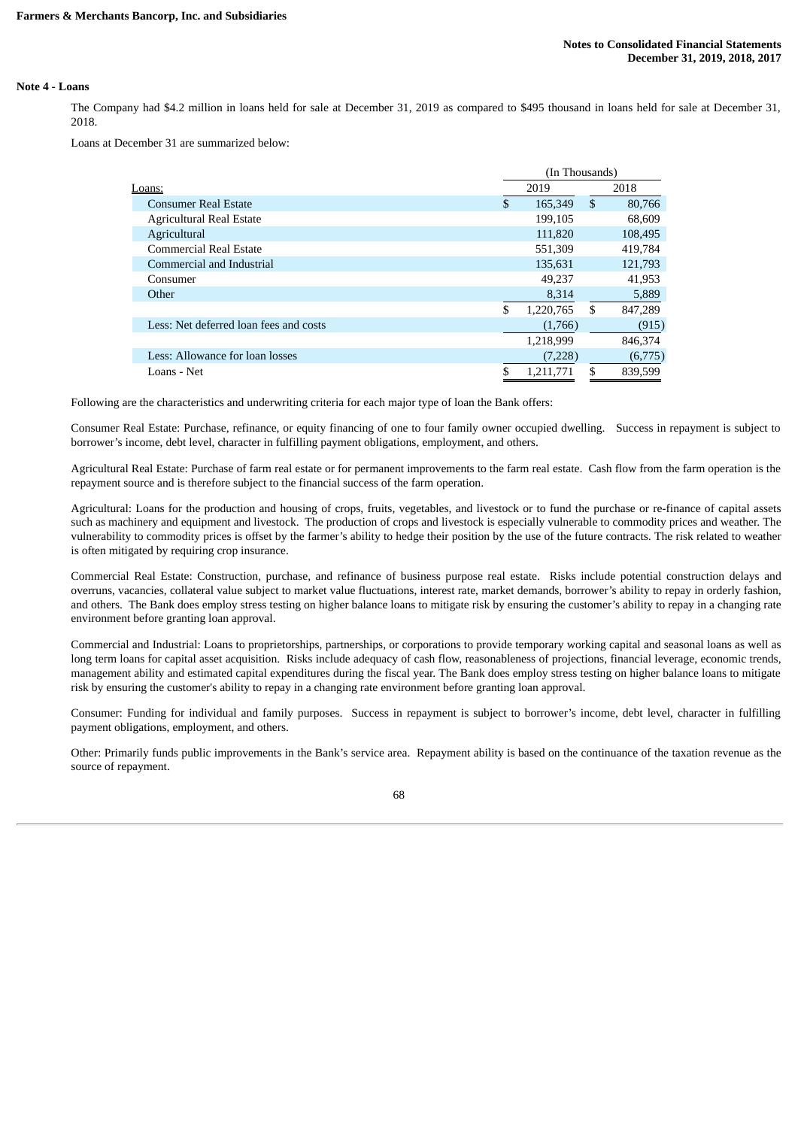#### **Note 4 - Loans**

The Company had \$4.2 million in loans held for sale at December 31, 2019 as compared to \$495 thousand in loans held for sale at December 31, 2018.

Loans at December 31 are summarized below:

|                                        | (In Thousands)  |    |         |
|----------------------------------------|-----------------|----|---------|
| Loans:                                 | 2019            |    | 2018    |
| <b>Consumer Real Estate</b>            | \$<br>165,349   | \$ | 80,766  |
| <b>Agricultural Real Estate</b>        | 199,105         |    | 68,609  |
| Agricultural                           | 111,820         |    | 108,495 |
| Commercial Real Estate                 | 551,309         |    | 419.784 |
| Commercial and Industrial              | 135,631         |    | 121,793 |
| Consumer                               | 49.237          |    | 41,953  |
| Other                                  | 8,314           |    | 5,889   |
|                                        | \$<br>1,220,765 | S. | 847,289 |
| Less: Net deferred loan fees and costs | (1,766)         |    | (915)   |
|                                        | 1,218,999       |    | 846,374 |
| Less: Allowance for loan losses        | (7,228)         |    | (6,775) |
| Loans - Net                            | \$<br>1.211.771 | \$ | 839.599 |

Following are the characteristics and underwriting criteria for each major type of loan the Bank offers:

Consumer Real Estate: Purchase, refinance, or equity financing of one to four family owner occupied dwelling. Success in repayment is subject to borrower's income, debt level, character in fulfilling payment obligations, employment, and others.

Agricultural Real Estate: Purchase of farm real estate or for permanent improvements to the farm real estate. Cash flow from the farm operation is the repayment source and is therefore subject to the financial success of the farm operation.

Agricultural: Loans for the production and housing of crops, fruits, vegetables, and livestock or to fund the purchase or re-finance of capital assets such as machinery and equipment and livestock. The production of crops and livestock is especially vulnerable to commodity prices and weather. The vulnerability to commodity prices is offset by the farmer's ability to hedge their position by the use of the future contracts. The risk related to weather is often mitigated by requiring crop insurance.

Commercial Real Estate: Construction, purchase, and refinance of business purpose real estate. Risks include potential construction delays and overruns, vacancies, collateral value subject to market value fluctuations, interest rate, market demands, borrower's ability to repay in orderly fashion, and others. The Bank does employ stress testing on higher balance loans to mitigate risk by ensuring the customer's ability to repay in a changing rate environment before granting loan approval.

Commercial and Industrial: Loans to proprietorships, partnerships, or corporations to provide temporary working capital and seasonal loans as well as long term loans for capital asset acquisition. Risks include adequacy of cash flow, reasonableness of projections, financial leverage, economic trends, management ability and estimated capital expenditures during the fiscal year. The Bank does employ stress testing on higher balance loans to mitigate risk by ensuring the customer's ability to repay in a changing rate environment before granting loan approval.

Consumer: Funding for individual and family purposes. Success in repayment is subject to borrower's income, debt level, character in fulfilling payment obligations, employment, and others.

Other: Primarily funds public improvements in the Bank's service area. Repayment ability is based on the continuance of the taxation revenue as the source of repayment.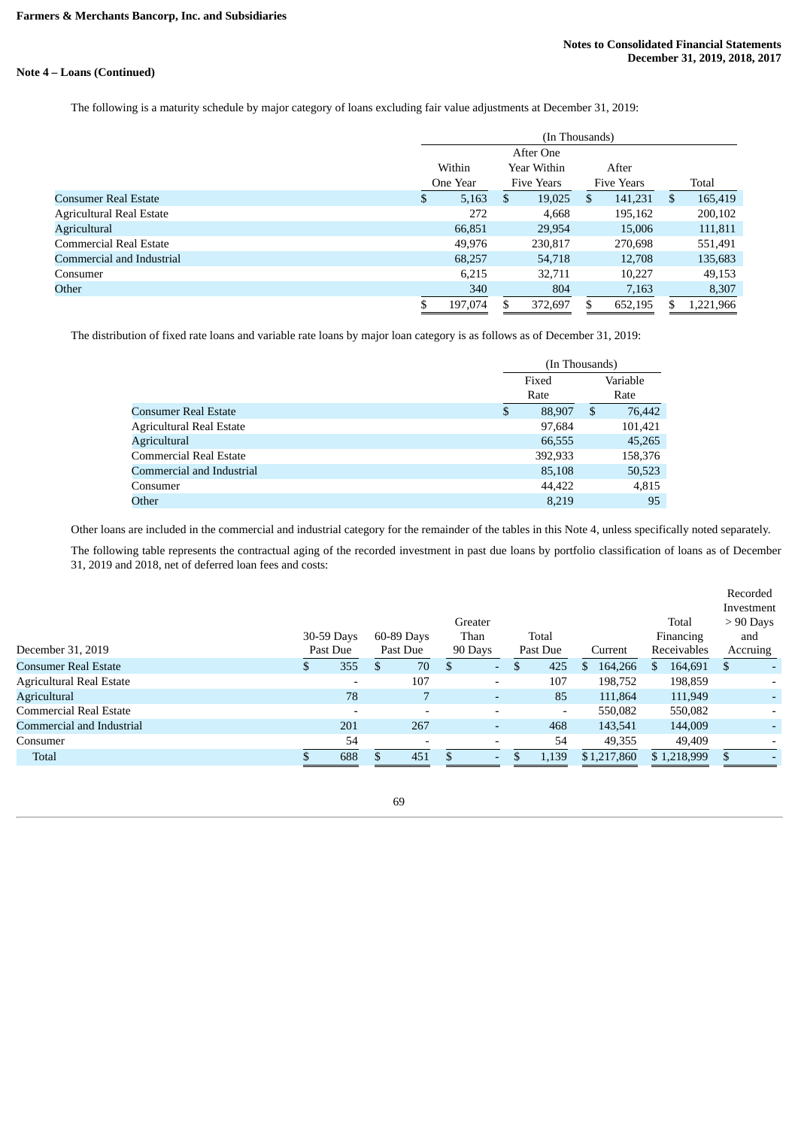The following is a maturity schedule by major category of loans excluding fair value adjustments at December 31, 2019:

|                                 | (In Thousands) |                               |    |             |     |                   |    |           |  |  |  |
|---------------------------------|----------------|-------------------------------|----|-------------|-----|-------------------|----|-----------|--|--|--|
|                                 |                |                               |    |             |     |                   |    |           |  |  |  |
|                                 |                | Within                        |    | Year Within |     | After             |    |           |  |  |  |
|                                 |                | One Year<br><b>Five Years</b> |    |             |     | <b>Five Years</b> |    | Total     |  |  |  |
| <b>Consumer Real Estate</b>     | \$             | 5,163                         | \$ | 19,025      | \$. | 141,231           | S  | 165,419   |  |  |  |
| <b>Agricultural Real Estate</b> |                | 272                           |    | 4,668       |     | 195,162           |    | 200,102   |  |  |  |
| Agricultural                    |                | 66,851                        |    | 29,954      |     | 15,006            |    | 111,811   |  |  |  |
| Commercial Real Estate          |                | 49,976                        |    | 230,817     |     | 270,698           |    | 551,491   |  |  |  |
| Commercial and Industrial       |                | 68.257                        |    | 54,718      |     | 12,708            |    | 135,683   |  |  |  |
| Consumer                        |                | 6,215                         |    | 32,711      |     | 10.227            |    | 49,153    |  |  |  |
| Other                           |                | 340                           |    | 804         |     | 7,163             |    | 8,307     |  |  |  |
|                                 | \$             | 197,074                       | S  | 372,697     | S.  | 652,195           | S. | 1,221,966 |  |  |  |

The distribution of fixed rate loans and variable rate loans by major loan category is as follows as of December 31, 2019:

|                                 | (In Thousands) |    |          |  |  |  |  |  |
|---------------------------------|----------------|----|----------|--|--|--|--|--|
|                                 | Fixed          |    | Variable |  |  |  |  |  |
|                                 | Rate           |    | Rate     |  |  |  |  |  |
| <b>Consumer Real Estate</b>     | \$<br>88,907   | \$ | 76,442   |  |  |  |  |  |
| <b>Agricultural Real Estate</b> | 97,684         |    | 101,421  |  |  |  |  |  |
| Agricultural                    | 66,555         |    | 45,265   |  |  |  |  |  |
| Commercial Real Estate          | 392,933        |    | 158,376  |  |  |  |  |  |
| Commercial and Industrial       | 85,108         |    | 50,523   |  |  |  |  |  |
| Consumer                        | 44,422         |    | 4,815    |  |  |  |  |  |
| Other                           | 8.219          |    | 95       |  |  |  |  |  |

Other loans are included in the commercial and industrial category for the remainder of the tables in this Note 4, unless specifically noted separately.

The following table represents the contractual aging of the recorded investment in past due loans by portfolio classification of loans as of December 31, 2019 and 2018, net of deferred loan fees and costs:

|     |                          |            |                          |          |                          |         |                          |                   |  |                                                                                         |         |                        | Recorded<br>Investment   |
|-----|--------------------------|------------|--------------------------|----------|--------------------------|---------|--------------------------|-------------------|--|-----------------------------------------------------------------------------------------|---------|------------------------|--------------------------|
|     |                          |            |                          |          | Total                    |         |                          | $> 90$ Days       |  |                                                                                         |         |                        |                          |
|     |                          |            | 60-89 Days               |          | Than                     |         |                          |                   |  | Financing                                                                               |         |                        | and                      |
|     | Past Due                 |            |                          |          | 90 Days                  |         |                          |                   |  | Receivables                                                                             |         |                        | <b>Accruing</b>          |
| Эb. | 355                      |            | 70                       |          | $\overline{\phantom{0}}$ | S       | 425                      | S.                |  |                                                                                         | 164,691 |                        |                          |
|     | $\overline{\phantom{a}}$ |            | 107                      |          | $\overline{\phantom{a}}$ |         | 107                      |                   |  |                                                                                         | 198,859 |                        |                          |
|     | 78                       |            | 7                        |          | ۰.                       |         | 85                       |                   |  |                                                                                         | 111,949 |                        | ۰.                       |
|     | $\overline{\phantom{0}}$ |            | $\overline{\phantom{a}}$ |          | $\overline{\phantom{a}}$ |         | $\overline{\phantom{a}}$ |                   |  |                                                                                         |         |                        | $\overline{\phantom{0}}$ |
|     | 201                      |            | 267                      |          | ٠                        |         | 468                      |                   |  |                                                                                         | 144,009 |                        | $\overline{\phantom{0}}$ |
|     | 54                       |            | $\overline{\phantom{a}}$ |          | $\overline{\phantom{a}}$ |         | 54                       |                   |  |                                                                                         | 49,409  |                        |                          |
|     | 688                      |            | 451                      |          | $\overline{\phantom{a}}$ |         | 1,139                    |                   |  |                                                                                         |         |                        |                          |
|     |                          | 30-59 Days |                          | Past Due |                          | Greater |                          | Total<br>Past Due |  | Current<br>164,266<br>198,752<br>111,864<br>550,082<br>143,541<br>49,355<br>\$1,217,860 |         | 550,082<br>\$1,218,999 |                          |

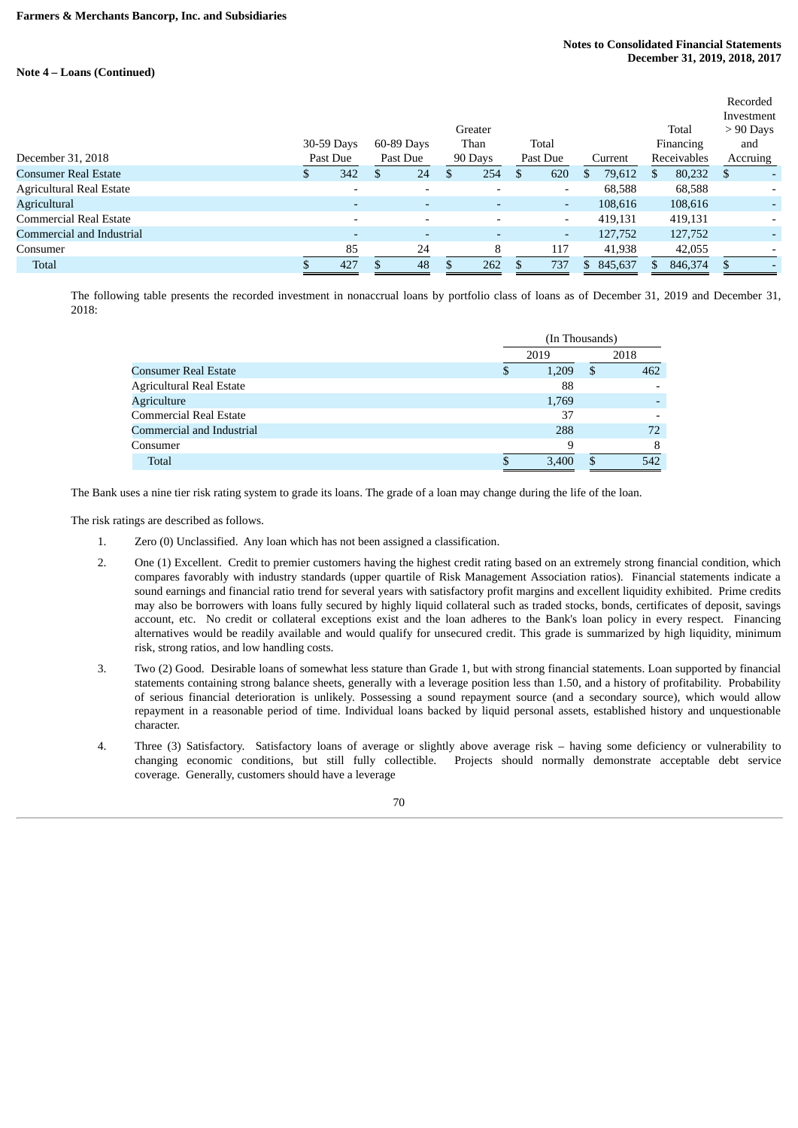|                                 |    |                          |   |                          |         |                          |          |                          |  |            |             |         |          | Recorded<br>Investment   |
|---------------------------------|----|--------------------------|---|--------------------------|---------|--------------------------|----------|--------------------------|--|------------|-------------|---------|----------|--------------------------|
|                                 |    |                          |   |                          | Greater |                          | Total    | $> 90$ Days              |  |            |             |         |          |                          |
|                                 |    | 30-59 Days               |   | 60-89 Days               |         | Than                     |          | Total                    |  |            | Financing   |         |          | and                      |
| December 31, 2018               |    | Past Due                 |   | Past Due                 | 90 Days |                          | Past Due |                          |  | Current    | Receivables |         | Accruing |                          |
| Consumer Real Estate            | S. | 342                      | S | 24                       |         | 254                      | \$.      | 620                      |  | 79,612     | <b>S</b>    | 80,232  | -S       | $\blacksquare$           |
| <b>Agricultural Real Estate</b> |    |                          |   | $\overline{\phantom{0}}$ |         |                          |          | $\overline{\phantom{0}}$ |  | 68,588     |             | 68,588  |          |                          |
| Agricultural                    |    | $\overline{\phantom{0}}$ |   | ٠                        |         | $\overline{\phantom{a}}$ |          | ۰.                       |  | 108,616    |             | 108,616 |          | $\overline{\phantom{a}}$ |
| Commercial Real Estate          |    | $\overline{\phantom{0}}$ |   | $\overline{\phantom{0}}$ |         | $\overline{\phantom{0}}$ |          | $\overline{\phantom{0}}$ |  | 419,131    |             | 419,131 |          | $\overline{\phantom{a}}$ |
| Commercial and Industrial       |    | $\overline{\phantom{0}}$ |   | $\overline{\phantom{0}}$ |         | $\overline{\phantom{a}}$ |          | ٠                        |  | 127,752    |             | 127,752 |          |                          |
| Consumer                        |    | 85                       |   | 24                       |         | 8                        |          | 117                      |  | 41,938     |             | 42,055  |          |                          |
| <b>Total</b>                    |    | 427                      |   | 48                       |         | 262                      |          | 737                      |  | \$ 845,637 |             | 846,374 |          |                          |
|                                 |    |                          |   |                          |         |                          |          |                          |  |            |             |         |          |                          |

The following table presents the recorded investment in nonaccrual loans by portfolio class of loans as of December 31, 2019 and December 31, 2018:

|                                 |      | (In Thousands) |      |  |  |  |  |  |  |
|---------------------------------|------|----------------|------|--|--|--|--|--|--|
|                                 | 2019 |                | 2018 |  |  |  |  |  |  |
| <b>Consumer Real Estate</b>     | Φ    | 1,209<br>S     | 462  |  |  |  |  |  |  |
| <b>Agricultural Real Estate</b> |      | 88             |      |  |  |  |  |  |  |
| <b>Agriculture</b>              |      | 1,769          |      |  |  |  |  |  |  |
| <b>Commercial Real Estate</b>   |      | 37             |      |  |  |  |  |  |  |
| Commercial and Industrial       |      | 288            | 72   |  |  |  |  |  |  |
| Consumer                        |      | 9              | 8    |  |  |  |  |  |  |
| <b>Total</b>                    |      | 3,400          | 542  |  |  |  |  |  |  |

The Bank uses a nine tier risk rating system to grade its loans. The grade of a loan may change during the life of the loan.

The risk ratings are described as follows.

- 1. Zero (0) Unclassified. Any loan which has not been assigned a classification.
- 2. One (1) Excellent. Credit to premier customers having the highest credit rating based on an extremely strong financial condition, which compares favorably with industry standards (upper quartile of Risk Management Association ratios). Financial statements indicate a sound earnings and financial ratio trend for several years with satisfactory profit margins and excellent liquidity exhibited. Prime credits may also be borrowers with loans fully secured by highly liquid collateral such as traded stocks, bonds, certificates of deposit, savings account, etc. No credit or collateral exceptions exist and the loan adheres to the Bank's loan policy in every respect. Financing alternatives would be readily available and would qualify for unsecured credit. This grade is summarized by high liquidity, minimum risk, strong ratios, and low handling costs.
- 3. Two (2) Good. Desirable loans of somewhat less stature than Grade 1, but with strong financial statements. Loan supported by financial statements containing strong balance sheets, generally with a leverage position less than 1.50, and a history of profitability. Probability of serious financial deterioration is unlikely. Possessing a sound repayment source (and a secondary source), which would allow repayment in a reasonable period of time. Individual loans backed by liquid personal assets, established history and unquestionable character.
- 4. Three (3) Satisfactory. Satisfactory loans of average or slightly above average risk having some deficiency or vulnerability to changing economic conditions, but still fully collectible. Projects should normally demonstrate acceptable debt service coverage. Generally, customers should have a leverage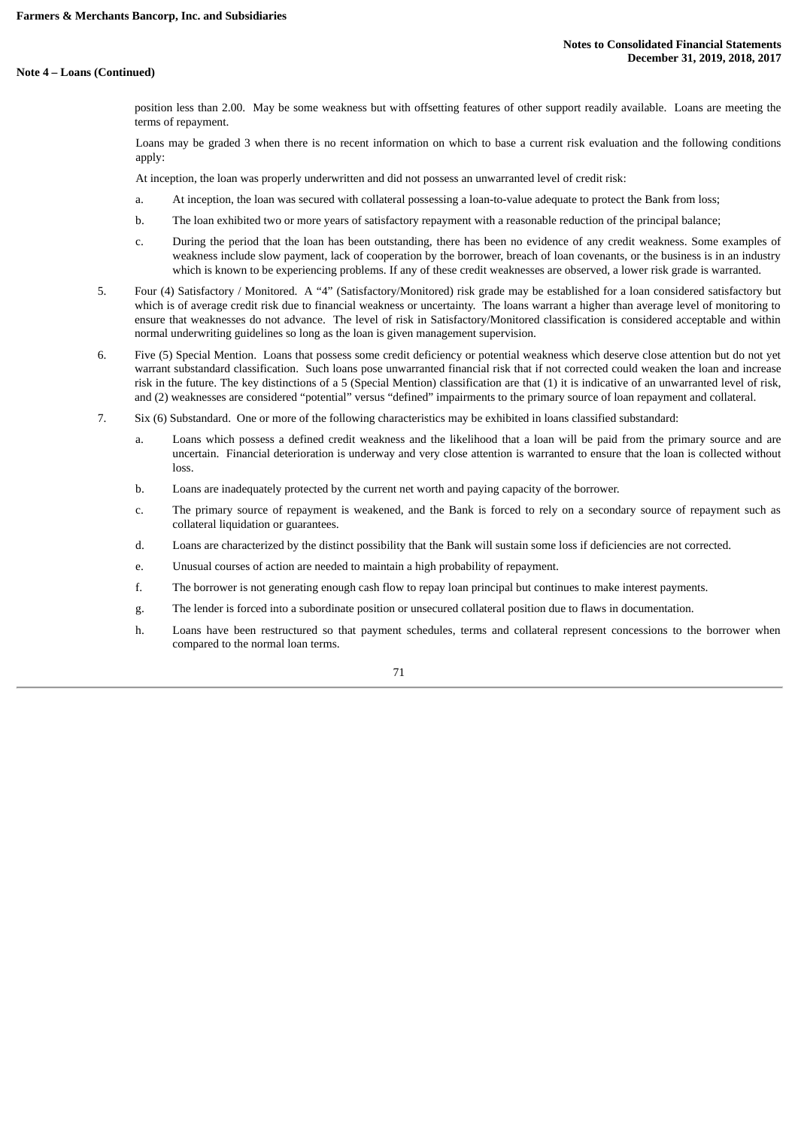position less than 2.00. May be some weakness but with offsetting features of other support readily available. Loans are meeting the terms of repayment.

Loans may be graded 3 when there is no recent information on which to base a current risk evaluation and the following conditions apply:

At inception, the loan was properly underwritten and did not possess an unwarranted level of credit risk:

- a. At inception, the loan was secured with collateral possessing a loan-to-value adequate to protect the Bank from loss;
- b. The loan exhibited two or more years of satisfactory repayment with a reasonable reduction of the principal balance;
- c. During the period that the loan has been outstanding, there has been no evidence of any credit weakness. Some examples of weakness include slow payment, lack of cooperation by the borrower, breach of loan covenants, or the business is in an industry which is known to be experiencing problems. If any of these credit weaknesses are observed, a lower risk grade is warranted.
- 5. Four (4) Satisfactory / Monitored. A "4" (Satisfactory/Monitored) risk grade may be established for a loan considered satisfactory but which is of average credit risk due to financial weakness or uncertainty. The loans warrant a higher than average level of monitoring to ensure that weaknesses do not advance. The level of risk in Satisfactory/Monitored classification is considered acceptable and within normal underwriting guidelines so long as the loan is given management supervision.
- 6. Five (5) Special Mention. Loans that possess some credit deficiency or potential weakness which deserve close attention but do not yet warrant substandard classification. Such loans pose unwarranted financial risk that if not corrected could weaken the loan and increase risk in the future. The key distinctions of a 5 (Special Mention) classification are that (1) it is indicative of an unwarranted level of risk, and (2) weaknesses are considered "potential" versus "defined" impairments to the primary source of loan repayment and collateral.
- 7. Six (6) Substandard. One or more of the following characteristics may be exhibited in loans classified substandard:
	- a. Loans which possess a defined credit weakness and the likelihood that a loan will be paid from the primary source and are uncertain. Financial deterioration is underway and very close attention is warranted to ensure that the loan is collected without loss.
	- b. Loans are inadequately protected by the current net worth and paying capacity of the borrower.
	- c. The primary source of repayment is weakened, and the Bank is forced to rely on a secondary source of repayment such as collateral liquidation or guarantees.
	- d. Loans are characterized by the distinct possibility that the Bank will sustain some loss if deficiencies are not corrected.
	- e. Unusual courses of action are needed to maintain a high probability of repayment.
	- f. The borrower is not generating enough cash flow to repay loan principal but continues to make interest payments.
	- g. The lender is forced into a subordinate position or unsecured collateral position due to flaws in documentation.
	- h. Loans have been restructured so that payment schedules, terms and collateral represent concessions to the borrower when compared to the normal loan terms.

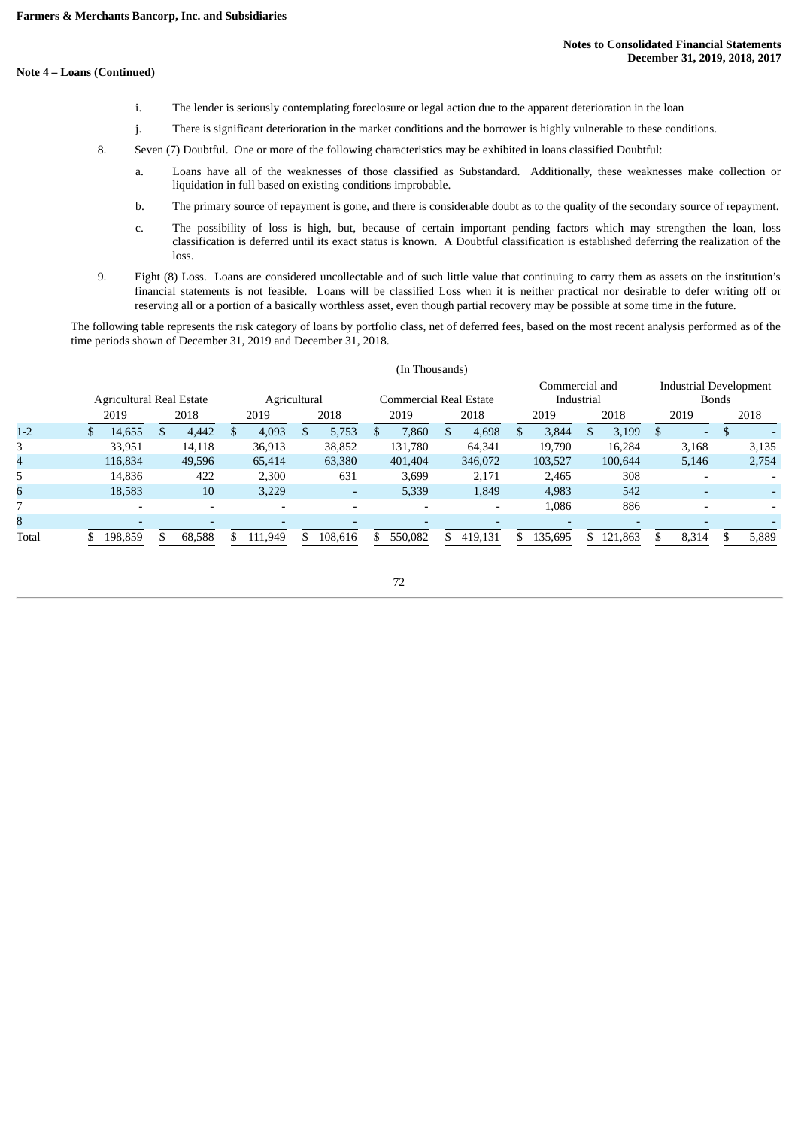- i. The lender is seriously contemplating foreclosure or legal action due to the apparent deterioration in the loan
- j. There is significant deterioration in the market conditions and the borrower is highly vulnerable to these conditions.
- 8. Seven (7) Doubtful. One or more of the following characteristics may be exhibited in loans classified Doubtful:
	- a. Loans have all of the weaknesses of those classified as Substandard. Additionally, these weaknesses make collection or liquidation in full based on existing conditions improbable.
	- b. The primary source of repayment is gone, and there is considerable doubt as to the quality of the secondary source of repayment.
	- c. The possibility of loss is high, but, because of certain important pending factors which may strengthen the loan, loss classification is deferred until its exact status is known. A Doubtful classification is established deferring the realization of the loss.
- 9. Eight (8) Loss. Loans are considered uncollectable and of such little value that continuing to carry them as assets on the institution's financial statements is not feasible. Loans will be classified Loss when it is neither practical nor desirable to defer writing off or reserving all or a portion of a basically worthless asset, even though partial recovery may be possible at some time in the future.

The following table represents the risk category of loans by portfolio class, net of deferred fees, based on the most recent analysis performed as of the time periods shown of December 31, 2019 and December 31, 2018.

|                |   |                          |  |                          |     |                          |   |                          |     | (In Thousands)         |     |         |                |         |                               |         |  |                          |   |       |
|----------------|---|--------------------------|--|--------------------------|-----|--------------------------|---|--------------------------|-----|------------------------|-----|---------|----------------|---------|-------------------------------|---------|--|--------------------------|---|-------|
|                |   |                          |  |                          |     |                          |   |                          |     |                        |     |         | Commercial and |         | <b>Industrial Development</b> |         |  |                          |   |       |
|                |   | Agricultural Real Estate |  |                          |     | Agricultural             |   |                          |     | Commercial Real Estate |     |         | Industrial     |         |                               |         |  |                          |   |       |
|                |   | 2019                     |  | 2018                     |     | 2019                     |   | 2018                     |     | 2019                   |     | 2018    |                | 2019    |                               | 2018    |  | 2019                     |   | 2018  |
| $1 - 2$        | S | 14,655                   |  | 4,442                    | \$. | 4,093                    | S | 5,753                    | S   | 7,860                  | \$. | 4,698   |                | 3,844   |                               | 3,199   |  | $\overline{\phantom{0}}$ | D |       |
| 3              |   | 33,951                   |  | 14,118                   |     | 36,913                   |   | 38,852                   |     | 131,780                |     | 64,341  |                | 19,790  |                               | 16,284  |  | 3,168                    |   | 3,135 |
| $\overline{4}$ |   | 116,834                  |  | 49,596                   |     | 65,414                   |   | 63,380                   |     | 401,404                |     | 346,072 |                | 103,527 |                               | 100,644 |  | 5,146                    |   | 2,754 |
| 5              |   | 14,836                   |  | 422                      |     | 2,300                    |   | 631                      |     | 3,699                  |     | 2,171   |                | 2,465   |                               | 308     |  |                          |   |       |
| 6              |   | 18,583                   |  | 10                       |     | 3,229                    |   | $\overline{\phantom{0}}$ |     | 5,339                  |     | 1,849   |                | 4,983   |                               | 542     |  | $\overline{\phantom{0}}$ |   |       |
|                |   | $\overline{\phantom{0}}$ |  |                          |     | $\overline{\phantom{a}}$ |   | $\overline{\phantom{0}}$ |     |                        |     |         |                | 1,086   |                               | 886     |  |                          |   |       |
| 8              |   | $\overline{\phantom{0}}$ |  | $\overline{\phantom{0}}$ |     | $\overline{\phantom{0}}$ |   |                          |     |                        |     |         |                |         |                               |         |  |                          |   |       |
| Total          |   | 198,859                  |  | 68,588                   |     | 111,949                  |   | 108,616                  | \$. | 550,082                | ፍ   | 419,131 | \$             | 135,695 |                               | 121,863 |  | 8,314                    |   | 5,889 |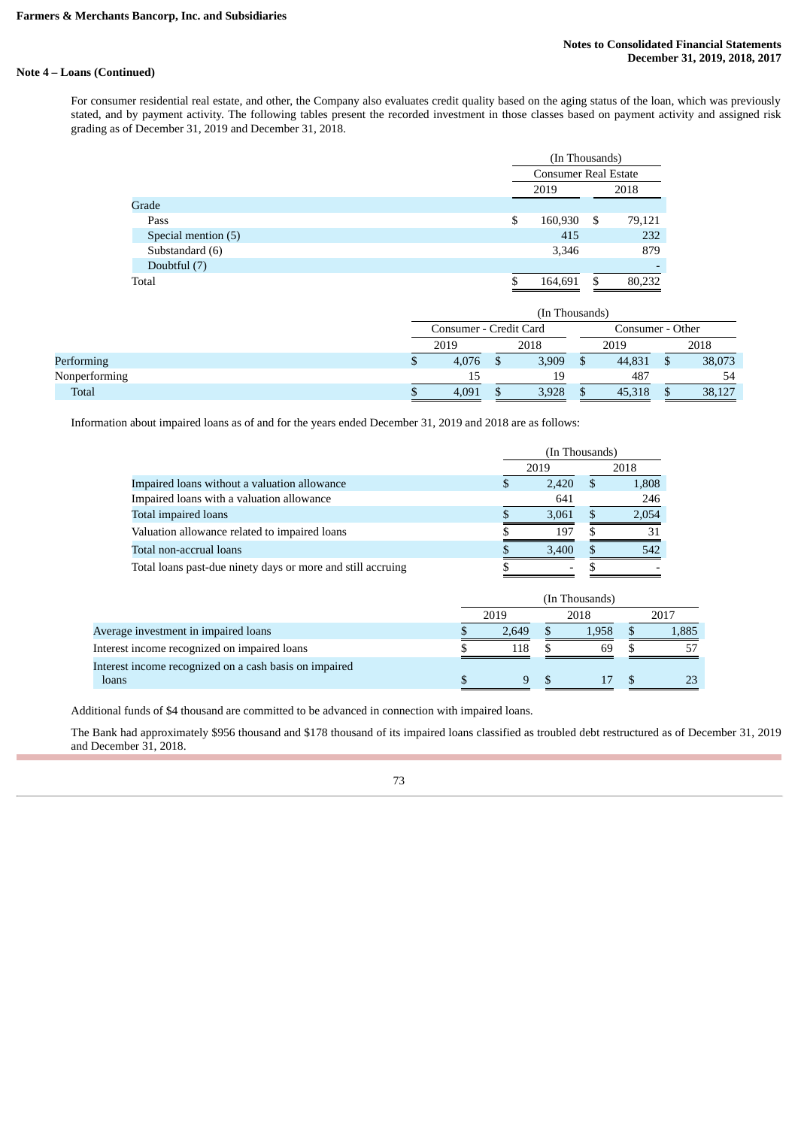For consumer residential real estate, and other, the Company also evaluates credit quality based on the aging status of the loan, which was previously stated, and by payment activity. The following tables present the recorded investment in those classes based on payment activity and assigned risk grading as of December 31, 2019 and December 31, 2018.

|                     | (In Thousands)              |    |                          |  |  |  |
|---------------------|-----------------------------|----|--------------------------|--|--|--|
|                     | <b>Consumer Real Estate</b> |    |                          |  |  |  |
|                     | 2019                        |    | 2018                     |  |  |  |
| Grade               |                             |    |                          |  |  |  |
| Pass                | \$<br>160,930               | \$ | 79,121                   |  |  |  |
| Special mention (5) | 415                         |    | 232                      |  |  |  |
| Substandard (6)     | 3,346                       |    | 879                      |  |  |  |
| Doubtful (7)        |                             |    | $\overline{\phantom{0}}$ |  |  |  |
| Total               | 164.691                     | .S | 80,232                   |  |  |  |

|               | (In Thousands)         |       |  |       |  |                  |  |        |  |
|---------------|------------------------|-------|--|-------|--|------------------|--|--------|--|
|               | Consumer - Credit Card |       |  |       |  | Consumer - Other |  |        |  |
|               |                        | 2019  |  | 2018  |  | 2019             |  | 2018   |  |
| Performing    |                        | 4,076 |  | 3,909 |  | 44,831           |  | 38,073 |  |
| Nonperforming |                        | 15    |  | 19    |  | 487              |  | 54     |  |
| <b>Total</b>  |                        | 4,091 |  | 3,928 |  | 45,318           |  | 38,127 |  |

Information about impaired loans as of and for the years ended December 31, 2019 and 2018 are as follows:

|                                                             | (In Thousands) |    |       |  |  |  |
|-------------------------------------------------------------|----------------|----|-------|--|--|--|
|                                                             | 2019           |    | 2018  |  |  |  |
| Impaired loans without a valuation allowance                | 2.420          |    | 1,808 |  |  |  |
| Impaired loans with a valuation allowance                   | 641            |    | 246   |  |  |  |
| Total impaired loans                                        | 3.061          | п. | 2,054 |  |  |  |
| Valuation allowance related to impaired loans               | 197            |    | 31    |  |  |  |
| Total non-accrual loans                                     | 3.400          |    | 542   |  |  |  |
| Total loans past-due ninety days or more and still accruing |                |    |       |  |  |  |

|                                                        | (In Thousands) |  |       |   |       |  |  |  |  |
|--------------------------------------------------------|----------------|--|-------|---|-------|--|--|--|--|
|                                                        | 2019           |  | 2018  |   | 2017  |  |  |  |  |
| Average investment in impaired loans                   | 2.649          |  | 1.958 | D | 1.885 |  |  |  |  |
| Interest income recognized on impaired loans           | 118            |  | 69    |   |       |  |  |  |  |
| Interest income recognized on a cash basis on impaired |                |  |       |   |       |  |  |  |  |
| loans                                                  |                |  |       |   |       |  |  |  |  |

Additional funds of \$4 thousand are committed to be advanced in connection with impaired loans.

The Bank had approximately \$956 thousand and \$178 thousand of its impaired loans classified as troubled debt restructured as of December 31, 2019 and December 31, 2018.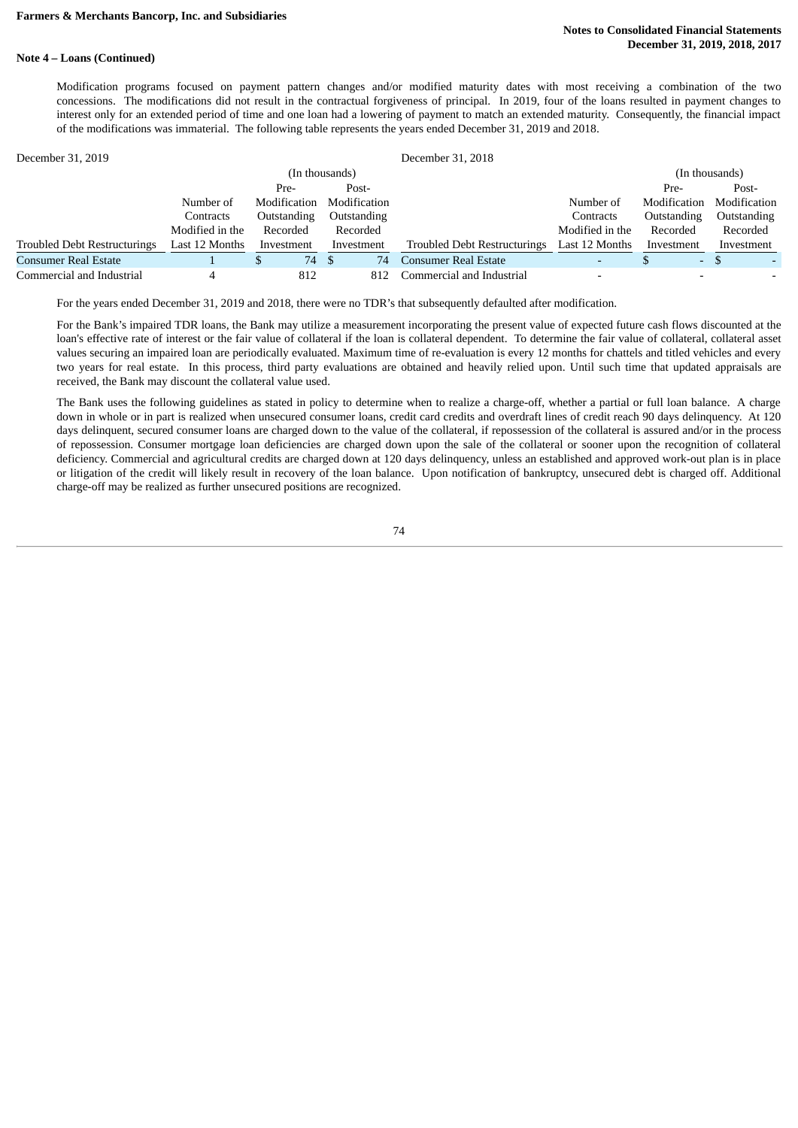Modification programs focused on payment pattern changes and/or modified maturity dates with most receiving a combination of the two concessions. The modifications did not result in the contractual forgiveness of principal. In 2019, four of the loans resulted in payment changes to interest only for an extended period of time and one loan had a lowering of payment to match an extended maturity. Consequently, the financial impact of the modifications was immaterial. The following table represents the years ended December 31, 2019 and 2018.

| December 31, 2019            |                 |              |                | December 31, 2018            |                 |                |              |  |  |  |  |  |
|------------------------------|-----------------|--------------|----------------|------------------------------|-----------------|----------------|--------------|--|--|--|--|--|
|                              |                 |              | (In thousands) |                              |                 | (In thousands) |              |  |  |  |  |  |
|                              |                 | Pre-         | Post-          |                              |                 | Pre-           | Post-        |  |  |  |  |  |
|                              | Number of       | Modification | Modification   |                              | Number of       | Modification   | Modification |  |  |  |  |  |
|                              | Contracts       | Outstanding  | Outstanding    |                              | Contracts       | Outstanding    | Outstanding  |  |  |  |  |  |
|                              | Modified in the | Recorded     | Recorded       |                              | Modified in the | Recorded       | Recorded     |  |  |  |  |  |
| Troubled Debt Restructurings | Last 12 Months  | Investment   | Investment     | Troubled Debt Restructurings | Last 12 Months  | Investment     | Investment   |  |  |  |  |  |
| <b>Consumer Real Estate</b>  |                 | 74 \$        | 74             | <b>Consumer Real Estate</b>  |                 | $\sim$         |              |  |  |  |  |  |
| Commercial and Industrial    |                 | 812          | 812            | Commercial and Industrial    |                 |                |              |  |  |  |  |  |

For the years ended December 31, 2019 and 2018, there were no TDR's that subsequently defaulted after modification.

For the Bank's impaired TDR loans, the Bank may utilize a measurement incorporating the present value of expected future cash flows discounted at the loan's effective rate of interest or the fair value of collateral if the loan is collateral dependent. To determine the fair value of collateral, collateral asset values securing an impaired loan are periodically evaluated. Maximum time of re-evaluation is every 12 months for chattels and titled vehicles and every two years for real estate. In this process, third party evaluations are obtained and heavily relied upon. Until such time that updated appraisals are received, the Bank may discount the collateral value used.

The Bank uses the following guidelines as stated in policy to determine when to realize a charge-off, whether a partial or full loan balance. A charge down in whole or in part is realized when unsecured consumer loans, credit card credits and overdraft lines of credit reach 90 days delinquency. At 120 days delinquent, secured consumer loans are charged down to the value of the collateral, if repossession of the collateral is assured and/or in the process of repossession. Consumer mortgage loan deficiencies are charged down upon the sale of the collateral or sooner upon the recognition of collateral deficiency. Commercial and agricultural credits are charged down at 120 days delinquency, unless an established and approved work-out plan is in place or litigation of the credit will likely result in recovery of the loan balance. Upon notification of bankruptcy, unsecured debt is charged off. Additional charge-off may be realized as further unsecured positions are recognized.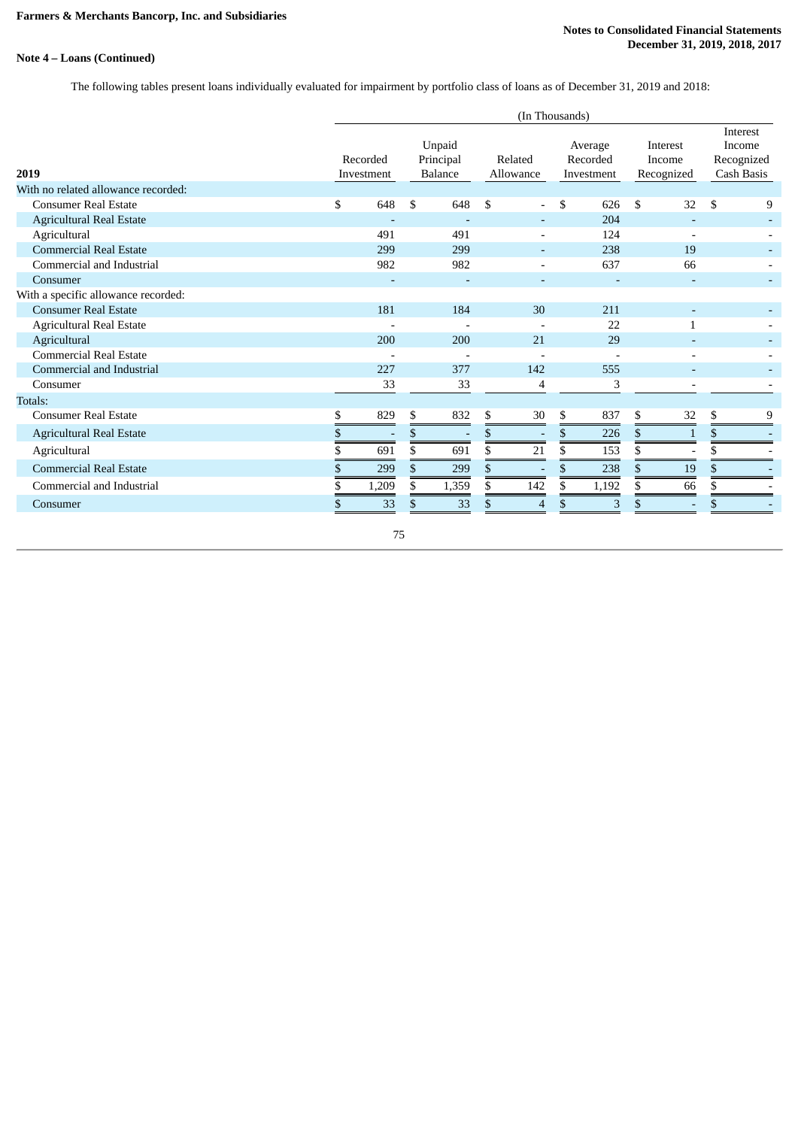The following tables present loans individually evaluated for impairment by portfolio class of loans as of December 31, 2019 and 2018:

|                                     | (In Thousands) |                        |                                |       |                      |                          |                                   |       |                                  |                          |    |                                                       |  |
|-------------------------------------|----------------|------------------------|--------------------------------|-------|----------------------|--------------------------|-----------------------------------|-------|----------------------------------|--------------------------|----|-------------------------------------------------------|--|
| 2019                                |                | Recorded<br>Investment | Unpaid<br>Principal<br>Balance |       | Related<br>Allowance |                          | Average<br>Recorded<br>Investment |       | Interest<br>Income<br>Recognized |                          |    | Interest<br>Income<br>Recognized<br><b>Cash Basis</b> |  |
| With no related allowance recorded: |                |                        |                                |       |                      |                          |                                   |       |                                  |                          |    |                                                       |  |
| <b>Consumer Real Estate</b>         | \$             | 648                    | \$                             | 648   | \$                   |                          | \$                                | 626   | \$                               | 32                       | \$ | 9                                                     |  |
| <b>Agricultural Real Estate</b>     |                |                        |                                |       |                      |                          |                                   | 204   |                                  |                          |    |                                                       |  |
| Agricultural                        |                | 491                    |                                | 491   |                      |                          |                                   | 124   |                                  |                          |    |                                                       |  |
| <b>Commercial Real Estate</b>       |                | 299                    |                                | 299   |                      |                          |                                   | 238   |                                  | 19                       |    |                                                       |  |
| Commercial and Industrial           |                | 982                    |                                | 982   |                      |                          |                                   | 637   |                                  | 66                       |    |                                                       |  |
| Consumer                            |                |                        |                                |       |                      |                          |                                   |       |                                  | $\overline{\phantom{a}}$ |    |                                                       |  |
| With a specific allowance recorded: |                |                        |                                |       |                      |                          |                                   |       |                                  |                          |    |                                                       |  |
| <b>Consumer Real Estate</b>         |                | 181                    |                                | 184   |                      | 30                       |                                   | 211   |                                  |                          |    |                                                       |  |
| <b>Agricultural Real Estate</b>     |                |                        |                                |       |                      |                          |                                   | 22    |                                  | $\mathbf{1}$             |    |                                                       |  |
| Agricultural                        |                | 200                    |                                | 200   |                      | 21                       |                                   | 29    |                                  |                          |    |                                                       |  |
| <b>Commercial Real Estate</b>       |                |                        |                                |       |                      |                          |                                   |       |                                  |                          |    |                                                       |  |
| Commercial and Industrial           |                | 227                    |                                | 377   |                      | 142                      |                                   | 555   |                                  |                          |    |                                                       |  |
| Consumer                            |                | 33                     |                                | 33    |                      | 4                        |                                   | 3     |                                  | $\overline{\phantom{a}}$ |    |                                                       |  |
| Totals:                             |                |                        |                                |       |                      |                          |                                   |       |                                  |                          |    |                                                       |  |
| <b>Consumer Real Estate</b>         | \$             | 829                    | \$                             | 832   | \$                   | 30                       | \$                                | 837   | \$                               | 32                       | \$ | 9                                                     |  |
| <b>Agricultural Real Estate</b>     |                |                        | \$                             |       | \$                   | $\overline{\phantom{a}}$ | \$                                | 226   | \$                               | $\mathbf{1}$             | S. |                                                       |  |
| Agricultural                        |                | 691                    | \$                             | 691   | \$                   | 21                       |                                   | 153   | \$                               | $\overline{\phantom{a}}$ |    |                                                       |  |
| <b>Commercial Real Estate</b>       |                | 299                    | \$                             | 299   | \$                   |                          | \$                                | 238   | \$                               | 19                       |    |                                                       |  |
| Commercial and Industrial           |                | 1,209                  | \$                             | 1,359 | \$                   | 142                      | \$                                | 1,192 | \$                               | 66                       |    |                                                       |  |
| Consumer                            | \$             | 33                     | \$                             | 33    | S.                   | $\overline{4}$           | \$                                | 3     | \$                               | $\overline{\phantom{0}}$ | S  |                                                       |  |
|                                     |                |                        |                                |       |                      |                          |                                   |       |                                  |                          |    |                                                       |  |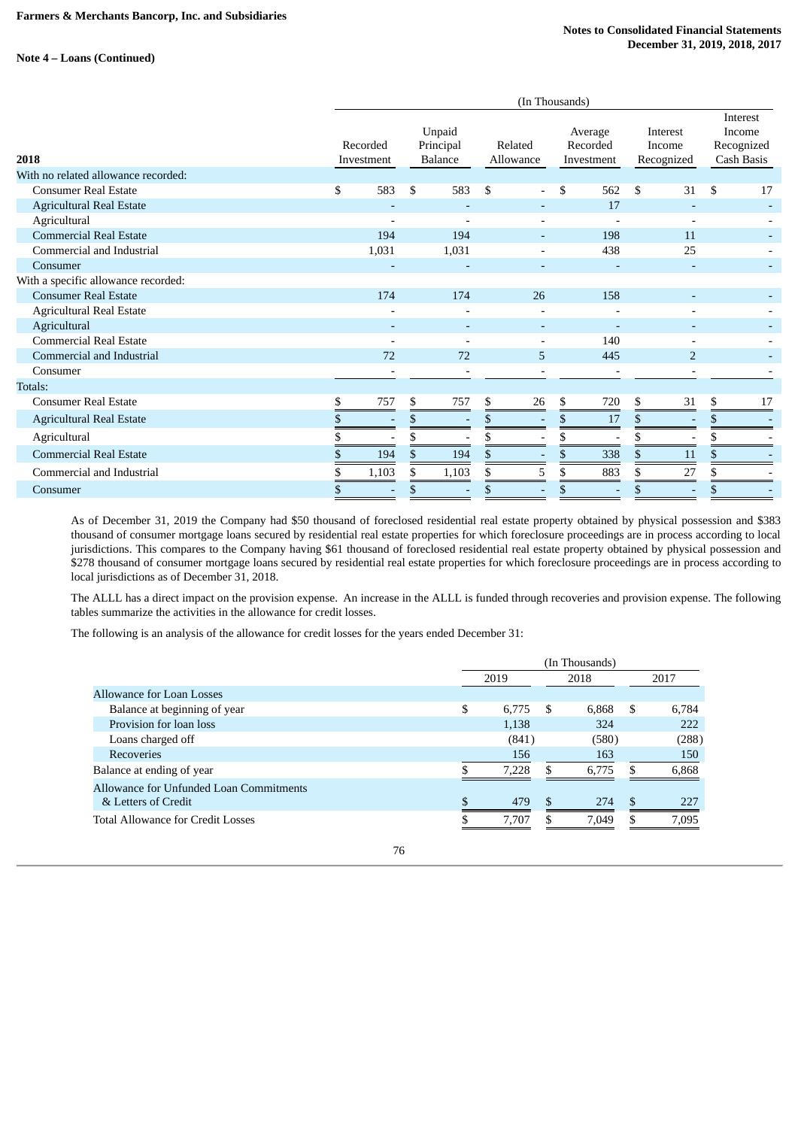|                                     | (In Thousands) |                        |    |                                       |                      |                          |    |                                   |    |                                  |                                                |    |
|-------------------------------------|----------------|------------------------|----|---------------------------------------|----------------------|--------------------------|----|-----------------------------------|----|----------------------------------|------------------------------------------------|----|
| 2018                                |                | Recorded<br>Investment |    | Unpaid<br>Principal<br><b>Balance</b> | Related<br>Allowance |                          |    | Average<br>Recorded<br>Investment |    | Interest<br>Income<br>Recognized | Interest<br>Income<br>Recognized<br>Cash Basis |    |
| With no related allowance recorded: |                |                        |    |                                       |                      |                          |    |                                   |    |                                  |                                                |    |
| <b>Consumer Real Estate</b>         | \$             | 583                    | \$ | 583                                   | \$                   | $\overline{\phantom{0}}$ | \$ | 562                               | \$ | 31                               | \$                                             | 17 |
| <b>Agricultural Real Estate</b>     |                |                        |    |                                       |                      | $\overline{\phantom{a}}$ |    | 17                                |    |                                  |                                                |    |
| Agricultural                        |                |                        |    |                                       |                      |                          |    |                                   |    |                                  |                                                |    |
| <b>Commercial Real Estate</b>       |                | 194                    |    | 194                                   |                      |                          |    | 198                               |    | 11                               |                                                |    |
| Commercial and Industrial           |                | 1,031                  |    | 1,031                                 |                      |                          |    | 438                               |    | 25                               |                                                |    |
| Consumer                            |                |                        |    |                                       |                      | $\overline{a}$           |    |                                   |    | $\overline{\phantom{0}}$         |                                                |    |
| With a specific allowance recorded: |                |                        |    |                                       |                      |                          |    |                                   |    |                                  |                                                |    |
| <b>Consumer Real Estate</b>         |                | 174                    |    | 174                                   |                      | 26                       |    | 158                               |    |                                  |                                                |    |
| <b>Agricultural Real Estate</b>     |                |                        |    |                                       |                      |                          |    |                                   |    |                                  |                                                |    |
| Agricultural                        |                |                        |    | $\overline{\phantom{a}}$              |                      | $\overline{\phantom{a}}$ |    | $\qquad \qquad \blacksquare$      |    | $\overline{a}$                   |                                                |    |
| Commercial Real Estate              |                |                        |    | ٠                                     |                      |                          |    | 140                               |    |                                  |                                                |    |
| Commercial and Industrial           |                | 72                     |    | 72                                    |                      | 5                        |    | 445                               |    | $\overline{2}$                   |                                                |    |
| Consumer                            |                |                        |    |                                       |                      |                          |    |                                   |    | $\overline{\phantom{a}}$         |                                                |    |
| Totals:                             |                |                        |    |                                       |                      |                          |    |                                   |    |                                  |                                                |    |
| <b>Consumer Real Estate</b>         | \$             | 757                    | \$ | 757                                   | \$                   | 26                       | \$ | 720                               | \$ | 31                               | \$                                             | 17 |
| <b>Agricultural Real Estate</b>     |                |                        |    | $\overline{a}$                        |                      |                          |    | 17                                | \$ | $\overline{a}$                   |                                                |    |
| Agricultural                        |                |                        |    |                                       |                      |                          |    |                                   | \$ |                                  |                                                |    |
| <b>Commercial Real Estate</b>       |                | 194                    | \$ | 194                                   | \$                   |                          | \$ | 338                               | \$ | 11                               | \$                                             |    |
| Commercial and Industrial           |                | 1,103                  | S  | 1,103                                 |                      | 5                        |    | 883                               |    | 27                               |                                                |    |
| Consumer                            |                |                        |    |                                       |                      |                          |    |                                   |    |                                  |                                                |    |

As of December 31, 2019 the Company had \$50 thousand of foreclosed residential real estate property obtained by physical possession and \$383 thousand of consumer mortgage loans secured by residential real estate properties for which foreclosure proceedings are in process according to local jurisdictions. This compares to the Company having \$61 thousand of foreclosed residential real estate property obtained by physical possession and \$278 thousand of consumer mortgage loans secured by residential real estate properties for which foreclosure proceedings are in process according to local jurisdictions as of December 31, 2018.

The ALLL has a direct impact on the provision expense. An increase in the ALLL is funded through recoveries and provision expense. The following tables summarize the activities in the allowance for credit losses.

The following is an analysis of the allowance for credit losses for the years ended December 31:

|                                          | (In Thousands) |              |              |       |     |       |  |  |
|------------------------------------------|----------------|--------------|--------------|-------|-----|-------|--|--|
|                                          |                | 2019<br>2018 |              |       |     | 2017  |  |  |
| Allowance for Loan Losses                |                |              |              |       |     |       |  |  |
| Balance at beginning of year             | \$             | 6,775        | S            | 6,868 | \$  | 6,784 |  |  |
| Provision for loan loss                  |                | 1,138        |              | 324   |     | 222   |  |  |
| Loans charged off                        |                | (841)        |              | (580) |     | (288) |  |  |
| <b>Recoveries</b>                        |                | 156          |              | 163   |     | 150   |  |  |
| Balance at ending of year                |                | 7,228        |              | 6,775 |     | 6,868 |  |  |
| Allowance for Unfunded Loan Commitments  |                |              |              |       |     |       |  |  |
| & Letters of Credit                      |                | 479          | $\mathbf{s}$ | 274   | \$. | 227   |  |  |
| <b>Total Allowance for Credit Losses</b> |                | 7.707        | \$           | 7.049 | S.  | 7,095 |  |  |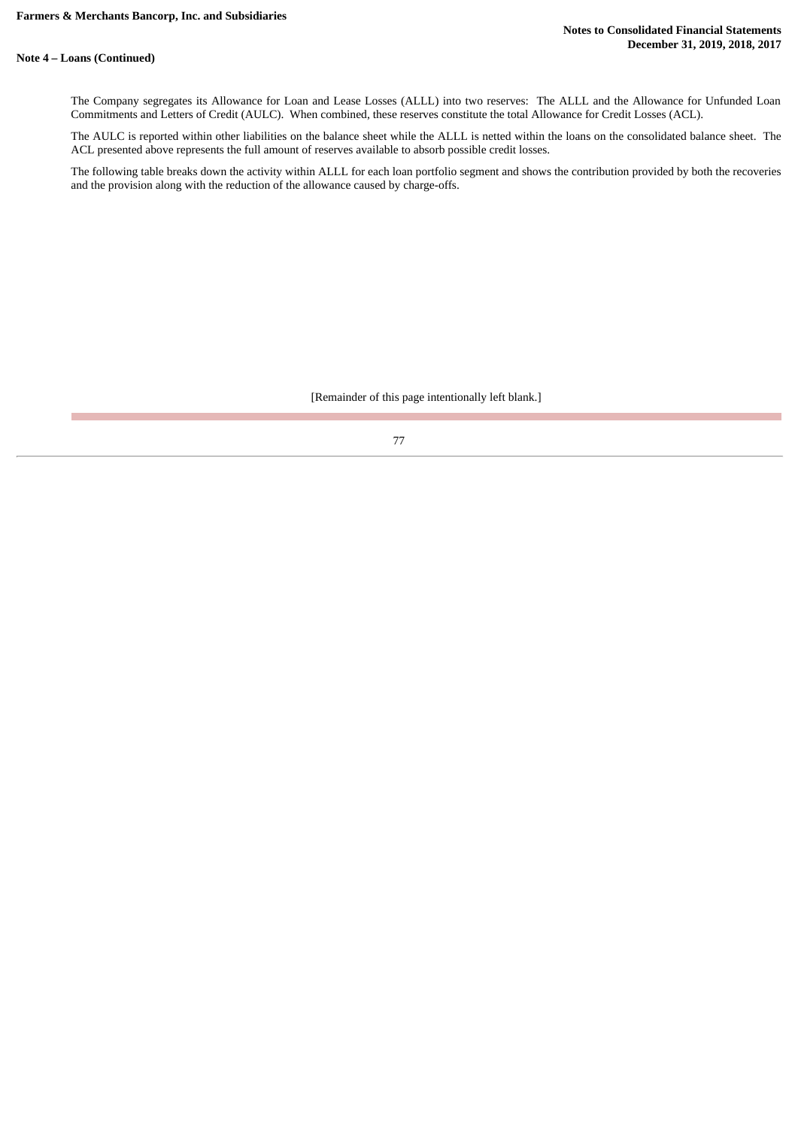The Company segregates its Allowance for Loan and Lease Losses (ALLL) into two reserves: The ALLL and the Allowance for Unfunded Loan Commitments and Letters of Credit (AULC). When combined, these reserves constitute the total Allowance for Credit Losses (ACL).

The AULC is reported within other liabilities on the balance sheet while the ALLL is netted within the loans on the consolidated balance sheet. The ACL presented above represents the full amount of reserves available to absorb possible credit losses.

The following table breaks down the activity within ALLL for each loan portfolio segment and shows the contribution provided by both the recoveries and the provision along with the reduction of the allowance caused by charge-offs.

[Remainder of this page intentionally left blank.]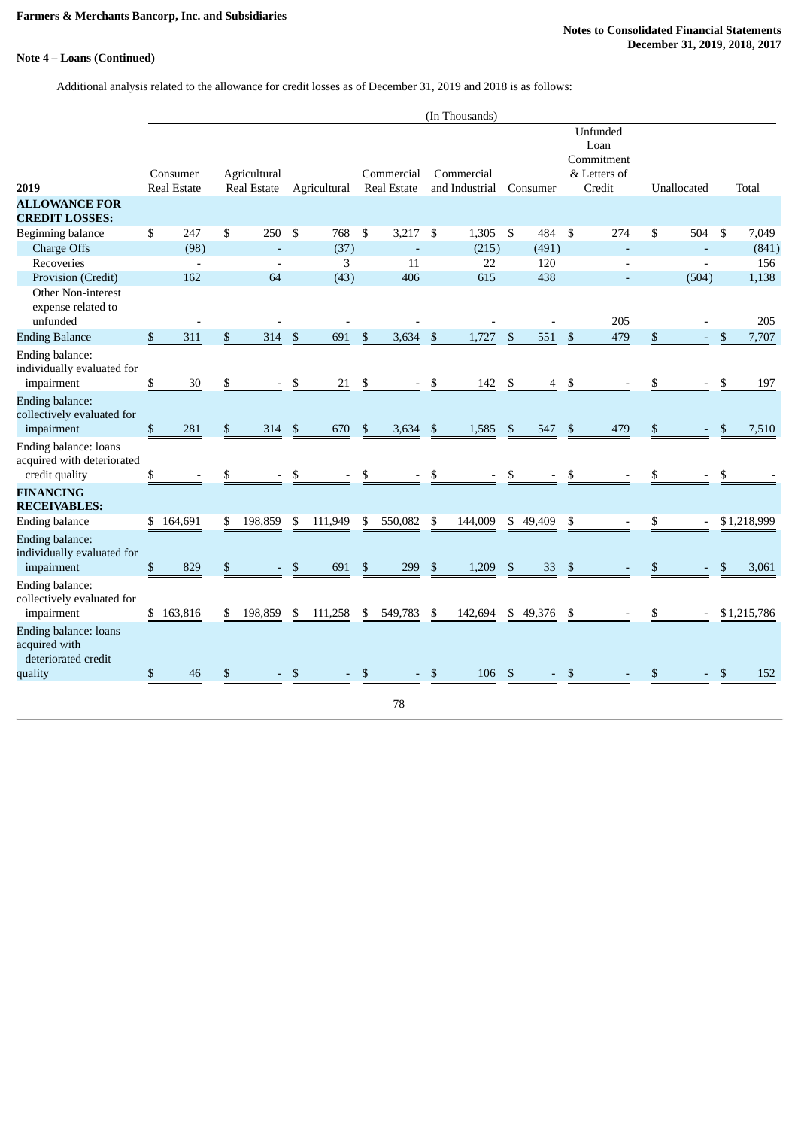Additional analysis related to the allowance for credit losses as of December 31, 2019 and 2018 is as follows:

|                                                                            |               |                                |                           |                             |                |              |                           |                           |            | (In Thousands)               |               |          |                           |                                                          |              |                |                |              |
|----------------------------------------------------------------------------|---------------|--------------------------------|---------------------------|-----------------------------|----------------|--------------|---------------------------|---------------------------|------------|------------------------------|---------------|----------|---------------------------|----------------------------------------------------------|--------------|----------------|----------------|--------------|
| 2019                                                                       |               | Consumer<br><b>Real Estate</b> |                           | Agricultural<br>Real Estate |                | Agricultural |                           | Commercial<br>Real Estate |            | Commercial<br>and Industrial |               | Consumer |                           | Unfunded<br>Loan<br>Commitment<br>& Letters of<br>Credit |              | Unallocated    |                | Total        |
| <b>ALLOWANCE FOR</b>                                                       |               |                                |                           |                             |                |              |                           |                           |            |                              |               |          |                           |                                                          |              |                |                |              |
| <b>CREDIT LOSSES:</b>                                                      |               |                                |                           |                             |                |              |                           |                           |            |                              |               |          |                           |                                                          |              |                |                |              |
| <b>Beginning balance</b>                                                   | \$            | 247                            | \$                        | 250                         | \$             | 768 \$       |                           | 3,217 \$                  |            | 1,305                        | \$            | 484 \$   |                           | 274                                                      | \$           | 504            | $\mathfrak{s}$ | 7,049        |
| Charge Offs                                                                |               | (98)                           |                           | $\overline{a}$              |                | (37)         |                           |                           |            | (215)                        |               | (491)    |                           |                                                          |              |                |                | (841)        |
| Recoveries                                                                 |               | $\blacksquare$<br>162          |                           | 64                          |                | 3            |                           | 11                        |            | 22                           |               | 120      |                           |                                                          |              | $\overline{a}$ |                | 156          |
| Provision (Credit)<br>Other Non-interest<br>expense related to<br>unfunded |               |                                |                           |                             |                | (43)         |                           | 406                       |            | 615                          |               | 438      |                           | $\overline{a}$<br>205                                    |              | (504)          |                | 1,138<br>205 |
| <b>Ending Balance</b>                                                      | $\mathbf{\$}$ | 311                            | $\boldsymbol{\mathsf{S}}$ | 314                         | $\mathfrak{s}$ | 691          | $\mathbb{S}$              | 3,634                     | $\sqrt{2}$ | 1,727                        | $\mathfrak s$ | 551      | $\mathsf{\$}$             | 479                                                      | $\mathbb{S}$ | $\Box$         | $\sqrt{3}$     | 7,707        |
| Ending balance:<br>individually evaluated for<br>impairment                | \$            | 30                             | \$                        | $\overline{\phantom{a}}$    | \$             | 21           | \$                        | $\overline{\phantom{a}}$  | \$         | 142                          | \$            | 4        | \$                        |                                                          | \$           |                | \$             | 197          |
| Ending balance:<br>collectively evaluated for<br>impairment                | \$            | 281                            | \$                        | 314                         | \$             | 670          | -\$                       | 3,634                     | \$         | 1,585                        | \$            | 547      | $\boldsymbol{\mathsf{S}}$ | 479                                                      | \$           |                | \$             | 7,510        |
| Ending balance: loans<br>acquired with deteriorated<br>credit quality      | \$            |                                | \$                        |                             | \$             |              | \$                        |                           | \$         |                              | \$            |          | \$                        |                                                          | \$           |                | \$             |              |
| <b>FINANCING</b><br><b>RECEIVABLES:</b>                                    |               |                                |                           |                             |                |              |                           |                           |            |                              |               |          |                           |                                                          |              |                |                |              |
| <b>Ending balance</b>                                                      |               | \$164,691                      | \$                        | 198,859                     | \$             | 111,949      | \$                        | 550,082                   | \$         | 144,009                      |               | \$49,409 | \$                        |                                                          | \$           | $\overline{a}$ |                | \$1,218,999  |
| <b>Ending balance:</b><br>individually evaluated for<br>impairment         | \$            | 829                            | \$                        |                             | \$             | 691          | $\boldsymbol{\mathsf{S}}$ | 299                       | \$         | 1,209                        | \$            | 33       | \$                        |                                                          | \$           |                | \$             | 3,061        |
| Ending balance:<br>collectively evaluated for<br>impairment                |               | \$163,816                      | S.                        | 198,859                     | \$             | 111,258      | \$                        | 549,783                   | \$         | 142,694                      |               | \$49,376 | -\$                       |                                                          | \$           |                |                | \$1,215,786  |
| Ending balance: loans<br>acquired with<br>deteriorated credit<br>quality   | \$            | 46                             | \$                        |                             | \$             |              | \$                        |                           | \$         | 106                          | \$            |          | \$                        |                                                          | \$           |                | \$             | 152          |
|                                                                            |               |                                |                           |                             |                |              |                           |                           |            |                              |               |          |                           |                                                          |              |                |                |              |
|                                                                            |               |                                |                           |                             |                |              |                           | 78                        |            |                              |               |          |                           |                                                          |              |                |                |              |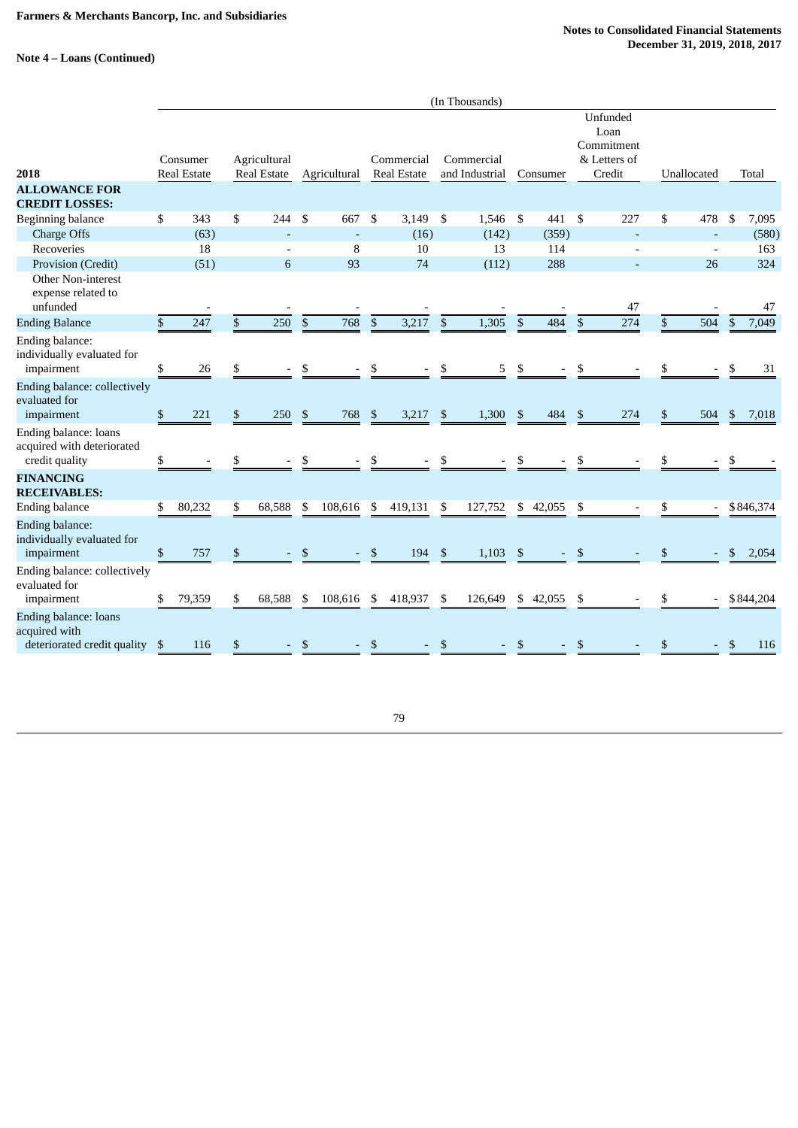|                                                                          |                                |    |                                    |               |              |              |                                  |                | (In Thousands)               |      |          |                |                                                          |                |                |           |
|--------------------------------------------------------------------------|--------------------------------|----|------------------------------------|---------------|--------------|--------------|----------------------------------|----------------|------------------------------|------|----------|----------------|----------------------------------------------------------|----------------|----------------|-----------|
| 2018                                                                     | Consumer<br><b>Real Estate</b> |    | Agricultural<br><b>Real Estate</b> |               | Agricultural |              | Commercial<br><b>Real Estate</b> |                | Commercial<br>and Industrial |      | Consumer |                | Unfunded<br>Loan<br>Commitment<br>& Letters of<br>Credit | Unallocated    |                | Total     |
| <b>ALLOWANCE FOR</b><br><b>CREDIT LOSSES:</b>                            |                                |    |                                    |               |              |              |                                  |                |                              |      |          |                |                                                          |                |                |           |
| Beginning balance                                                        | \$<br>343                      | \$ | 244                                | - \$          | 667          | \$           | 3,149                            | - \$           | 1,546                        | - \$ | 441      | \$             | 227                                                      | \$<br>478      | \$             | 7,095     |
| Charge Offs                                                              | (63)                           |    |                                    |               |              |              | (16)                             |                | (142)                        |      | (359)    |                |                                                          |                |                | (580)     |
| Recoveries                                                               | 18                             |    |                                    |               | 8            |              | 10                               |                | 13                           |      | 114      |                |                                                          |                |                | 163       |
| Provision (Credit)                                                       | (51)                           |    | 6                                  |               | 93           |              | 74                               |                | (112)                        |      | 288      |                |                                                          | 26             |                | 324       |
| Other Non-interest<br>expense related to<br>unfunded                     |                                |    |                                    |               |              |              |                                  |                |                              |      |          |                | 47                                                       |                |                | 47        |
| <b>Ending Balance</b>                                                    | \$<br>247                      | \$ | 250                                | $\sqrt{2}$    | 768          | $\mathbb{S}$ | 3,217                            | $\mathfrak s$  | 1,305                        | \$   | 484      | $\mathfrak s$  | 274                                                      | \$<br>504      | $\mathsf{\$}$  | 7,049     |
| Ending balance:<br>individually evaluated for<br>impairment              | \$<br>26                       | \$ |                                    | \$            |              | \$           |                                  | \$             | 5                            | \$   |          | \$             |                                                          |                | \$             | 31        |
| Ending balance: collectively<br>evaluated for<br>impairment              | \$<br>221                      | \$ | 250                                | $\mathfrak s$ | 768          | $\mathbb{S}$ | 3,217                            | $\mathfrak{s}$ | 1,300                        | \$   | 484      | -\$            | 274                                                      | \$<br>504      | \$             | 7,018     |
| Ending balance: loans<br>acquired with deteriorated<br>credit quality    | \$                             | \$ |                                    | \$            |              | \$           |                                  | \$             |                              | \$   |          | \$             |                                                          |                | \$             |           |
| <b>FINANCING</b><br><b>RECEIVABLES:</b>                                  |                                |    |                                    |               |              |              |                                  |                |                              |      |          |                |                                                          |                |                |           |
| <b>Ending balance</b>                                                    | \$<br>80,232                   | \$ | 68,588                             | \$            | 108,616      | \$           | 419,131                          | -\$            | 127,752                      |      | \$42,055 | \$             |                                                          | $\blacksquare$ |                | \$846,374 |
| Ending balance:<br>individually evaluated for<br>impairment              | \$<br>757                      | S. |                                    | \$            |              | \$           | 194                              | -\$            | 1,103                        | \$   |          | \$             |                                                          | \$             | S              | 2,054     |
| Ending balance: collectively<br>evaluated for<br>impairment              | \$<br>79,359                   | \$ | 68,588                             | -\$           | 108,616      | \$           | 418,937                          | \$             | 126,649                      |      | \$42,055 | \$             |                                                          | \$             |                | \$844,204 |
| Ending balance: loans<br>acquired with<br>deteriorated credit quality \$ | 116                            | \$ |                                    | $\mathcal{S}$ |              | \$           |                                  | \$             |                              | \$   |          | $\mathfrak{S}$ |                                                          | \$             | $\mathfrak{s}$ | 116       |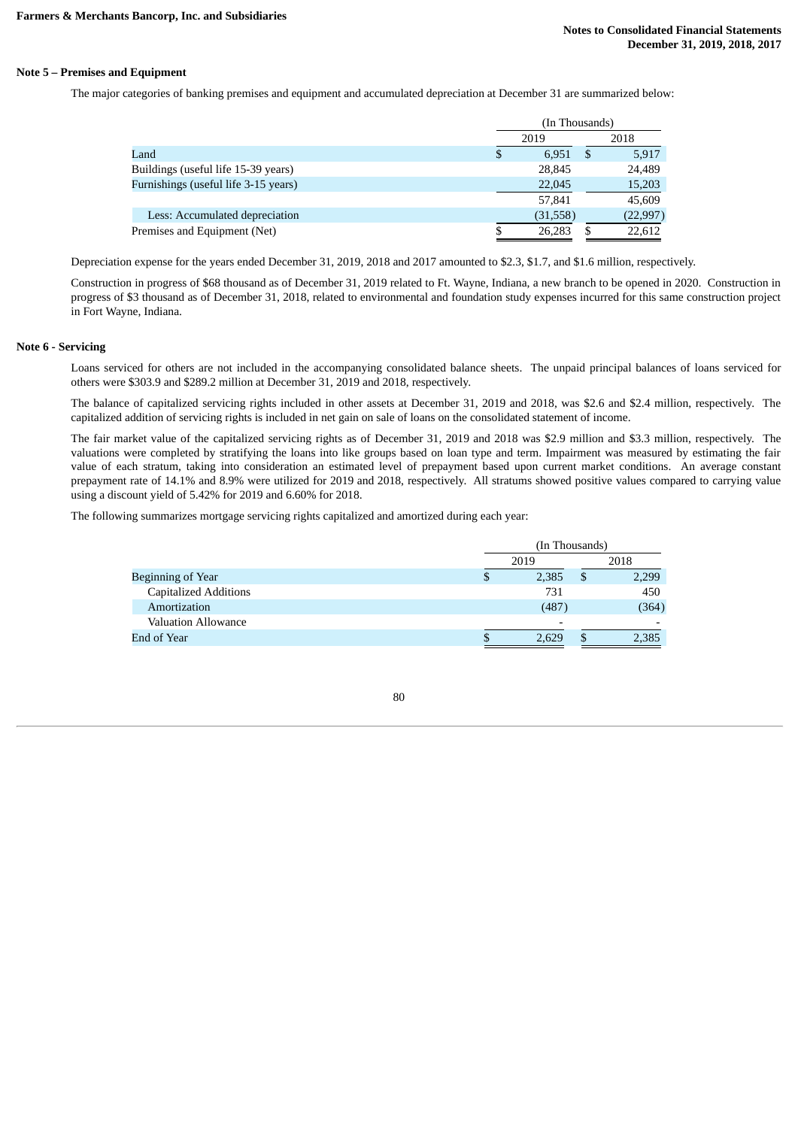## **Note 5 – Premises and Equipment**

The major categories of banking premises and equipment and accumulated depreciation at December 31 are summarized below:

|                                      | (In Thousands) |           |    |           |
|--------------------------------------|----------------|-----------|----|-----------|
|                                      |                | 2019      |    | 2018      |
| Land                                 | S              | 6.951     | S. | 5,917     |
| Buildings (useful life 15-39 years)  |                | 28,845    |    | 24,489    |
| Furnishings (useful life 3-15 years) |                | 22,045    |    | 15,203    |
|                                      |                | 57,841    |    | 45,609    |
| Less: Accumulated depreciation       |                | (31, 558) |    | (22, 997) |
| Premises and Equipment (Net)         | C              | 26,283    | \$ | 22,612    |

Depreciation expense for the years ended December 31, 2019, 2018 and 2017 amounted to \$2.3, \$1.7, and \$1.6 million, respectively.

Construction in progress of \$68 thousand as of December 31, 2019 related to Ft. Wayne, Indiana, a new branch to be opened in 2020. Construction in progress of \$3 thousand as of December 31, 2018, related to environmental and foundation study expenses incurred for this same construction project in Fort Wayne, Indiana.

## **Note 6 - Servicing**

Loans serviced for others are not included in the accompanying consolidated balance sheets. The unpaid principal balances of loans serviced for others were \$303.9 and \$289.2 million at December 31, 2019 and 2018, respectively.

The balance of capitalized servicing rights included in other assets at December 31, 2019 and 2018, was \$2.6 and \$2.4 million, respectively. The capitalized addition of servicing rights is included in net gain on sale of loans on the consolidated statement of income.

The fair market value of the capitalized servicing rights as of December 31, 2019 and 2018 was \$2.9 million and \$3.3 million, respectively. The valuations were completed by stratifying the loans into like groups based on loan type and term. Impairment was measured by estimating the fair value of each stratum, taking into consideration an estimated level of prepayment based upon current market conditions. An average constant prepayment rate of 14.1% and 8.9% were utilized for 2019 and 2018, respectively. All stratums showed positive values compared to carrying value using a discount yield of 5.42% for 2019 and 6.60% for 2018.

The following summarizes mortgage servicing rights capitalized and amortized during each year:

|                              |    | (In Thousands)           |   |                          |  |  |  |  |  |  |
|------------------------------|----|--------------------------|---|--------------------------|--|--|--|--|--|--|
|                              |    | 2019                     |   |                          |  |  |  |  |  |  |
| Beginning of Year            | \$ | 2,385                    | S | 2,299                    |  |  |  |  |  |  |
| <b>Capitalized Additions</b> |    | 731                      |   | 450                      |  |  |  |  |  |  |
| Amortization                 |    | (487)                    |   | (364)                    |  |  |  |  |  |  |
| <b>Valuation Allowance</b>   |    | $\overline{\phantom{0}}$ |   | $\overline{\phantom{0}}$ |  |  |  |  |  |  |
| End of Year                  | ۰D | 2,629                    |   | 2,385                    |  |  |  |  |  |  |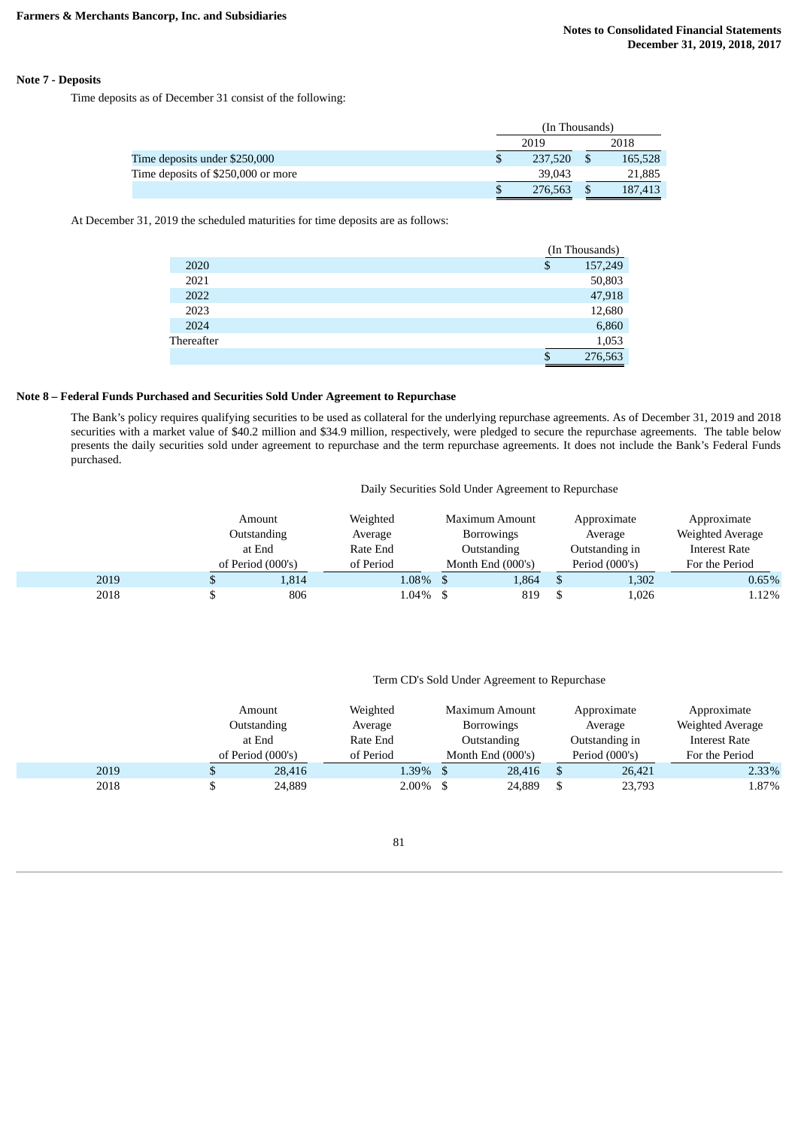# **Note 7 - Deposits**

Time deposits as of December 31 consist of the following:

|                                    | (In Thousands) |  |         |
|------------------------------------|----------------|--|---------|
|                                    | 2019           |  | 2018    |
| Time deposits under \$250,000      | 237,520        |  | 165,528 |
| Time deposits of \$250,000 or more | 39,043         |  | 21,885  |
|                                    | 276.563        |  | 187,413 |

At December 31, 2019 the scheduled maturities for time deposits are as follows:

|            |    | (In Thousands) |         |  |  |
|------------|----|----------------|---------|--|--|
| 2020       | \$ |                | 157,249 |  |  |
| 2021       |    |                | 50,803  |  |  |
| 2022       |    |                | 47,918  |  |  |
| 2023       |    |                | 12,680  |  |  |
| 2024       |    |                | 6,860   |  |  |
| Thereafter |    |                | 1,053   |  |  |
|            | \$ |                | 276,563 |  |  |

## **Note 8 – Federal Funds Purchased and Securities Sold Under Agreement to Repurchase**

The Bank's policy requires qualifying securities to be used as collateral for the underlying repurchase agreements. As of December 31, 2019 and 2018 securities with a market value of \$40.2 million and \$34.9 million, respectively, were pledged to secure the repurchase agreements. The table below presents the daily securities sold under agreement to repurchase and the term repurchase agreements. It does not include the Bank's Federal Funds purchased.

Daily Securities Sold Under Agreement to Repurchase

|      | Amount            | Weighted    | Maximum Amount      |  | Approximate    | Approximate          |
|------|-------------------|-------------|---------------------|--|----------------|----------------------|
|      | Outstanding       | Average     | <b>Borrowings</b>   |  | Average        | Weighted Average     |
|      | at End            | Rate End    | Outstanding         |  | Outstanding in | <b>Interest Rate</b> |
|      | of Period (000's) | of Period   | Month End $(000's)$ |  | Period (000's) | For the Period       |
| 2019 | 1,814             | $1.08\%$ \$ | 1,864               |  | 1,302          | $0.65\%$             |
| 2018 | 806               | $1.04\%$ \$ | 819                 |  | 1,026          | 1.12%                |

## Term CD's Sold Under Agreement to Repurchase

|      | Amount            |        | Weighted  |             | Maximum Amount      |        |                | Approximate    | Approximate      |       |  |
|------|-------------------|--------|-----------|-------------|---------------------|--------|----------------|----------------|------------------|-------|--|
|      | Outstanding       |        | Average   |             | <b>Borrowings</b>   |        | Average        |                | Weighted Average |       |  |
|      | at End            |        | Rate End  |             | Outstanding         |        |                | Outstanding in | Interest Rate    |       |  |
|      | of Period (000's) |        | of Period |             | Month End $(000's)$ |        | Period (000's) |                | For the Period   |       |  |
| 2019 |                   | 28,416 |           | 1.39% \$    |                     | 28,416 |                | 26,421         |                  | 2.33% |  |
| 2018 |                   | 24,889 |           | $2.00\%$ \$ |                     | 24,889 |                | 23,793         |                  | 1.87% |  |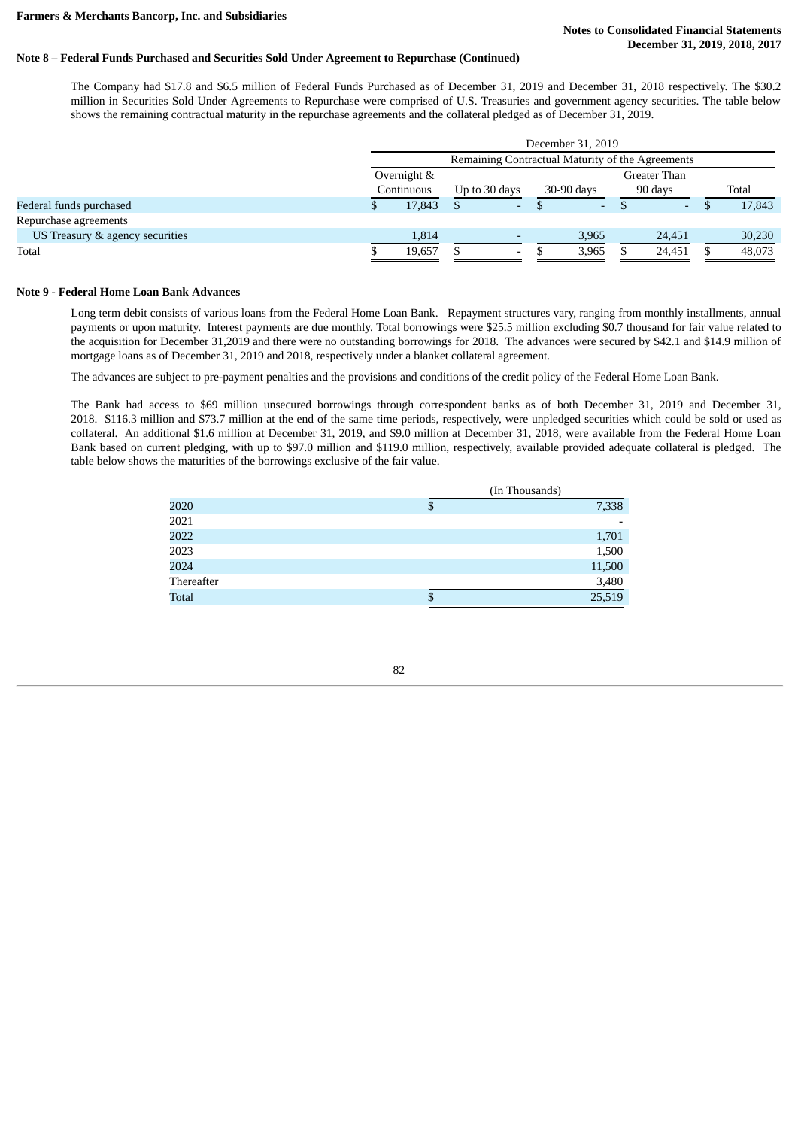#### **Note 8 – Federal Funds Purchased and Securities Sold Under Agreement to Repurchase (Continued)**

The Company had \$17.8 and \$6.5 million of Federal Funds Purchased as of December 31, 2019 and December 31, 2018 respectively. The \$30.2 million in Securities Sold Under Agreements to Repurchase were comprised of U.S. Treasuries and government agency securities. The table below shows the remaining contractual maturity in the repurchase agreements and the collateral pledged as of December 31, 2019.

|                                 |             |            |  |                          |  | December 31, 2019 |         |                                                  |  |        |
|---------------------------------|-------------|------------|--|--------------------------|--|-------------------|---------|--------------------------------------------------|--|--------|
|                                 |             |            |  |                          |  |                   |         | Remaining Contractual Maturity of the Agreements |  |        |
|                                 | Overnight & |            |  | Greater Than             |  |                   |         |                                                  |  |        |
|                                 |             | Continuous |  | Up to 30 days            |  | 30-90 days        | 90 days |                                                  |  | Total  |
| Federal funds purchased         |             | 17,843     |  | $\sim$                   |  | $\blacksquare$    |         | $\overline{\phantom{a}}$                         |  | 17,843 |
| Repurchase agreements           |             |            |  |                          |  |                   |         |                                                  |  |        |
| US Treasury & agency securities |             | 1,814      |  | -                        |  | 3,965             |         | 24,451                                           |  | 30,230 |
| Total                           |             | 19,657     |  | $\overline{\phantom{0}}$ |  | 3,965             |         | 24.451                                           |  | 48,073 |

#### **Note 9 - Federal Home Loan Bank Advances**

Long term debit consists of various loans from the Federal Home Loan Bank. Repayment structures vary, ranging from monthly installments, annual payments or upon maturity. Interest payments are due monthly. Total borrowings were \$25.5 million excluding \$0.7 thousand for fair value related to the acquisition for December 31,2019 and there were no outstanding borrowings for 2018. The advances were secured by \$42.1 and \$14.9 million of mortgage loans as of December 31, 2019 and 2018, respectively under a blanket collateral agreement.

The advances are subject to pre-payment penalties and the provisions and conditions of the credit policy of the Federal Home Loan Bank.

The Bank had access to \$69 million unsecured borrowings through correspondent banks as of both December 31, 2019 and December 31, 2018. \$116.3 million and \$73.7 million at the end of the same time periods, respectively, were unpledged securities which could be sold or used as collateral. An additional \$1.6 million at December 31, 2019, and \$9.0 million at December 31, 2018, were available from the Federal Home Loan Bank based on current pledging, with up to \$97.0 million and \$119.0 million, respectively, available provided adequate collateral is pledged. The table below shows the maturities of the borrowings exclusive of the fair value.

|              |   | (In Thousands) |
|--------------|---|----------------|
| 2020         | Φ | 7,338          |
| 2021         |   |                |
| 2022         |   | 1,701          |
| 2023         |   | 1,500          |
| 2024         |   | 11,500         |
| Thereafter   |   | 3,480          |
| <b>Total</b> |   | 25,519         |

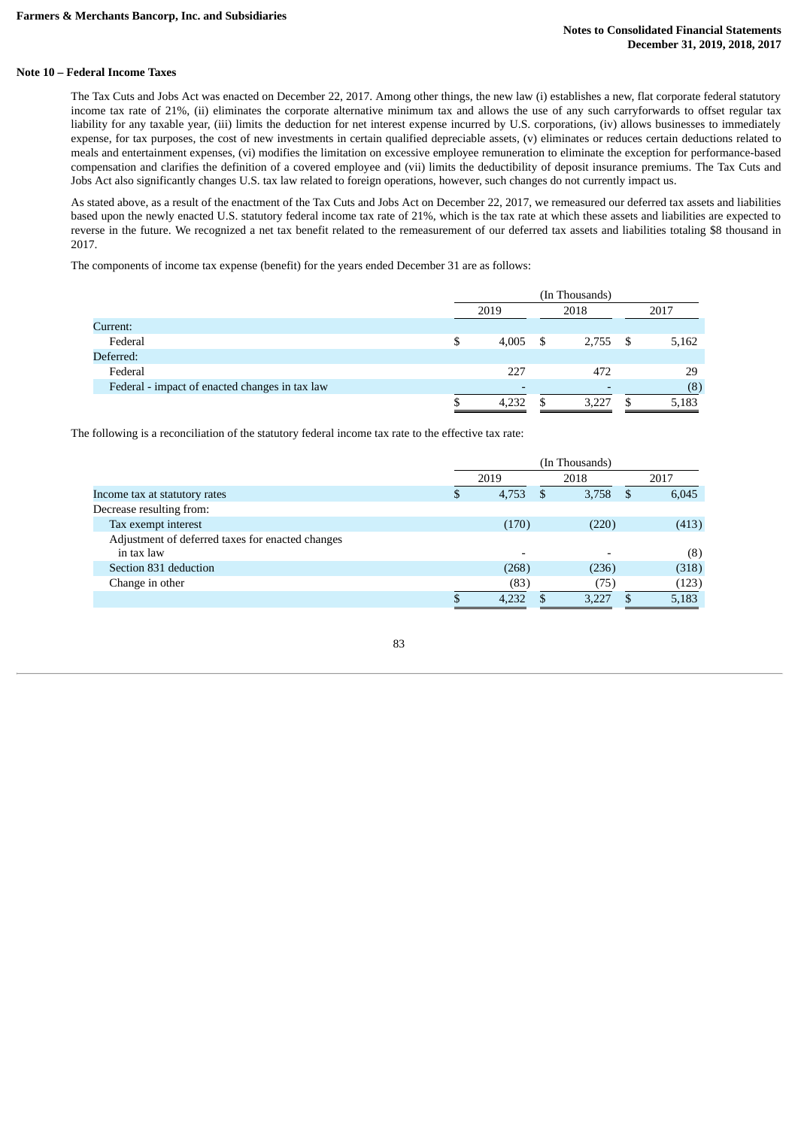## **Note 10 – Federal Income Taxes**

The Tax Cuts and Jobs Act was enacted on December 22, 2017. Among other things, the new law (i) establishes a new, flat corporate federal statutory income tax rate of 21%, (ii) eliminates the corporate alternative minimum tax and allows the use of any such carryforwards to offset regular tax liability for any taxable year, (iii) limits the deduction for net interest expense incurred by U.S. corporations, (iv) allows businesses to immediately expense, for tax purposes, the cost of new investments in certain qualified depreciable assets, (v) eliminates or reduces certain deductions related to meals and entertainment expenses, (vi) modifies the limitation on excessive employee remuneration to eliminate the exception for performance-based compensation and clarifies the definition of a covered employee and (vii) limits the deductibility of deposit insurance premiums. The Tax Cuts and Jobs Act also significantly changes U.S. tax law related to foreign operations, however, such changes do not currently impact us.

As stated above, as a result of the enactment of the Tax Cuts and Jobs Act on December 22, 2017, we remeasured our deferred tax assets and liabilities based upon the newly enacted U.S. statutory federal income tax rate of 21%, which is the tax rate at which these assets and liabilities are expected to reverse in the future. We recognized a net tax benefit related to the remeasurement of our deferred tax assets and liabilities totaling \$8 thousand in 2017.

The components of income tax expense (benefit) for the years ended December 31 are as follows:

|                                                | (In Thousands) |                          |     |       |      |       |  |  |
|------------------------------------------------|----------------|--------------------------|-----|-------|------|-------|--|--|
|                                                |                | 2019<br>2018             |     |       | 2017 |       |  |  |
| Current:                                       |                |                          |     |       |      |       |  |  |
| Federal                                        | \$             | 4,005                    | - S | 2,755 | - \$ | 5,162 |  |  |
| Deferred:                                      |                |                          |     |       |      |       |  |  |
| Federal                                        |                | 227                      |     | 472   |      | 29    |  |  |
| Federal - impact of enacted changes in tax law |                | $\overline{\phantom{0}}$ |     | -     |      | (8)   |  |  |
|                                                |                | 4,232                    |     | 3,227 |      | 5,183 |  |  |

The following is a reconciliation of the statutory federal income tax rate to the effective tax rate:

|                                                                |    | (In Thousands)           |      |       |              |       |  |  |
|----------------------------------------------------------------|----|--------------------------|------|-------|--------------|-------|--|--|
|                                                                |    | 2019                     | 2018 |       |              | 2017  |  |  |
| Income tax at statutory rates                                  | S  | 4,753                    | -S   | 3,758 | <sup>S</sup> | 6,045 |  |  |
| Decrease resulting from:                                       |    |                          |      |       |              |       |  |  |
| Tax exempt interest                                            |    | (170)                    |      | (220) |              | (413) |  |  |
| Adjustment of deferred taxes for enacted changes<br>in tax law |    | $\overline{\phantom{a}}$ |      |       |              | (8)   |  |  |
| Section 831 deduction                                          |    | (268)                    |      | (236) |              | (318) |  |  |
| Change in other                                                |    | (83)                     |      | (75)  |              | (123) |  |  |
|                                                                | \$ | 4,232                    |      | 3.227 |              | 5,183 |  |  |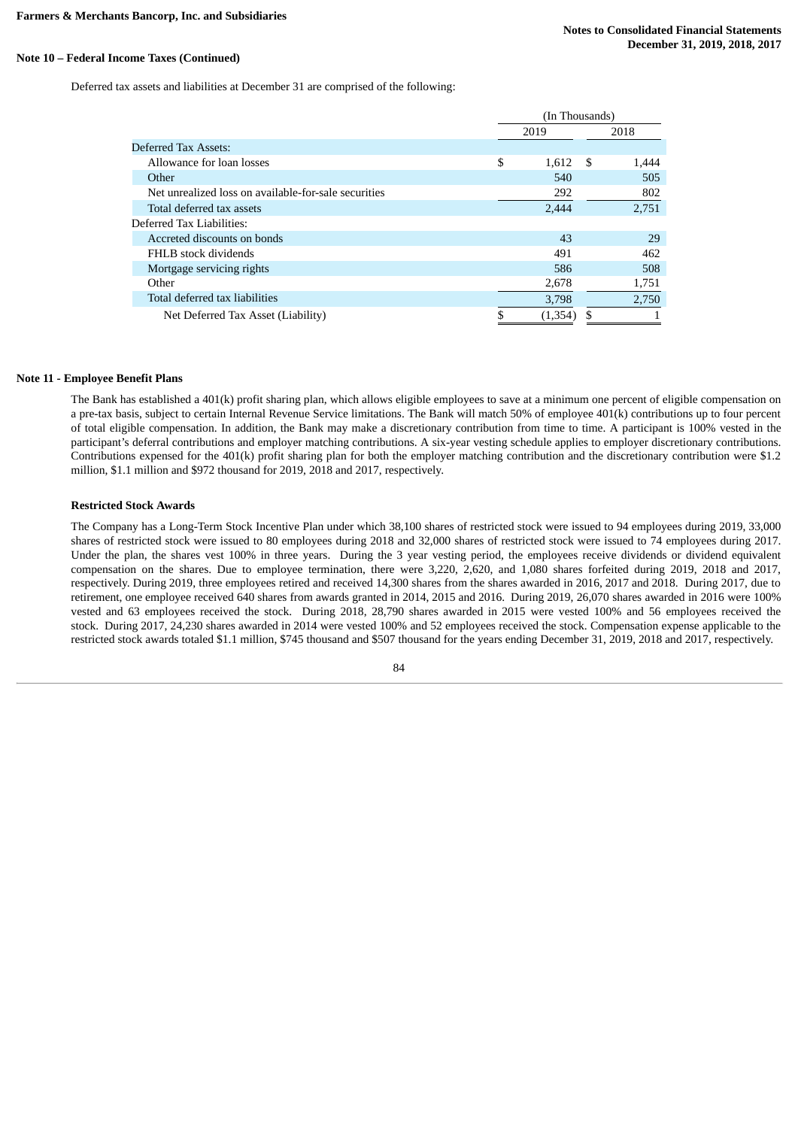#### **Note 10 – Federal Income Taxes (Continued)**

Deferred tax assets and liabilities at December 31 are comprised of the following:

|                                                      | (In Thousands) |         |      |       |  |  |  |
|------------------------------------------------------|----------------|---------|------|-------|--|--|--|
|                                                      |                | 2019    |      | 2018  |  |  |  |
| Deferred Tax Assets:                                 |                |         |      |       |  |  |  |
| Allowance for loan losses                            | \$             | 1,612   | - \$ | 1,444 |  |  |  |
| Other                                                |                | 540     |      | 505   |  |  |  |
| Net unrealized loss on available-for-sale securities |                | 292     |      | 802   |  |  |  |
| Total deferred tax assets                            |                | 2,444   |      | 2,751 |  |  |  |
| Deferred Tax Liabilities:                            |                |         |      |       |  |  |  |
| Accreted discounts on bonds                          |                | 43      |      | 29    |  |  |  |
| FHLB stock dividends                                 |                | 491     |      | 462   |  |  |  |
| Mortgage servicing rights                            |                | 586     |      | 508   |  |  |  |
| Other                                                |                | 2,678   |      | 1,751 |  |  |  |
| Total deferred tax liabilities                       |                | 3,798   |      | 2,750 |  |  |  |
| Net Deferred Tax Asset (Liability)                   |                | (1,354) | \$   |       |  |  |  |

#### **Note 11 - Employee Benefit Plans**

The Bank has established a 401(k) profit sharing plan, which allows eligible employees to save at a minimum one percent of eligible compensation on a pre-tax basis, subject to certain Internal Revenue Service limitations. The Bank will match 50% of employee 401(k) contributions up to four percent of total eligible compensation. In addition, the Bank may make a discretionary contribution from time to time. A participant is 100% vested in the participant's deferral contributions and employer matching contributions. A six-year vesting schedule applies to employer discretionary contributions. Contributions expensed for the 401(k) profit sharing plan for both the employer matching contribution and the discretionary contribution were \$1.2 million, \$1.1 million and \$972 thousand for 2019, 2018 and 2017, respectively.

## **Restricted Stock Awards**

The Company has a Long-Term Stock Incentive Plan under which 38,100 shares of restricted stock were issued to 94 employees during 2019, 33,000 shares of restricted stock were issued to 80 employees during 2018 and 32,000 shares of restricted stock were issued to 74 employees during 2017. Under the plan, the shares vest 100% in three years. During the 3 year vesting period, the employees receive dividends or dividend equivalent compensation on the shares. Due to employee termination, there were 3,220, 2,620, and 1,080 shares forfeited during 2019, 2018 and 2017, respectively. During 2019, three employees retired and received 14,300 shares from the shares awarded in 2016, 2017 and 2018. During 2017, due to retirement, one employee received 640 shares from awards granted in 2014, 2015 and 2016. During 2019, 26,070 shares awarded in 2016 were 100% vested and 63 employees received the stock. During 2018, 28,790 shares awarded in 2015 were vested 100% and 56 employees received the stock. During 2017, 24,230 shares awarded in 2014 were vested 100% and 52 employees received the stock. Compensation expense applicable to the restricted stock awards totaled \$1.1 million, \$745 thousand and \$507 thousand for the years ending December 31, 2019, 2018 and 2017, respectively.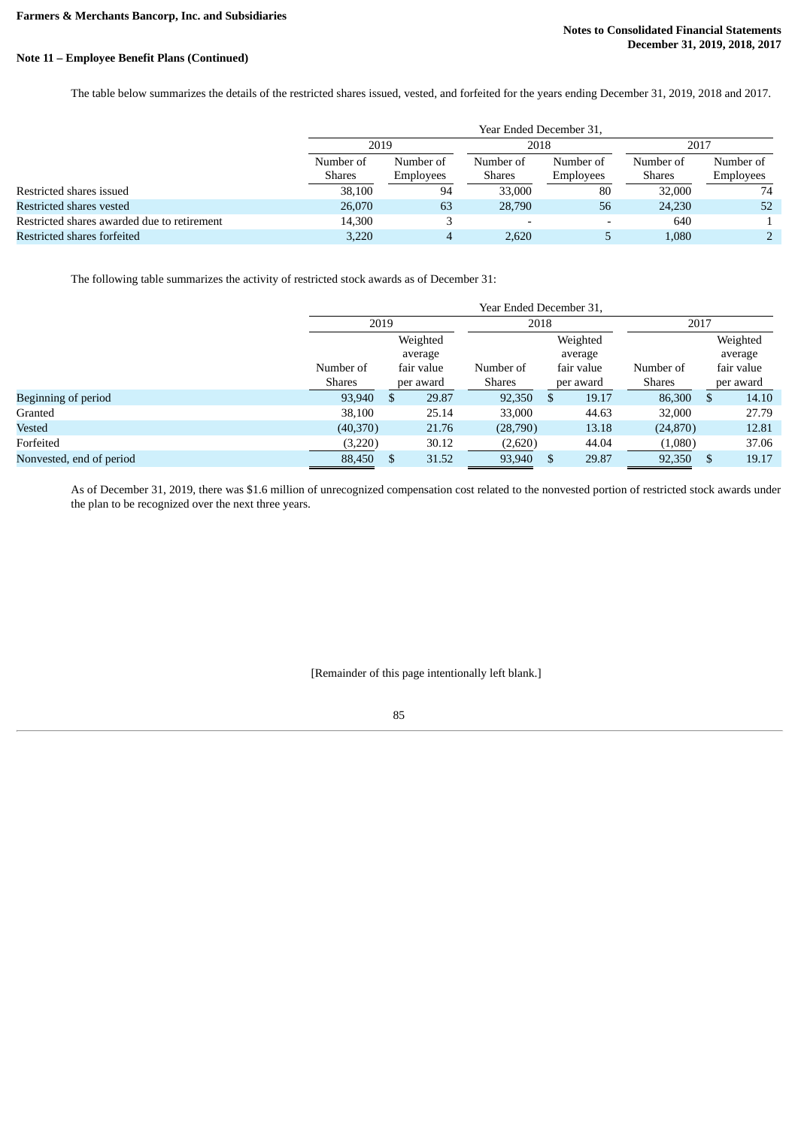## **Note 11 – Employee Benefit Plans (Continued)**

The table below summarizes the details of the restricted shares issued, vested, and forfeited for the years ending December 31, 2019, 2018 and 2017.

|                                             |               | Year Ended December 31. |               |           |           |           |  |  |  |  |  |  |
|---------------------------------------------|---------------|-------------------------|---------------|-----------|-----------|-----------|--|--|--|--|--|--|
|                                             | 2019          |                         | 2018          |           | 2017      |           |  |  |  |  |  |  |
|                                             | Number of     | Number of<br>Number of  |               | Number of | Number of | Number of |  |  |  |  |  |  |
|                                             | <b>Shares</b> | Employees               | <b>Shares</b> | Employees | Shares    | Employees |  |  |  |  |  |  |
| Restricted shares issued                    | 38,100        | 94                      | 33,000        | 80        | 32,000    | 74        |  |  |  |  |  |  |
| Restricted shares vested                    | 26,070        | 63                      | 28,790        | 56        | 24,230    | 52        |  |  |  |  |  |  |
| Restricted shares awarded due to retirement | 14.300        |                         |               |           | 640       |           |  |  |  |  |  |  |
| Restricted shares forfeited                 | 3,220         | 4                       | 2.620         |           | 1,080     |           |  |  |  |  |  |  |
|                                             |               |                         |               |           |           |           |  |  |  |  |  |  |

The following table summarizes the activity of restricted stock awards as of December 31:

|                          |           |         |            | Year Ended December 31, |                       |       |               |           |            |
|--------------------------|-----------|---------|------------|-------------------------|-----------------------|-------|---------------|-----------|------------|
|                          | 2019      |         |            | 2018                    |                       |       | 2017          |           |            |
|                          |           |         | Weighted   |                         | Weighted              |       |               |           | Weighted   |
|                          |           | average |            |                         | average<br>fair value |       |               |           | average    |
|                          | Number of |         | fair value | Number of               |                       |       | Number of     |           | fair value |
|                          | Shares    |         | per award  | Shares                  | per award             |       | <b>Shares</b> | per award |            |
| Beginning of period      | 93,940    | S       | 29.87      | 92,350                  |                       | 19.17 | 86,300        | S         | 14.10      |
| Granted                  | 38,100    |         | 25.14      | 33,000                  |                       | 44.63 | 32,000        |           | 27.79      |
| Vested                   | (40,370)  |         | 21.76      | (28,790)                |                       | 13.18 | (24, 870)     |           | 12.81      |
| Forfeited                | (3,220)   |         | 30.12      | (2,620)                 |                       | 44.04 | (1,080)       |           | 37.06      |
| Nonvested, end of period | 88,450    |         | 31.52      | 93,940                  |                       | 29.87 | 92,350        | S         | 19.17      |

As of December 31, 2019, there was \$1.6 million of unrecognized compensation cost related to the nonvested portion of restricted stock awards under the plan to be recognized over the next three years.

[Remainder of this page intentionally left blank.]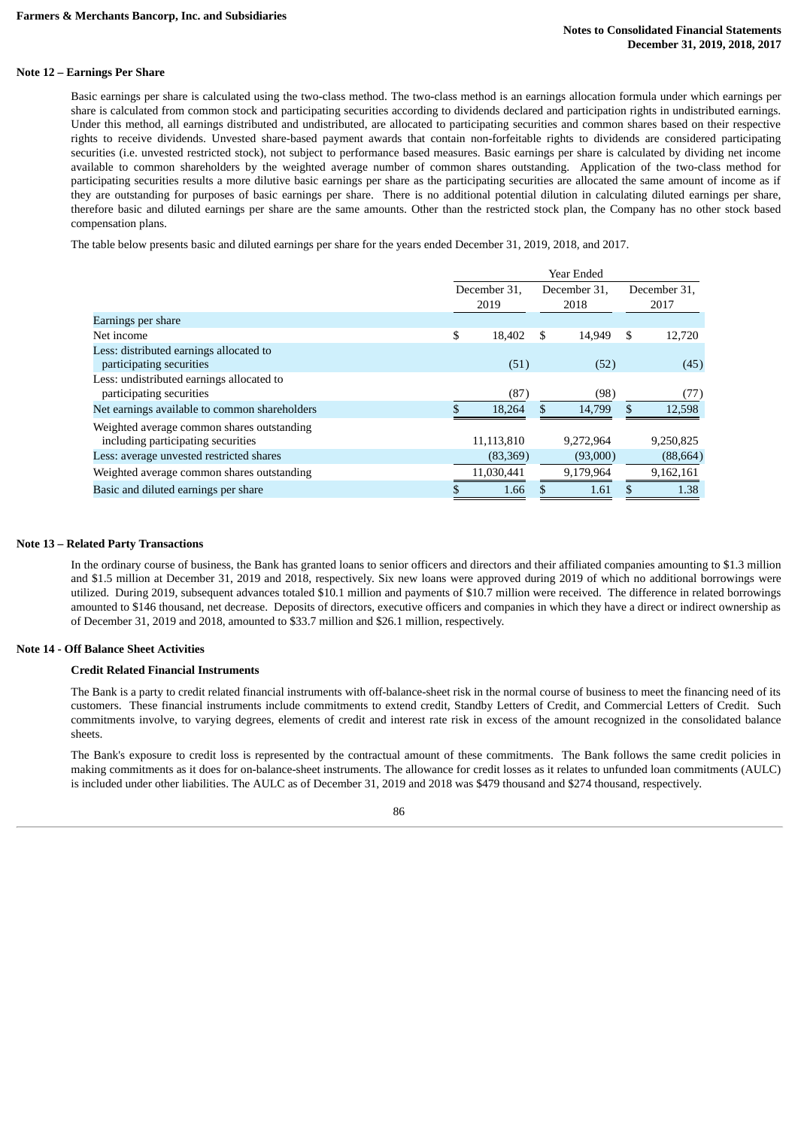### **Note 12 – Earnings Per Share**

Basic earnings per share is calculated using the two-class method. The two-class method is an earnings allocation formula under which earnings per share is calculated from common stock and participating securities according to dividends declared and participation rights in undistributed earnings. Under this method, all earnings distributed and undistributed, are allocated to participating securities and common shares based on their respective rights to receive dividends. Unvested share-based payment awards that contain non-forfeitable rights to dividends are considered participating securities (i.e. unvested restricted stock), not subject to performance based measures. Basic earnings per share is calculated by dividing net income available to common shareholders by the weighted average number of common shares outstanding. Application of the two-class method for participating securities results a more dilutive basic earnings per share as the participating securities are allocated the same amount of income as if they are outstanding for purposes of basic earnings per share. There is no additional potential dilution in calculating diluted earnings per share, therefore basic and diluted earnings per share are the same amounts. Other than the restricted stock plan, the Company has no other stock based compensation plans.

The table below presents basic and diluted earnings per share for the years ended December 31, 2019, 2018, and 2017.

|                                                                                  | Year Ended |              |              |           |              |           |  |  |
|----------------------------------------------------------------------------------|------------|--------------|--------------|-----------|--------------|-----------|--|--|
|                                                                                  |            | December 31. | December 31. |           | December 31. |           |  |  |
|                                                                                  | 2019       |              |              | 2018      |              | 2017      |  |  |
| Earnings per share                                                               |            |              |              |           |              |           |  |  |
| Net income                                                                       | \$         | 18.402       | \$           | 14.949    | \$           | 12,720    |  |  |
| Less: distributed earnings allocated to<br>participating securities              |            | (51)         |              | (52)      |              | (45)      |  |  |
| Less: undistributed earnings allocated to<br>participating securities            |            | (87)         |              | (98)      |              | (77)      |  |  |
| Net earnings available to common shareholders                                    |            | 18,264       |              | 14,799    | \$           | 12,598    |  |  |
| Weighted average common shares outstanding<br>including participating securities |            | 11,113,810   |              | 9,272,964 |              | 9,250,825 |  |  |
| Less: average unvested restricted shares                                         |            | (83,369)     |              | (93,000)  |              | (88, 664) |  |  |
| Weighted average common shares outstanding                                       |            | 11,030,441   |              | 9,179,964 |              | 9,162,161 |  |  |
| Basic and diluted earnings per share                                             |            | 1.66         |              | 1.61      |              | 1.38      |  |  |

#### **Note 13 – Related Party Transactions**

In the ordinary course of business, the Bank has granted loans to senior officers and directors and their affiliated companies amounting to \$1.3 million and \$1.5 million at December 31, 2019 and 2018, respectively. Six new loans were approved during 2019 of which no additional borrowings were utilized. During 2019, subsequent advances totaled \$10.1 million and payments of \$10.7 million were received. The difference in related borrowings amounted to \$146 thousand, net decrease. Deposits of directors, executive officers and companies in which they have a direct or indirect ownership as of December 31, 2019 and 2018, amounted to \$33.7 million and \$26.1 million, respectively.

## **Note 14 - Off Balance Sheet Activities**

#### **Credit Related Financial Instruments**

The Bank is a party to credit related financial instruments with off-balance-sheet risk in the normal course of business to meet the financing need of its customers. These financial instruments include commitments to extend credit, Standby Letters of Credit, and Commercial Letters of Credit. Such commitments involve, to varying degrees, elements of credit and interest rate risk in excess of the amount recognized in the consolidated balance sheets.

The Bank's exposure to credit loss is represented by the contractual amount of these commitments. The Bank follows the same credit policies in making commitments as it does for on-balance-sheet instruments. The allowance for credit losses as it relates to unfunded loan commitments (AULC) is included under other liabilities. The AULC as of December 31, 2019 and 2018 was \$479 thousand and \$274 thousand, respectively.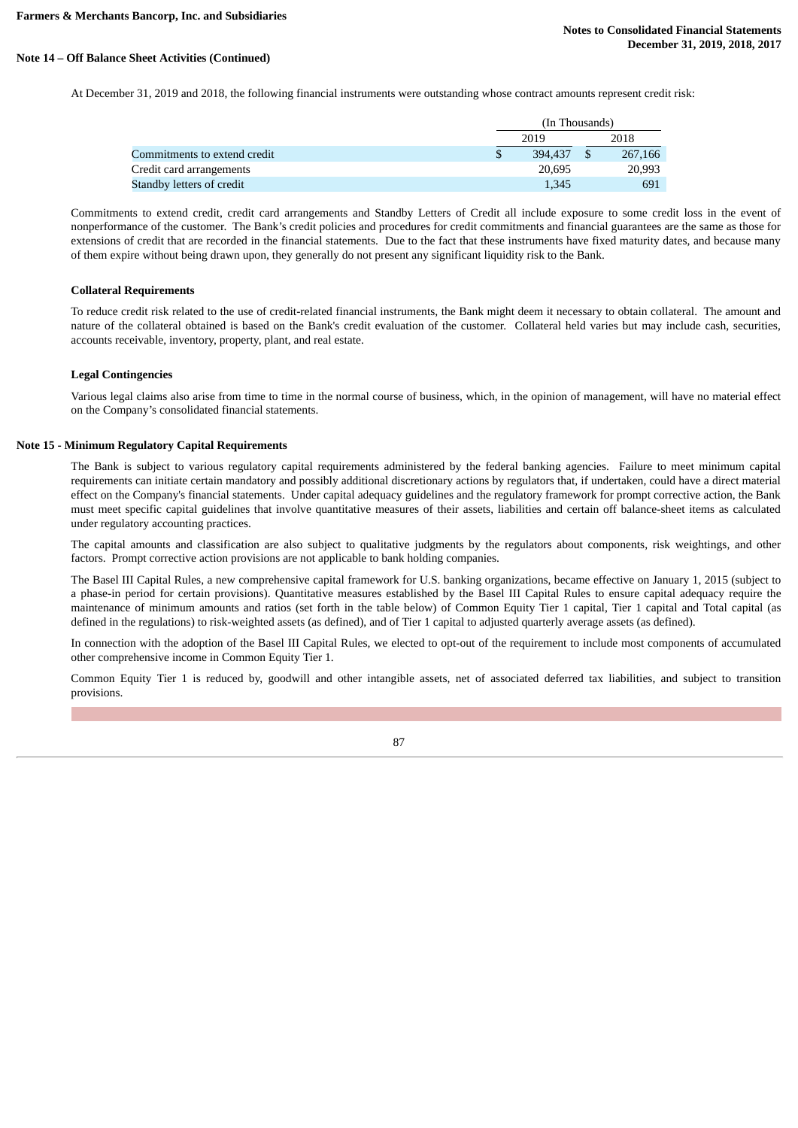## **Note 14 – Off Balance Sheet Activities (Continued)**

At December 31, 2019 and 2018, the following financial instruments were outstanding whose contract amounts represent credit risk:

|                              | (In Thousands) |  |         |  |  |
|------------------------------|----------------|--|---------|--|--|
|                              | 2019           |  | 2018    |  |  |
| Commitments to extend credit | 394,437        |  | 267,166 |  |  |
| Credit card arrangements     | 20.695         |  | 20,993  |  |  |
| Standby letters of credit    | 1,345          |  | 691     |  |  |

Commitments to extend credit, credit card arrangements and Standby Letters of Credit all include exposure to some credit loss in the event of nonperformance of the customer. The Bank's credit policies and procedures for credit commitments and financial guarantees are the same as those for extensions of credit that are recorded in the financial statements. Due to the fact that these instruments have fixed maturity dates, and because many of them expire without being drawn upon, they generally do not present any significant liquidity risk to the Bank.

#### **Collateral Requirements**

To reduce credit risk related to the use of credit-related financial instruments, the Bank might deem it necessary to obtain collateral. The amount and nature of the collateral obtained is based on the Bank's credit evaluation of the customer. Collateral held varies but may include cash, securities, accounts receivable, inventory, property, plant, and real estate.

#### **Legal Contingencies**

Various legal claims also arise from time to time in the normal course of business, which, in the opinion of management, will have no material effect on the Company's consolidated financial statements.

#### **Note 15 - Minimum Regulatory Capital Requirements**

The Bank is subject to various regulatory capital requirements administered by the federal banking agencies. Failure to meet minimum capital requirements can initiate certain mandatory and possibly additional discretionary actions by regulators that, if undertaken, could have a direct material effect on the Company's financial statements. Under capital adequacy guidelines and the regulatory framework for prompt corrective action, the Bank must meet specific capital guidelines that involve quantitative measures of their assets, liabilities and certain off balance-sheet items as calculated under regulatory accounting practices.

The capital amounts and classification are also subject to qualitative judgments by the regulators about components, risk weightings, and other factors. Prompt corrective action provisions are not applicable to bank holding companies.

The Basel III Capital Rules, a new comprehensive capital framework for U.S. banking organizations, became effective on January 1, 2015 (subject to a phase-in period for certain provisions). Quantitative measures established by the Basel III Capital Rules to ensure capital adequacy require the maintenance of minimum amounts and ratios (set forth in the table below) of Common Equity Tier 1 capital, Tier 1 capital and Total capital (as defined in the regulations) to risk-weighted assets (as defined), and of Tier 1 capital to adjusted quarterly average assets (as defined).

In connection with the adoption of the Basel III Capital Rules, we elected to opt-out of the requirement to include most components of accumulated other comprehensive income in Common Equity Tier 1.

Common Equity Tier 1 is reduced by, goodwill and other intangible assets, net of associated deferred tax liabilities, and subject to transition provisions.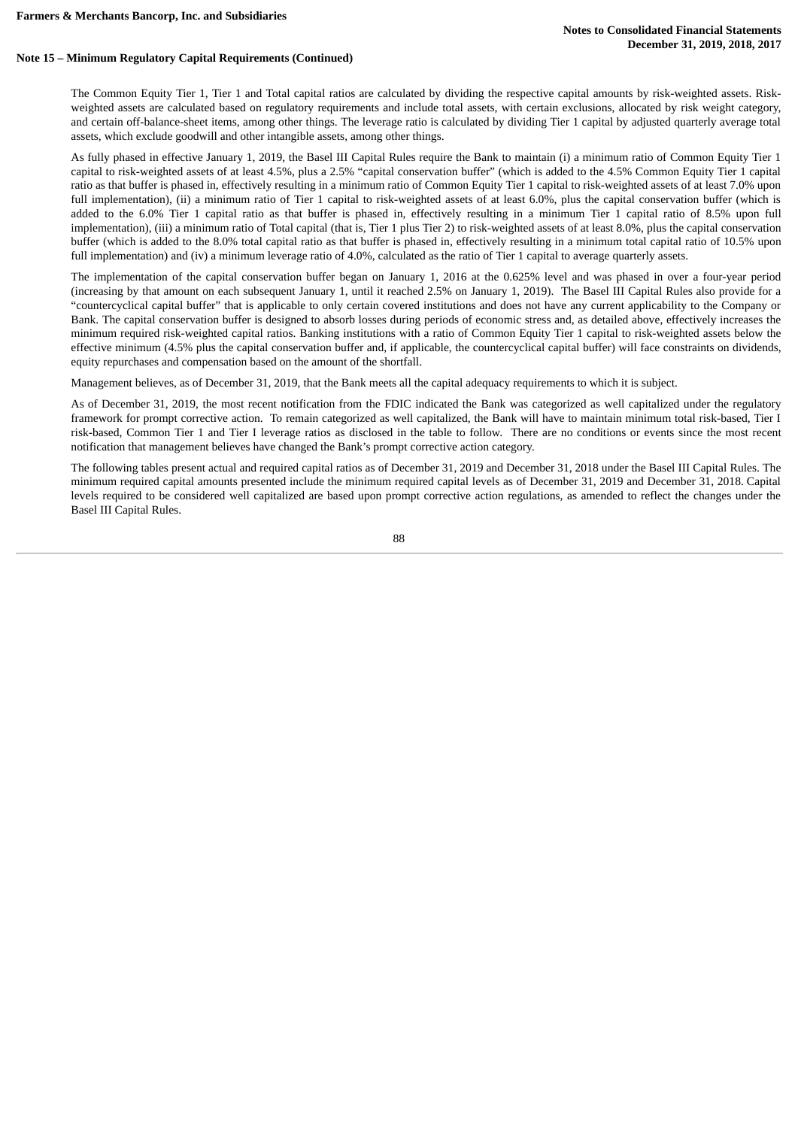### **Note 15 – Minimum Regulatory Capital Requirements (Continued)**

The Common Equity Tier 1, Tier 1 and Total capital ratios are calculated by dividing the respective capital amounts by risk-weighted assets. Riskweighted assets are calculated based on regulatory requirements and include total assets, with certain exclusions, allocated by risk weight category, and certain off-balance-sheet items, among other things. The leverage ratio is calculated by dividing Tier 1 capital by adjusted quarterly average total assets, which exclude goodwill and other intangible assets, among other things.

As fully phased in effective January 1, 2019, the Basel III Capital Rules require the Bank to maintain (i) a minimum ratio of Common Equity Tier 1 capital to risk-weighted assets of at least 4.5%, plus a 2.5% "capital conservation buffer" (which is added to the 4.5% Common Equity Tier 1 capital ratio as that buffer is phased in, effectively resulting in a minimum ratio of Common Equity Tier 1 capital to risk-weighted assets of at least 7.0% upon full implementation), (ii) a minimum ratio of Tier 1 capital to risk-weighted assets of at least 6.0%, plus the capital conservation buffer (which is added to the 6.0% Tier 1 capital ratio as that buffer is phased in, effectively resulting in a minimum Tier 1 capital ratio of 8.5% upon full implementation), (iii) a minimum ratio of Total capital (that is, Tier 1 plus Tier 2) to risk-weighted assets of at least 8.0%, plus the capital conservation buffer (which is added to the 8.0% total capital ratio as that buffer is phased in, effectively resulting in a minimum total capital ratio of 10.5% upon full implementation) and (iv) a minimum leverage ratio of 4.0%, calculated as the ratio of Tier 1 capital to average quarterly assets.

The implementation of the capital conservation buffer began on January 1, 2016 at the 0.625% level and was phased in over a four-year period (increasing by that amount on each subsequent January 1, until it reached 2.5% on January 1, 2019). The Basel III Capital Rules also provide for a "countercyclical capital buffer" that is applicable to only certain covered institutions and does not have any current applicability to the Company or Bank. The capital conservation buffer is designed to absorb losses during periods of economic stress and, as detailed above, effectively increases the minimum required risk-weighted capital ratios. Banking institutions with a ratio of Common Equity Tier 1 capital to risk-weighted assets below the effective minimum (4.5% plus the capital conservation buffer and, if applicable, the countercyclical capital buffer) will face constraints on dividends, equity repurchases and compensation based on the amount of the shortfall.

Management believes, as of December 31, 2019, that the Bank meets all the capital adequacy requirements to which it is subject.

As of December 31, 2019, the most recent notification from the FDIC indicated the Bank was categorized as well capitalized under the regulatory framework for prompt corrective action. To remain categorized as well capitalized, the Bank will have to maintain minimum total risk-based, Tier I risk-based, Common Tier 1 and Tier I leverage ratios as disclosed in the table to follow. There are no conditions or events since the most recent notification that management believes have changed the Bank's prompt corrective action category.

The following tables present actual and required capital ratios as of December 31, 2019 and December 31, 2018 under the Basel III Capital Rules. The minimum required capital amounts presented include the minimum required capital levels as of December 31, 2019 and December 31, 2018. Capital levels required to be considered well capitalized are based upon prompt corrective action regulations, as amended to reflect the changes under the Basel III Capital Rules.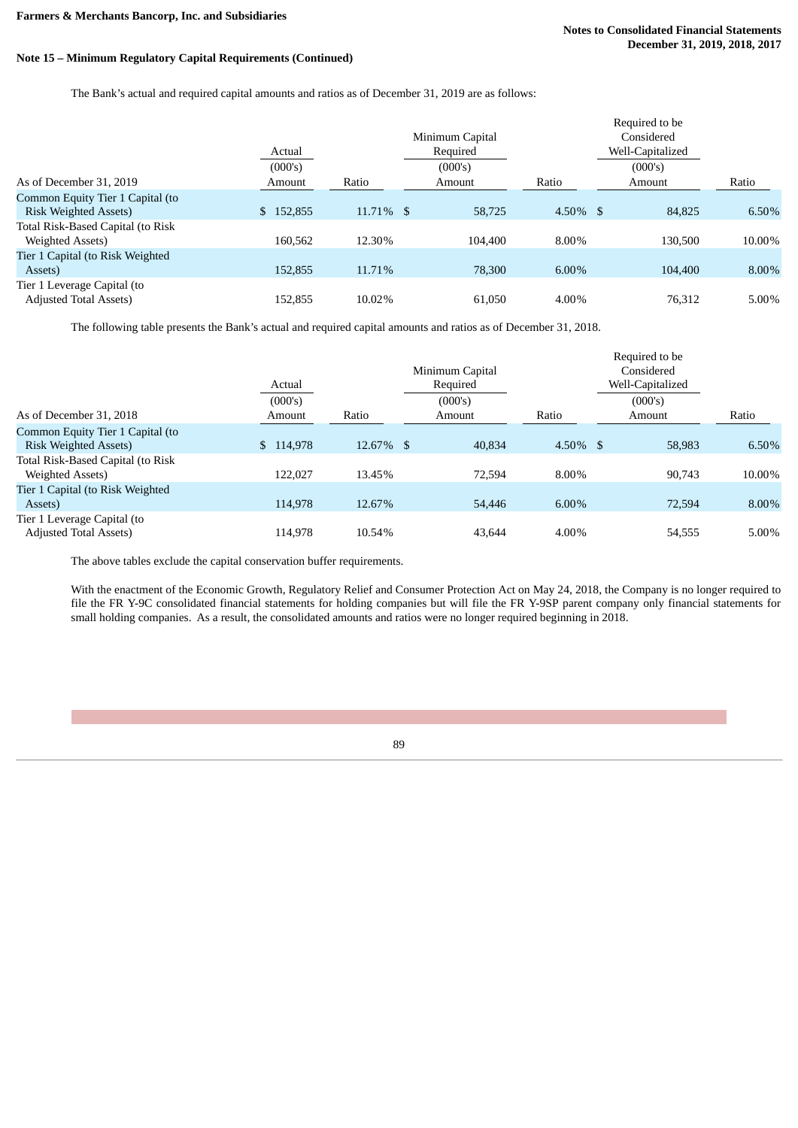## **Note 15 – Minimum Regulatory Capital Requirements (Continued)**

The Bank's actual and required capital amounts and ratios as of December 31, 2019 are as follows:

|                                                                  |                                          |            |  | Minimum Capital             |             | Required to be |        |
|------------------------------------------------------------------|------------------------------------------|------------|--|-----------------------------|-------------|----------------|--------|
|                                                                  |                                          |            |  |                             |             | Considered     |        |
|                                                                  | Required<br>Actual<br>(000's)<br>(000's) |            |  | Well-Capitalized<br>(000's) |             |                |        |
| As of December 31, 2019                                          | Amount                                   | Ratio      |  | Amount                      | Ratio       | Amount         | Ratio  |
| Common Equity Tier 1 Capital (to<br><b>Risk Weighted Assets)</b> | \$152,855                                | 11.71\% \$ |  | 58,725                      | $4.50\%$ \$ | 84,825         | 6.50%  |
| Total Risk-Based Capital (to Risk                                |                                          |            |  |                             |             |                |        |
| Weighted Assets)                                                 | 160,562                                  | 12.30%     |  | 104,400                     | 8.00%       | 130,500        | 10.00% |
| Tier 1 Capital (to Risk Weighted                                 |                                          |            |  |                             |             |                |        |
| Assets)                                                          | 152,855                                  | 11.71%     |  | 78,300                      | 6.00%       | 104,400        | 8.00%  |
| Tier 1 Leverage Capital (to<br><b>Adjusted Total Assets)</b>     | 152.855                                  | 10.02%     |  | 61.050                      | 4.00%       | 76.312         | 5.00%  |

The following table presents the Bank's actual and required capital amounts and ratios as of December 31, 2018.

|           |        |           | Required to be  |         |           |                                |  |  |
|-----------|--------|-----------|-----------------|---------|-----------|--------------------------------|--|--|
|           |        |           |                 |         |           |                                |  |  |
| Actual    |        | Required  |                 |         |           |                                |  |  |
| (000's)   |        | (000's)   |                 | (000's) |           |                                |  |  |
| Amount    | Ratio  | Amount    | Ratio           | Amount  |           | Ratio                          |  |  |
|           |        |           |                 |         |           |                                |  |  |
| \$114,978 |        | 40,834    |                 |         | 58,983    | 6.50%                          |  |  |
|           |        |           |                 |         |           |                                |  |  |
| 122.027   | 13.45% | 72.594    | 8.00%           |         | 90.743    | 10.00%                         |  |  |
|           |        |           |                 |         |           |                                |  |  |
| 114.978   | 12.67% | 54,446    | $6.00\%$        |         | 72,594    | 8.00%                          |  |  |
|           |        |           |                 |         |           |                                |  |  |
| 114,978   | 10.54% | 43,644    | 4.00%           |         | 54,555    | 5.00%                          |  |  |
|           |        | 12.67% \$ | Minimum Capital |         | 4.50\% \$ | Considered<br>Well-Capitalized |  |  |

The above tables exclude the capital conservation buffer requirements.

With the enactment of the Economic Growth, Regulatory Relief and Consumer Protection Act on May 24, 2018, the Company is no longer required to file the FR Y-9C consolidated financial statements for holding companies but will file the FR Y-9SP parent company only financial statements for small holding companies. As a result, the consolidated amounts and ratios were no longer required beginning in 2018.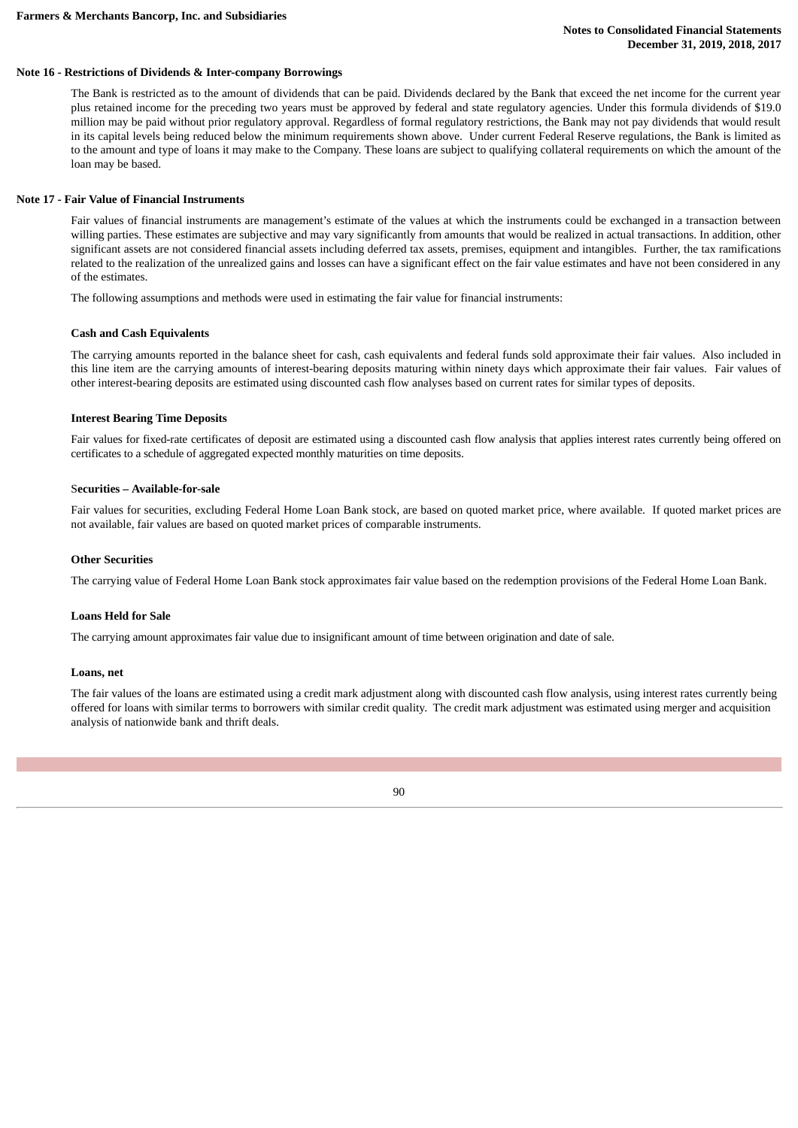#### **Note 16 - Restrictions of Dividends & Inter-company Borrowings**

The Bank is restricted as to the amount of dividends that can be paid. Dividends declared by the Bank that exceed the net income for the current year plus retained income for the preceding two years must be approved by federal and state regulatory agencies. Under this formula dividends of \$19.0 million may be paid without prior regulatory approval. Regardless of formal regulatory restrictions, the Bank may not pay dividends that would result in its capital levels being reduced below the minimum requirements shown above. Under current Federal Reserve regulations, the Bank is limited as to the amount and type of loans it may make to the Company. These loans are subject to qualifying collateral requirements on which the amount of the loan may be based.

### **Note 17 - Fair Value of Financial Instruments**

Fair values of financial instruments are management's estimate of the values at which the instruments could be exchanged in a transaction between willing parties. These estimates are subjective and may vary significantly from amounts that would be realized in actual transactions. In addition, other significant assets are not considered financial assets including deferred tax assets, premises, equipment and intangibles. Further, the tax ramifications related to the realization of the unrealized gains and losses can have a significant effect on the fair value estimates and have not been considered in any of the estimates.

The following assumptions and methods were used in estimating the fair value for financial instruments:

#### **Cash and Cash Equivalents**

The carrying amounts reported in the balance sheet for cash, cash equivalents and federal funds sold approximate their fair values. Also included in this line item are the carrying amounts of interest-bearing deposits maturing within ninety days which approximate their fair values. Fair values of other interest-bearing deposits are estimated using discounted cash flow analyses based on current rates for similar types of deposits.

## **Interest Bearing Time Deposits**

Fair values for fixed-rate certificates of deposit are estimated using a discounted cash flow analysis that applies interest rates currently being offered on certificates to a schedule of aggregated expected monthly maturities on time deposits.

### S**ecurities – Available-for-sale**

Fair values for securities, excluding Federal Home Loan Bank stock, are based on quoted market price, where available. If quoted market prices are not available, fair values are based on quoted market prices of comparable instruments.

#### **Other Securities**

The carrying value of Federal Home Loan Bank stock approximates fair value based on the redemption provisions of the Federal Home Loan Bank.

#### **Loans Held for Sale**

The carrying amount approximates fair value due to insignificant amount of time between origination and date of sale.

## **Loans, net**

The fair values of the loans are estimated using a credit mark adjustment along with discounted cash flow analysis, using interest rates currently being offered for loans with similar terms to borrowers with similar credit quality. The credit mark adjustment was estimated using merger and acquisition analysis of nationwide bank and thrift deals.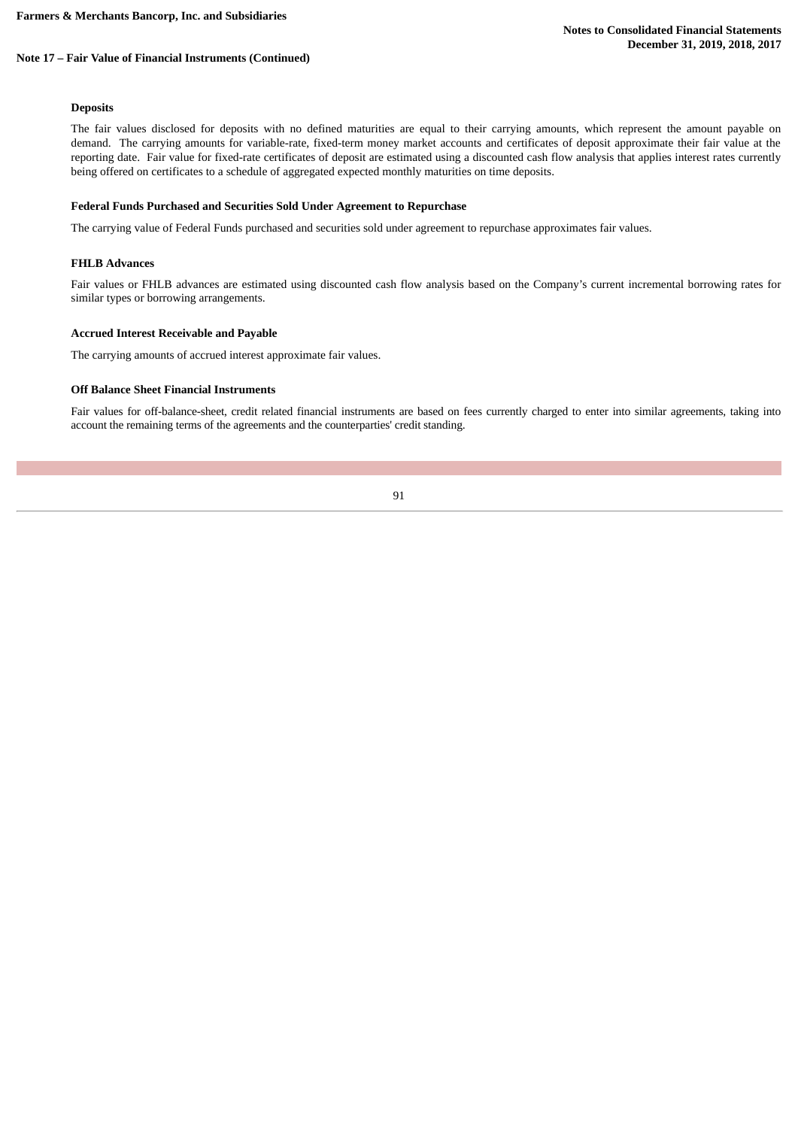## **Deposits**

The fair values disclosed for deposits with no defined maturities are equal to their carrying amounts, which represent the amount payable on demand. The carrying amounts for variable-rate, fixed-term money market accounts and certificates of deposit approximate their fair value at the reporting date. Fair value for fixed-rate certificates of deposit are estimated using a discounted cash flow analysis that applies interest rates currently being offered on certificates to a schedule of aggregated expected monthly maturities on time deposits.

## **Federal Funds Purchased and Securities Sold Under Agreement to Repurchase**

The carrying value of Federal Funds purchased and securities sold under agreement to repurchase approximates fair values.

### **FHLB Advances**

Fair values or FHLB advances are estimated using discounted cash flow analysis based on the Company's current incremental borrowing rates for similar types or borrowing arrangements.

#### **Accrued Interest Receivable and Payable**

The carrying amounts of accrued interest approximate fair values.

#### **Off Balance Sheet Financial Instruments**

Fair values for off-balance-sheet, credit related financial instruments are based on fees currently charged to enter into similar agreements, taking into account the remaining terms of the agreements and the counterparties' credit standing.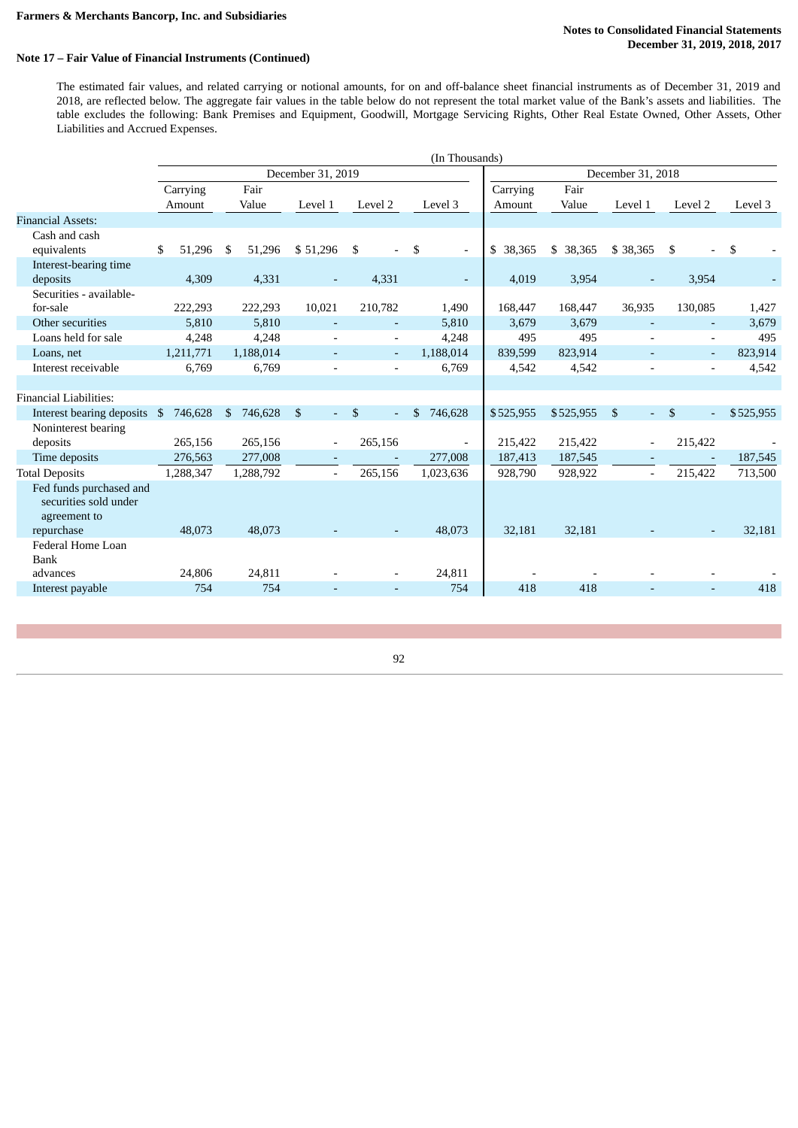The estimated fair values, and related carrying or notional amounts, for on and off-balance sheet financial instruments as of December 31, 2019 and 2018, are reflected below. The aggregate fair values in the table below do not represent the total market value of the Bank's assets and liabilities. The table excludes the following: Bank Premises and Equipment, Goodwill, Mortgage Servicing Rights, Other Real Estate Owned, Other Assets, Other Liabilities and Accrued Expenses.

|                       |                                                                                |                    |                          |                          |                                | (In Thousands)                 |                    |               |                                |                                |           |
|-----------------------|--------------------------------------------------------------------------------|--------------------|--------------------------|--------------------------|--------------------------------|--------------------------------|--------------------|---------------|--------------------------------|--------------------------------|-----------|
|                       |                                                                                |                    |                          | December 31, 2019        |                                |                                |                    |               | December 31, 2018              |                                |           |
|                       |                                                                                | Carrying<br>Amount | Fair<br>Value            | Level 1                  | Level 2                        | Level 3                        | Carrying<br>Amount | Fair<br>Value | Level 1                        | Level 2                        | Level 3   |
|                       | <b>Financial Assets:</b>                                                       |                    |                          |                          |                                |                                |                    |               |                                |                                |           |
|                       | Cash and cash<br>equivalents                                                   | \$<br>51,296       | 51,296<br>\$             | \$51,296                 | \$<br>$\overline{\phantom{0}}$ | \$<br>$\overline{\phantom{a}}$ | \$ 38,365          | \$ 38,365     | \$38.365                       | \$<br>$\overline{\phantom{0}}$ | \$        |
|                       | Interest-bearing time<br>deposits                                              | 4,309              | 4,331                    | $\overline{\phantom{a}}$ | 4,331                          | $\overline{\phantom{a}}$       | 4,019              | 3,954         | $\qquad \qquad -$              | 3,954                          |           |
| for-sale              | Securities - available-                                                        | 222,293            | 222,293                  | 10,021                   | 210,782                        | 1,490                          | 168,447            | 168,447       | 36,935                         | 130,085                        | 1,427     |
|                       | Other securities                                                               | 5,810              | 5,810                    | $\overline{\phantom{a}}$ |                                | 5,810                          | 3,679              | 3,679         | $\qquad \qquad -$              | $\overline{\phantom{a}}$       | 3,679     |
|                       | Loans held for sale                                                            | 4,248              | 4,248                    | $\blacksquare$           | $\overline{\phantom{a}}$       | 4,248                          | 495                | 495           |                                | $\overline{\phantom{a}}$       | 495       |
|                       | Loans, net                                                                     | 1,211,771          | 1,188,014                |                          | $\overline{\phantom{a}}$       | 1,188,014                      | 839,599            | 823,914       |                                | $\overline{\phantom{a}}$       | 823,914   |
|                       | Interest receivable                                                            | 6,769              | 6,769                    |                          | $\overline{\phantom{0}}$       | 6,769                          | 4,542              | 4,542         |                                | $\qquad \qquad -$              | 4,542     |
|                       |                                                                                |                    |                          |                          |                                |                                |                    |               |                                |                                |           |
|                       | Financial Liabilities:                                                         |                    |                          |                          |                                |                                |                    |               |                                |                                |           |
|                       | Interest bearing deposits                                                      | 746,628<br>\$      | 746,628<br><sup>\$</sup> | $\mathfrak{L}$<br>$\sim$ | \$<br>$\overline{\phantom{a}}$ | 746,628<br>\$                  | \$525,955          | \$525,955     | $\mathbf{s}$<br>$\overline{a}$ | \$<br>$\overline{\phantom{a}}$ | \$525,955 |
|                       | Noninterest bearing<br>deposits                                                | 265,156            | 265,156                  | $\overline{\phantom{a}}$ | 265,156                        | $\overline{\phantom{a}}$       | 215,422            | 215,422       | $\qquad \qquad -$              | 215,422                        |           |
|                       | Time deposits                                                                  | 276,563            | 277,008                  |                          |                                | 277,008                        | 187,413            | 187,545       |                                | $\overline{\phantom{a}}$       | 187,545   |
| <b>Total Deposits</b> |                                                                                | 1,288,347          | 1,288,792                | $\blacksquare$           | 265,156                        | 1,023,636                      | 928,790            | 928,922       | $\blacksquare$                 | 215,422                        | 713,500   |
|                       | Fed funds purchased and<br>securities sold under<br>agreement to<br>repurchase | 48,073             | 48,073                   |                          |                                | 48,073                         | 32,181             | 32,181        |                                | $\qquad \qquad -$              | 32,181    |
| <b>Bank</b>           | Federal Home Loan                                                              |                    |                          |                          |                                |                                |                    |               |                                |                                |           |
|                       | advances                                                                       | 24,806             | 24,811                   |                          | $\overline{\phantom{a}}$       | 24,811                         |                    |               |                                |                                |           |
|                       | Interest payable                                                               | 754                | 754                      |                          |                                | 754                            | 418                | 418           |                                |                                | 418       |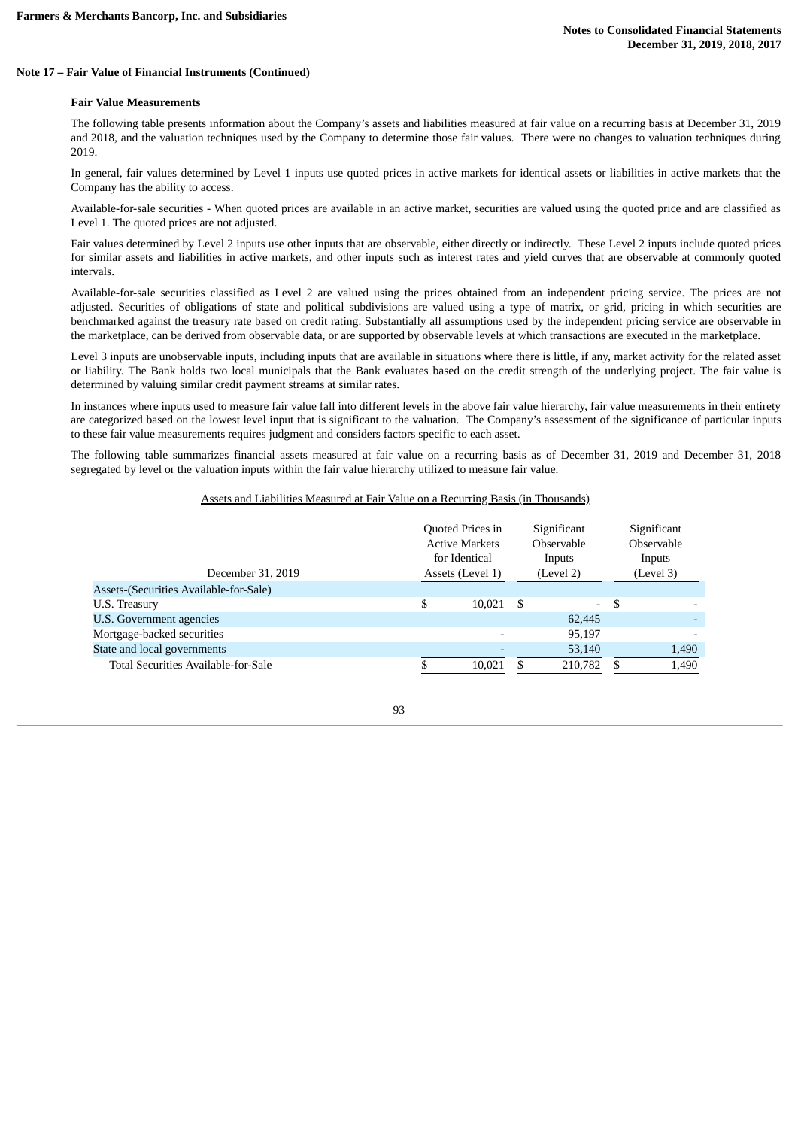## **Fair Value Measurements**

The following table presents information about the Company's assets and liabilities measured at fair value on a recurring basis at December 31, 2019 and 2018, and the valuation techniques used by the Company to determine those fair values. There were no changes to valuation techniques during 2019.

In general, fair values determined by Level 1 inputs use quoted prices in active markets for identical assets or liabilities in active markets that the Company has the ability to access.

Available-for-sale securities - When quoted prices are available in an active market, securities are valued using the quoted price and are classified as Level 1. The quoted prices are not adjusted.

Fair values determined by Level 2 inputs use other inputs that are observable, either directly or indirectly. These Level 2 inputs include quoted prices for similar assets and liabilities in active markets, and other inputs such as interest rates and yield curves that are observable at commonly quoted intervals.

Available-for-sale securities classified as Level 2 are valued using the prices obtained from an independent pricing service. The prices are not adjusted. Securities of obligations of state and political subdivisions are valued using a type of matrix, or grid, pricing in which securities are benchmarked against the treasury rate based on credit rating. Substantially all assumptions used by the independent pricing service are observable in the marketplace, can be derived from observable data, or are supported by observable levels at which transactions are executed in the marketplace.

Level 3 inputs are unobservable inputs, including inputs that are available in situations where there is little, if any, market activity for the related asset or liability. The Bank holds two local municipals that the Bank evaluates based on the credit strength of the underlying project. The fair value is determined by valuing similar credit payment streams at similar rates.

In instances where inputs used to measure fair value fall into different levels in the above fair value hierarchy, fair value measurements in their entirety are categorized based on the lowest level input that is significant to the valuation. The Company's assessment of the significance of particular inputs to these fair value measurements requires judgment and considers factors specific to each asset.

The following table summarizes financial assets measured at fair value on a recurring basis as of December 31, 2019 and December 31, 2018 segregated by level or the valuation inputs within the fair value hierarchy utilized to measure fair value.

#### Assets and Liabilities Measured at Fair Value on a Recurring Basis (in Thousands)

|                                            | Quoted Prices in<br><b>Active Markets</b><br>for Identical |                          |     | Significant<br>Observable<br>Inputs |      | Significant<br>Observable<br>Inputs |
|--------------------------------------------|------------------------------------------------------------|--------------------------|-----|-------------------------------------|------|-------------------------------------|
| December 31, 2019                          |                                                            | Assets (Level 1)         |     | (Level 2)                           |      | (Level 3)                           |
| Assets-(Securities Available-for-Sale)     |                                                            |                          |     |                                     |      |                                     |
| U.S. Treasury                              | \$                                                         | 10.021                   | -\$ |                                     | $-5$ |                                     |
| U.S. Government agencies                   |                                                            |                          |     | 62,445                              |      |                                     |
| Mortgage-backed securities                 |                                                            | $\overline{\phantom{0}}$ |     | 95,197                              |      |                                     |
| State and local governments                |                                                            |                          |     | 53,140                              |      | 1,490                               |
| <b>Total Securities Available-for-Sale</b> |                                                            | 10,021                   |     | 210,782                             |      | 1,490                               |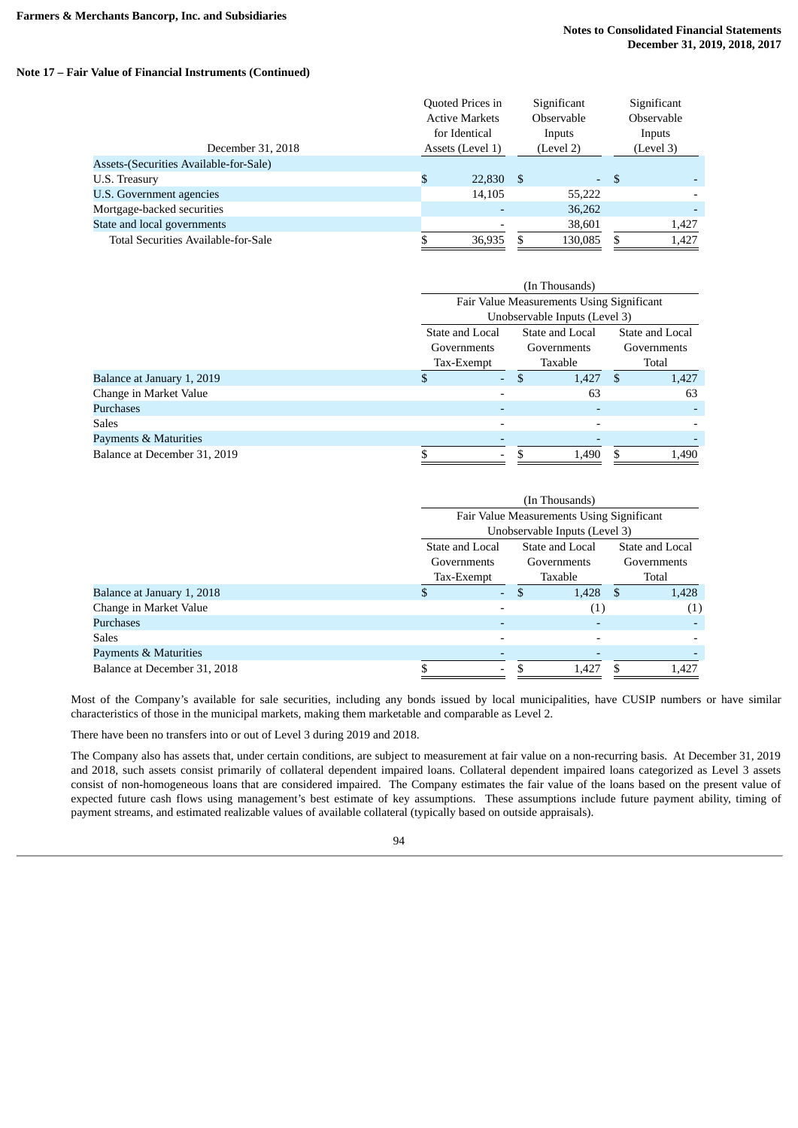|                                            | Quoted Prices in         | Significant    | Significant |
|--------------------------------------------|--------------------------|----------------|-------------|
|                                            | <b>Active Markets</b>    | Observable     | Observable  |
|                                            | for Identical            | Inputs         | Inputs      |
| December 31, 2018                          | Assets (Level 1)         | (Level 2)      | (Level 3)   |
| Assets-(Securities Available-for-Sale)     |                          |                |             |
| U.S. Treasury                              | 22,830                   | - \$<br>$\sim$ | -\$         |
| U.S. Government agencies                   | 14,105                   | 55,222         |             |
| Mortgage-backed securities                 | $\overline{\phantom{a}}$ | 36,262         |             |
| State and local governments                |                          | 38,601         | 1,427       |
| <b>Total Securities Available-for-Sale</b> | 36.935                   | 130.085        | 1.427       |

|                              |     | (In Thousands)                            |    |                                |       |                 |  |  |
|------------------------------|-----|-------------------------------------------|----|--------------------------------|-------|-----------------|--|--|
|                              |     | Fair Value Measurements Using Significant |    |                                |       |                 |  |  |
|                              |     | Unobservable Inputs (Level 3)             |    |                                |       |                 |  |  |
|                              |     | State and Local<br>Governments            |    | State and Local<br>Governments |       | State and Local |  |  |
|                              |     |                                           |    |                                |       | Governments     |  |  |
|                              |     | Tax-Exempt                                |    | Taxable                        | Total |                 |  |  |
| Balance at January 1, 2019   | \$. | $\overline{a}$                            | S  | 1,427                          | \$.   | 1,427           |  |  |
| Change in Market Value       |     | $\overline{a}$                            |    | 63                             |       | 63              |  |  |
| Purchases                    |     | -                                         |    | -                              |       |                 |  |  |
| <b>Sales</b>                 |     | $\overline{\phantom{0}}$                  |    |                                |       |                 |  |  |
| Payments & Maturities        |     |                                           |    |                                |       |                 |  |  |
| Balance at December 31, 2019 |     | $\overline{\phantom{0}}$                  | \$ | 1.490                          |       | 1.490           |  |  |

|                              |            | (In Thousands)                                                             |         |                                |       |                 |  |  |
|------------------------------|------------|----------------------------------------------------------------------------|---------|--------------------------------|-------|-----------------|--|--|
|                              |            | Fair Value Measurements Using Significant<br>Unobservable Inputs (Level 3) |         |                                |       |                 |  |  |
|                              |            |                                                                            |         |                                |       |                 |  |  |
|                              |            | State and Local<br>Governments                                             |         | State and Local<br>Governments |       | State and Local |  |  |
|                              |            |                                                                            |         |                                |       | Governments     |  |  |
|                              | Tax-Exempt |                                                                            | Taxable |                                | Total |                 |  |  |
| Balance at January 1, 2018   |            | $\overline{\phantom{0}}$                                                   | \$      | 1,428                          | - \$  | 1,428           |  |  |
| Change in Market Value       |            |                                                                            |         | (1)                            |       | (1)             |  |  |
| Purchases                    |            |                                                                            |         |                                |       |                 |  |  |
| <b>Sales</b>                 |            |                                                                            |         |                                |       |                 |  |  |
| Payments & Maturities        |            |                                                                            |         |                                |       |                 |  |  |
| Balance at December 31, 2018 |            |                                                                            |         | 1,427                          |       | 1,427           |  |  |

Most of the Company's available for sale securities, including any bonds issued by local municipalities, have CUSIP numbers or have similar characteristics of those in the municipal markets, making them marketable and comparable as Level 2.

There have been no transfers into or out of Level 3 during 2019 and 2018.

The Company also has assets that, under certain conditions, are subject to measurement at fair value on a non-recurring basis. At December 31, 2019 and 2018, such assets consist primarily of collateral dependent impaired loans. Collateral dependent impaired loans categorized as Level 3 assets consist of non-homogeneous loans that are considered impaired. The Company estimates the fair value of the loans based on the present value of expected future cash flows using management's best estimate of key assumptions. These assumptions include future payment ability, timing of payment streams, and estimated realizable values of available collateral (typically based on outside appraisals).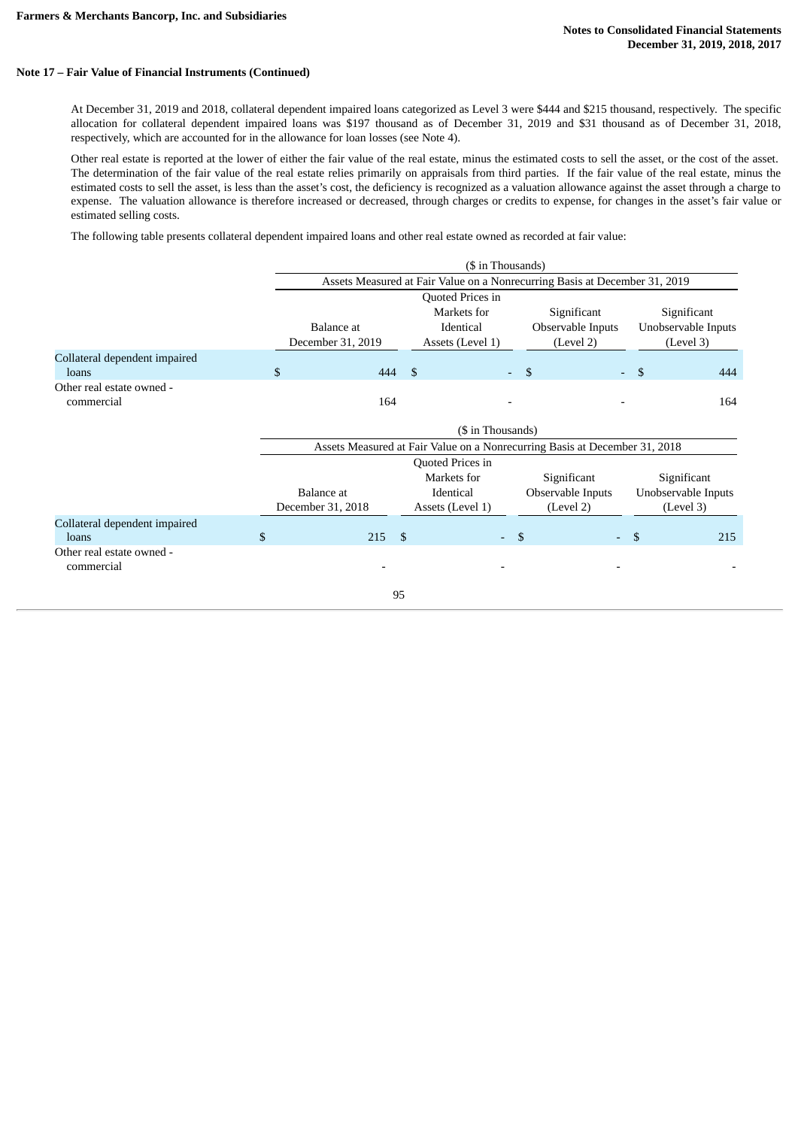At December 31, 2019 and 2018, collateral dependent impaired loans categorized as Level 3 were \$444 and \$215 thousand, respectively. The specific allocation for collateral dependent impaired loans was \$197 thousand as of December 31, 2019 and \$31 thousand as of December 31, 2018, respectively, which are accounted for in the allowance for loan losses (see Note 4).

Other real estate is reported at the lower of either the fair value of the real estate, minus the estimated costs to sell the asset, or the cost of the asset. The determination of the fair value of the real estate relies primarily on appraisals from third parties. If the fair value of the real estate, minus the estimated costs to sell the asset, is less than the asset's cost, the deficiency is recognized as a valuation allowance against the asset through a charge to expense. The valuation allowance is therefore increased or decreased, through charges or credits to expense, for changes in the asset's fair value or estimated selling costs.

The following table presents collateral dependent impaired loans and other real estate owned as recorded at fair value:

|                                         | (\$ in Thousands) |                   |                |                   |                                                                            |             |                     |     |  |  |  |  |
|-----------------------------------------|-------------------|-------------------|----------------|-------------------|----------------------------------------------------------------------------|-------------|---------------------|-----|--|--|--|--|
|                                         |                   |                   |                |                   | Assets Measured at Fair Value on a Nonrecurring Basis at December 31, 2019 |             |                     |     |  |  |  |  |
|                                         |                   |                   |                | Quoted Prices in  |                                                                            |             |                     |     |  |  |  |  |
|                                         |                   |                   |                | Markets for       | Significant                                                                | Significant |                     |     |  |  |  |  |
|                                         |                   | Balance at        |                | Identical         | Observable Inputs                                                          |             | Unobservable Inputs |     |  |  |  |  |
|                                         |                   | December 31, 2019 |                | Assets (Level 1)  | (Level 2)                                                                  |             | (Level 3)           |     |  |  |  |  |
| Collateral dependent impaired           |                   |                   |                |                   |                                                                            |             |                     |     |  |  |  |  |
| loans                                   | \$                | 444               | $\mathfrak{S}$ | $\mathbf{r}$      | \$                                                                         | -\$<br>÷.   |                     | 444 |  |  |  |  |
| Other real estate owned -<br>commercial |                   | 164               |                |                   |                                                                            |             |                     | 164 |  |  |  |  |
|                                         |                   |                   |                | (\$ in Thousands) |                                                                            |             |                     |     |  |  |  |  |
|                                         |                   |                   |                |                   | Assets Measured at Fair Value on a Nonrecurring Basis at December 31, 2018 |             |                     |     |  |  |  |  |
|                                         |                   |                   |                | Quoted Prices in  |                                                                            |             |                     |     |  |  |  |  |
|                                         |                   |                   |                | Markets for       | Significant                                                                |             | Significant         |     |  |  |  |  |
|                                         |                   | Balance at        |                | Identical         | Observable Inputs                                                          |             | Unobservable Inputs |     |  |  |  |  |
|                                         |                   | December 31, 2018 |                | Assets (Level 1)  | (Level 2)                                                                  |             | (Level 3)           |     |  |  |  |  |
| Collateral dependent impaired           |                   |                   |                |                   |                                                                            |             |                     |     |  |  |  |  |
| loans                                   | \$                | 215               | -\$            | - \$              |                                                                            | \$          |                     | 215 |  |  |  |  |
| Other real estate owned -<br>commercial |                   |                   |                |                   |                                                                            |             |                     |     |  |  |  |  |
|                                         |                   |                   | 95             |                   |                                                                            |             |                     |     |  |  |  |  |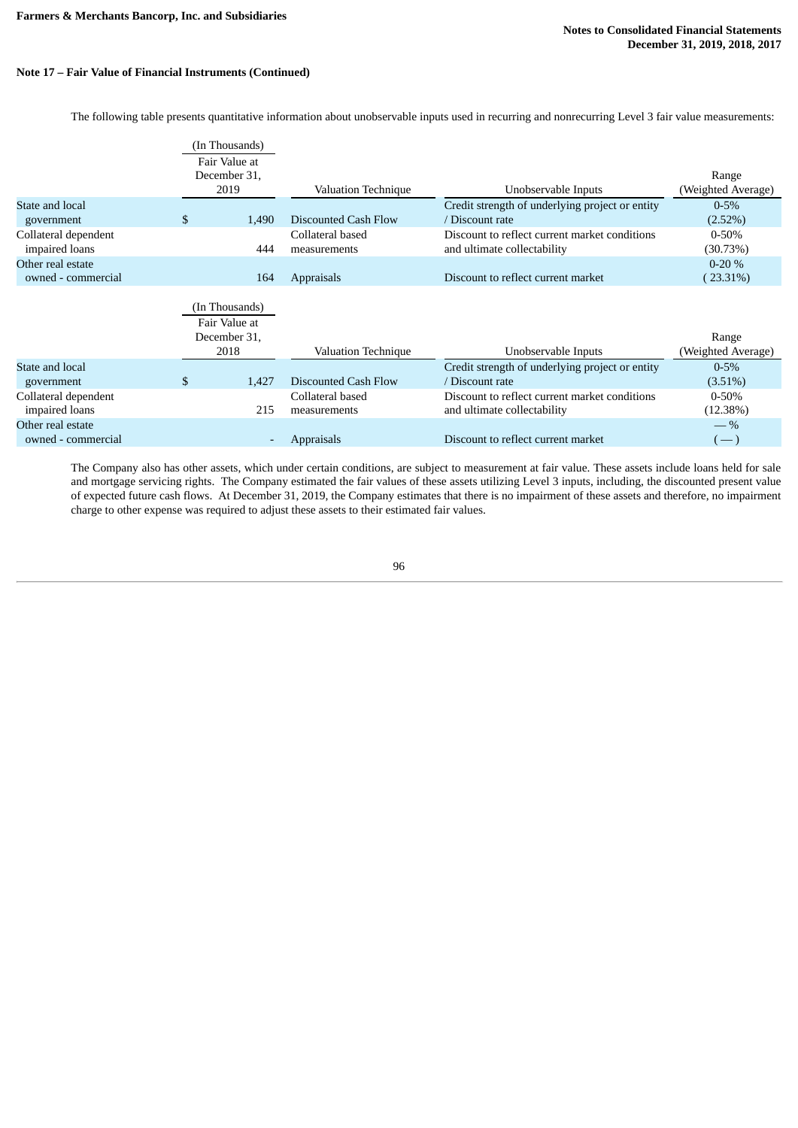The following table presents quantitative information about unobservable inputs used in recurring and nonrecurring Level 3 fair value measurements:

|                                        |                | (In Thousands)                  |                                  |                                                                              |                       |
|----------------------------------------|----------------|---------------------------------|----------------------------------|------------------------------------------------------------------------------|-----------------------|
|                                        |                | Fair Value at                   |                                  |                                                                              |                       |
|                                        |                | December 31,                    |                                  |                                                                              | Range                 |
|                                        |                | 2019                            | Valuation Technique              | Unobservable Inputs                                                          | (Weighted Average)    |
| State and local                        |                |                                 |                                  | Credit strength of underlying project or entity                              | $0 - 5%$              |
| government                             | \$             | 1,490                           | Discounted Cash Flow             | / Discount rate                                                              | (2.52%)               |
| Collateral dependent                   |                |                                 | Collateral based                 | Discount to reflect current market conditions                                | $0 - 50%$             |
| impaired loans                         |                | 444                             | measurements                     | and ultimate collectability                                                  | (30.73%)              |
| Other real estate                      |                |                                 |                                  |                                                                              | $0-20%$               |
| owned - commercial                     |                | 164                             | <b>Appraisals</b>                | Discount to reflect current market                                           | $(23.31\%)$           |
|                                        |                | (In Thousands)<br>Fair Value at |                                  |                                                                              |                       |
|                                        |                | December 31,                    |                                  |                                                                              | Range                 |
|                                        |                | 2018                            | Valuation Technique              | Unobservable Inputs                                                          | (Weighted Average)    |
| State and local                        |                |                                 |                                  | Credit strength of underlying project or entity                              | $0 - 5%$              |
| government                             | $\mathfrak{S}$ | 1,427                           | Discounted Cash Flow             | / Discount rate                                                              | $(3.51\%)$            |
| Collateral dependent<br>impaired loans |                | 215                             | Collateral based<br>measurements | Discount to reflect current market conditions<br>and ultimate collectability | $0 - 50%$<br>(12.38%) |
| Other real estate                      |                |                                 |                                  |                                                                              | $-$ %                 |
| owned - commercial                     |                |                                 | <b>Appraisals</b>                | Discount to reflect current market                                           | $\left($ $\right)$    |

The Company also has other assets, which under certain conditions, are subject to measurement at fair value. These assets include loans held for sale and mortgage servicing rights. The Company estimated the fair values of these assets utilizing Level 3 inputs, including, the discounted present value of expected future cash flows. At December 31, 2019, the Company estimates that there is no impairment of these assets and therefore, no impairment charge to other expense was required to adjust these assets to their estimated fair values.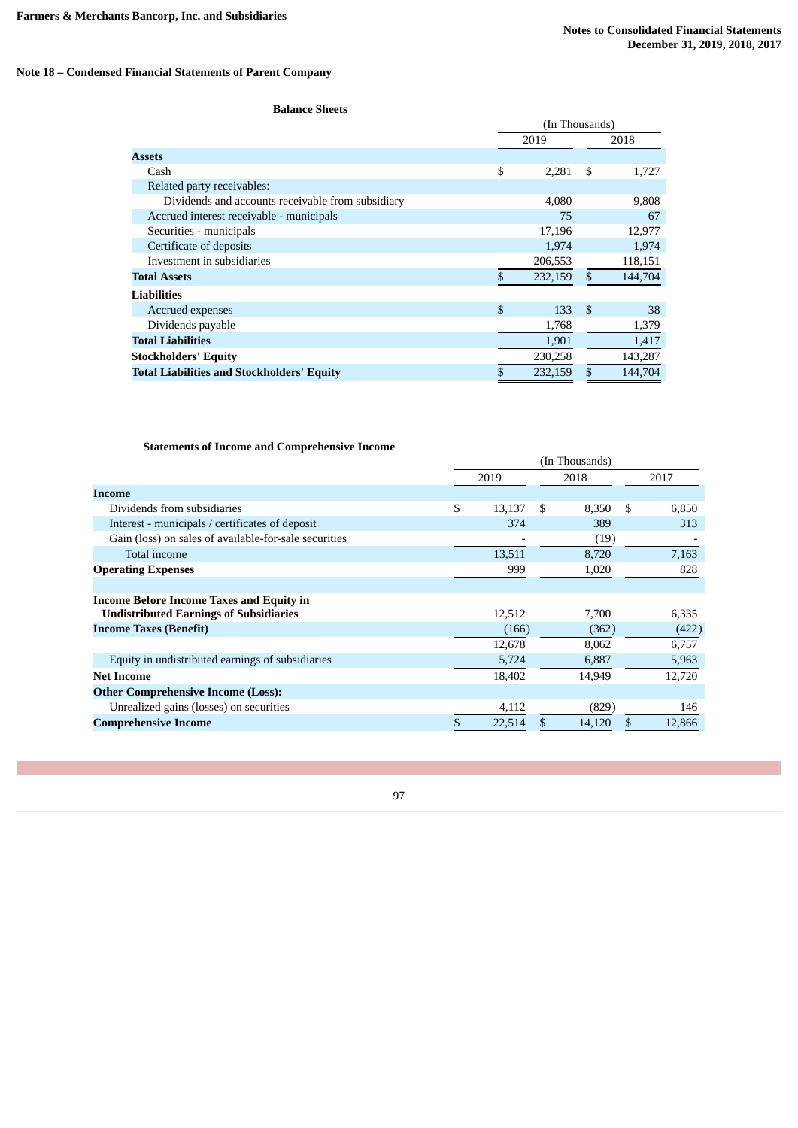# **Note 18 – Condensed Financial Statements of Parent Company**

## **Balance Sheets**

|                                                   | (In Thousands) |         |                |         |  |
|---------------------------------------------------|----------------|---------|----------------|---------|--|
|                                                   |                | 2019    |                | 2018    |  |
| <b>Assets</b>                                     |                |         |                |         |  |
| Cash                                              | \$             | 2,281   | S.             | 1,727   |  |
| Related party receivables:                        |                |         |                |         |  |
| Dividends and accounts receivable from subsidiary |                | 4,080   |                | 9,808   |  |
| Accrued interest receivable - municipals          |                | 75      |                | 67      |  |
| Securities - municipals                           |                | 17,196  |                | 12,977  |  |
| Certificate of deposits                           |                | 1,974   |                | 1,974   |  |
| Investment in subsidiaries                        |                | 206,553 |                | 118,151 |  |
| <b>Total Assets</b>                               | \$             | 232,159 | \$             | 144,704 |  |
| <b>Liabilities</b>                                |                |         |                |         |  |
| Accrued expenses                                  | \$             | 133     | $\mathfrak{L}$ | 38      |  |
| Dividends payable                                 |                | 1,768   |                | 1,379   |  |
| <b>Total Liabilities</b>                          |                | 1,901   |                | 1,417   |  |
| <b>Stockholders' Equity</b>                       |                | 230,258 |                | 143,287 |  |
| <b>Total Liabilities and Stockholders' Equity</b> | \$             | 232,159 | \$             | 144,704 |  |

# **Statements of Income and Comprehensive Income**

|                                                       | (In Thousands) |        |   |        |      |        |  |
|-------------------------------------------------------|----------------|--------|---|--------|------|--------|--|
|                                                       |                | 2019   |   | 2018   | 2017 |        |  |
| <b>Income</b>                                         |                |        |   |        |      |        |  |
| Dividends from subsidiaries                           | \$             | 13,137 | S | 8,350  | S    | 6,850  |  |
| Interest - municipals / certificates of deposit       |                | 374    |   | 389    |      | 313    |  |
| Gain (loss) on sales of available-for-sale securities |                |        |   | (19)   |      |        |  |
| Total income                                          |                | 13,511 |   | 8,720  |      | 7,163  |  |
| <b>Operating Expenses</b>                             |                | 999    |   | 1,020  |      | 828    |  |
|                                                       |                |        |   |        |      |        |  |
| <b>Income Before Income Taxes and Equity in</b>       |                |        |   |        |      |        |  |
| <b>Undistributed Earnings of Subsidiaries</b>         |                | 12,512 |   | 7,700  |      | 6,335  |  |
| <b>Income Taxes (Benefit)</b>                         |                | (166)  |   | (362)  |      | (422)  |  |
|                                                       |                | 12,678 |   | 8,062  |      | 6,757  |  |
| Equity in undistributed earnings of subsidiaries      |                | 5,724  |   | 6,887  |      | 5,963  |  |
| <b>Net Income</b>                                     |                | 18,402 |   | 14,949 |      | 12,720 |  |
| <b>Other Comprehensive Income (Loss):</b>             |                |        |   |        |      |        |  |
| Unrealized gains (losses) on securities               |                | 4,112  |   | (829)  |      | 146    |  |
| <b>Comprehensive Income</b>                           | \$             | 22,514 |   | 14,120 |      | 12,866 |  |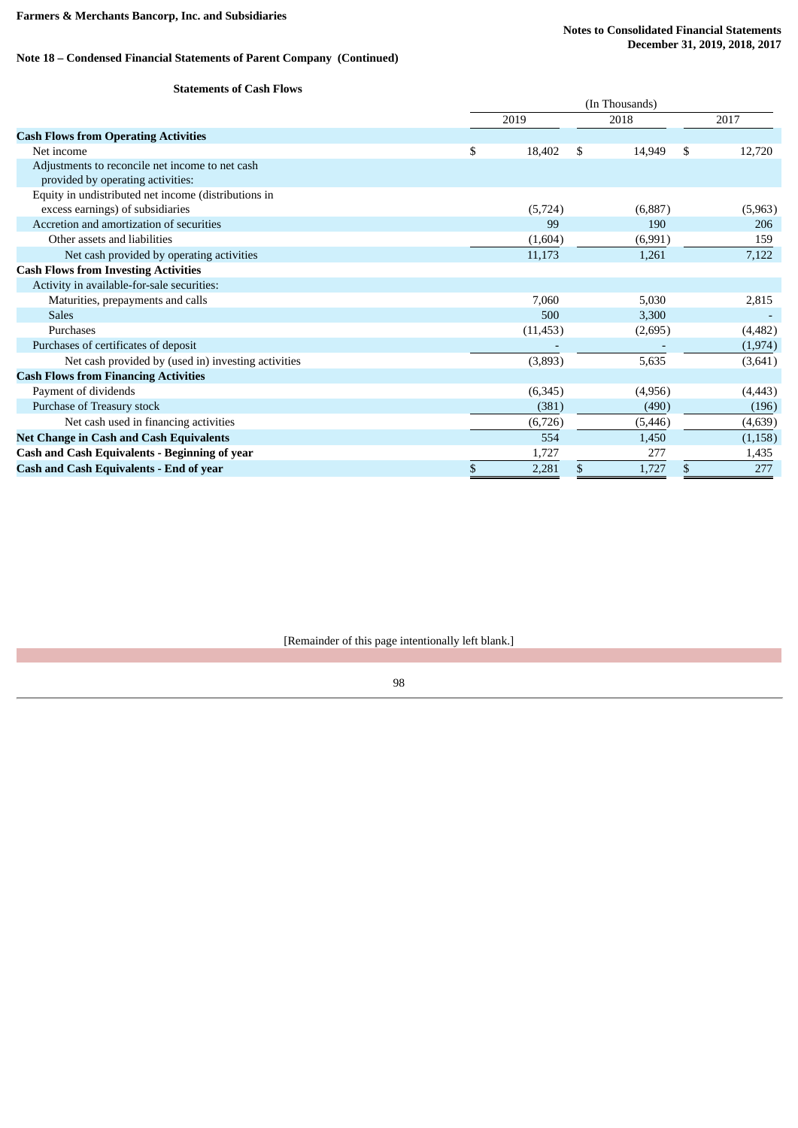## **Note 18 – Condensed Financial Statements of Parent Company (Continued)**

## **Statements of Cash Flows**

|                                                      | (In Thousands) |    |          |    |          |
|------------------------------------------------------|----------------|----|----------|----|----------|
|                                                      | 2019           |    | 2018     |    | 2017     |
| <b>Cash Flows from Operating Activities</b>          |                |    |          |    |          |
| Net income                                           | \$<br>18,402   | \$ | 14,949   | S. | 12,720   |
| Adjustments to reconcile net income to net cash      |                |    |          |    |          |
| provided by operating activities:                    |                |    |          |    |          |
| Equity in undistributed net income (distributions in |                |    |          |    |          |
| excess earnings) of subsidiaries                     | (5, 724)       |    | (6,887)  |    | (5,963)  |
| Accretion and amortization of securities             | 99             |    | 190      |    | 206      |
| Other assets and liabilities                         | (1,604)        |    | (6,991)  |    | 159      |
| Net cash provided by operating activities            | 11,173         |    | 1,261    |    | 7,122    |
| <b>Cash Flows from Investing Activities</b>          |                |    |          |    |          |
| Activity in available-for-sale securities:           |                |    |          |    |          |
| Maturities, prepayments and calls                    | 7,060          |    | 5,030    |    | 2,815    |
| <b>Sales</b>                                         | 500            |    | 3,300    |    |          |
| Purchases                                            | (11, 453)      |    | (2,695)  |    | (4, 482) |
| Purchases of certificates of deposit                 |                |    |          |    | (1, 974) |
| Net cash provided by (used in) investing activities  | (3,893)        |    | 5,635    |    | (3,641)  |
| <b>Cash Flows from Financing Activities</b>          |                |    |          |    |          |
| Payment of dividends                                 | (6,345)        |    | (4,956)  |    | (4, 443) |
| Purchase of Treasury stock                           | (381)          |    | (490)    |    | (196)    |
| Net cash used in financing activities                | (6,726)        |    | (5, 446) |    | (4,639)  |
| <b>Net Change in Cash and Cash Equivalents</b>       | 554            |    | 1,450    |    | (1,158)  |
| Cash and Cash Equivalents - Beginning of year        | 1,727          |    | 277      |    | 1,435    |
| <b>Cash and Cash Equivalents - End of year</b>       | \$<br>2,281    | \$ | 1,727    | \$ | 277      |

[Remainder of this page intentionally left blank.]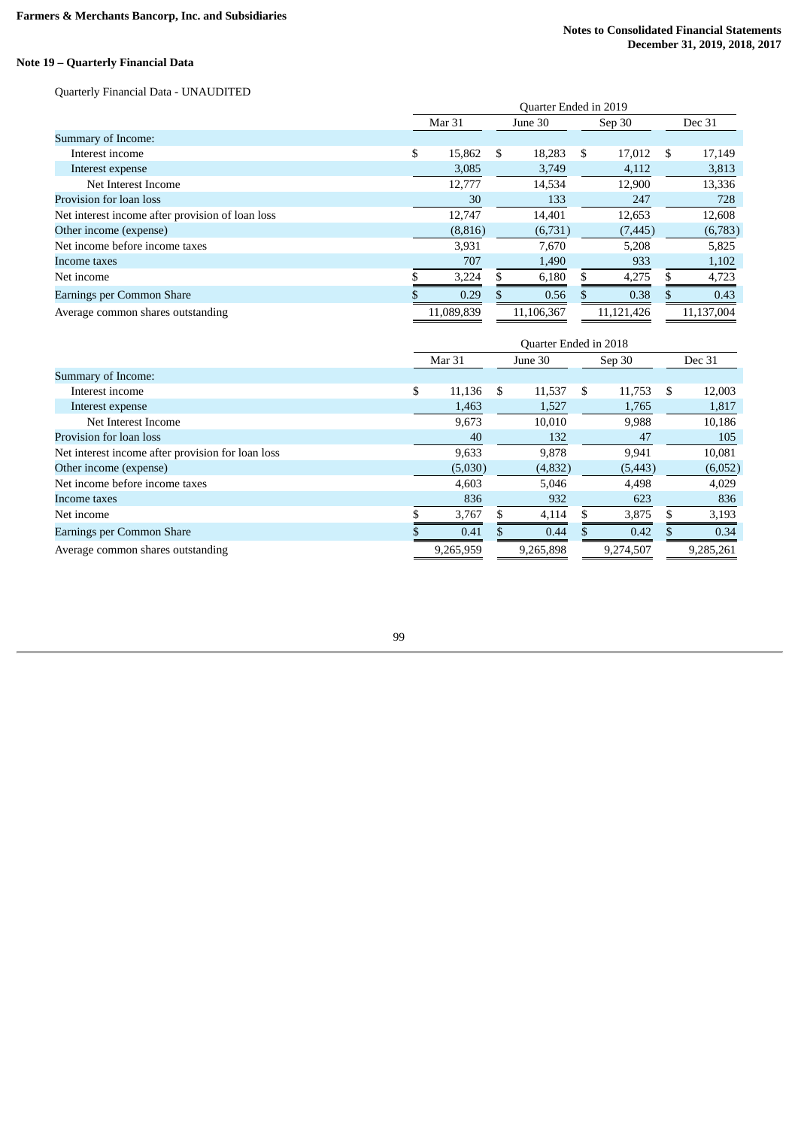# **Note 19 – Quarterly Financial Data**

Quarterly Financial Data - UNAUDITED

|                                                  | Quarter Ended in 2019 |    |            |    |            |    |            |  |
|--------------------------------------------------|-----------------------|----|------------|----|------------|----|------------|--|
|                                                  | Mar 31                |    | June 30    |    | Sep 30     |    | Dec 31     |  |
| Summary of Income:                               |                       |    |            |    |            |    |            |  |
| Interest income                                  | \$<br>15.862          | \$ | 18.283     | \$ | 17,012     | S. | 17,149     |  |
| Interest expense                                 | 3,085                 |    | 3,749      |    | 4,112      |    | 3,813      |  |
| Net Interest Income                              | 12,777                |    | 14,534     |    | 12,900     |    | 13,336     |  |
| Provision for loan loss                          | 30                    |    | 133        |    | 247        |    | 728        |  |
| Net interest income after provision of loan loss | 12.747                |    | 14,401     |    | 12,653     |    | 12,608     |  |
| Other income (expense)                           | (8, 816)              |    | (6,731)    |    | (7, 445)   |    | (6,783)    |  |
| Net income before income taxes                   | 3,931                 |    | 7.670      |    | 5,208      |    | 5,825      |  |
| Income taxes                                     | 707                   |    | 1,490      |    | 933        |    | 1,102      |  |
| Net income                                       | 3,224                 |    | 6,180      |    | 4,275      |    | 4,723      |  |
| Earnings per Common Share                        | 0.29                  |    | 0.56       |    | 0.38       |    | 0.43       |  |
| Average common shares outstanding                | 11,089,839            |    | 11,106,367 |    | 11,121,426 |    | 11,137,004 |  |

|                                                   | Quarter Ended in 2018 |    |           |    |           |     |           |
|---------------------------------------------------|-----------------------|----|-----------|----|-----------|-----|-----------|
|                                                   | Mar 31                |    | June 30   |    | Sep 30    |     | Dec 31    |
| Summary of Income:                                |                       |    |           |    |           |     |           |
| Interest income                                   | \$<br>11,136          | £. | 11,537    | -S | 11,753    | \$. | 12,003    |
| Interest expense                                  | 1,463                 |    | 1,527     |    | 1,765     |     | 1,817     |
| Net Interest Income                               | 9,673                 |    | 10,010    |    | 9,988     |     | 10,186    |
| Provision for loan loss                           | 40                    |    | 132       |    | 47        |     | 105       |
| Net interest income after provision for loan loss | 9,633                 |    | 9,878     |    | 9,941     |     | 10,081    |
| Other income (expense)                            | (5,030)               |    | (4,832)   |    | (5, 443)  |     | (6,052)   |
| Net income before income taxes                    | 4,603                 |    | 5,046     |    | 4,498     |     | 4,029     |
| Income taxes                                      | 836                   |    | 932       |    | 623       |     | 836       |
| Net income                                        | 3,767                 |    | 4,114     |    | 3,875     |     | 3,193     |
| Earnings per Common Share                         | 0.41                  |    | 0.44      |    | 0.42      |     | 0.34      |
| Average common shares outstanding                 | 9,265,959             |    | 9.265.898 |    | 9.274.507 |     | 9,285,261 |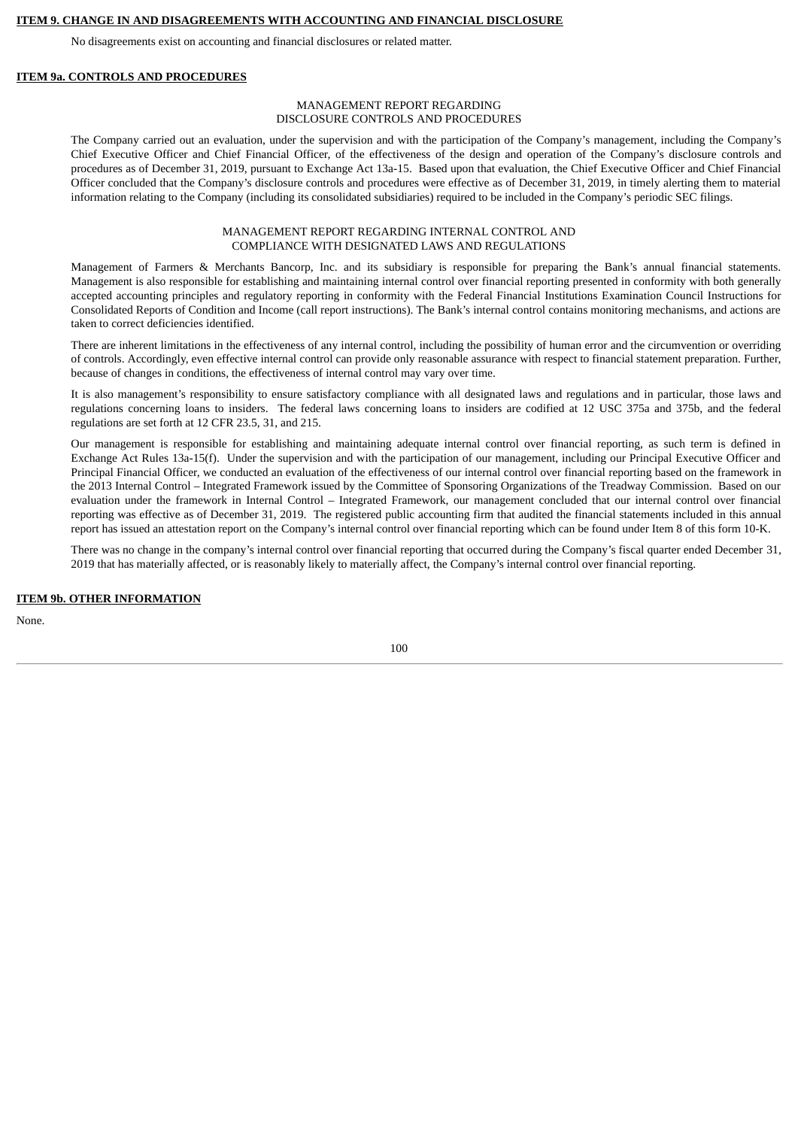No disagreements exist on accounting and financial disclosures or related matter.

#### **ITEM 9a. CONTROLS AND PROCEDURES**

## MANAGEMENT REPORT REGARDING DISCLOSURE CONTROLS AND PROCEDURES

The Company carried out an evaluation, under the supervision and with the participation of the Company's management, including the Company's Chief Executive Officer and Chief Financial Officer, of the effectiveness of the design and operation of the Company's disclosure controls and procedures as of December 31, 2019, pursuant to Exchange Act 13a-15. Based upon that evaluation, the Chief Executive Officer and Chief Financial Officer concluded that the Company's disclosure controls and procedures were effective as of December 31, 2019, in timely alerting them to material information relating to the Company (including its consolidated subsidiaries) required to be included in the Company's periodic SEC filings.

## MANAGEMENT REPORT REGARDING INTERNAL CONTROL AND COMPLIANCE WITH DESIGNATED LAWS AND REGULATIONS

Management of Farmers & Merchants Bancorp, Inc. and its subsidiary is responsible for preparing the Bank's annual financial statements. Management is also responsible for establishing and maintaining internal control over financial reporting presented in conformity with both generally accepted accounting principles and regulatory reporting in conformity with the Federal Financial Institutions Examination Council Instructions for Consolidated Reports of Condition and Income (call report instructions). The Bank's internal control contains monitoring mechanisms, and actions are taken to correct deficiencies identified.

There are inherent limitations in the effectiveness of any internal control, including the possibility of human error and the circumvention or overriding of controls. Accordingly, even effective internal control can provide only reasonable assurance with respect to financial statement preparation. Further, because of changes in conditions, the effectiveness of internal control may vary over time.

It is also management's responsibility to ensure satisfactory compliance with all designated laws and regulations and in particular, those laws and regulations concerning loans to insiders. The federal laws concerning loans to insiders are codified at 12 USC 375a and 375b, and the federal regulations are set forth at 12 CFR 23.5, 31, and 215.

Our management is responsible for establishing and maintaining adequate internal control over financial reporting, as such term is defined in Exchange Act Rules 13a-15(f). Under the supervision and with the participation of our management, including our Principal Executive Officer and Principal Financial Officer, we conducted an evaluation of the effectiveness of our internal control over financial reporting based on the framework in the 2013 Internal Control – Integrated Framework issued by the Committee of Sponsoring Organizations of the Treadway Commission. Based on our evaluation under the framework in Internal Control – Integrated Framework, our management concluded that our internal control over financial reporting was effective as of December 31, 2019. The registered public accounting firm that audited the financial statements included in this annual report has issued an attestation report on the Company's internal control over financial reporting which can be found under Item 8 of this form 10-K.

There was no change in the company's internal control over financial reporting that occurred during the Company's fiscal quarter ended December 31, 2019 that has materially affected, or is reasonably likely to materially affect, the Company's internal control over financial reporting.

## **ITEM 9b. OTHER INFORMATION**

None.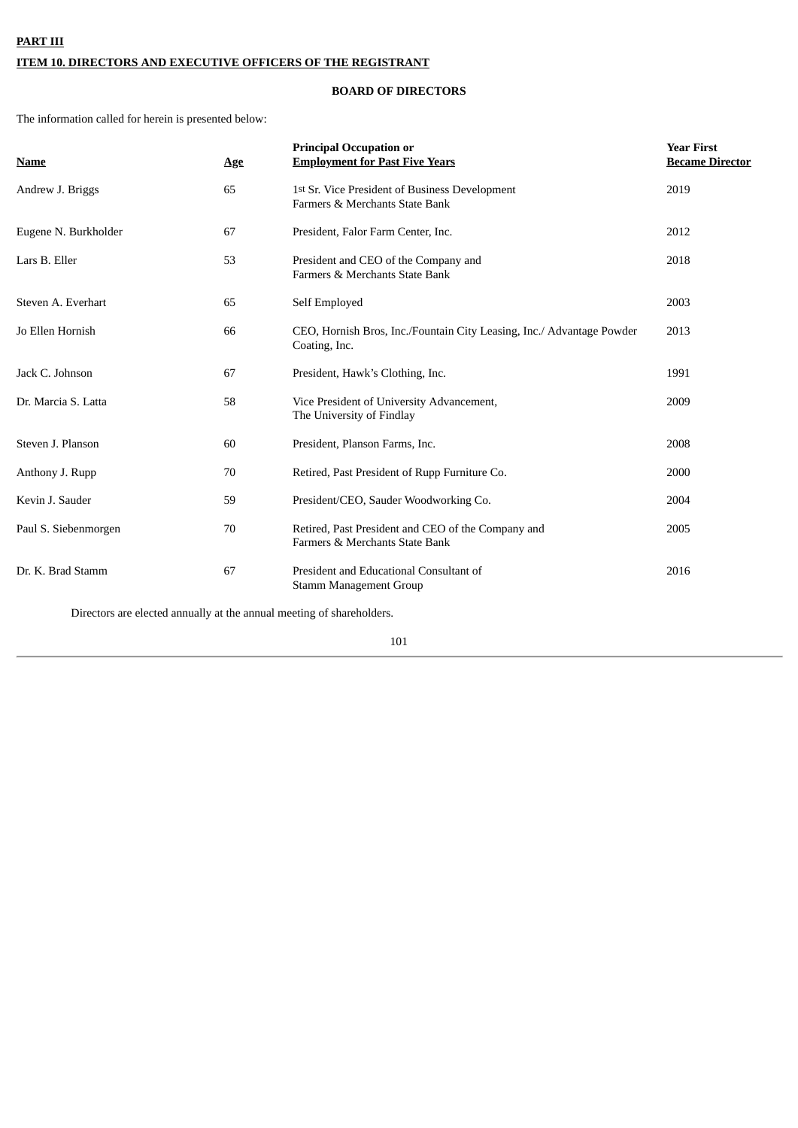# **PART III**

# **ITEM 10. DIRECTORS AND EXECUTIVE OFFICERS OF THE REGISTRANT**

# **BOARD OF DIRECTORS**

The information called for herein is presented below:

| Name                 | Age | <b>Principal Occupation or</b><br><b>Employment for Past Five Years</b>                | <b>Year First</b><br><b>Became Director</b> |
|----------------------|-----|----------------------------------------------------------------------------------------|---------------------------------------------|
| Andrew J. Briggs     | 65  | 1st Sr. Vice President of Business Development<br>Farmers & Merchants State Bank       | 2019                                        |
| Eugene N. Burkholder | 67  | President, Falor Farm Center, Inc.                                                     | 2012                                        |
| Lars B. Eller        | 53  | President and CEO of the Company and<br>Farmers & Merchants State Bank                 | 2018                                        |
| Steven A. Everhart   | 65  | Self Employed                                                                          | 2003                                        |
| Jo Ellen Hornish     | 66  | CEO, Hornish Bros, Inc./Fountain City Leasing, Inc./ Advantage Powder<br>Coating, Inc. | 2013                                        |
| Jack C. Johnson      | 67  | President, Hawk's Clothing, Inc.                                                       | 1991                                        |
| Dr. Marcia S. Latta  | 58  | Vice President of University Advancement,<br>The University of Findlay                 | 2009                                        |
| Steven J. Planson    | 60  | President, Planson Farms, Inc.                                                         | 2008                                        |
| Anthony J. Rupp      | 70  | Retired, Past President of Rupp Furniture Co.                                          | 2000                                        |
| Kevin J. Sauder      | 59  | President/CEO, Sauder Woodworking Co.                                                  | 2004                                        |
| Paul S. Siebenmorgen | 70  | Retired, Past President and CEO of the Company and<br>Farmers & Merchants State Bank   | 2005                                        |
| Dr. K. Brad Stamm    | 67  | President and Educational Consultant of<br><b>Stamm Management Group</b>               | 2016                                        |

Directors are elected annually at the annual meeting of shareholders.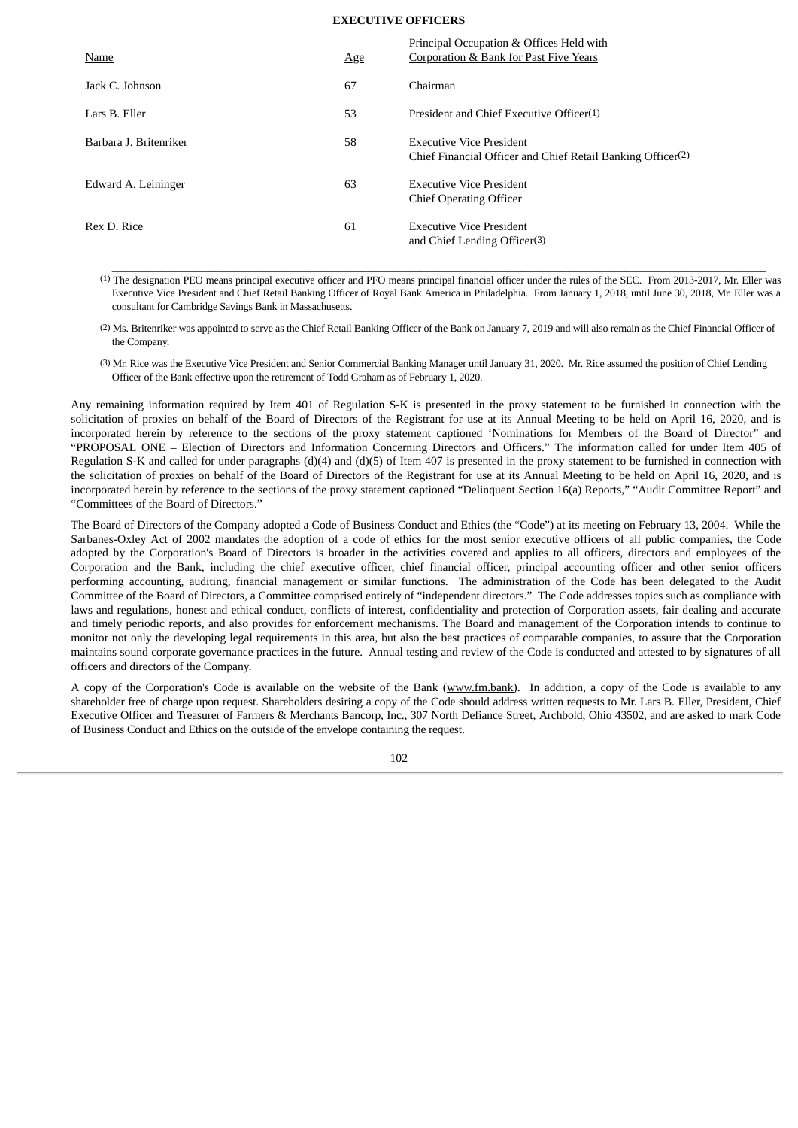### **EXECUTIVE OFFICERS**

| Name                   | Age | Principal Occupation & Offices Held with<br>Corporation & Bank for Past Five Years      |
|------------------------|-----|-----------------------------------------------------------------------------------------|
| Jack C. Johnson        | 67  | Chairman                                                                                |
| Lars B. Eller          | 53  | President and Chief Executive Officer(1)                                                |
| Barbara J. Britenriker | 58  | Executive Vice President<br>Chief Financial Officer and Chief Retail Banking Officer(2) |
| Edward A. Leininger    | 63  | Executive Vice President<br><b>Chief Operating Officer</b>                              |
| Rex D. Rice            | 61  | Executive Vice President<br>and Chief Lending Officer <sup>(3)</sup>                    |

\_\_\_\_\_\_\_\_\_\_\_\_\_\_\_\_\_\_\_\_\_\_\_\_\_\_\_\_\_\_\_\_\_\_\_\_\_\_\_\_\_\_\_\_\_\_\_\_\_\_\_\_\_\_\_\_\_\_\_\_\_\_\_\_\_\_\_\_\_\_\_\_\_\_\_\_\_\_\_\_\_\_\_\_\_\_\_\_\_\_\_\_\_\_\_\_\_\_\_\_\_\_\_\_\_\_\_\_\_\_\_\_\_\_\_\_\_\_\_\_\_\_\_\_\_\_\_\_\_\_\_\_\_\_ (1) The designation PEO means principal executive officer and PFO means principal financial officer under the rules of the SEC. From 2013-2017, Mr. Eller was Executive Vice President and Chief Retail Banking Officer of Royal Bank America in Philadelphia. From January 1, 2018, until June 30, 2018, Mr. Eller was a consultant for Cambridge Savings Bank in Massachusetts.

(2) Ms. Britenriker was appointed to serve as the Chief Retail Banking Officer of the Bank on January 7, 2019 and will also remain as the Chief Financial Officer of the Company.

(3) Mr. Rice was the Executive Vice President and Senior Commercial Banking Manager until January 31, 2020. Mr. Rice assumed the position of Chief Lending Officer of the Bank effective upon the retirement of Todd Graham as of February 1, 2020.

Any remaining information required by Item 401 of Regulation S-K is presented in the proxy statement to be furnished in connection with the solicitation of proxies on behalf of the Board of Directors of the Registrant for use at its Annual Meeting to be held on April 16, 2020, and is incorporated herein by reference to the sections of the proxy statement captioned 'Nominations for Members of the Board of Director" and "PROPOSAL ONE – Election of Directors and Information Concerning Directors and Officers." The information called for under Item 405 of Regulation S-K and called for under paragraphs  $(d)(4)$  and  $(d)(5)$  of Item 407 is presented in the proxy statement to be furnished in connection with the solicitation of proxies on behalf of the Board of Directors of the Registrant for use at its Annual Meeting to be held on April 16, 2020, and is incorporated herein by reference to the sections of the proxy statement captioned "Delinquent Section 16(a) Reports," "Audit Committee Report" and "Committees of the Board of Directors."

The Board of Directors of the Company adopted a Code of Business Conduct and Ethics (the "Code") at its meeting on February 13, 2004. While the Sarbanes-Oxley Act of 2002 mandates the adoption of a code of ethics for the most senior executive officers of all public companies, the Code adopted by the Corporation's Board of Directors is broader in the activities covered and applies to all officers, directors and employees of the Corporation and the Bank, including the chief executive officer, chief financial officer, principal accounting officer and other senior officers performing accounting, auditing, financial management or similar functions. The administration of the Code has been delegated to the Audit Committee of the Board of Directors, a Committee comprised entirely of "independent directors." The Code addresses topics such as compliance with laws and regulations, honest and ethical conduct, conflicts of interest, confidentiality and protection of Corporation assets, fair dealing and accurate and timely periodic reports, and also provides for enforcement mechanisms. The Board and management of the Corporation intends to continue to monitor not only the developing legal requirements in this area, but also the best practices of comparable companies, to assure that the Corporation maintains sound corporate governance practices in the future. Annual testing and review of the Code is conducted and attested to by signatures of all officers and directors of the Company.

A copy of the Corporation's Code is available on the website of the Bank (www.fm.bank). In addition, a copy of the Code is available to any shareholder free of charge upon request. Shareholders desiring a copy of the Code should address written requests to Mr. Lars B. Eller, President, Chief Executive Officer and Treasurer of Farmers & Merchants Bancorp, Inc., 307 North Defiance Street, Archbold, Ohio 43502, and are asked to mark Code of Business Conduct and Ethics on the outside of the envelope containing the request.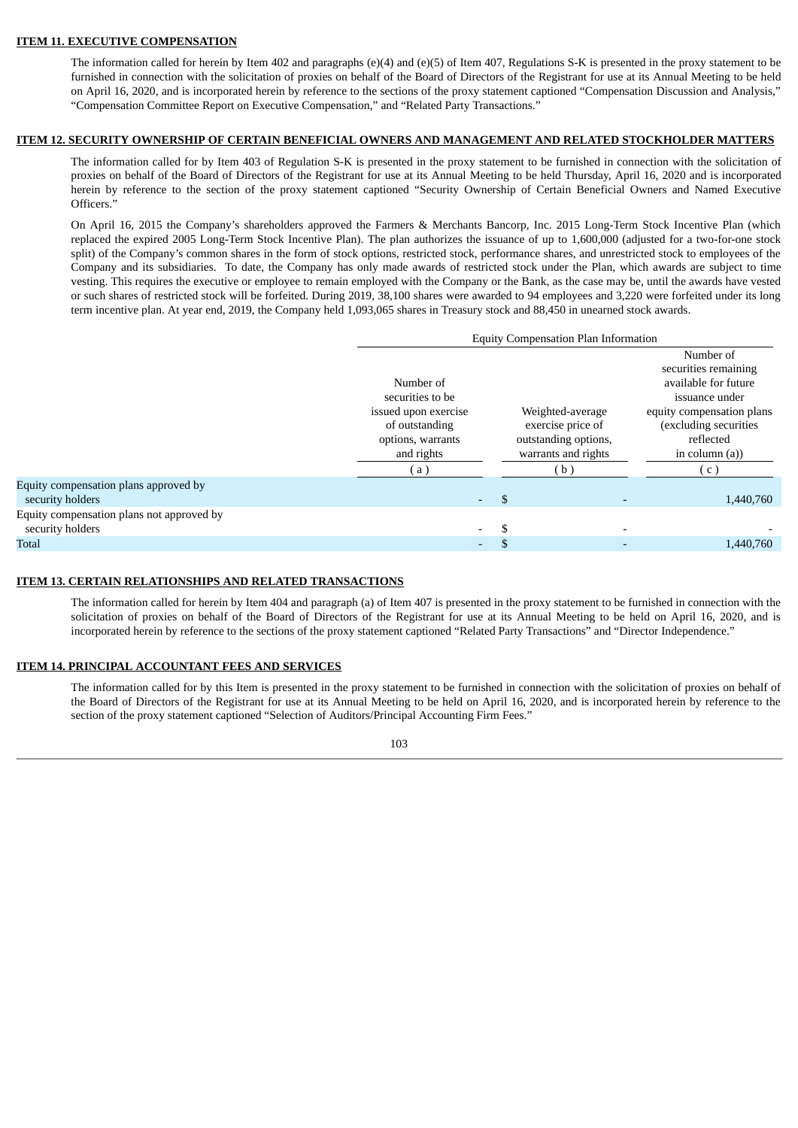## **ITEM 11. EXECUTIVE COMPENSATION**

The information called for herein by Item 402 and paragraphs (e)(4) and (e)(5) of Item 407, Regulations S-K is presented in the proxy statement to be furnished in connection with the solicitation of proxies on behalf of the Board of Directors of the Registrant for use at its Annual Meeting to be held on April 16, 2020, and is incorporated herein by reference to the sections of the proxy statement captioned "Compensation Discussion and Analysis," "Compensation Committee Report on Executive Compensation," and "Related Party Transactions."

## **ITEM 12. SECURITY OWNERSHIP OF CERTAIN BENEFICIAL OWNERS AND MANAGEMENT AND RELATED STOCKHOLDER MATTERS**

The information called for by Item 403 of Regulation S-K is presented in the proxy statement to be furnished in connection with the solicitation of proxies on behalf of the Board of Directors of the Registrant for use at its Annual Meeting to be held Thursday, April 16, 2020 and is incorporated herein by reference to the section of the proxy statement captioned "Security Ownership of Certain Beneficial Owners and Named Executive Officers."

On April 16, 2015 the Company's shareholders approved the Farmers & Merchants Bancorp, Inc. 2015 Long-Term Stock Incentive Plan (which replaced the expired 2005 Long-Term Stock Incentive Plan). The plan authorizes the issuance of up to 1,600,000 (adjusted for a two-for-one stock split) of the Company's common shares in the form of stock options, restricted stock, performance shares, and unrestricted stock to employees of the Company and its subsidiaries. To date, the Company has only made awards of restricted stock under the Plan, which awards are subject to time vesting. This requires the executive or employee to remain employed with the Company or the Bank, as the case may be, until the awards have vested or such shares of restricted stock will be forfeited. During 2019, 38,100 shares were awarded to 94 employees and 3,220 were forfeited under its long term incentive plan. At year end, 2019, the Company held 1,093,065 shares in Treasury stock and 88,450 in unearned stock awards.

|                                                           | <b>Equity Compensation Plan Information</b> |                      |                                   |  |  |
|-----------------------------------------------------------|---------------------------------------------|----------------------|-----------------------------------|--|--|
|                                                           |                                             |                      | Number of<br>securities remaining |  |  |
|                                                           | Number of                                   |                      | available for future              |  |  |
|                                                           | securities to be                            |                      | issuance under                    |  |  |
|                                                           | issued upon exercise                        | Weighted-average     | equity compensation plans         |  |  |
|                                                           | of outstanding                              | exercise price of    | (excluding securities             |  |  |
|                                                           | options, warrants                           | outstanding options, | reflected                         |  |  |
|                                                           | and rights                                  | warrants and rights  | in column $(a)$ )                 |  |  |
|                                                           | a)                                          | (b)                  | C)                                |  |  |
| Equity compensation plans approved by<br>security holders | $\overline{\phantom{0}}$                    | -\$                  | 1,440,760                         |  |  |
| Equity compensation plans not approved by                 |                                             |                      |                                   |  |  |
| security holders                                          | $\overline{\phantom{0}}$                    | \$.                  |                                   |  |  |
| Total                                                     | $\overline{\phantom{0}}$                    |                      | 1,440,760                         |  |  |
|                                                           |                                             |                      |                                   |  |  |

## **ITEM 13. CERTAIN RELATIONSHIPS AND RELATED TRANSACTIONS**

The information called for herein by Item 404 and paragraph (a) of Item 407 is presented in the proxy statement to be furnished in connection with the solicitation of proxies on behalf of the Board of Directors of the Registrant for use at its Annual Meeting to be held on April 16, 2020, and is incorporated herein by reference to the sections of the proxy statement captioned "Related Party Transactions" and "Director Independence."

## **ITEM 14. PRINCIPAL ACCOUNTANT FEES AND SERVICES**

The information called for by this Item is presented in the proxy statement to be furnished in connection with the solicitation of proxies on behalf of the Board of Directors of the Registrant for use at its Annual Meeting to be held on April 16, 2020, and is incorporated herein by reference to the section of the proxy statement captioned "Selection of Auditors/Principal Accounting Firm Fees."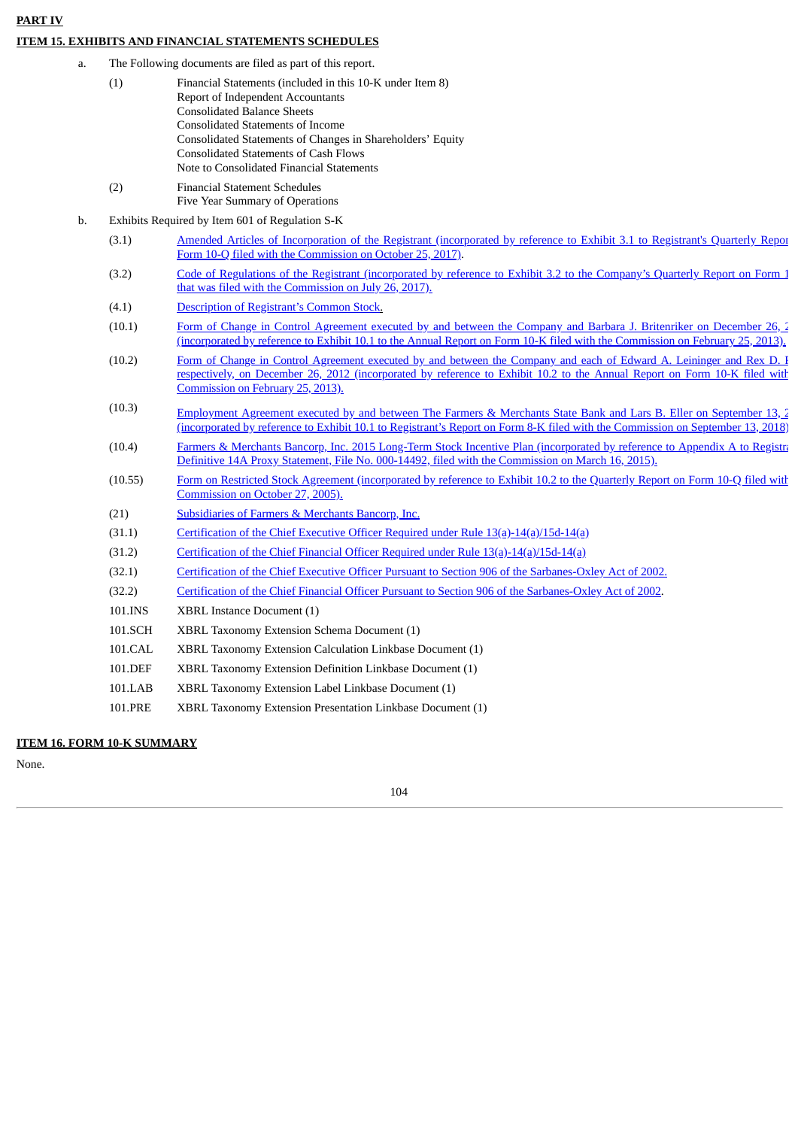# **ITEM 15. EXHIBITS AND FINANCIAL STATEMENTS SCHEDULES**

- a. The Following documents are filed as part of this report.
	- (1) Financial Statements (included in this 10-K under Item 8) Report of Independent Accountants Consolidated Balance Sheets Consolidated Statements of Income Consolidated Statements of Changes in Shareholders' Equity Consolidated Statements of Cash Flows Note to Consolidated Financial Statements
	- (2) Financial Statement Schedules Five Year Summary of Operations
- b. Exhibits Required by Item 601 of Regulation S-K
	- (3.1) Amended Articles of [Incorporation](http://www.sec.gov/Archives/edgar/data/792966/000119312517318709/d447990d10q.htm) of the Registrant (incorporated by reference to Exhibit 3.1 to Registrant's Quarterly Repor Form 10-Q filed with the Commission on October 25, 2017).
	- (3.2) Code of Regulations of the Registrant [\(incorporated](http://www.sec.gov/Archives/edgar/data/792966/000119312517235925/d422994dex32.htm) by reference to Exhibit 3.2 to the Company's Quarterly Report on Form 1 that was filed with the Commission on July 26, 2017).
	- (4.1) Description of [Registrant's](#page-105-0) Common Stock.
	- (10.1) Form of Change in Control Agreement executed by and between the Company and Barbara J. Britenriker on December 26, 2 [\(incorporated](http://www.sec.gov/Archives/edgar/data/792966/000119312513073008/d445099dex101.htm) by reference to Exhibit 10.1 to the Annual Report on Form 10-K filed with the Commission on February 25, 2013).
	- (10.2) Form of Change in Control Agreement executed by and between the Company and each of Edward A. Leininger and Rex D. I respectively, on December 26, 2012 [\(incorporated](http://www.sec.gov/Archives/edgar/data/792966/000119312513073008/d445099dex102.htm) by reference to Exhibit 10.2 to the Annual Report on Form 10-K filed with Commission on February 25, 2013).
	- (10.3) Employment Agreement executed by and between The Farmers & Merchants State Bank and Lars B. Eller on September 13, <sup>2</sup> [\(incorporated](http://www.sec.gov/Archives/edgar/data/792966/000119312518272836/d595662dex101.htm) by reference to Exhibit 10.1 to Registrant's Report on Form 8-K filed with the Commission on September 13, 2018)
	- (10.4) Farmers & Merchants Bancorp, Inc. 2015 Long-Term Stock Incentive Plan [\(incorporated](http://www.sec.gov/Archives/edgar/data/792966/000119312515093241/d891255ddef14a.htm) by reference to Appendix A to Registra Definitive 14A Proxy Statement, File No. 000-14492, filed with the Commission on March 16, 2015).
	- (10.55) Form on Restricted Stock Agreement [\(incorporated](http://www.sec.gov/Archives/edgar/data/792966/000095012405005979/k99341exv10w2.txt) by reference to Exhibit 10.2 to the Quarterly Report on Form 10-Q filed with Commission on October 27, 2005).
	- (21) [Subsidiaries](#page-107-0) of Farmers & Merchants Bancorp, Inc.
	- (31.1) Certification of the Chief Executive Officer Required under Rule [13\(a\)-14\(a\)/15d-14\(a\)](#page-108-0)
	- (31.2) Certification of the Chief Financial Officer Required under Rule [13\(a\)-14\(a\)/15d-14\(a\)](#page-109-0)
	- (32.1) Certification of the Chief Executive Officer Pursuant to Section 906 of the [Sarbanes-Oxley](#page-110-0) Act of 2002.
	- (32.2) Certification of the Chief Financial Officer Pursuant to Section 906 of the [Sarbanes-Oxley](#page-111-0) Act of 2002.
	- 101.INS XBRL Instance Document (1)
	- 101.SCH XBRL Taxonomy Extension Schema Document (1)
	- 101.CAL XBRL Taxonomy Extension Calculation Linkbase Document (1)
	- 101.DEF XBRL Taxonomy Extension Definition Linkbase Document (1)
	- 101.LAB XBRL Taxonomy Extension Label Linkbase Document (1)
	- 101.PRE XBRL Taxonomy Extension Presentation Linkbase Document (1)

# **ITEM 16. FORM 10-K SUMMARY**

None.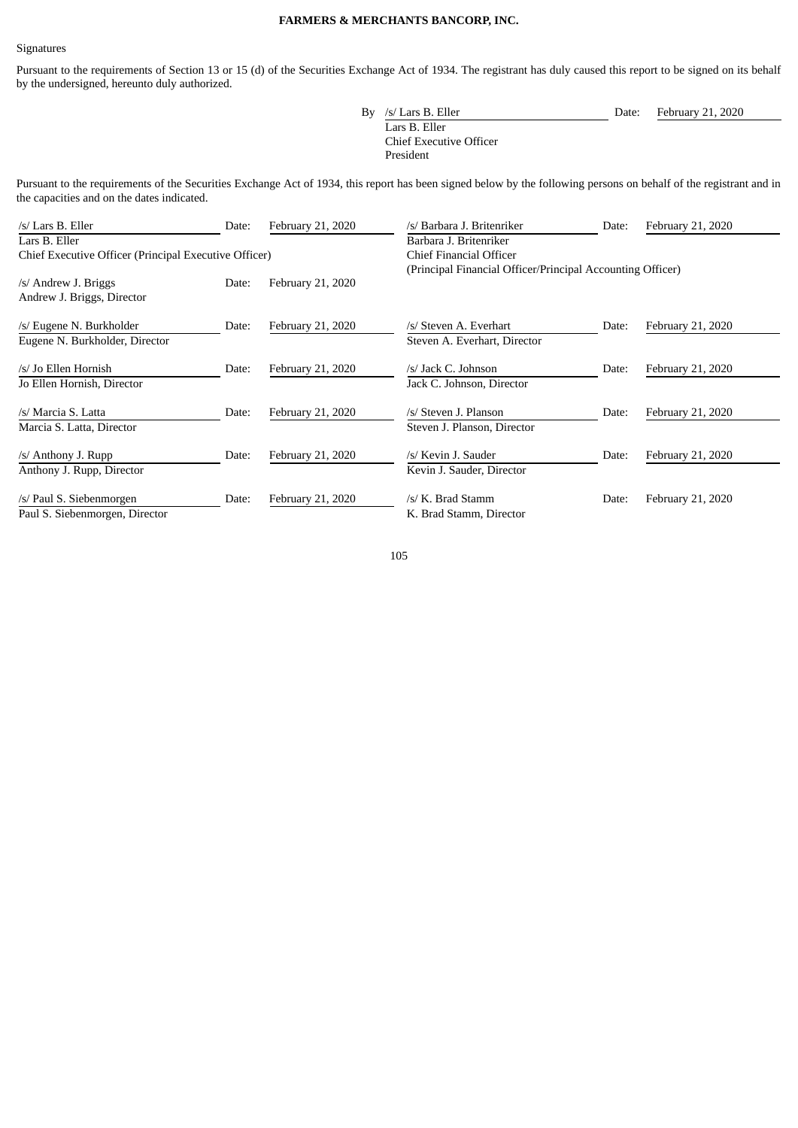## **FARMERS & MERCHANTS BANCORP, INC.**

## Signatures

Pursuant to the requirements of Section 13 or 15 (d) of the Securities Exchange Act of 1934. The registrant has duly caused this report to be signed on its behalf by the undersigned, hereunto duly authorized.

> By /s/ Lars B. Eller Date: February 21, 2020 Lars B. Eller Chief Executive Officer President

Pursuant to the requirements of the Securities Exchange Act of 1934, this report has been signed below by the following persons on behalf of the registrant and in the capacities and on the dates indicated.

| /s/ Lars B. Eller                                     | Date: | February 21, 2020 | /s/ Barbara J. Britenriker                                 | Date: | February 21, 2020 |
|-------------------------------------------------------|-------|-------------------|------------------------------------------------------------|-------|-------------------|
| Lars B. Eller                                         |       |                   | Barbara J. Britenriker                                     |       |                   |
| Chief Executive Officer (Principal Executive Officer) |       |                   | Chief Financial Officer                                    |       |                   |
|                                                       |       |                   | (Principal Financial Officer/Principal Accounting Officer) |       |                   |
| /s/ Andrew J. Briggs                                  | Date: | February 21, 2020 |                                                            |       |                   |
| Andrew J. Briggs, Director                            |       |                   |                                                            |       |                   |
| /s/ Eugene N. Burkholder                              | Date: | February 21, 2020 | /s/ Steven A. Everhart                                     | Date: | February 21, 2020 |
| Eugene N. Burkholder, Director                        |       |                   | Steven A. Everhart, Director                               |       |                   |
| /s/ Jo Ellen Hornish                                  | Date: | February 21, 2020 | /s/ Jack C. Johnson                                        | Date: | February 21, 2020 |
| Jo Ellen Hornish, Director                            |       |                   | Jack C. Johnson, Director                                  |       |                   |
| /s/ Marcia S. Latta                                   | Date: | February 21, 2020 | /s/ Steven J. Planson                                      | Date: | February 21, 2020 |
| Marcia S. Latta, Director                             |       |                   | Steven J. Planson, Director                                |       |                   |
| /s/ Anthony J. Rupp                                   | Date: | February 21, 2020 | /s/ Kevin J. Sauder                                        | Date: | February 21, 2020 |
| Anthony J. Rupp, Director                             |       |                   | Kevin J. Sauder, Director                                  |       |                   |
| /s/ Paul S. Siebenmorgen                              | Date: | February 21, 2020 | /s/ K. Brad Stamm                                          | Date: | February 21, 2020 |
| Paul S. Siebenmorgen, Director                        |       |                   | K. Brad Stamm, Director                                    |       |                   |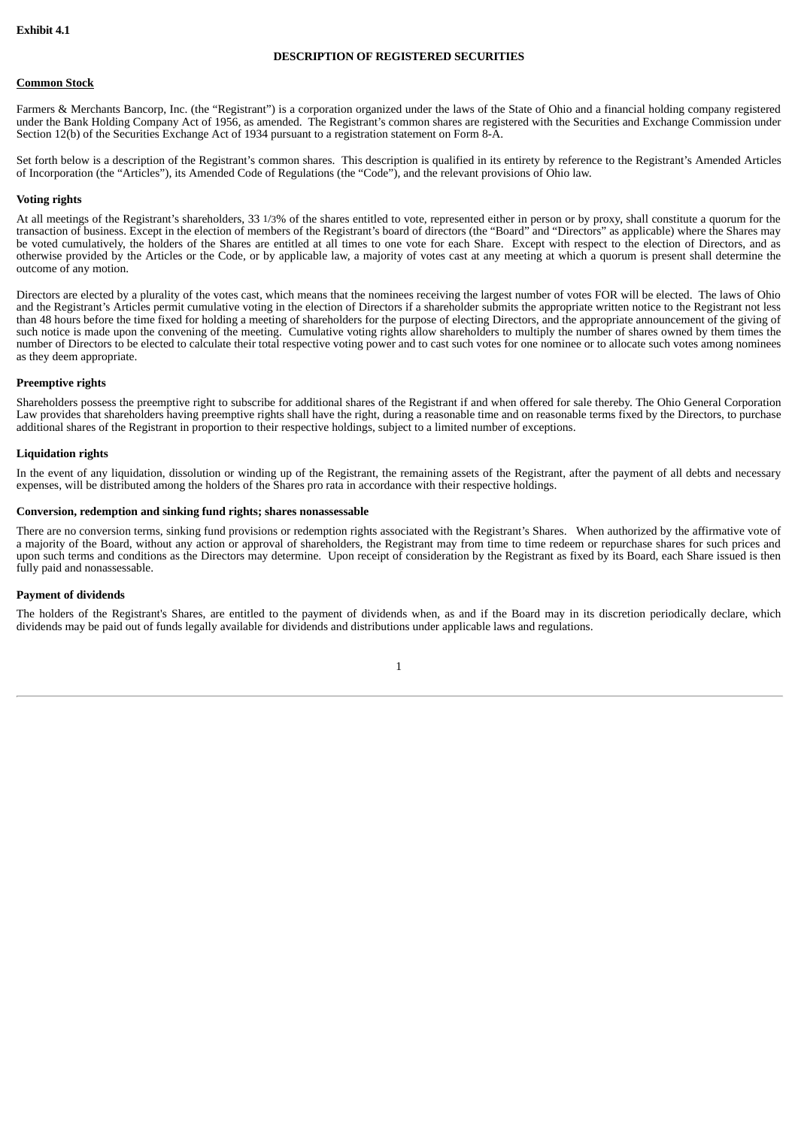### **DESCRIPTION OF REGISTERED SECURITIES**

## <span id="page-105-0"></span>**Common Stock**

Farmers & Merchants Bancorp, Inc. (the "Registrant") is a corporation organized under the laws of the State of Ohio and a financial holding company registered under the Bank Holding Company Act of 1956, as amended. The Registrant's common shares are registered with the Securities and Exchange Commission under Section 12(b) of the Securities Exchange Act of 1934 pursuant to a registration statement on Form 8-A.

Set forth below is a description of the Registrant's common shares. This description is qualified in its entirety by reference to the Registrant's Amended Articles of Incorporation (the "Articles"), its Amended Code of Regulations (the "Code"), and the relevant provisions of Ohio law.

## **Voting rights**

At all meetings of the Registrant's shareholders, 33 1/3% of the shares entitled to vote, represented either in person or by proxy, shall constitute a quorum for the transaction of business. Except in the election of members of the Registrant's board of directors (the "Board" and "Directors" as applicable) where the Shares may be voted cumulatively, the holders of the Shares are entitled at all times to one vote for each Share. Except with respect to the election of Directors, and as otherwise provided by the Articles or the Code, or by applicable law, a majority of votes cast at any meeting at which a quorum is present shall determine the outcome of any motion.

Directors are elected by a plurality of the votes cast, which means that the nominees receiving the largest number of votes FOR will be elected. The laws of Ohio and the Registrant's Articles permit cumulative voting in the election of Directors if a shareholder submits the appropriate written notice to the Registrant not less than 48 hours before the time fixed for holding a meeting of shareholders for the purpose of electing Directors, and the appropriate announcement of the giving of such notice is made upon the convening of the meeting. Cumulative voting rights allow shareholders to multiply the number of shares owned by them times the number of Directors to be elected to calculate their total respective voting power and to cast such votes for one nominee or to allocate such votes among nominees as they deem appropriate.

## **Preemptive rights**

Shareholders possess the preemptive right to subscribe for additional shares of the Registrant if and when offered for sale thereby. The Ohio General Corporation Law provides that shareholders having preemptive rights shall have the right, during a reasonable time and on reasonable terms fixed by the Directors, to purchase additional shares of the Registrant in proportion to their respective holdings, subject to a limited number of exceptions.

## **Liquidation rights**

In the event of any liquidation, dissolution or winding up of the Registrant, the remaining assets of the Registrant, after the payment of all debts and necessary expenses, will be distributed among the holders of the Shares pro rata in accordance with their respective holdings.

#### **Conversion, redemption and sinking fund rights; shares nonassessable**

There are no conversion terms, sinking fund provisions or redemption rights associated with the Registrant's Shares. When authorized by the affirmative vote of a majority of the Board, without any action or approval of shareholders, the Registrant may from time to time redeem or repurchase shares for such prices and upon such terms and conditions as the Directors may determine. Upon receipt of consideration by the Registrant as fixed by its Board, each Share issued is then fully paid and nonassessable.

## **Payment of dividends**

The holders of the Registrant's Shares, are entitled to the payment of dividends when, as and if the Board may in its discretion periodically declare, which dividends may be paid out of funds legally available for dividends and distributions under applicable laws and regulations.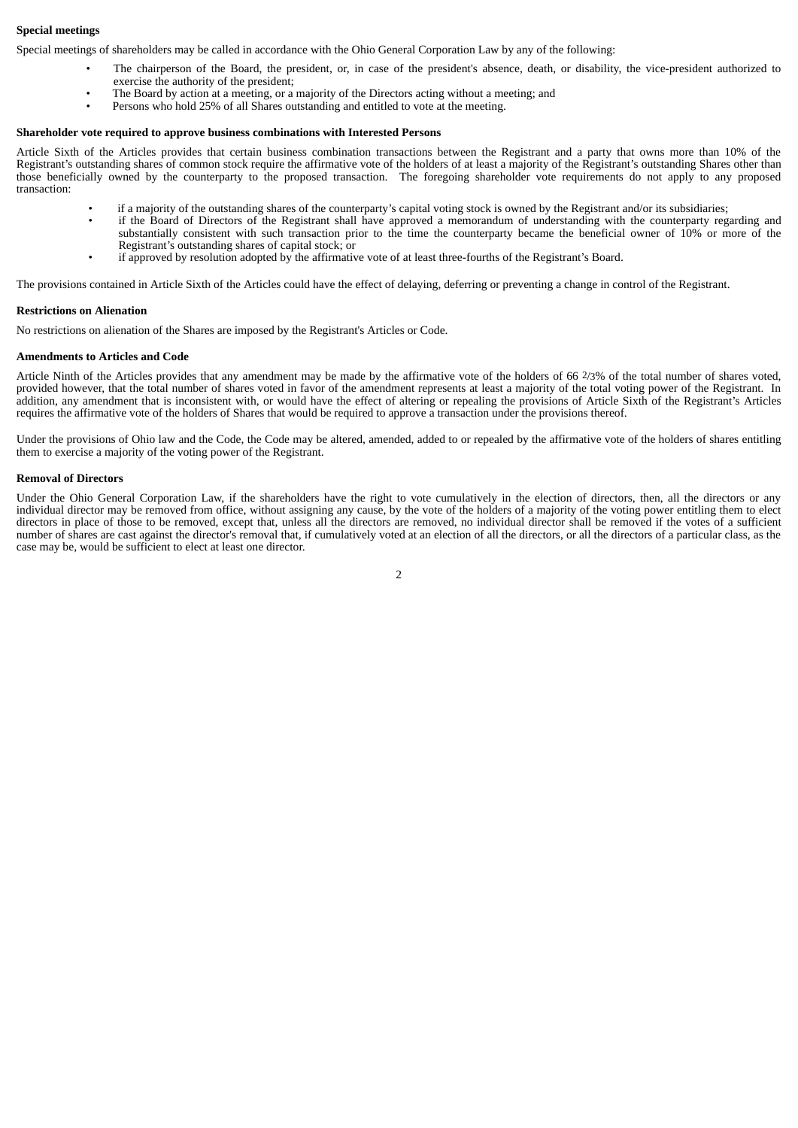### **Special meetings**

Special meetings of shareholders may be called in accordance with the Ohio General Corporation Law by any of the following:

- The chairperson of the Board, the president, or, in case of the president's absence, death, or disability, the vice-president authorized to exercise the authority of the president;
- The Board by action at a meeting, or a majority of the Directors acting without a meeting; and
- Persons who hold 25% of all Shares outstanding and entitled to vote at the meeting.

#### **Shareholder vote required to approve business combinations with Interested Persons**

Article Sixth of the Articles provides that certain business combination transactions between the Registrant and a party that owns more than 10% of the Registrant's outstanding shares of common stock require the affirmative vote of the holders of at least a majority of the Registrant's outstanding Shares other than those beneficially owned by the counterparty to the proposed transaction. The foregoing shareholder vote requirements do not apply to any proposed transaction:

- if a majority of the outstanding shares of the counterparty's capital voting stock is owned by the Registrant and/or its subsidiaries;
- if the Board of Directors of the Registrant shall have approved a memorandum of understanding with the counterparty regarding and substantially consistent with such transaction prior to the time the counterparty became the beneficial owner of 10% or more of the Registrant's outstanding shares of capital stock; or
- if approved by resolution adopted by the affirmative vote of at least three-fourths of the Registrant's Board.

The provisions contained in Article Sixth of the Articles could have the effect of delaying, deferring or preventing a change in control of the Registrant.

#### **Restrictions on Alienation**

No restrictions on alienation of the Shares are imposed by the Registrant's Articles or Code.

#### **Amendments to Articles and Code**

Article Ninth of the Articles provides that any amendment may be made by the affirmative vote of the holders of 66 2/3% of the total number of shares voted, provided however, that the total number of shares voted in favor of the amendment represents at least a majority of the total voting power of the Registrant. In addition, any amendment that is inconsistent with, or would have the effect of altering or repealing the provisions of Article Sixth of the Registrant's Articles requires the affirmative vote of the holders of Shares that would be required to approve a transaction under the provisions thereof.

Under the provisions of Ohio law and the Code, the Code may be altered, amended, added to or repealed by the affirmative vote of the holders of shares entitling them to exercise a majority of the voting power of the Registrant.

#### **Removal of Directors**

Under the Ohio General Corporation Law, if the shareholders have the right to vote cumulatively in the election of directors, then, all the directors or any individual director may be removed from office, without assigning any cause, by the vote of the holders of a majority of the voting power entitling them to elect directors in place of those to be removed, except that, unless all the directors are removed, no individual director shall be removed if the votes of a sufficient number of shares are cast against the director's removal that, if cumulatively voted at an election of all the directors, or all the directors of a particular class, as the case may be, would be sufficient to elect at least one director.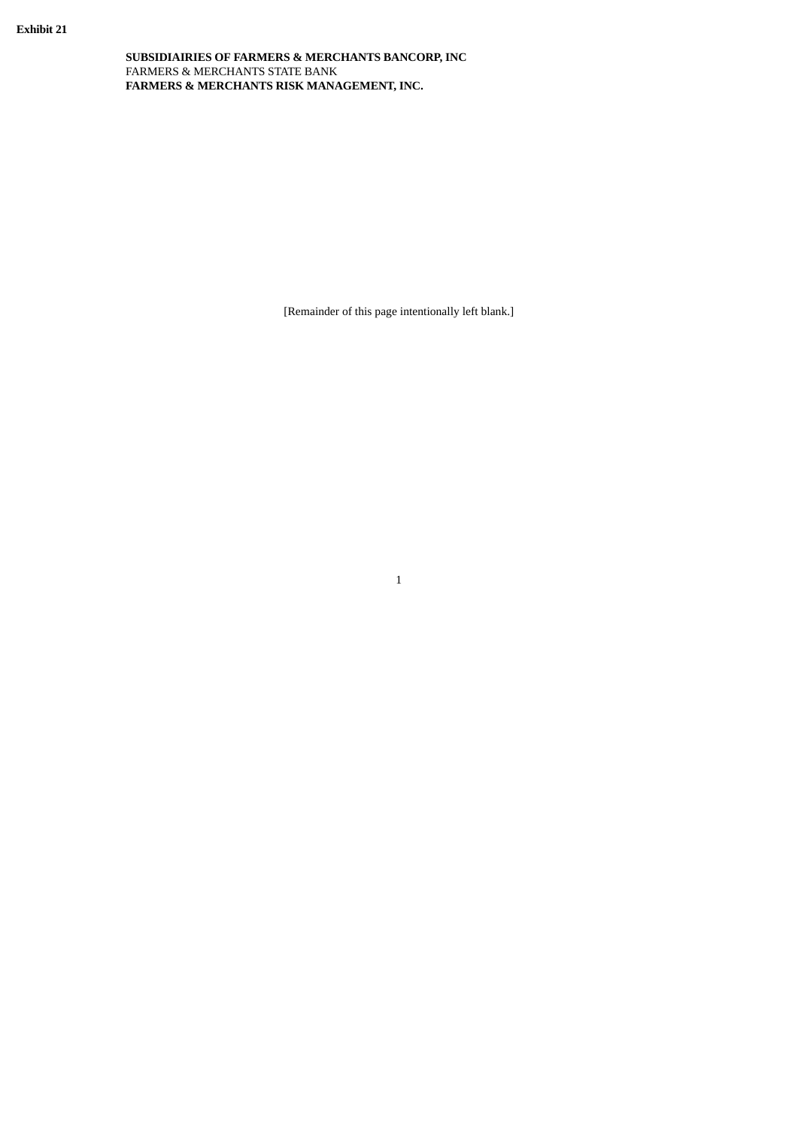<span id="page-107-0"></span>**SUBSIDIAIRIES OF FARMERS & MERCHANTS BANCORP, INC** FARMERS & MERCHANTS STATE BANK **FARMERS & MERCHANTS RISK MANAGEMENT, INC.**

[Remainder of this page intentionally left blank.]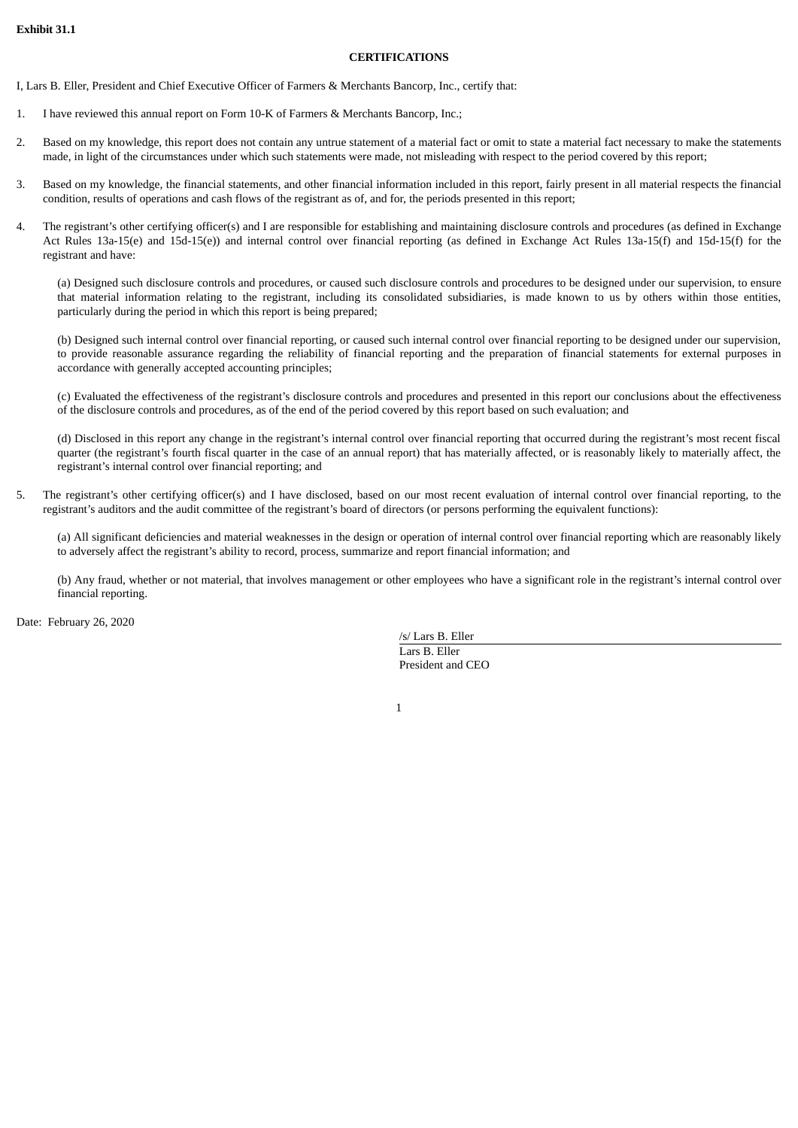#### **Exhibit 31.1**

## **CERTIFICATIONS**

I, Lars B. Eller, President and Chief Executive Officer of Farmers & Merchants Bancorp, Inc., certify that:

- 1. I have reviewed this annual report on Form 10-K of Farmers & Merchants Bancorp, Inc.;
- 2. Based on my knowledge, this report does not contain any untrue statement of a material fact or omit to state a material fact necessary to make the statements made, in light of the circumstances under which such statements were made, not misleading with respect to the period covered by this report;
- 3. Based on my knowledge, the financial statements, and other financial information included in this report, fairly present in all material respects the financial condition, results of operations and cash flows of the registrant as of, and for, the periods presented in this report;
- 4. The registrant's other certifying officer(s) and I are responsible for establishing and maintaining disclosure controls and procedures (as defined in Exchange Act Rules 13a-15(e) and 15d-15(e)) and internal control over financial reporting (as defined in Exchange Act Rules 13a-15(f) and 15d-15(f) for the registrant and have:

(a) Designed such disclosure controls and procedures, or caused such disclosure controls and procedures to be designed under our supervision, to ensure that material information relating to the registrant, including its consolidated subsidiaries, is made known to us by others within those entities, particularly during the period in which this report is being prepared;

(b) Designed such internal control over financial reporting, or caused such internal control over financial reporting to be designed under our supervision, to provide reasonable assurance regarding the reliability of financial reporting and the preparation of financial statements for external purposes in accordance with generally accepted accounting principles;

(c) Evaluated the effectiveness of the registrant's disclosure controls and procedures and presented in this report our conclusions about the effectiveness of the disclosure controls and procedures, as of the end of the period covered by this report based on such evaluation; and

(d) Disclosed in this report any change in the registrant's internal control over financial reporting that occurred during the registrant's most recent fiscal quarter (the registrant's fourth fiscal quarter in the case of an annual report) that has materially affected, or is reasonably likely to materially affect, the registrant's internal control over financial reporting; and

5. The registrant's other certifying officer(s) and I have disclosed, based on our most recent evaluation of internal control over financial reporting, to the registrant's auditors and the audit committee of the registrant's board of directors (or persons performing the equivalent functions):

(a) All significant deficiencies and material weaknesses in the design or operation of internal control over financial reporting which are reasonably likely to adversely affect the registrant's ability to record, process, summarize and report financial information; and

(b) Any fraud, whether or not material, that involves management or other employees who have a significant role in the registrant's internal control over financial reporting.

Date: February 26, 2020

/s/ Lars B. Eller Lars B. Eller President and CEO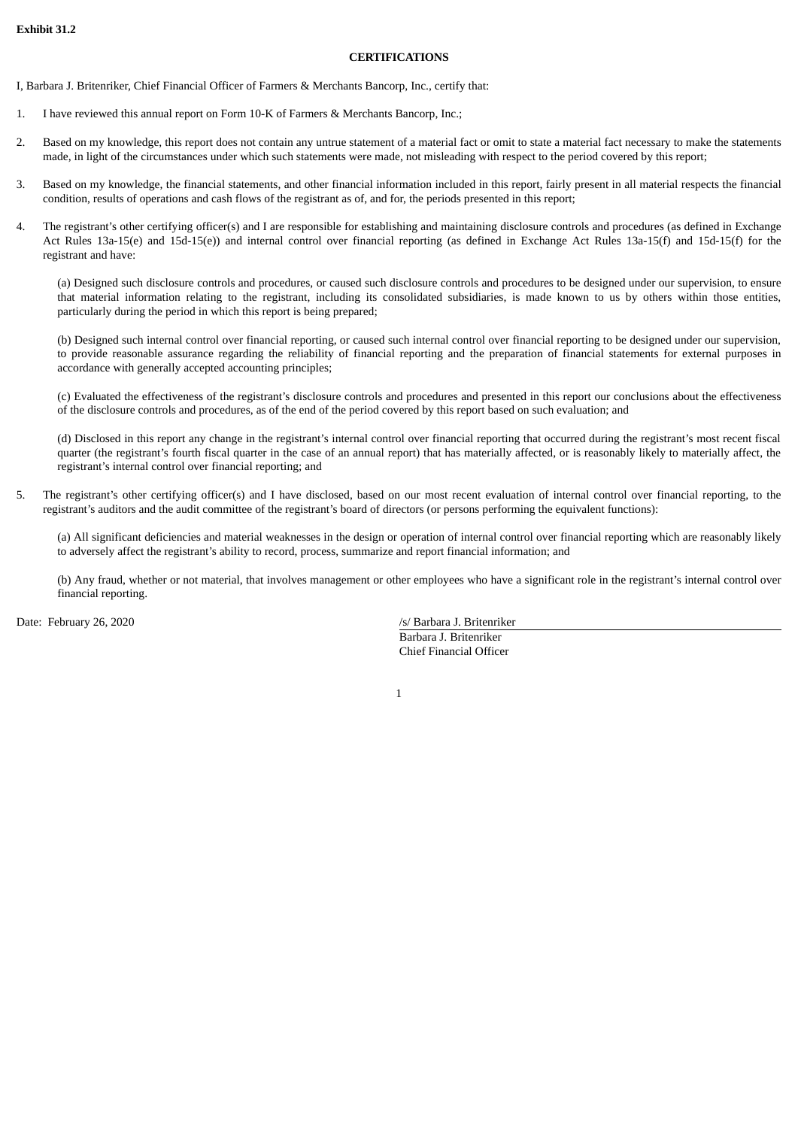## **Exhibit 31.2**

#### **CERTIFICATIONS**

I, Barbara J. Britenriker, Chief Financial Officer of Farmers & Merchants Bancorp, Inc., certify that:

- 1. I have reviewed this annual report on Form 10-K of Farmers & Merchants Bancorp, Inc.;
- 2. Based on my knowledge, this report does not contain any untrue statement of a material fact or omit to state a material fact necessary to make the statements made, in light of the circumstances under which such statements were made, not misleading with respect to the period covered by this report;
- 3. Based on my knowledge, the financial statements, and other financial information included in this report, fairly present in all material respects the financial condition, results of operations and cash flows of the registrant as of, and for, the periods presented in this report;
- 4. The registrant's other certifying officer(s) and I are responsible for establishing and maintaining disclosure controls and procedures (as defined in Exchange Act Rules 13a-15(e) and 15d-15(e)) and internal control over financial reporting (as defined in Exchange Act Rules 13a-15(f) and 15d-15(f) for the registrant and have:

(a) Designed such disclosure controls and procedures, or caused such disclosure controls and procedures to be designed under our supervision, to ensure that material information relating to the registrant, including its consolidated subsidiaries, is made known to us by others within those entities, particularly during the period in which this report is being prepared;

(b) Designed such internal control over financial reporting, or caused such internal control over financial reporting to be designed under our supervision, to provide reasonable assurance regarding the reliability of financial reporting and the preparation of financial statements for external purposes in accordance with generally accepted accounting principles;

(c) Evaluated the effectiveness of the registrant's disclosure controls and procedures and presented in this report our conclusions about the effectiveness of the disclosure controls and procedures, as of the end of the period covered by this report based on such evaluation; and

(d) Disclosed in this report any change in the registrant's internal control over financial reporting that occurred during the registrant's most recent fiscal quarter (the registrant's fourth fiscal quarter in the case of an annual report) that has materially affected, or is reasonably likely to materially affect, the registrant's internal control over financial reporting; and

5. The registrant's other certifying officer(s) and I have disclosed, based on our most recent evaluation of internal control over financial reporting, to the registrant's auditors and the audit committee of the registrant's board of directors (or persons performing the equivalent functions):

(a) All significant deficiencies and material weaknesses in the design or operation of internal control over financial reporting which are reasonably likely to adversely affect the registrant's ability to record, process, summarize and report financial information; and

(b) Any fraud, whether or not material, that involves management or other employees who have a significant role in the registrant's internal control over financial reporting.

Date: February 26, 2020 **/s/ Barbara J. Britenriker** /s/ Barbara J. Britenriker Barbara J. Britenriker Chief Financial Officer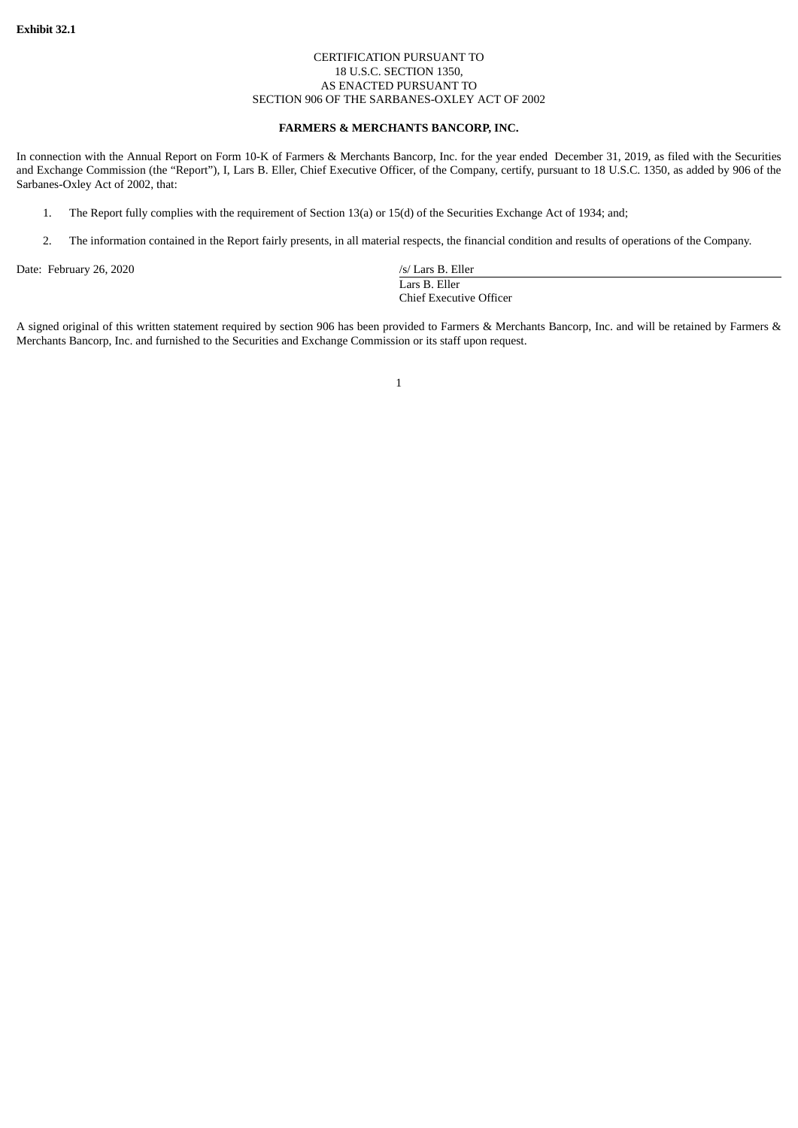# CERTIFICATION PURSUANT TO 18 U.S.C. SECTION 1350, AS ENACTED PURSUANT TO SECTION 906 OF THE SARBANES-OXLEY ACT OF 2002

# **FARMERS & MERCHANTS BANCORP, INC.**

In connection with the Annual Report on Form 10-K of Farmers & Merchants Bancorp, Inc. for the year ended December 31, 2019, as filed with the Securities and Exchange Commission (the "Report"), I, Lars B. Eller, Chief Executive Officer, of the Company, certify, pursuant to 18 U.S.C. 1350, as added by 906 of the Sarbanes-Oxley Act of 2002, that:

- 1. The Report fully complies with the requirement of Section 13(a) or 15(d) of the Securities Exchange Act of 1934; and;
- 2. The information contained in the Report fairly presents, in all material respects, the financial condition and results of operations of the Company.

Date: February 26, 2020 /s/ Lars B. Eller

Lars B. Eller Chief Executive Officer

A signed original of this written statement required by section 906 has been provided to Farmers & Merchants Bancorp, Inc. and will be retained by Farmers & Merchants Bancorp, Inc. and furnished to the Securities and Exchange Commission or its staff upon request.